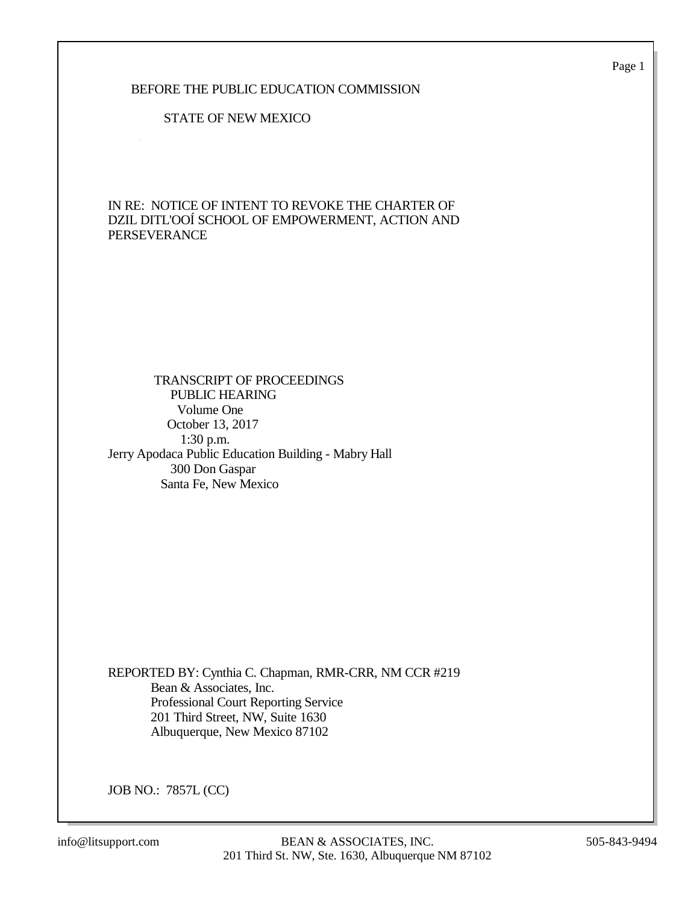Page 1

### BEFORE THE PUBLIC EDUCATION COMMISSION

#### STATE OF NEW MEXICO

IN RE: NOTICE OF INTENT TO REVOKE THE CHARTER OF DZIL DITL'OOÍ SCHOOL OF EMPOWERMENT, ACTION AND PERSEVERANCE

### TRANSCRIPT OF PROCEEDINGS PUBLIC HEARING Volume One October 13, 2017 1:30 p.m. Jerry Apodaca Public Education Building - Mabry Hall 300 Don Gaspar Santa Fe, New Mexico

REPORTED BY: Cynthia C. Chapman, RMR-CRR, NM CCR #219 Bean & Associates, Inc. Professional Court Reporting Service 201 Third Street, NW, Suite 1630 Albuquerque, New Mexico 87102

JOB NO.: 7857L (CC)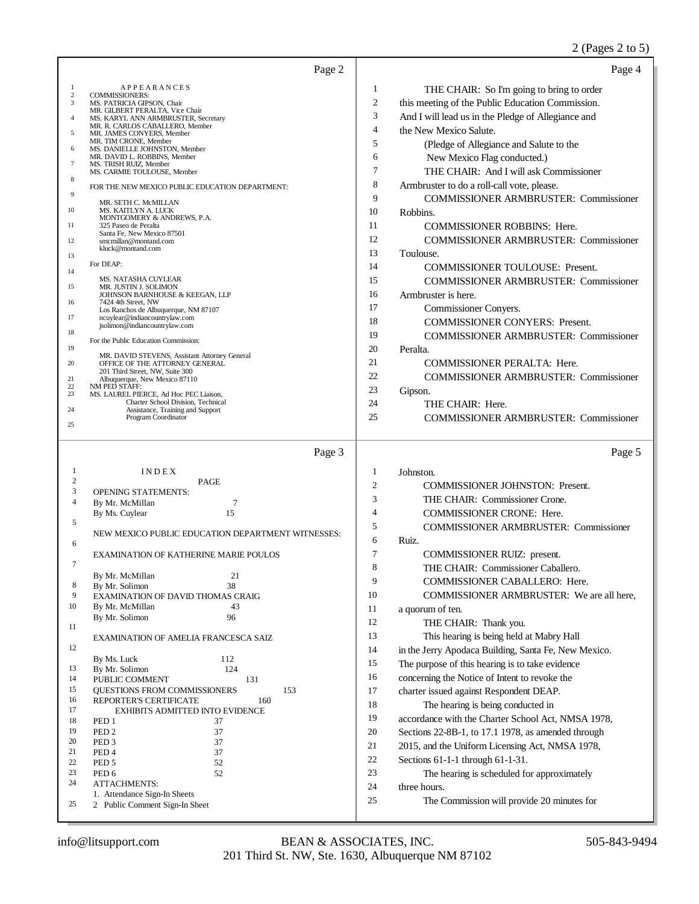## 2 (Pages 2 to 5)

|                | Page 2                                                                          |                | Page 4                                               |
|----------------|---------------------------------------------------------------------------------|----------------|------------------------------------------------------|
| 1              | APPEARANCES                                                                     | 1              | THE CHAIR: So I'm going to bring to order            |
| $\,2$<br>3     | <b>COMMISSIONERS:</b><br>MS. PATRICIA GIPSON, Chair                             | $\overline{c}$ | this meeting of the Public Education Commission.     |
| $\overline{4}$ | MR. GILBERT PERALTA, Vice Chair<br>MS. KARYL ANN ARMBRUSTER, Secretary          | 3              | And I will lead us in the Pledge of Allegiance and   |
| 5              | MR. R. CARLOS CABALLERO, Member<br>MR. JAMES CONYERS, Member                    | $\overline{4}$ | the New Mexico Salute.                               |
| 6              | MR. TIM CRONE, Member                                                           | 5              | (Pledge of Allegiance and Salute to the              |
|                | MS. DANIELLE JOHNSTON, Member<br>MR. DAVID L. ROBBINS, Member                   | 6              | New Mexico Flag conducted.)                          |
| $\tau$         | MS. TRISH RUIZ, Member<br>MS. CARMIE TOULOUSE, Member                           | 7              | THE CHAIR: And I will ask Commissioner               |
| 8              | FOR THE NEW MEXICO PUBLIC EDUCATION DEPARTMENT:                                 | 8              | Armbruster to do a roll-call vote, please.           |
| 9              | MR. SETH C. McMILLAN                                                            | 9              | <b>COMMISSIONER ARMBRUSTER: Commissioner</b>         |
| 10             | MS. KAITLYN A. LUCK<br>MONTGOMERY & ANDREWS, P.A.                               | 10             | Robbins.                                             |
| 11             | 325 Paseo de Peralta                                                            | 11             | <b>COMMISSIONER ROBBINS: Here.</b>                   |
| 12             | Santa Fe, New Mexico 87501<br>smcmillan@montand.com                             | 12             | <b>COMMISSIONER ARMBRUSTER: Commissioner</b>         |
| 13             | kluck@montand.com                                                               | 13             | Toulouse.                                            |
| 14             | For DEAP:                                                                       | 14             | <b>COMMISSIONER TOULOUSE: Present.</b>               |
|                | MS. NATASHA CUYLEAR                                                             | 15             | <b>COMMISSIONER ARMBRUSTER: Commissioner</b>         |
| 15             | MR. JUSTIN J. SOLIMON<br>JOHNSON BARNHOUSE & KEEGAN, LLP                        | 16             | Armbruster is here.                                  |
| 16             | 7424 4th Street, NW<br>Los Ranchos de Albuquerque, NM 87107                     | 17             | Commissioner Conyers.                                |
| 17             | ncuylear@indiancountrylaw.com<br>jsolimon@indiancountrylaw.com                  | 18             | <b>COMMISSIONER CONYERS: Present.</b>                |
| 18             | For the Public Education Commission:                                            | 19             | <b>COMMISSIONER ARMBRUSTER: Commissioner</b>         |
| 19             |                                                                                 | 20             | Peralta.                                             |
| 20             | MR. DAVID STEVENS, Assistant Attorney General<br>OFFICE OF THE ATTORNEY GENERAL | 21             | <b>COMMISSIONER PERALTA: Here.</b>                   |
| 21             | 201 Third Street, NW, Suite 300<br>Albuquerque, New Mexico 87110                | 22             | <b>COMMISSIONER ARMBRUSTER: Commissioner</b>         |
| 22<br>23       | NM PED STAFF:<br>MS. LAUREL PIERCE, Ad Hoc PEC Liaison,                         | 23             | Gipson.                                              |
| 24             | Charter School Division, Technical<br>Assistance, Training and Support          | 24             | THE CHAIR: Here.                                     |
| 25             | Program Coordinator                                                             | 25             | <b>COMMISSIONER ARMBRUSTER: Commissioner</b>         |
|                |                                                                                 |                |                                                      |
|                |                                                                                 |                |                                                      |
|                | Page 3                                                                          |                | Page 5                                               |
| 1              | INDEX                                                                           | 1              | Johnston.                                            |
| 2              | <b>PAGE</b>                                                                     | $\overline{2}$ | <b>COMMISSIONER JOHNSTON: Present.</b>               |
| 3<br>4         | <b>OPENING STATEMENTS:</b><br>7                                                 | 3              | THE CHAIR: Commissioner Crone.                       |
|                | By Mr. McMillan<br>15<br>By Ms. Cuylear                                         | $\overline{4}$ | <b>COMMISSIONER CRONE: Here.</b>                     |
| 5              |                                                                                 | 5              | <b>COMMISSIONER ARMBRUSTER: Commissioner</b>         |
| 6              | NEW MEXICO PUBLIC EDUCATION DEPARTMENT WITNESSES:                               | 6              | Ruiz.                                                |
|                | EXAMINATION OF KATHERINE MARIE POULOS                                           | 7              | COMMISSIONER RUIZ: present.                          |
| $\tau$         |                                                                                 | 8              | THE CHAIR: Commissioner Caballero.                   |
| 8              | By Mr. McMillan<br>21<br>By Mr. Solimon<br>38                                   | 9              | COMMISSIONER CABALLERO: Here.                        |
| 9              | <b>EXAMINATION OF DAVID THOMAS CRAIG</b>                                        | 10             | COMMISSIONER ARMBRUSTER: We are all here,            |
| 10             | By Mr. McMillan<br>43                                                           | 11             | a quorum of ten.                                     |
| 11             | By Mr. Solimon<br>96                                                            | 12             | THE CHAIR: Thank you.                                |
|                | EXAMINATION OF AMELIA FRANCESCA SAIZ                                            | 13             | This hearing is being held at Mabry Hall             |
| 12             |                                                                                 | 14             | in the Jerry Apodaca Building, Santa Fe, New Mexico. |
| 13             | 112<br>By Ms. Luck<br>124<br>By Mr. Solimon                                     | 15             | The purpose of this hearing is to take evidence      |
| 14             | PUBLIC COMMENT<br>131                                                           | 16             | concerning the Notice of Intent to revoke the        |
| 15             | 153<br>QUESTIONS FROM COMMISSIONERS                                             | 17             | charter issued against Respondent DEAP.              |
| 16<br>17       | 160<br><b>REPORTER'S CERTIFICATE</b><br>EXHIBITS ADMITTED INTO EVIDENCE         | 18             | The hearing is being conducted in                    |
| 18             | PED <sub>1</sub><br>37                                                          | 19             | accordance with the Charter School Act, NMSA 1978,   |
| 19             | PED <sub>2</sub><br>37                                                          | 20             | Sections 22-8B-1, to 17.1 1978, as amended through   |
| 20<br>21       | PED <sub>3</sub><br>37<br>37<br>PED <sub>4</sub>                                | 21             | 2015, and the Uniform Licensing Act, NMSA 1978,      |
| 22             | 52<br>PED <sub>5</sub>                                                          | 22             | Sections 61-1-1 through 61-1-31.                     |
| 23             | 52<br>PED <sub>6</sub>                                                          | 23             | The hearing is scheduled for approximately           |
| 24             | <b>ATTACHMENTS:</b><br>1. Attendance Sign-In Sheets                             | 24             | three hours.                                         |
| 25             | 2 Public Comment Sign-In Sheet                                                  | 25             | The Commission will provide 20 minutes for           |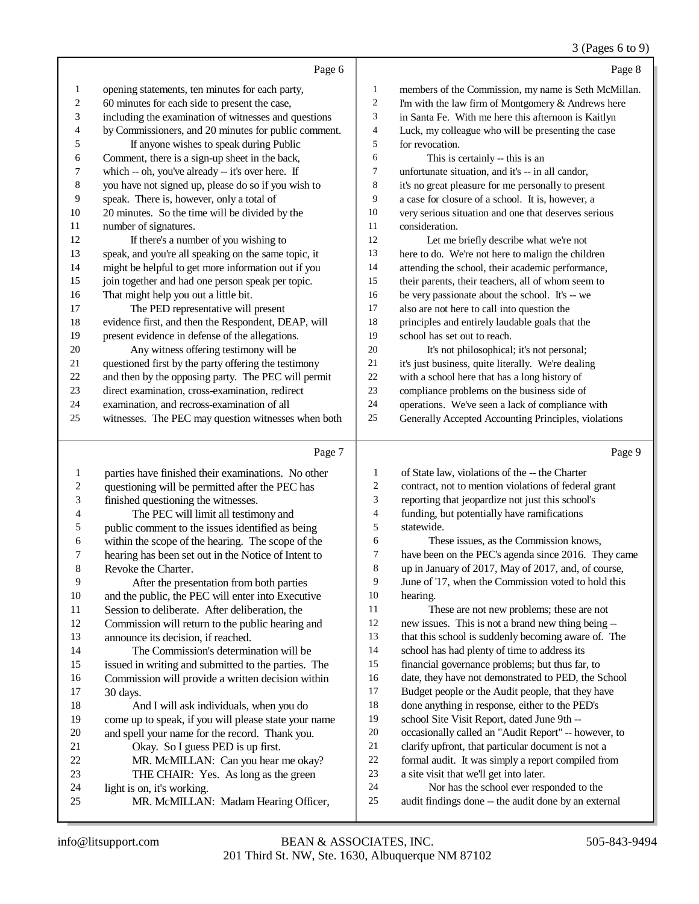#### 3 (Pages 6 to 9)

|                          |                                                      |                          | $(1 - 45)$                                           |
|--------------------------|------------------------------------------------------|--------------------------|------------------------------------------------------|
|                          | Page 6                                               |                          | Page 8                                               |
| $\mathbf{1}$             | opening statements, ten minutes for each party,      | $\mathbf{1}$             | members of the Commission, my name is Seth McMillan. |
| $\overline{c}$           | 60 minutes for each side to present the case,        | $\sqrt{2}$               | I'm with the law firm of Montgomery & Andrews here   |
| 3                        | including the examination of witnesses and questions | 3                        | in Santa Fe. With me here this afternoon is Kaitlyn  |
| 4                        | by Commissioners, and 20 minutes for public comment. | $\overline{\mathcal{L}}$ | Luck, my colleague who will be presenting the case   |
| 5                        | If anyone wishes to speak during Public              | 5                        | for revocation.                                      |
| 6                        | Comment, there is a sign-up sheet in the back,       | 6                        | This is certainly -- this is an                      |
| $\overline{7}$           | which -- oh, you've already -- it's over here. If    | 7                        | unfortunate situation, and it's -- in all candor,    |
| $\,8$                    | you have not signed up, please do so if you wish to  | $\,8\,$                  | it's no great pleasure for me personally to present  |
| 9                        | speak. There is, however, only a total of            | 9                        | a case for closure of a school. It is, however, a    |
| $10\,$                   | 20 minutes. So the time will be divided by the       | 10                       | very serious situation and one that deserves serious |
| $11\,$                   | number of signatures.                                | 11                       | consideration.                                       |
| 12                       | If there's a number of you wishing to                | 12                       | Let me briefly describe what we're not               |
| 13                       | speak, and you're all speaking on the same topic, it | 13                       | here to do. We're not here to malign the children    |
| 14                       | might be helpful to get more information out if you  | 14                       | attending the school, their academic performance,    |
| 15                       | join together and had one person speak per topic.    | 15                       | their parents, their teachers, all of whom seem to   |
| 16                       | That might help you out a little bit.                | 16                       | be very passionate about the school. It's -- we      |
| $17\,$                   | The PED representative will present                  | 17                       | also are not here to call into question the          |
| 18                       | evidence first, and then the Respondent, DEAP, will  | 18                       | principles and entirely laudable goals that the      |
| 19                       | present evidence in defense of the allegations.      | 19                       | school has set out to reach.                         |
| 20                       | Any witness offering testimony will be               | 20                       | It's not philosophical; it's not personal;           |
| 21                       | questioned first by the party offering the testimony | 21                       | it's just business, quite literally. We're dealing   |
| 22                       | and then by the opposing party. The PEC will permit  | 22                       | with a school here that has a long history of        |
| $23\,$                   | direct examination, cross-examination, redirect      | 23                       | compliance problems on the business side of          |
| 24                       | examination, and recross-examination of all          | 24                       | operations. We've seen a lack of compliance with     |
| 25                       | witnesses. The PEC may question witnesses when both  | 25                       | Generally Accepted Accounting Principles, violations |
|                          |                                                      |                          |                                                      |
|                          | Page 7                                               |                          | Page 9                                               |
| $\mathbf{1}$             | parties have finished their examinations. No other   | 1                        | of State law, violations of the -- the Charter       |
| $\overline{c}$           | questioning will be permitted after the PEC has      | $\sqrt{2}$               | contract, not to mention violations of federal grant |
| $\mathfrak{Z}$           | finished questioning the witnesses.                  | 3                        | reporting that jeopardize not just this school's     |
| $\overline{\mathcal{L}}$ | The PEC will limit all testimony and                 | $\overline{4}$           | funding, but potentially have ramifications          |
| 5                        | public comment to the issues identified as being     | 5                        | statewide.                                           |
| 6                        | within the scope of the hearing. The scope of the    | 6                        | These issues, as the Commission knows,               |
| 7                        | hearing has been set out in the Notice of Intent to  | $\boldsymbol{7}$         | have been on the PEC's agenda since 2016. They came  |
| 8                        | Revoke the Charter.                                  | $\,8\,$                  | up in January of 2017, May of 2017, and, of course,  |
| 9                        | After the presentation from both parties             | 9                        | June of '17, when the Commission voted to hold this  |
| 10                       | and the public, the PEC will enter into Executive    | 10                       | hearing.                                             |

Session to deliberate. After deliberation, the

Commission will return to the public hearing and

announce its decision, if reached.

#### The Commission's determination will be issued in writing and submitted to the parties. The 16 Commission will provide a written decision within 17 30 days. 30 days.

## 18 And I will ask individuals, when you do<br>19 come up to speak, if you will please state your come up to speak, if you will please state your name 20 and spell your name for the record. Thank you.<br>21 Okay. So I guess PED is up first.

- 21 Okay. So I guess PED is up first.<br>22 MR. McMILLAN: Can you hear 22 MR. McMILLAN: Can you hear me okay?<br>23 THE CHAIR: Yes. As long as the green THE CHAIR: Yes. As long as the green
- 24 light is on, it's working.<br>25 MR. McMII J AN
- MR. McMILLAN: Madam Hearing Officer,
- These are not new problems; these are not new issues. This is not a brand new thing being --
- that this school is suddenly becoming aware of. The
- school has had plenty of time to address its
- financial governance problems; but thus far, to date, they have not demonstrated to PED, the School
- Budget people or the Audit people, that they have
- done anything in response, either to the PED's
- school Site Visit Report, dated June 9th --
- occasionally called an "Audit Report" -- however, to
- clarify upfront, that particular document is not a
- formal audit. It was simply a report compiled from
- a site visit that we'll get into later.
- Nor has the school ever responded to the
- audit findings done -- the audit done by an external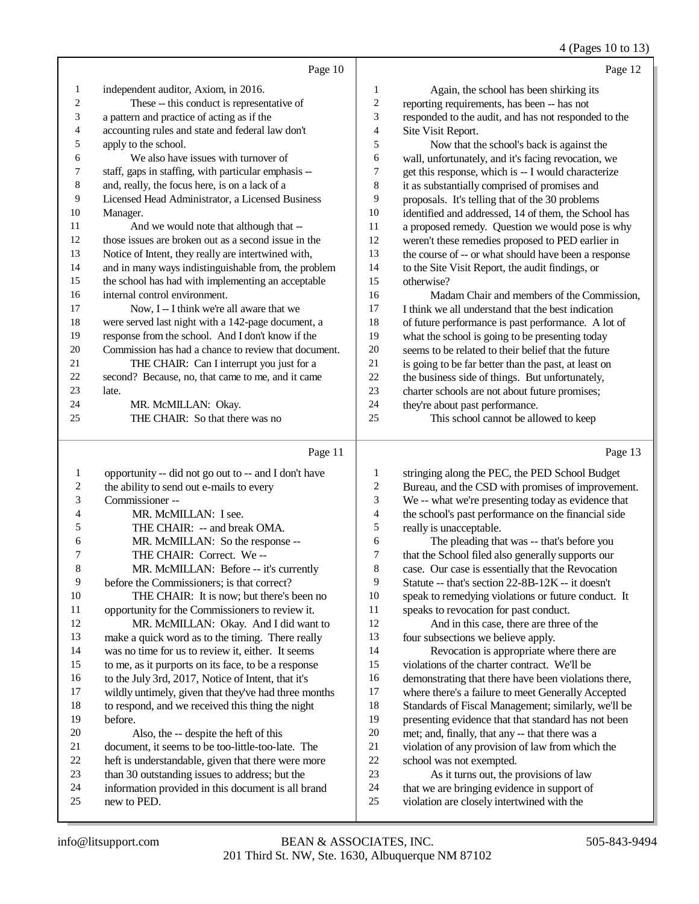## 4 (Pages 10 to 13)

|    | Page 10                                              |                | Page 12                                              |
|----|------------------------------------------------------|----------------|------------------------------------------------------|
| 1  | independent auditor, Axiom, in 2016.                 | 1              | Again, the school has been shirking its              |
| 2  | These -- this conduct is representative of           | $\overline{c}$ | reporting requirements, has been -- has not          |
| 3  | a pattern and practice of acting as if the           | 3              | responded to the audit, and has not responded to the |
| 4  | accounting rules and state and federal law don't     | 4              | Site Visit Report.                                   |
| 5  | apply to the school.                                 | 5              | Now that the school's back is against the            |
| 6  | We also have issues with turnover of                 | 6              | wall, unfortunately, and it's facing revocation, we  |
| 7  | staff, gaps in staffing, with particular emphasis -- | 7              | get this response, which is -- I would characterize  |
| 8  | and, really, the focus here, is on a lack of a       | 8              | it as substantially comprised of promises and        |
| 9  | Licensed Head Administrator, a Licensed Business     | 9              | proposals. It's telling that of the 30 problems      |
| 10 | Manager.                                             | 10             | identified and addressed, 14 of them, the School has |
| 11 | And we would note that although that --              | 11             | a proposed remedy. Question we would pose is why     |
| 12 | those issues are broken out as a second issue in the | 12             | weren't these remedies proposed to PED earlier in    |
| 13 | Notice of Intent, they really are intertwined with,  | 13             | the course of -- or what should have been a response |
| 14 | and in many ways indistinguishable from, the problem | 14             | to the Site Visit Report, the audit findings, or     |
| 15 | the school has had with implementing an acceptable   | 15             | otherwise?                                           |
| 16 | internal control environment.                        | 16             | Madam Chair and members of the Commission.           |
| 17 | Now, I -- I think we're all aware that we            | 17             | I think we all understand that the best indication   |
| 18 | were served last night with a 142-page document, a   | 18             | of future performance is past performance. A lot of  |
| 19 | response from the school. And I don't know if the    | 19             | what the school is going to be presenting today      |
| 20 | Commission has had a chance to review that document. | 20             | seems to be related to their belief that the future  |
| 21 | THE CHAIR: Can I interrupt you just for a            | 21             | is going to be far better than the past, at least on |
| 22 | second? Because, no, that came to me, and it came    | 22             | the business side of things. But unfortunately,      |
| 23 | late.                                                | 23             | charter schools are not about future promises;       |
| 24 | MR. McMILLAN: Okay.                                  | 24             | they're about past performance.                      |
| 25 | THE CHAIR: So that there was no                      | 25             | This school cannot be allowed to keep                |
|    |                                                      |                |                                                      |

# Page 11

| 1                        | opportunity -- did not go out to -- and I don't have |
|--------------------------|------------------------------------------------------|
| 2                        | the ability to send out e-mails to every             |
| 3                        | Commissioner-                                        |
| $\overline{\mathcal{A}}$ | MR. McMILLAN: I see.                                 |
| 5                        | THE CHAIR: -- and break OMA.                         |
| 6                        | MR. McMILLAN: So the response --                     |
| 7                        | THE CHAIR: Correct. We--                             |
| 8                        | MR. McMILLAN: Before -- it's currently               |
| 9                        | before the Commissioners; is that correct?           |
| 10                       | THE CHAIR: It is now; but there's been no            |
| 11                       | opportunity for the Commissioners to review it.      |
| 12                       | MR. McMILLAN: Okay. And I did want to                |
| 13                       | make a quick word as to the timing. There really     |
| 14                       | was no time for us to review it, either. It seems    |
| 15                       | to me, as it purports on its face, to be a response  |
| 16                       | to the July 3rd, 2017, Notice of Intent, that it's   |
| 17                       | wildly untimely, given that they've had three months |
| 18                       | to respond, and we received this thing the night     |
| 19                       | hefore.                                              |
| 20                       | Also, the -- despite the heft of this                |
| 21                       | document, it seems to be too-little-too-late. The    |
| 22                       | heft is understandable, given that there were more   |
| 23                       | than 30 outstanding issues to address; but the       |
| 24                       | information provided in this document is all brand   |
| 25                       | new to PED.                                          |
|                          |                                                      |

Page 13

| 1              | stringing along the PEC, the PED School Budget       |
|----------------|------------------------------------------------------|
| $\overline{2}$ | Bureau, and the CSD with promises of improvement.    |
| 3              | We -- what we're presenting today as evidence that   |
| $\overline{4}$ | the school's past performance on the financial side  |
| 5              | really is unacceptable.                              |
| 6              | The pleading that was -- that's before you           |
| 7              | that the School filed also generally supports our    |
| 8              | case. Our case is essentially that the Revocation    |
| 9              | Statute -- that's section 22-8B-12K -- it doesn't    |
| 10             | speak to remedying violations or future conduct. It  |
| 11             | speaks to revocation for past conduct.               |
| 12             | And in this case, there are three of the             |
| 13             | four subsections we believe apply.                   |
| 14             | Revocation is appropriate where there are            |
| 15             | violations of the charter contract. We'll be         |
| 16             | demonstrating that there have been violations there, |
| 17             | where there's a failure to meet Generally Accepted   |
| 18             | Standards of Fiscal Management; similarly, we'll be  |
| 19             | presenting evidence that that standard has not been  |
| 20             | met; and, finally, that any -- that there was a      |
| 21             | violation of any provision of law from which the     |
| 22             | school was not exempted.                             |
| 23             | As it turns out, the provisions of law               |
| 24             | that we are bringing evidence in support of          |
| 25             | violation are closely intertwined with the           |
|                |                                                      |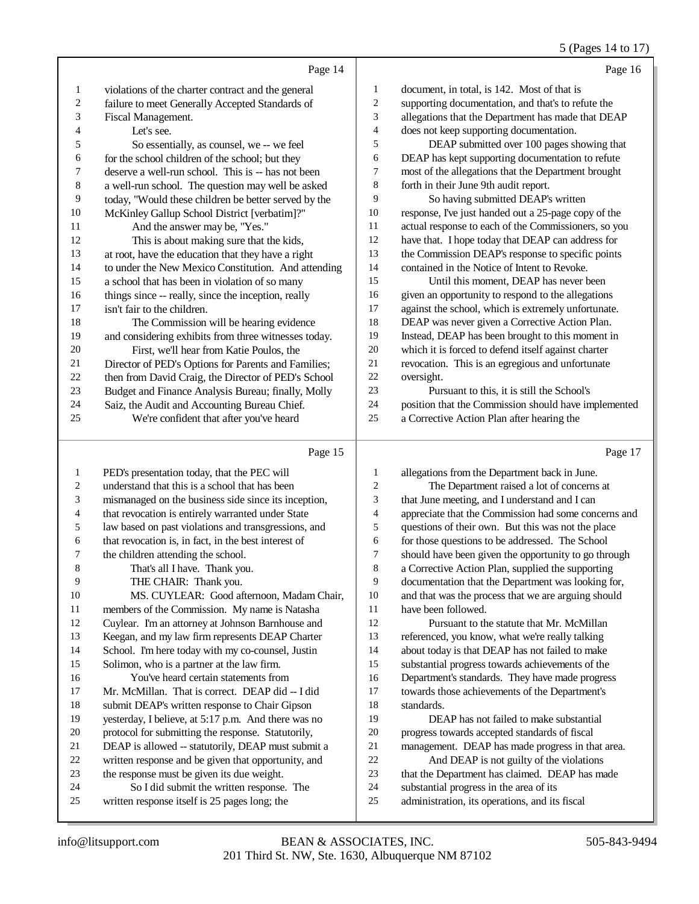5 (Pages 14 to 17)

|                          |                                                      |                          | 5 (Pages 14 to 17)                                   |
|--------------------------|------------------------------------------------------|--------------------------|------------------------------------------------------|
|                          | Page 14                                              |                          | Page 16                                              |
| 1                        | violations of the charter contract and the general   | $\mathbf{1}$             | document, in total, is 142. Most of that is          |
| $\overline{c}$           | failure to meet Generally Accepted Standards of      | $\sqrt{2}$               | supporting documentation, and that's to refute the   |
| 3                        | Fiscal Management.                                   | 3                        | allegations that the Department has made that DEAP   |
| $\overline{4}$           | Let's see.                                           | $\overline{\mathcal{A}}$ | does not keep supporting documentation.              |
| 5                        | So essentially, as counsel, we -- we feel            | 5                        | DEAP submitted over 100 pages showing that           |
| 6                        | for the school children of the school; but they      | 6                        | DEAP has kept supporting documentation to refute     |
| $\sqrt{ }$               | deserve a well-run school. This is -- has not been   | $\boldsymbol{7}$         | most of the allegations that the Department brought  |
| 8                        | a well-run school. The question may well be asked    | $\,$ 8 $\,$              | forth in their June 9th audit report.                |
| 9                        | today, "Would these children be better served by the | 9                        | So having submitted DEAP's written                   |
| 10                       | McKinley Gallup School District [verbatim]?"         | 10                       | response, I've just handed out a 25-page copy of the |
| 11                       | And the answer may be, "Yes."                        | 11                       | actual response to each of the Commissioners, so you |
| 12                       | This is about making sure that the kids,             | 12                       | have that. I hope today that DEAP can address for    |
| 13                       | at root, have the education that they have a right   | 13                       | the Commission DEAP's response to specific points    |
| 14                       | to under the New Mexico Constitution. And attending  | 14                       | contained in the Notice of Intent to Revoke.         |
| 15                       | a school that has been in violation of so many       | 15                       | Until this moment, DEAP has never been               |
| 16                       | things since -- really, since the inception, really  | 16                       | given an opportunity to respond to the allegations   |
| 17                       | isn't fair to the children.                          | 17                       | against the school, which is extremely unfortunate.  |
| 18                       | The Commission will be hearing evidence              | 18                       | DEAP was never given a Corrective Action Plan.       |
| 19                       | and considering exhibits from three witnesses today. | 19                       | Instead, DEAP has been brought to this moment in     |
| 20                       | First, we'll hear from Katie Poulos, the             | $20\,$                   | which it is forced to defend itself against charter  |
| 21                       | Director of PED's Options for Parents and Families;  | 21                       | revocation. This is an egregious and unfortunate     |
| 22                       | then from David Craig, the Director of PED's School  | 22                       | oversight.                                           |
| 23                       | Budget and Finance Analysis Bureau; finally, Molly   | 23                       | Pursuant to this, it is still the School's           |
| 24                       | Saiz, the Audit and Accounting Bureau Chief.         | 24                       | position that the Commission should have implemented |
| 25                       | We're confident that after you've heard              | 25                       | a Corrective Action Plan after hearing the           |
|                          |                                                      |                          |                                                      |
|                          | Page 15                                              |                          | Page 17                                              |
| $\mathbf{1}$             | PED's presentation today, that the PEC will          | $\mathbf{1}$             | allegations from the Department back in June.        |
| $\sqrt{2}$               | understand that this is a school that has been       | $\overline{c}$           | The Department raised a lot of concerns at           |
| 3                        | mismanaged on the business side since its inception, | 3                        | that June meeting, and I understand and I can        |
| $\overline{\mathcal{L}}$ | that revocation is entirely warranted under State    | $\overline{4}$           | appreciate that the Commission had some concerns and |
| 5                        | law based on past violations and transgressions, and | 5                        | questions of their own. But this was not the place   |
| 6                        | that revocation is, in fact, in the best interest of | 6                        | for those questions to be addressed. The School      |
| 7                        | the children attending the school.                   | $\boldsymbol{7}$         | should have been given the opportunity to go through |
| $\,$ 8 $\,$              | That's all I have. Thank you.                        | $\,$ 8 $\,$              | a Corrective Action Plan, supplied the supporting    |
| 9                        | THE CHAIR: Thank you.                                | 9                        | documentation that the Department was looking for,   |
| 10                       | MS. CUYLEAR: Good afternoon, Madam Chair,            | 10                       | and that was the process that we are arguing should  |
| 11                       | members of the Commission. My name is Natasha        | 11                       | have been followed.                                  |
| 12                       | Cuylear. I'm an attorney at Johnson Barnhouse and    | 12                       | Pursuant to the statute that Mr. McMillan            |

 Keegan, and my law firm represents DEAP Charter School. I'm here today with my co-counsel, Justin Solimon, who is a partner at the law firm.

- You've heard certain statements from Mr. McMillan. That is correct. DEAP did -- I did
- submit DEAP's written response to Chair Gipson
- yesterday, I believe, at 5:17 p.m. And there was no
- protocol for submitting the response. Statutorily,
- DEAP is allowed -- statutorily, DEAP must submit a
- written response and be given that opportunity, and
- the response must be given its due weight. So I did submit the written response. The
- written response itself is 25 pages long; the

 Pursuant to the statute that Mr. McMillan referenced, you know, what we're really talking about today is that DEAP has not failed to make substantial progress towards achievements of the Department's standards. They have made progress towards those achievements of the Department's standards.

 DEAP has not failed to make substantial progress towards accepted standards of fiscal management. DEAP has made progress in that area. And DEAP is not guilty of the violations

- that the Department has claimed. DEAP has made
- substantial progress in the area of its
- administration, its operations, and its fiscal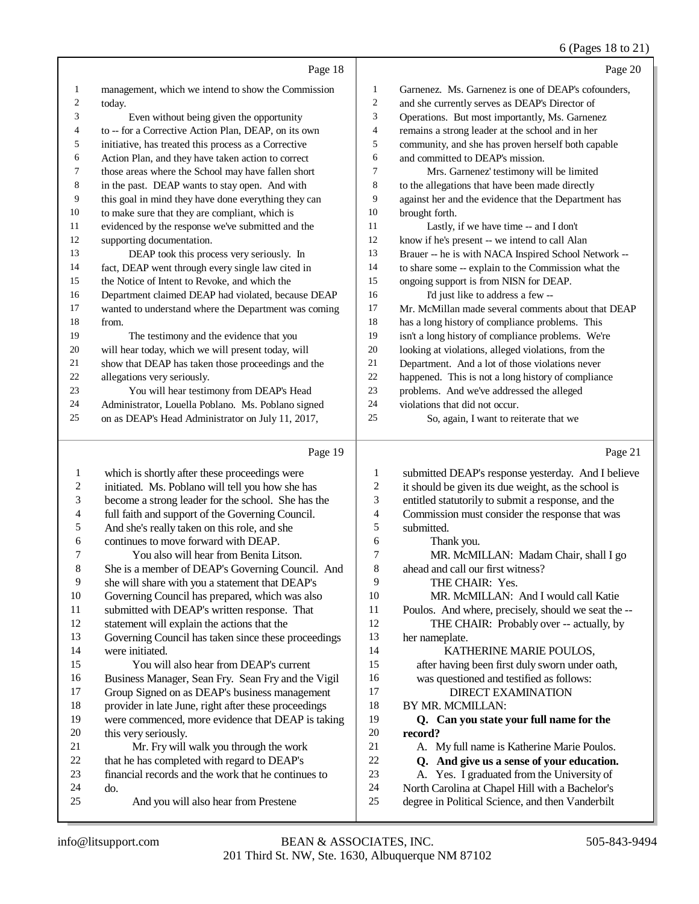|             |                                                                                                    |                  | 6 (Pages 18 to 21)                                                                   |
|-------------|----------------------------------------------------------------------------------------------------|------------------|--------------------------------------------------------------------------------------|
|             | Page 18                                                                                            |                  | Page 20                                                                              |
| 1           | management, which we intend to show the Commission                                                 | $\mathbf{1}$     | Garnenez. Ms. Garnenez is one of DEAP's cofounders,                                  |
| 2           | today.                                                                                             | 2                | and she currently serves as DEAP's Director of                                       |
| 3           | Even without being given the opportunity                                                           | 3                | Operations. But most importantly, Ms. Garnenez                                       |
| 4           | to -- for a Corrective Action Plan, DEAP, on its own                                               | 4                | remains a strong leader at the school and in her                                     |
| 5           | initiative, has treated this process as a Corrective                                               | 5                | community, and she has proven herself both capable                                   |
| 6           | Action Plan, and they have taken action to correct                                                 | 6                | and committed to DEAP's mission.                                                     |
| 7           | those areas where the School may have fallen short                                                 | 7                | Mrs. Garnenez' testimony will be limited                                             |
| 8           | in the past. DEAP wants to stay open. And with                                                     | 8                | to the allegations that have been made directly                                      |
| 9           | this goal in mind they have done everything they can                                               | 9                | against her and the evidence that the Department has                                 |
| 10          | to make sure that they are compliant, which is                                                     | 10               | brought forth.                                                                       |
| 11          | evidenced by the response we've submitted and the                                                  | 11               | Lastly, if we have time -- and I don't                                               |
| 12          | supporting documentation.                                                                          | 12               | know if he's present -- we intend to call Alan                                       |
| 13          | DEAP took this process very seriously. In                                                          | 13               | Brauer -- he is with NACA Inspired School Network --                                 |
| 14          | fact, DEAP went through every single law cited in                                                  | 14               | to share some -- explain to the Commission what the                                  |
| 15          | the Notice of Intent to Revoke, and which the                                                      | 15               | ongoing support is from NISN for DEAP.                                               |
| 16          | Department claimed DEAP had violated, because DEAP                                                 | 16               | I'd just like to address a few-                                                      |
| 17          | wanted to understand where the Department was coming                                               | 17               | Mr. McMillan made several comments about that DEAP                                   |
| 18          | from.                                                                                              | 18               | has a long history of compliance problems. This                                      |
| 19          | The testimony and the evidence that you                                                            | 19               | isn't a long history of compliance problems. We're                                   |
| 20          | will hear today, which we will present today, will                                                 | 20               | looking at violations, alleged violations, from the                                  |
| 21          | show that DEAP has taken those proceedings and the                                                 | 21               | Department. And a lot of those violations never                                      |
| 22          | allegations very seriously.                                                                        | $22\,$           | happened. This is not a long history of compliance                                   |
| 23          | You will hear testimony from DEAP's Head                                                           | 23               | problems. And we've addressed the alleged                                            |
| 24          | Administrator, Louella Poblano. Ms. Poblano signed                                                 | 24               | violations that did not occur.                                                       |
| 25          | on as DEAP's Head Administrator on July 11, 2017,                                                  | $25\,$           | So, again, I want to reiterate that we                                               |
|             | Page 19                                                                                            |                  | Page 21                                                                              |
| 1           | which is shortly after these proceedings were                                                      | 1                | submitted DEAP's response yesterday. And I believe                                   |
| 2           | initiated. Ms. Poblano will tell you how she has                                                   | $\boldsymbol{2}$ | it should be given its due weight, as the school is                                  |
| 3           | become a strong leader for the school. She has the                                                 | 3                | entitled statutorily to submit a response, and the                                   |
| 4           | full faith and support of the Governing Council.                                                   | 4                | Commission must consider the response that was                                       |
| 5           | And she's really taken on this role, and she                                                       | $\sqrt{5}$       | submitted.                                                                           |
| 6           | continues to move forward with DEAP.                                                               | 6                | Thank you.                                                                           |
| 7           | You also will hear from Benita Litson.                                                             | 7                | MR. McMILLAN: Madam Chair, shall I go                                                |
| $\,$ 8 $\,$ | She is a member of DEAP's Governing Council. And                                                   | 8                | ahead and call our first witness?                                                    |
| 9           | she will share with you a statement that DEAP's                                                    | 9                | THE CHAIR: Yes.                                                                      |
| 10          | Governing Council has prepared, which was also                                                     | 10               | MR. McMILLAN: And I would call Katie                                                 |
| 11          | submitted with DEAP's written response. That                                                       | 11               | Poulos. And where, precisely, should we seat the --                                  |
| 12          | statement will explain the actions that the                                                        | 12               | THE CHAIR: Probably over -- actually, by                                             |
| 13          | Governing Council has taken since these proceedings                                                | 13               | her nameplate.                                                                       |
| 14          | were initiated.                                                                                    | 14               | KATHERINE MARIE POULOS,                                                              |
| 15          | You will also hear from DEAP's current                                                             | 15               | after having been first duly sworn under oath,                                       |
| 16          | Business Manager, Sean Fry. Sean Fry and the Vigil                                                 | 16               | was questioned and testified as follows:                                             |
| 17          | Group Signed on as DEAP's business management                                                      | 17               | <b>DIRECT EXAMINATION</b>                                                            |
| 18          | provider in late June, right after these proceedings                                               | 18               | BY MR. MCMILLAN:                                                                     |
| 19          | were commenced, more evidence that DEAP is taking                                                  | 19               | Q. Can you state your full name for the                                              |
| 20          | this very seriously.                                                                               | 20               | record?                                                                              |
| 21          | Mr. Fry will walk you through the work                                                             | 21               | A. My full name is Katherine Marie Poulos.                                           |
| 22<br>23    | that he has completed with regard to DEAP's<br>financial records and the work that he continues to | $22\,$<br>23     | Q. And give us a sense of your education.<br>Yes. I graduated from the University of |
|             |                                                                                                    |                  | А.                                                                                   |

23 A. Yes. I graduated from the University of<br>24 North Carolina at Chapel Hill with a Bachelor's

24 North Carolina at Chapel Hill with a Bachelor's<br>25 degree in Political Science, and then Vanderbilt degree in Political Science, and then Vanderbilt

do.

financial records and the work that he continues to  $24$ 

And you will also hear from Prestene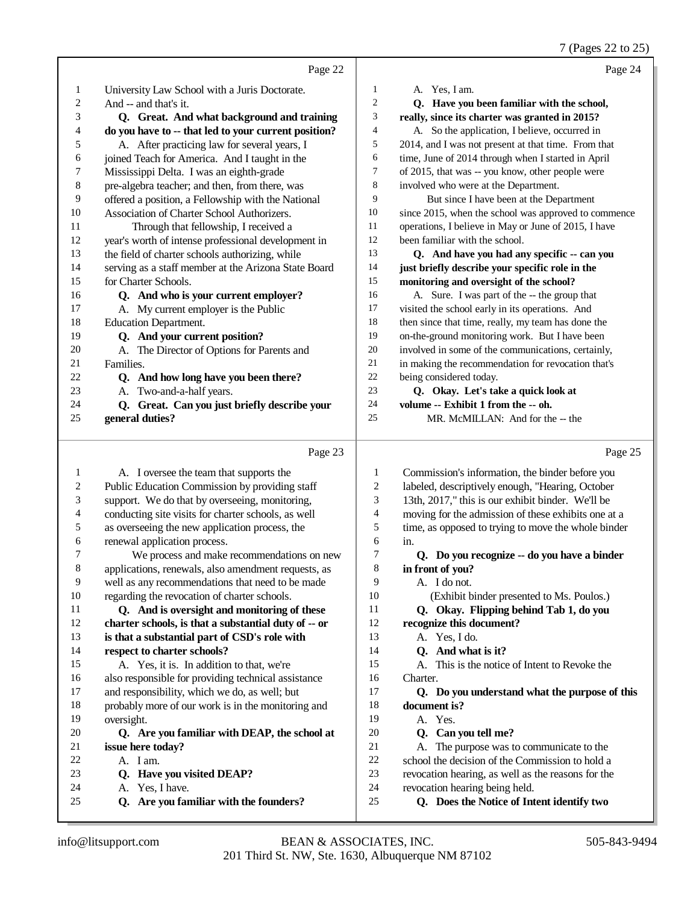|              |                                                      |                             | 7 (Pages 22 to 25)                                   |
|--------------|------------------------------------------------------|-----------------------------|------------------------------------------------------|
|              | Page 22                                              |                             | Page 24                                              |
| $\mathbf{1}$ | University Law School with a Juris Doctorate.        | $\mathbf{1}$                | A. Yes, I am.                                        |
| 2            | And -- and that's it.                                | 2                           | Q. Have you been familiar with the school,           |
| 3            | Q. Great. And what background and training           | 3                           | really, since its charter was granted in 2015?       |
| 4            | do you have to -- that led to your current position? | 4                           | A. So the application, I believe, occurred in        |
| 5            | A. After practicing law for several years, I         | 5                           | 2014, and I was not present at that time. From that  |
| 6            | joined Teach for America. And I taught in the        | 6                           | time, June of 2014 through when I started in April   |
| 7            | Mississippi Delta. I was an eighth-grade             | 7                           | of 2015, that was -- you know, other people were     |
| 8            | pre-algebra teacher; and then, from there, was       | 8                           | involved who were at the Department.                 |
| 9            | offered a position, a Fellowship with the National   | 9                           | But since I have been at the Department              |
| 10           | Association of Charter School Authorizers.           | 10                          | since 2015, when the school was approved to commence |
| 11           | Through that fellowship, I received a                | 11                          | operations, I believe in May or June of 2015, I have |
| 12           | year's worth of intense professional development in  | 12                          | been familiar with the school.                       |
| 13           | the field of charter schools authorizing, while      | 13                          | Q. And have you had any specific -- can you          |
| 14           | serving as a staff member at the Arizona State Board | 14                          | just briefly describe your specific role in the      |
| 15           | for Charter Schools.                                 | 15                          | monitoring and oversight of the school?              |
| 16           | Q. And who is your current employer?                 | 16                          | A. Sure. I was part of the -- the group that         |
| 17           | A. My current employer is the Public                 | 17                          | visited the school early in its operations. And      |
| 18           | Education Department.                                | 18                          | then since that time, really, my team has done the   |
| 19           | Q. And your current position?                        | 19                          | on-the-ground monitoring work. But I have been       |
| 20           | A. The Director of Options for Parents and           | 20                          | involved in some of the communications, certainly,   |
| 21           | Families.                                            | 21                          | in making the recommendation for revocation that's   |
| 22           | Q. And how long have you been there?                 | $22\,$                      | being considered today.                              |
| 23           | A. Two-and-a-half years.                             | 23                          | Q. Okay. Let's take a quick look at                  |
| 24           | Q. Great. Can you just briefly describe your         | 24                          | volume -- Exhibit 1 from the -- oh.                  |
| 25           | general duties?                                      | $25\,$                      | MR. McMILLAN: And for the -- the                     |
|              | Page 23                                              |                             | Page 25                                              |
| 1            | A. I oversee the team that supports the              | 1                           | Commission's information, the binder before you      |
| 2            | Public Education Commission by providing staff       | $\boldsymbol{2}$            | labeled, descriptively enough, "Hearing, October     |
| 3            | support. We do that by overseeing, monitoring,       | $\ensuremath{\mathfrak{Z}}$ | 13th, 2017," this is our exhibit binder. We'll be    |
| 4            | conducting site visits for charter schools, as well  | 4                           | moving for the admission of these exhibits one at a  |
| 5            | as overseeing the new application process, the       | $\sqrt{5}$                  | time, as opposed to trying to move the whole binder  |
| 6            | renewal application process.                         | 6                           | in.                                                  |
| 7            | We process and make recommendations on new           | 7                           | Q. Do you recognize -- do you have a binder          |
| 8            | applications, renewals, also amendment requests, as  | 8                           | in front of you?                                     |
| 9            | well as any recommendations that need to be made     | 9                           | A. I do not.                                         |
| 10           | regarding the revocation of charter schools.         | 10                          | (Exhibit binder presented to Ms. Poulos.)            |
| 11           | Q. And is oversight and monitoring of these          | 11                          | Q. Okay. Flipping behind Tab 1, do you               |
| 12           | charter schools, is that a substantial duty of -- or | 12                          | recognize this document?                             |
| 13           | is that a substantial part of CSD's role with        | 13                          | A. Yes, I do.                                        |
| 14           | respect to charter schools?                          | 14                          | Q. And what is it?                                   |
| 15           | A. Yes, it is. In addition to that, we're            | 15                          | A. This is the notice of Intent to Revoke the        |
| 16           | also responsible for providing technical assistance  | 16                          | Charter.                                             |
| 17           | and responsibility, which we do, as well; but        | 17                          | Q. Do you understand what the purpose of this        |
| 18           | probably more of our work is in the monitoring and   | 18                          | document is?                                         |
| 19           | oversight.                                           | 19                          | A. Yes.                                              |
| 20           | Q. Are you familiar with DEAP, the school at         | 20                          | Q. Can you tell me?                                  |
| 21           | issue here today?                                    | $21\,$                      | A. The purpose was to communicate to the             |
| 22           | A. I am.                                             | $22\,$                      | school the decision of the Commission to hold a      |
| 23           | Q. Have you visited DEAP?                            | 23                          | revocation hearing, as well as the reasons for the   |
| 24           | A. Yes, I have.                                      | 24                          | revocation hearing being held.                       |
| 25           | Q. Are you familiar with the founders?               | 25                          | Q. Does the Notice of Intent identify two            |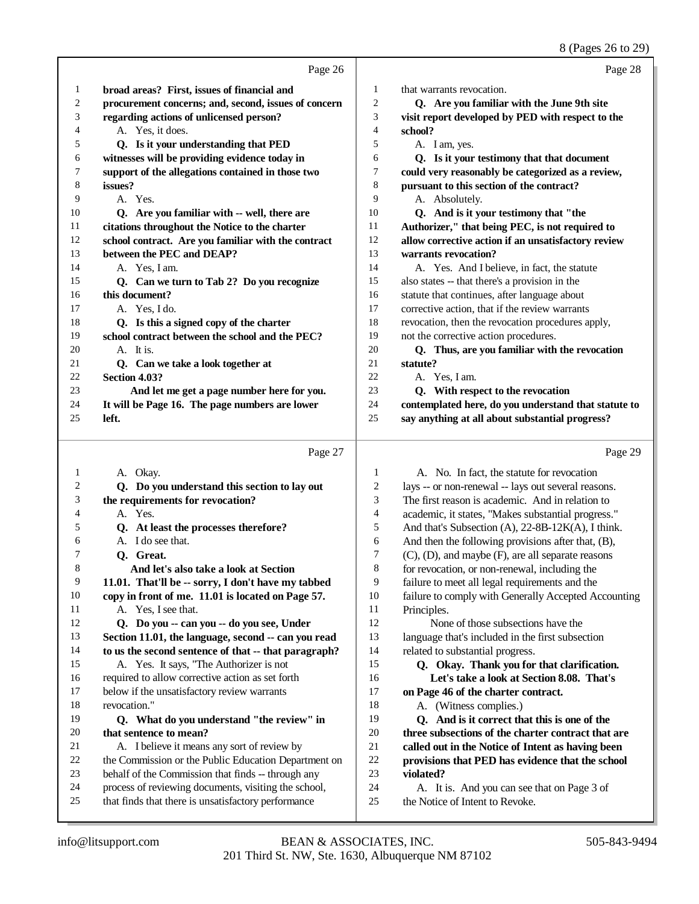8 (Pages 26 to 29)

|              |                                                                                                             |          | $\sigma$ (Fages 20 to 29                                                         |
|--------------|-------------------------------------------------------------------------------------------------------------|----------|----------------------------------------------------------------------------------|
|              | Page 26                                                                                                     |          | Page 28                                                                          |
| 1            | broad areas? First, issues of financial and                                                                 | 1        | that warrants revocation.                                                        |
| 2            | procurement concerns; and, second, issues of concern                                                        | 2        | Q. Are you familiar with the June 9th site                                       |
| 3            | regarding actions of unlicensed person?                                                                     | 3        | visit report developed by PED with respect to the                                |
| 4            | A. Yes, it does.                                                                                            | 4        | school?                                                                          |
| 5            | Q. Is it your understanding that PED                                                                        | 5        | A. I am, yes.                                                                    |
| 6            | witnesses will be providing evidence today in                                                               | 6        | Q. Is it your testimony that that document                                       |
| 7            | support of the allegations contained in those two                                                           | 7        | could very reasonably be categorized as a review,                                |
| 8            | issues?                                                                                                     | 8        | pursuant to this section of the contract?                                        |
| 9            | A. Yes.                                                                                                     | 9        | A. Absolutely.                                                                   |
| 10           | Q. Are you familiar with -- well, there are                                                                 | 10       | Q. And is it your testimony that "the                                            |
| 11           | citations throughout the Notice to the charter                                                              | 11       | Authorizer," that being PEC, is not required to                                  |
| 12           | school contract. Are you familiar with the contract                                                         | 12       | allow corrective action if an unsatisfactory review                              |
| 13           | between the PEC and DEAP?                                                                                   | 13       | warrants revocation?                                                             |
| 14           | A. Yes, I am.                                                                                               | 14       | A. Yes. And I believe, in fact, the statute                                      |
| 15           | Q. Can we turn to Tab 2? Do you recognize                                                                   | 15       | also states -- that there's a provision in the                                   |
| 16           | this document?                                                                                              | 16       | statute that continues, after language about                                     |
| 17           | A. Yes, I do.                                                                                               | 17       | corrective action, that if the review warrants                                   |
| 18           | Q. Is this a signed copy of the charter                                                                     | 18       | revocation, then the revocation procedures apply,                                |
| 19           | school contract between the school and the PEC?                                                             | 19       | not the corrective action procedures.                                            |
| 20           | A. It is.                                                                                                   | 20       | Q. Thus, are you familiar with the revocation                                    |
| 21           | Q. Can we take a look together at                                                                           | 21       | statute?                                                                         |
| 22           | Section 4.03?                                                                                               | 22       | A. Yes, I am.                                                                    |
| 23           | And let me get a page number here for you.                                                                  | 23       | Q. With respect to the revocation                                                |
| 24           | It will be Page 16. The page numbers are lower                                                              | 24       | contemplated here, do you understand that statute to                             |
| 25           | left.                                                                                                       | 25       | say anything at all about substantial progress?                                  |
|              |                                                                                                             |          |                                                                                  |
|              |                                                                                                             |          |                                                                                  |
|              | Page 27                                                                                                     |          | Page 29                                                                          |
|              |                                                                                                             |          |                                                                                  |
| $\mathbf{1}$ | A. Okay.                                                                                                    | 1        | A. No. In fact, the statute for revocation                                       |
| 2            | Q. Do you understand this section to lay out                                                                | 2        | lays -- or non-renewal -- lays out several reasons.                              |
| 3            | the requirements for revocation?                                                                            | 3        | The first reason is academic. And in relation to                                 |
| 4            | A. Yes.                                                                                                     | 4        | academic, it states, "Makes substantial progress."                               |
| 5            | Q. At least the processes therefore?                                                                        | 5        | And that's Subsection (A), 22-8B-12K(A), I think.                                |
| 6<br>7       | A. I do see that.                                                                                           | 6        | And then the following provisions after that, (B),                               |
|              | Q. Great.                                                                                                   | 7        | (C), (D), and maybe (F), are all separate reasons                                |
| 8            | And let's also take a look at Section                                                                       | 8        | for revocation, or non-renewal, including the                                    |
| 9            | 11.01. That'll be -- sorry, I don't have my tabbed                                                          | 9        | failure to meet all legal requirements and the                                   |
| 10<br>11     | copy in front of me. 11.01 is located on Page 57.                                                           | 10       | failure to comply with Generally Accepted Accounting                             |
| 12           | A. Yes, I see that.                                                                                         | 11<br>12 | Principles.                                                                      |
| 13           | Q. Do you -- can you -- do you see, Under                                                                   | 13       | None of those subsections have the                                               |
| 14           | Section 11.01, the language, second -- can you read<br>to us the second sentence of that -- that paragraph? | 14       | language that's included in the first subsection                                 |
| 15           |                                                                                                             | 15       | related to substantial progress.                                                 |
| 16           | A. Yes. It says, "The Authorizer is not                                                                     | 16       | Q. Okay. Thank you for that clarification.                                       |
| 17           | required to allow corrective action as set forth<br>below if the unsatisfactory review warrants             | 17       | Let's take a look at Section 8.08. That's<br>on Page 46 of the charter contract. |
| 18           | revocation."                                                                                                | 18       |                                                                                  |
| 19           | Q. What do you understand "the review" in                                                                   | 19       | A. (Witness complies.)<br>Q. And is it correct that this is one of the           |
| 20           | that sentence to mean?                                                                                      | 20       | three subsections of the charter contract that are                               |
| 21           | A. I believe it means any sort of review by                                                                 | $21\,$   | called out in the Notice of Intent as having been                                |
| 22           | the Commission or the Public Education Department on                                                        | $22\,$   | provisions that PED has evidence that the school                                 |
| 23           | behalf of the Commission that finds -- through any                                                          | 23       | violated?                                                                        |
| 24           | process of reviewing documents, visiting the school,                                                        | 24       | A. It is. And you can see that on Page 3 of                                      |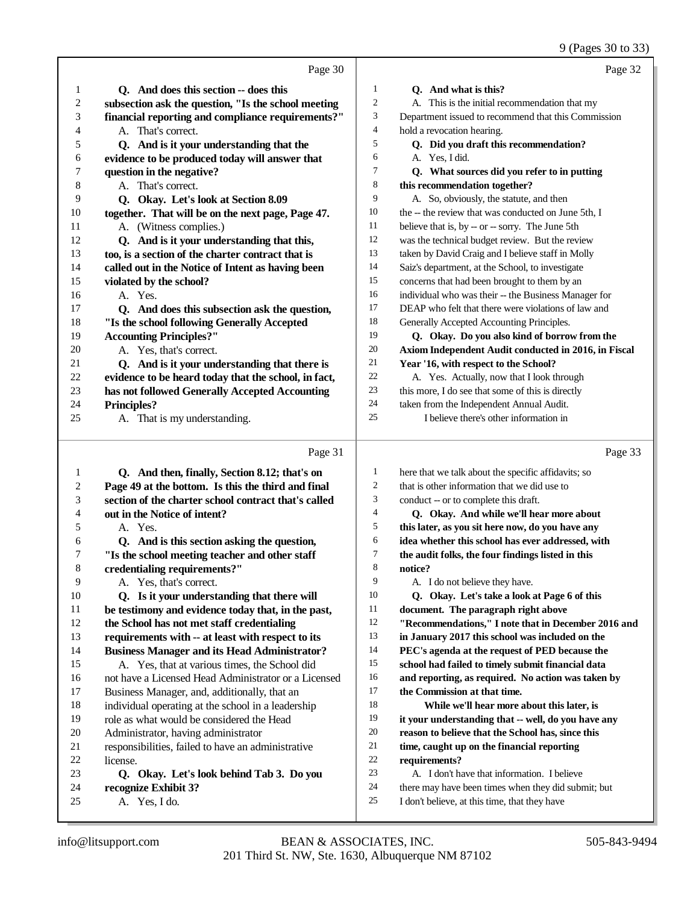|              |                                                      |                | 9 (Pages 30 to 33)                                   |
|--------------|------------------------------------------------------|----------------|------------------------------------------------------|
|              | Page 30                                              |                | Page 32                                              |
| 1            | Q. And does this section -- does this                | 1              | Q. And what is this?                                 |
| 2            | subsection ask the question, "Is the school meeting  | $\overline{c}$ | A. This is the initial recommendation that my        |
| 3            | financial reporting and compliance requirements?"    | 3              | Department issued to recommend that this Commission  |
| 4            | A. That's correct.                                   | $\overline{4}$ | hold a revocation hearing.                           |
| 5            | Q. And is it your understanding that the             | 5              | Q. Did you draft this recommendation?                |
| 6            | evidence to be produced today will answer that       | 6              | A. Yes, I did.                                       |
| 7            | question in the negative?                            | 7              | Q. What sources did you refer to in putting          |
| 8            | A. That's correct.                                   | 8              | this recommendation together?                        |
| 9            | Q. Okay. Let's look at Section 8.09                  | 9              | A. So, obviously, the statute, and then              |
| 10           | together. That will be on the next page, Page 47.    | 10             | the -- the review that was conducted on June 5th, I  |
| 11           | A. (Witness complies.)                               | 11             | believe that is, by -- or -- sorry. The June 5th     |
| 12           | Q. And is it your understanding that this,           | 12             | was the technical budget review. But the review      |
| 13           | too, is a section of the charter contract that is    | 13             | taken by David Craig and I believe staff in Molly    |
| 14           | called out in the Notice of Intent as having been    | 14             | Saiz's department, at the School, to investigate     |
| 15           | violated by the school?                              | 15             | concerns that had been brought to them by an         |
| 16           | A. Yes.                                              | 16             | individual who was their -- the Business Manager for |
| 17           | Q. And does this subsection ask the question,        | 17             | DEAP who felt that there were violations of law and  |
| 18           | "Is the school following Generally Accepted          | 18             | Generally Accepted Accounting Principles.            |
| 19           | <b>Accounting Principles?"</b>                       | 19             | Q. Okay. Do you also kind of borrow from the         |
| 20           | A. Yes, that's correct.                              | 20             | Axiom Independent Audit conducted in 2016, in Fiscal |
| 21           | Q. And is it your understanding that there is        | 21             | Year '16, with respect to the School?                |
| 22           | evidence to be heard today that the school, in fact, | 22             | A. Yes. Actually, now that I look through            |
| 23           | has not followed Generally Accepted Accounting       | 23             | this more, I do see that some of this is directly    |
| 24           | <b>Principles?</b>                                   | 24             | taken from the Independent Annual Audit.             |
| 25           | A. That is my understanding.                         | 25             | I believe there's other information in               |
|              | Page 31                                              |                | Page 33                                              |
| $\mathbf{1}$ | Q. And then, finally, Section 8.12; that's on        | $\mathbf{1}$   | here that we talk about the specific affidavits; so  |
| 2            | Page 49 at the bottom. Is this the third and final   | $\overline{2}$ | that is other information that we did use to         |
| 3            | section of the charter school contract that's called | 3              | conduct -- or to complete this draft.                |
| 4            | out in the Notice of intent?                         | $\overline{4}$ | Q. Okay. And while we'll hear more about             |
| 5            | A. Yes.                                              | 5              | this later, as you sit here now, do you have any     |
| 6            | Q. And is this section asking the question,          | 6              | idea whether this school has ever addressed, with    |
| 7            | "Is the school meeting teacher and other staff       | 7              | the audit folks, the four findings listed in this    |
| $\,8\,$      | credentialing requirements?"                         | 8              | notice?                                              |
| 9            | A. Yes, that's correct.                              | 9              | A. I do not believe they have.                       |
| 10           | Q. Is it your understanding that there will          | 10             | Q. Okay. Let's take a look at Page 6 of this         |
| 11           | be testimony and evidence today that, in the past,   | 11             | document. The paragraph right above                  |
| 12           | the School has not met staff credentialing           | 12             | "Recommendations," I note that in December 2016 and  |
| 13           | requirements with -- at least with respect to its    | 13             | in January 2017 this school was included on the      |
| 14           | <b>Business Manager and its Head Administrator?</b>  | 14             | PEC's agenda at the request of PED because the       |
| 15           | A. Yes, that at various times, the School did        | 15             | school had failed to timely submit financial data    |
| 16           | not have a Licensed Head Administrator or a Licensed | 16             | and reporting, as required. No action was taken by   |
| 17           | Business Manager, and, additionally, that an         | 17             | the Commission at that time.                         |
| 18           | individual operating at the school in a leadership   | 18             | While we'll hear more about this later, is           |
| 19           | role as what would be considered the Head            | 19             | it your understanding that -- well, do you have any  |
| 20           | Administrator, having administrator                  | $20\,$         | reason to believe that the School has, since this    |
| 21           | responsibilities, failed to have an administrative   | 21             | time, caught up on the financial reporting           |
| $22\,$       | license.                                             | 22             | requirements?                                        |
| 23           | Q. Okay. Let's look behind Tab 3. Do you             | 23             | A. I don't have that information. I believe          |
| 24           | recognize Exhibit 3?                                 | $24\,$         | there may have been times when they did submit; but  |
| 25           | A. Yes, I do.                                        | $25\,$         | I don't believe, at this time, that they have        |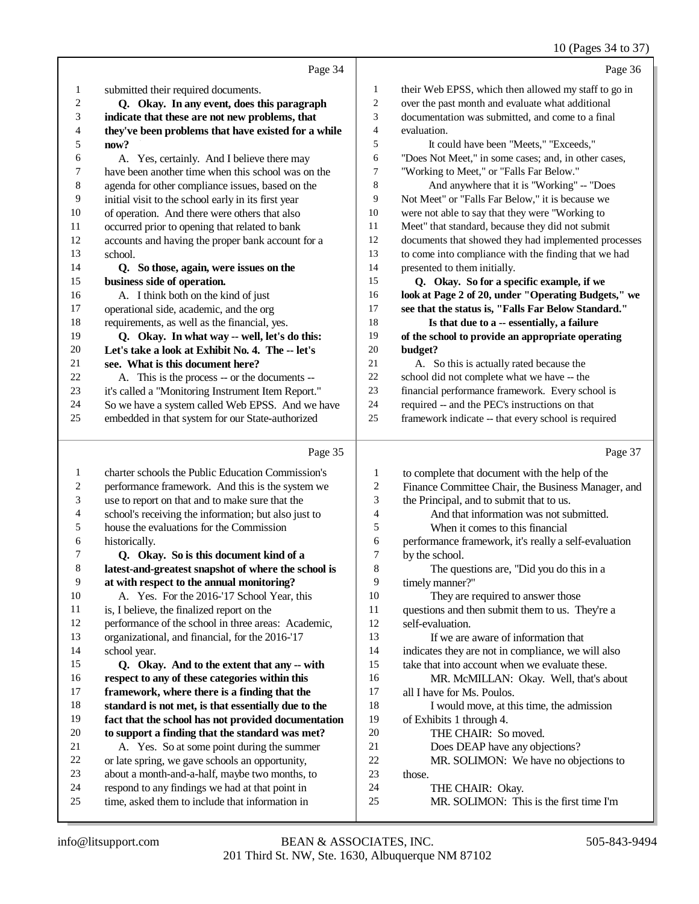#### 10 (Pages 34 to 37)

|                         |                                                      |                  | 10 (1 ages $34 \text{ to } 31$ )                     |
|-------------------------|------------------------------------------------------|------------------|------------------------------------------------------|
|                         | Page 34                                              |                  | Page 36                                              |
| $\mathbf{1}$            | submitted their required documents.                  | $\mathbf{1}$     | their Web EPSS, which then allowed my staff to go in |
| $\boldsymbol{2}$        | Q. Okay. In any event, does this paragraph           | $\boldsymbol{2}$ | over the past month and evaluate what additional     |
| 3                       | indicate that these are not new problems, that       | 3                | documentation was submitted, and come to a final     |
| 4                       | they've been problems that have existed for a while  | $\overline{4}$   | evaluation.                                          |
| 5                       | now?                                                 | 5                | It could have been "Meets," "Exceeds,"               |
| 6                       | A. Yes, certainly. And I believe there may           | 6                | "Does Not Meet," in some cases; and, in other cases, |
| 7                       | have been another time when this school was on the   | 7                | "Working to Meet," or "Falls Far Below."             |
| $\,8\,$                 | agenda for other compliance issues, based on the     | 8                | And anywhere that it is "Working" -- "Does           |
| 9                       | initial visit to the school early in its first year  | 9                | Not Meet" or "Falls Far Below," it is because we     |
| $10\,$                  | of operation. And there were others that also        | 10               | were not able to say that they were "Working to      |
| $11\,$                  | occurred prior to opening that related to bank       | 11               | Meet" that standard, because they did not submit     |
| 12                      | accounts and having the proper bank account for a    | 12               | documents that showed they had implemented processes |
| 13                      | school.                                              | 13               | to come into compliance with the finding that we had |
| 14                      | Q. So those, again, were issues on the               | 14               | presented to them initially.                         |
| 15                      | business side of operation.                          | 15               | Q. Okay. So for a specific example, if we            |
| 16                      | A. I think both on the kind of just                  | 16               | look at Page 2 of 20, under "Operating Budgets," we  |
| 17                      | operational side, academic, and the org              | 17               | see that the status is, "Falls Far Below Standard."  |
| 18                      | requirements, as well as the financial, yes.         | 18               | Is that due to a -- essentially, a failure           |
| 19                      | Q. Okay. In what way -- well, let's do this:         | 19               | of the school to provide an appropriate operating    |
| $20\,$                  | Let's take a look at Exhibit No. 4. The -- let's     | 20               | budget?                                              |
| 21                      | see. What is this document here?                     | 21               | A. So this is actually rated because the             |
| 22                      | A. This is the process -- or the documents --        | 22               | school did not complete what we have -- the          |
| 23                      | it's called a "Monitoring Instrument Item Report."   | 23               | financial performance framework. Every school is     |
| 24                      | So we have a system called Web EPSS. And we have     | 24               | required -- and the PEC's instructions on that       |
| 25                      | embedded in that system for our State-authorized     | 25               | framework indicate -- that every school is required  |
|                         | Page 35                                              |                  | Page 37                                              |
| $\mathbf{1}$            | charter schools the Public Education Commission's    | 1                | to complete that document with the help of the       |
| $\overline{\mathbf{c}}$ | performance framework. And this is the system we     | $\overline{c}$   | Finance Committee Chair, the Business Manager, and   |
| 3                       | use to report on that and to make sure that the      | 3                | the Principal, and to submit that to us.             |
| 4                       | school's receiving the information; but also just to | $\overline{4}$   | And that information was not submitted.              |
| 5                       | house the evaluations for the Commission             | 5                | When it comes to this financial                      |
| 6                       | historically.                                        | 6                | performance framework, it's really a self-evaluation |
| 7                       | Q. Okay. So is this document kind of a               | 7                | by the school.                                       |
| $\,8\,$                 | latest-and-greatest snapshot of where the school is  | $\,8\,$          | The questions are, "Did you do this in a             |
| 9                       | at with respect to the annual monitoring?            | 9                | timely manner?"                                      |
| $10\,$                  | A. Yes. For the 2016-'17 School Year, this           | $10\,$           | They are required to answer those                    |
| $11\,$                  | is, I believe, the finalized report on the           | 11               | questions and then submit them to us. They're a      |
| 12                      | performance of the school in three areas: Academic,  | 12               | self-evaluation.                                     |
| 13                      | organizational, and financial, for the 2016-'17      | 13               | If we are aware of information that                  |
| 14                      | school year.                                         | 14               | indicates they are not in compliance, we will also   |

- **Q. Okay. And to the extent that any -- with** 16 **respect to any of these categories within this**<br>17 **framework, where there is a finding that the** framework, where there is a finding that the **standard is not met, is that essentially due to the** fact that the school has not provided documentation 20 **to support a finding that the standard was met?**<br>21 A. Yes. So at some point during the summer A. Yes. So at some point during the summer or late spring, we gave schools an opportunity, about a month-and-a-half, maybe two months, to
- respond to any findings we had at that point in
- time, asked them to include that information in
- indicates they are not in compliance, we will also take that into account when we evaluate these.
- 16 MR. McMILLAN: Okay. Well, that's about 17 all I have for Ms. Poulos. all I have for Ms. Poulos.
- 18 I would move, at this time, the admission<br>19 of Exhibits 1 through 4.
	- of Exhibits 1 through 4.
		-
- 20 THE CHAIR: So moved.<br>21 Does DEAP have any object-
- 21 Does DEAP have any objections?<br>22 MR. SOLIMON: We have no obj MR. SOLIMON: We have no objections to
- those.
- THE CHAIR: Okay.
- MR. SOLIMON: This is the first time I'm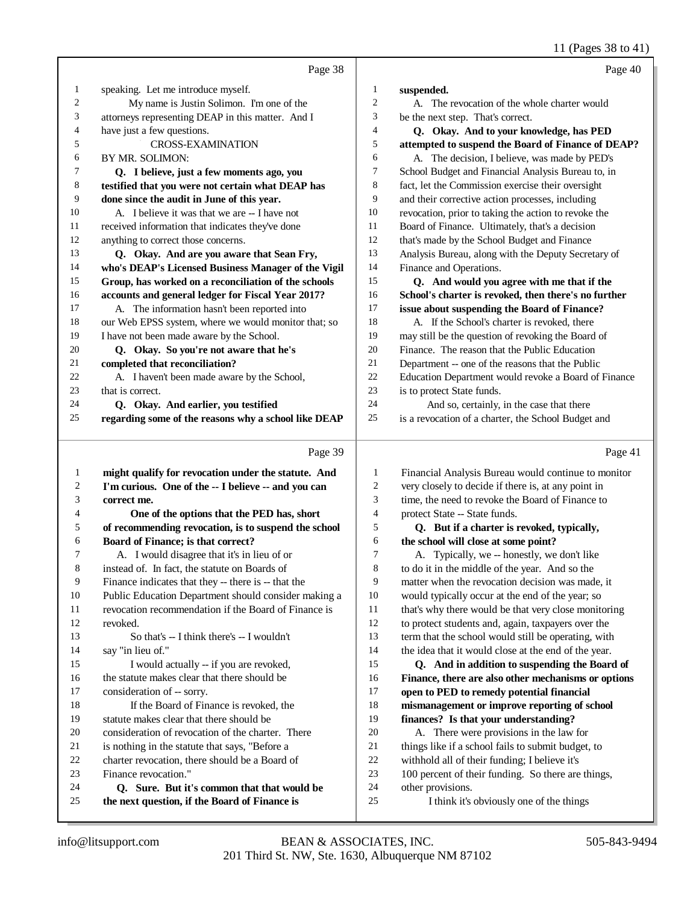|               |                                                                        |                          | 11 (Pages 38 to 41)                                                                                 |
|---------------|------------------------------------------------------------------------|--------------------------|-----------------------------------------------------------------------------------------------------|
|               | Page 38                                                                |                          | Page 40                                                                                             |
| $\mathbf{1}$  | speaking. Let me introduce myself.                                     | 1                        | suspended.                                                                                          |
| 2             | My name is Justin Solimon. I'm one of the                              | $\overline{c}$           | A. The revocation of the whole charter would                                                        |
| 3             | attorneys representing DEAP in this matter. And I                      | 3                        | be the next step. That's correct.                                                                   |
| 4             | have just a few questions.                                             | $\overline{\mathcal{L}}$ | Q. Okay. And to your knowledge, has PED                                                             |
| 5             | <b>CROSS-EXAMINATION</b>                                               | 5                        | attempted to suspend the Board of Finance of DEAP?                                                  |
| 6             | BY MR. SOLIMON:                                                        | 6                        | A. The decision, I believe, was made by PED's                                                       |
| 7             | Q. I believe, just a few moments ago, you                              | 7                        | School Budget and Financial Analysis Bureau to, in                                                  |
| 8             | testified that you were not certain what DEAP has                      | 8                        | fact, let the Commission exercise their oversight                                                   |
| 9             | done since the audit in June of this year.                             | 9                        | and their corrective action processes, including                                                    |
| 10            | A. I believe it was that we are -- I have not                          | 10                       | revocation, prior to taking the action to revoke the                                                |
| 11            | received information that indicates they've done                       | 11                       | Board of Finance. Ultimately, that's a decision                                                     |
| 12            | anything to correct those concerns.                                    | 12                       | that's made by the School Budget and Finance                                                        |
| 13            | Q. Okay. And are you aware that Sean Fry,                              | 13                       | Analysis Bureau, along with the Deputy Secretary of                                                 |
| 14            | who's DEAP's Licensed Business Manager of the Vigil                    | 14                       | Finance and Operations.                                                                             |
| 15            | Group, has worked on a reconciliation of the schools                   | 15                       | Q. And would you agree with me that if the                                                          |
| 16            | accounts and general ledger for Fiscal Year 2017?                      | 16                       | School's charter is revoked, then there's no further                                                |
| 17            | A. The information hasn't been reported into                           | 17                       | issue about suspending the Board of Finance?                                                        |
| 18            | our Web EPSS system, where we would monitor that; so                   | 18                       | A. If the School's charter is revoked, there                                                        |
| 19            | I have not been made aware by the School.                              | 19                       | may still be the question of revoking the Board of                                                  |
| 20            | Q. Okay. So you're not aware that he's                                 | 20                       | Finance. The reason that the Public Education                                                       |
| 21            | completed that reconciliation?                                         | 21                       | Department -- one of the reasons that the Public                                                    |
| 22            | A. I haven't been made aware by the School,                            | 22                       | Education Department would revoke a Board of Finance                                                |
| 23            | that is correct.                                                       | 23                       | is to protect State funds.                                                                          |
| 24            | Q. Okay. And earlier, you testified                                    | 24                       | And so, certainly, in the case that there                                                           |
| 25            | regarding some of the reasons why a school like DEAP                   | 25                       | is a revocation of a charter, the School Budget and                                                 |
|               | Page 39                                                                |                          | Page 41                                                                                             |
| $\mathbf{1}$  | might qualify for revocation under the statute. And                    | 1                        | Financial Analysis Bureau would continue to monitor                                                 |
| 2             | I'm curious. One of the -- I believe -- and you can                    | $\overline{c}$           | very closely to decide if there is, at any point in                                                 |
| 3             | correct me.                                                            | 3                        | time, the need to revoke the Board of Finance to                                                    |
| 4             | One of the options that the PED has, short                             | $\overline{4}$           | protect State -- State funds.                                                                       |
| 5             | of recommending revocation, is to suspend the school                   | 5                        | Q. But if a charter is revoked, typically,                                                          |
| 6             | Board of Finance; is that correct?                                     | 6                        | the school will close at some point?                                                                |
| $\mathcal{L}$ | A. I would disagree that it's in lieu of or                            | 7                        | A. Typically, we -- honestly, we don't like                                                         |
| 8             | instead of. In fact, the statute on Boards of                          | 8                        | to do it in the middle of the year. And so the                                                      |
| 9             | Finance indicates that they -- there is -- that the                    | 9                        | matter when the revocation decision was made, it                                                    |
| 10            | Public Education Department should consider making a                   | 10                       | would typically occur at the end of the year; so                                                    |
| 11            | revocation recommendation if the Board of Finance is                   | 11                       | that's why there would be that very close monitoring                                                |
| 12            | revoked.                                                               | 12                       | to protect students and, again, taxpayers over the                                                  |
| 13            | So that's -- I think there's -- I wouldn't                             | 13                       | term that the school would still be operating, with                                                 |
| 14            | say "in lieu of."                                                      | 14                       | the idea that it would close at the end of the year.                                                |
| 15            | I would actually -- if you are revoked,                                | 15                       | Q. And in addition to suspending the Board of                                                       |
| 16            | the statute makes clear that there should be                           | 16                       | Finance, there are also other mechanisms or options                                                 |
| 17            | consideration of -- sorry.                                             | 17                       | open to PED to remedy potential financial                                                           |
| 18            | If the Board of Finance is revoked, the                                | 18                       | mismanagement or improve reporting of school                                                        |
| 19            | statute makes clear that there should be                               | 19                       | finances? Is that your understanding?                                                               |
| 20            | consideration of revocation of the charter. There                      | 20                       | A. There were provisions in the law for                                                             |
| 21            | is nothing in the statute that says, "Before a                         | 21<br>22                 | things like if a school fails to submit budget, to                                                  |
| 22<br>23      | charter revocation, there should be a Board of<br>Finance revocation." | 23                       | withhold all of their funding; I believe it's<br>100 percent of their funding. So there are things, |
| 24            | Q. Sure. But it's common that that would be                            | 24                       | other provisions.                                                                                   |
| 25            | the next question, if the Board of Finance is                          | 25                       | I think it's obviously one of the things                                                            |
|               |                                                                        |                          |                                                                                                     |

- 24 other provisions.<br>25 I think it's
	- I think it's obviously one of the things

**the next question, if the Board of Finance is**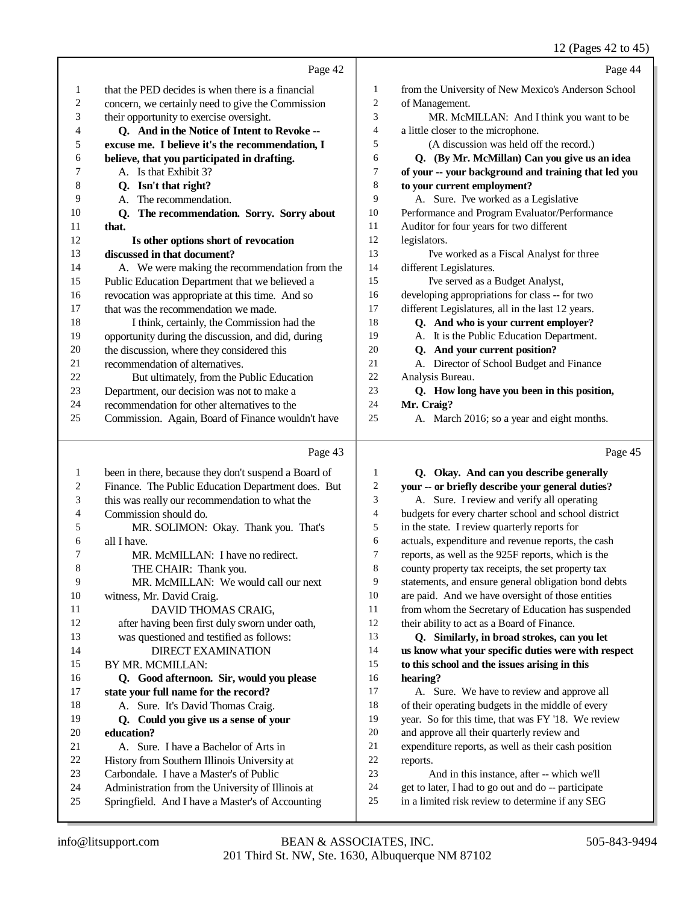12 (Pages 42 to 45)

|    |                                                      |                | $12(1450 + 1210)$                                    |
|----|------------------------------------------------------|----------------|------------------------------------------------------|
|    | Page 42                                              |                | Page 44                                              |
| 1  | that the PED decides is when there is a financial    | 1              | from the University of New Mexico's Anderson School  |
| 2  | concern, we certainly need to give the Commission    | $\mathfrak{2}$ | of Management.                                       |
| 3  | their opportunity to exercise oversight.             | 3              | MR. McMILLAN: And I think you want to be             |
| 4  | Q. And in the Notice of Intent to Revoke --          | 4              | a little closer to the microphone.                   |
| 5  | excuse me. I believe it's the recommendation, I      | 5              | (A discussion was held off the record.)              |
| 6  | believe, that you participated in drafting.          | 6              | Q. (By Mr. McMillan) Can you give us an idea         |
| 7  | A. Is that Exhibit 3?                                | 7              | of your -- your background and training that led you |
| 8  | Q. Isn't that right?                                 | 8              | to your current employment?                          |
| 9  | The recommendation.<br>A.                            | 9              | A. Sure. I've worked as a Legislative                |
| 10 | The recommendation. Sorry. Sorry about<br>Q.         | 10             | Performance and Program Evaluator/Performance        |
| 11 | that.                                                | 11             | Auditor for four years for two different             |
| 12 | Is other options short of revocation                 | 12             | legislators.                                         |
| 13 | discussed in that document?                          | 13             | I've worked as a Fiscal Analyst for three            |
| 14 | A. We were making the recommendation from the        | 14             | different Legislatures.                              |
| 15 | Public Education Department that we believed a       | 15             | I've served as a Budget Analyst,                     |
| 16 | revocation was appropriate at this time. And so      | 16             | developing appropriations for class -- for two       |
| 17 | that was the recommendation we made.                 | 17             | different Legislatures, all in the last 12 years.    |
| 18 | I think, certainly, the Commission had the           | 18             | Q. And who is your current employer?                 |
| 19 | opportunity during the discussion, and did, during   | 19             | A. It is the Public Education Department.            |
| 20 | the discussion, where they considered this           | 20             | Q. And your current position?                        |
| 21 | recommendation of alternatives.                      | 21             | A. Director of School Budget and Finance             |
| 22 | But ultimately, from the Public Education            | 22             | Analysis Bureau.                                     |
| 23 | Department, our decision was not to make a           | 23             | Q. How long have you been in this position,          |
| 24 | recommendation for other alternatives to the         | 24             | Mr. Craig?                                           |
| 25 | Commission. Again, Board of Finance wouldn't have    | 25             | A. March 2016; so a year and eight months.           |
|    | Page 43                                              |                | Page 45                                              |
| 1  | been in there, because they don't suspend a Board of | 1              | Q. Okay. And can you describe generally              |

| 2              | Finance. The Public Education Department does. But |                | vour   |
|----------------|----------------------------------------------------|----------------|--------|
| 3              | this was really our recommendation to what the     |                | A.     |
| $\overline{4}$ | Commission should do.                              | $\overline{4}$ | budg   |
| 5              | MR. SOLIMON: Okay. Thank you. That's               | 5              | in the |
| 6              | all I have.                                        | 6              | actua  |
|                | MR. McMILLAN: I have no redirect.                  |                | repor  |
|                | THE CHAIR: Thank you.                              | 8              | count  |
|                | MR. McMILLAN: We would call our next               | 9              | stater |
|                |                                                    |                |        |

#### witness, Mr. David Craig. 11 DAVID THOMAS CRAIG, after having been first duly sworn under oath, was questioned and testified as follows: DIRECT EXAMINATION BY MR. MCMILLAN:

#### **Q. Good afternoon. Sir, would you please** state your full name for the record? A. Sure. It's David Thomas Craig.  **Q. Could you give us a sense of your** 20 **education?**<br>21 **A.** Sure A. Sure. I have a Bachelor of Arts in

- History from Southern Illinois University at
- Carbondale. I have a Master's of Public
- Administration from the University of Illinois at
- Springfield. And I have a Master's of Accounting

 **your -- or briefly describe your general duties?** Sure. I review and verify all operating ets for every charter school and school district e state. I review quarterly reports for ls, expenditure and revenue reports, the cash ts, as well as the 925F reports, which is the ty property tax receipts, the set property tax nents, and ensure general obligation bond debts are paid. And we have oversight of those entities from whom the Secretary of Education has suspended 12 their ability to act as a Board of Finance.  **Q. Similarly, in broad strokes, can you let us know what your specific duties were with respect**

 **to this school and the issues arising in this hearing?**

 A. Sure. We have to review and approve all of their operating budgets in the middle of every year. So for this time, that was FY '18. We review and approve all their quarterly review and expenditure reports, as well as their cash position reports.

And in this instance, after -- which we'll

- get to later, I had to go out and do -- participate
- in a limited risk review to determine if any SEG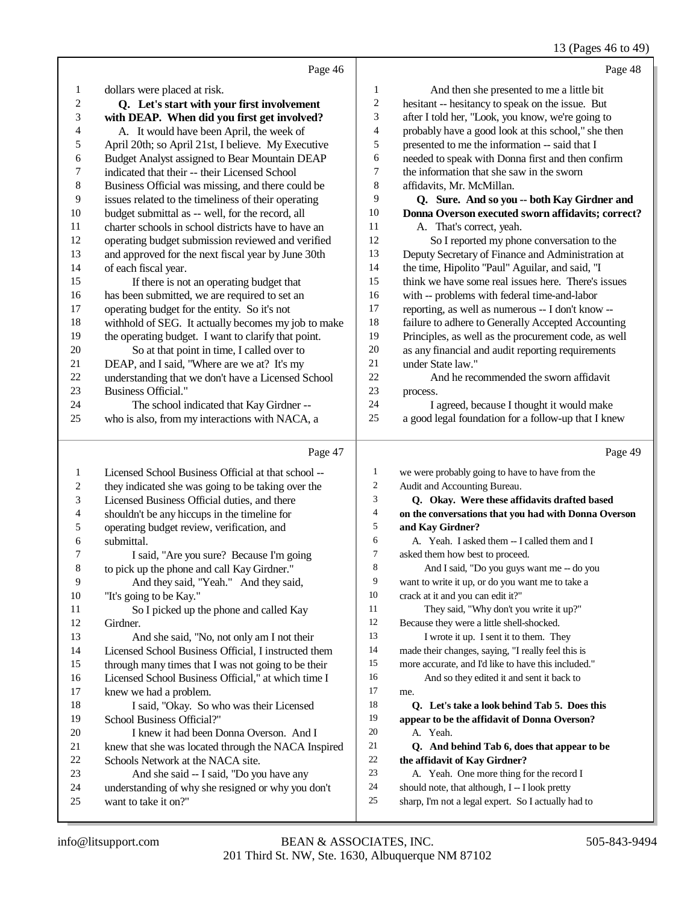#### 13 (Pages 46 to 49)

|    | Page 46                                             |                | Page 48                                              |
|----|-----------------------------------------------------|----------------|------------------------------------------------------|
| 1  | dollars were placed at risk.                        | $\mathbf{1}$   | And then she presented to me a little bit            |
| 2  | Q. Let's start with your first involvement          | $\overline{c}$ | hesitant -- hesitancy to speak on the issue. But     |
| 3  | with DEAP. When did you first get involved?         | 3              | after I told her, "Look, you know, we're going to    |
| 4  | A. It would have been April, the week of            | 4              | probably have a good look at this school," she then  |
| 5  | April 20th; so April 21st, I believe. My Executive  | 5              | presented to me the information -- said that I       |
| 6  | Budget Analyst assigned to Bear Mountain DEAP       | 6              | needed to speak with Donna first and then confirm    |
| 7  | indicated that their -- their Licensed School       | 7              | the information that she saw in the sworn            |
| 8  | Business Official was missing, and there could be   | 8              | affidavits, Mr. McMillan.                            |
| 9  | issues related to the timeliness of their operating | 9              | Q. Sure. And so you -- both Kay Girdner and          |
| 10 | budget submittal as -- well, for the record, all    | 10             | Donna Overson executed sworn affidavits; correct?    |
| 11 | charter schools in school districts have to have an | 11             | A. That's correct, yeah.                             |
| 12 | operating budget submission reviewed and verified   | 12             | So I reported my phone conversation to the           |
| 13 | and approved for the next fiscal year by June 30th  | 13             | Deputy Secretary of Finance and Administration at    |
| 14 | of each fiscal year.                                | 14             | the time, Hipolito "Paul" Aguilar, and said, "I      |
| 15 | If there is not an operating budget that            | 15             | think we have some real issues here. There's issues  |
| 16 | has been submitted, we are required to set an       | 16             | with -- problems with federal time-and-labor         |
| 17 | operating budget for the entity. So it's not        | 17             | reporting, as well as numerous -- I don't know --    |
| 18 | withhold of SEG. It actually becomes my job to make | 18             | failure to adhere to Generally Accepted Accounting   |
| 19 | the operating budget. I want to clarify that point. | 19             | Principles, as well as the procurement code, as well |
| 20 | So at that point in time, I called over to          | 20             | as any financial and audit reporting requirements    |
| 21 | DEAP, and I said, "Where are we at? It's my         | 21             | under State law."                                    |
| 22 | understanding that we don't have a Licensed School  | 22             | And he recommended the sworn affidavit               |
| 23 | <b>Business Official."</b>                          | 23             | process.                                             |
| 24 | The school indicated that Kay Girdner --            | 24             | I agreed, because I thought it would make            |
| 25 | who is also, from my interactions with NACA, a      | 25             | a good legal foundation for a follow-up that I knew  |
|    | Page 47                                             |                | Page 49                                              |
| 1  | Licensed School Business Official at that school -- | 1              | we were probably going to have to have from the      |
| 2  | they indicated she was going to be taking over the  | 2              | Audit and Accounting Bureau.                         |
| 3  | Licensed Business Official duties, and there        | 3              | Q. Okay. Were these affidavits drafted based         |

- shouldn't be any hiccups in the timeline for
- operating budget review, verification, and
- submittal.
- I said, "Are you sure? Because I'm going
- to pick up the phone and call Kay Girdner."
- And they said, "Yeah." And they said,
- "It's going to be Kay." So I picked up the phone and called Kay
- Girdner.
- And she said, "No, not only am I not their Licensed School Business Official, I instructed them
- through many times that I was not going to be their
- Licensed School Business Official," at which time I knew we had a problem.
- I said, "Okay. So who was their Licensed School Business Official?" I knew it had been Donna Overson. And I
- knew that she was located through the NACA Inspired Schools Network at the NACA site.
- And she said -- I said, "Do you have any
- understanding of why she resigned or why you don't
- want to take it on?"
- 201 Third St. NW, Ste. 1630, Albuquerque NM 87102 info@litsupport.com BEAN & ASSOCIATES, INC. 505-843-9494
- **Q. Okay. Were these affidavits drafted based on the conversations that you had with Donna Overson and Kay Girdner?** A. Yeah. I asked them -- I called them and I asked them how best to proceed. And I said, "Do you guys want me -- do you want to write it up, or do you want me to take a crack at it and you can edit it?" They said, "Why don't you write it up?" Because they were a little shell-shocked. 13 I wrote it up. I sent it to them. They made their changes, saying, "I really feel this is more accurate, and I'd like to have this included." And so they edited it and sent it back to me.  **Q. Let's take a look behind Tab 5. Does this appear to be the affidavit of Donna Overson?** A. Yeah.  **Q. And behind Tab 6, does that appear to be** 22 **the affidavit of Kay Girdner?**<br>23 A. Yeah. One more thing for A. Yeah. One more thing for the record I should note, that although, I -- I look pretty sharp, I'm not a legal expert. So I actually had to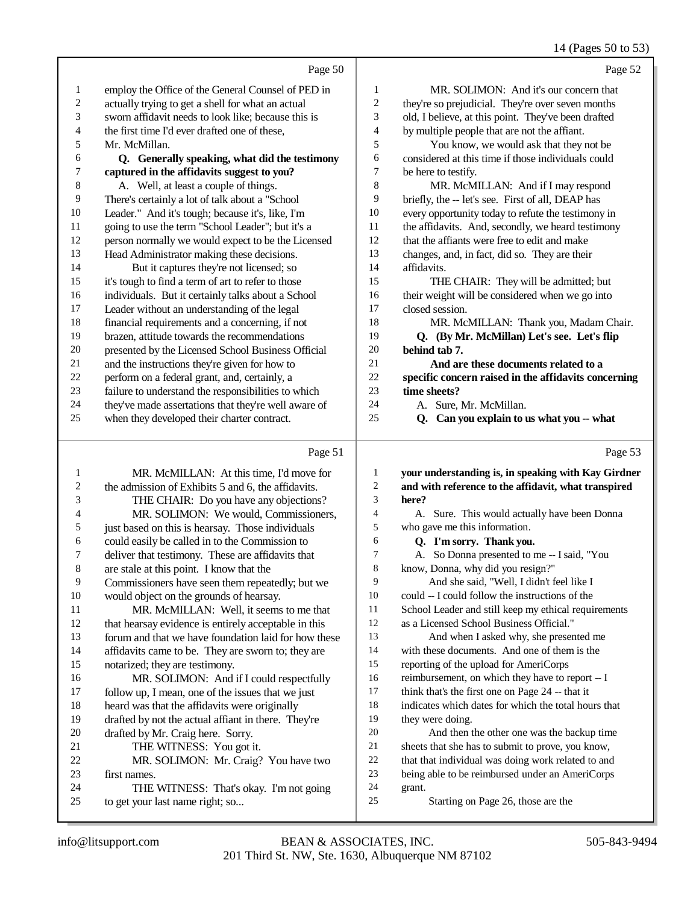#### 14 (Pages 50 to 53)

|                | Page 50                                              |                | Page 52                                              |
|----------------|------------------------------------------------------|----------------|------------------------------------------------------|
| 1              | employ the Office of the General Counsel of PED in   | 1              | MR. SOLIMON: And it's our concern that               |
| $\overline{c}$ | actually trying to get a shell for what an actual    | $\overline{c}$ | they're so prejudicial. They're over seven months    |
| 3              | sworn affidavit needs to look like; because this is  | 3              | old, I believe, at this point. They've been drafted  |
| 4              | the first time I'd ever drafted one of these,        | 4              | by multiple people that are not the affiant.         |
| 5              | Mr. McMillan.                                        | 5              | You know, we would ask that they not be              |
| 6              | Q. Generally speaking, what did the testimony        | 6              | considered at this time if those individuals could   |
| 7              | captured in the affidavits suggest to you?           | 7              | be here to testify.                                  |
| 8              | A. Well, at least a couple of things.                | $\,$ 8 $\,$    | MR. McMILLAN: And if I may respond                   |
| 9              | There's certainly a lot of talk about a "School      | 9              | briefly, the -- let's see. First of all, DEAP has    |
| 10             | Leader." And it's tough; because it's, like, I'm     | 10             | every opportunity today to refute the testimony in   |
| 11             | going to use the term "School Leader"; but it's a    | 11             | the affidavits. And, secondly, we heard testimony    |
| 12             | person normally we would expect to be the Licensed   | 12             | that the affiants were free to edit and make         |
| 13             | Head Administrator making these decisions.           | 13             | changes, and, in fact, did so. They are their        |
| 14             | But it captures they're not licensed; so             | 14             | affidavits.                                          |
| 15             | it's tough to find a term of art to refer to those   | 15             | THE CHAIR: They will be admitted; but                |
| 16             | individuals. But it certainly talks about a School   | 16             | their weight will be considered when we go into      |
| 17             | Leader without an understanding of the legal         | 17             | closed session.                                      |
| 18             | financial requirements and a concerning, if not      | 18             | MR. McMILLAN: Thank you, Madam Chair.                |
| 19             | brazen, attitude towards the recommendations         | 19             | Q. (By Mr. McMillan) Let's see. Let's flip           |
| 20             | presented by the Licensed School Business Official   | 20             | behind tab 7.                                        |
| 21             | and the instructions they're given for how to        | 21             | And are these documents related to a                 |
| 22             | perform on a federal grant, and, certainly, a        | 22             | specific concern raised in the affidavits concerning |
| 23             | failure to understand the responsibilities to which  | 23             | time sheets?                                         |
| 24             | they've made assertations that they're well aware of | 24             | A. Sure, Mr. McMillan.                               |
| 25             | when they developed their charter contract.          | 25             | Can you explain to us what you -- what<br>Q.         |
|                |                                                      |                |                                                      |
|                |                                                      |                |                                                      |

# Page 51

|                | Page 51                                              |                | Page 53                                              |
|----------------|------------------------------------------------------|----------------|------------------------------------------------------|
| 1              | MR. McMILLAN: At this time, I'd move for             | 1              | your understanding is, in speaking with Kay Girdner  |
| $\overline{2}$ | the admission of Exhibits 5 and 6, the affidavits.   | $\overline{c}$ | and with reference to the affidavit, what transpired |
| 3              | THE CHAIR: Do you have any objections?               | 3              | here?                                                |
| 4              | MR. SOLIMON: We would, Commissioners,                | $\overline{4}$ | A. Sure. This would actually have been Donna         |
| 5              | just based on this is hearsay. Those individuals     | 5              | who gave me this information.                        |
| 6              | could easily be called in to the Commission to       | 6              | Q. I'm sorry. Thank you.                             |
| 7              | deliver that testimony. These are affidavits that    | 7              | A. So Donna presented to me -- I said, "You          |
| 8              | are stale at this point. I know that the             | 8              | know, Donna, why did you resign?"                    |
| 9              | Commissioners have seen them repeatedly; but we      | 9              | And she said, "Well, I didn't feel like I            |
| 10             | would object on the grounds of hearsay.              | 10             | could -- I could follow the instructions of the      |
| 11             | MR. McMILLAN: Well, it seems to me that              | 11             | School Leader and still keep my ethical requirements |
| 12             | that hearsay evidence is entirely acceptable in this | 12             | as a Licensed School Business Official."             |
| 13             | forum and that we have foundation laid for how these | 13             | And when I asked why, she presented me               |
| 14             | affidavits came to be. They are sworn to; they are   | 14             | with these documents. And one of them is the         |
| 15             | notarized; they are testimony.                       | 15             | reporting of the upload for AmeriCorps               |
| 16             | MR. SOLIMON: And if I could respectfully             | 16             | reimbursement, on which they have to report -- I     |
| 17             | follow up, I mean, one of the issues that we just    | 17             | think that's the first one on Page 24 -- that it     |
| 18             | heard was that the affidavits were originally        | 18             | indicates which dates for which the total hours that |
| 19             | drafted by not the actual affiant in there. They're  | 19             | they were doing.                                     |
| 20             | drafted by Mr. Craig here. Sorry.                    | 20             | And then the other one was the backup time           |
| 21             | THE WITNESS: You got it.                             | 21             | sheets that she has to submit to prove, you know,    |
| 22             | MR. SOLIMON: Mr. Craig? You have two                 | 22             | that that individual was doing work related to and   |
| 23             | first names.                                         | 23             | being able to be reimbursed under an AmeriCorps      |
| 24             | THE WITNESS: That's okay. I'm not going              | 24             | grant.                                               |
| 25             | to get your last name right; so                      | 25             | Starting on Page 26, those are the                   |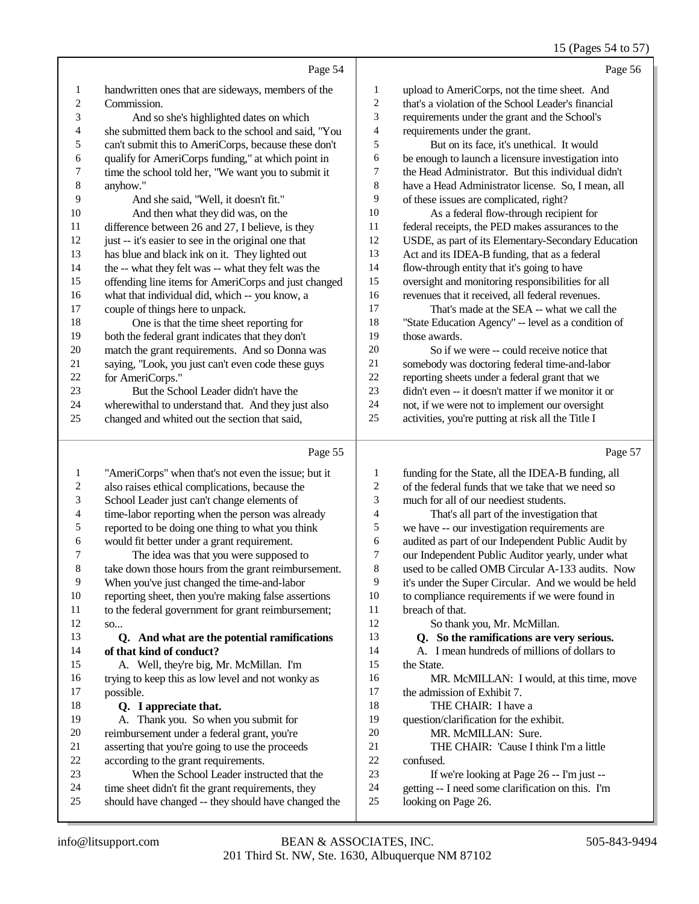## 15 (Pages 54 to 57)

|    | Page 54                                              |                | Page 56                                              |
|----|------------------------------------------------------|----------------|------------------------------------------------------|
| 1  | handwritten ones that are sideways, members of the   | 1              | upload to AmeriCorps, not the time sheet. And        |
| 2  | Commission.                                          | $\overline{2}$ | that's a violation of the School Leader's financial  |
| 3  | And so she's highlighted dates on which              | 3              | requirements under the grant and the School's        |
| 4  | she submitted them back to the school and said, "You | $\overline{4}$ | requirements under the grant.                        |
| 5  | can't submit this to AmeriCorps, because these don't | 5              | But on its face, it's unethical. It would            |
| 6  | qualify for AmeriCorps funding," at which point in   | 6              | be enough to launch a licensure investigation into   |
| 7  | time the school told her, "We want you to submit it  | 7              | the Head Administrator. But this individual didn't   |
| 8  | anyhow."                                             | 8              | have a Head Administrator license. So, I mean, all   |
| 9  | And she said, "Well, it doesn't fit."                | 9              | of these issues are complicated, right?              |
| 10 | And then what they did was, on the                   | 10             | As a federal flow-through recipient for              |
| 11 | difference between 26 and 27, I believe, is they     | 11             | federal receipts, the PED makes assurances to the    |
| 12 | just -- it's easier to see in the original one that  | 12             | USDE, as part of its Elementary-Secondary Education  |
| 13 | has blue and black ink on it. They lighted out       | 13             | Act and its IDEA-B funding, that as a federal        |
| 14 | the -- what they felt was -- what they felt was the  | 14             | flow-through entity that it's going to have          |
| 15 | offending line items for AmeriCorps and just changed | 15             | oversight and monitoring responsibilities for all    |
| 16 | what that individual did, which -- you know, a       | 16             | revenues that it received, all federal revenues.     |
| 17 | couple of things here to unpack.                     | 17             | That's made at the SEA -- what we call the           |
| 18 | One is that the time sheet reporting for             | 18             | "State Education Agency" -- level as a condition of  |
| 19 | both the federal grant indicates that they don't     | 19             | those awards.                                        |
| 20 | match the grant requirements. And so Donna was       | 20             | So if we were -- could receive notice that           |
| 21 | saying, "Look, you just can't even code these guys   | 21             | somebody was doctoring federal time-and-labor        |
| 22 | for AmeriCorps."                                     | 22             | reporting sheets under a federal grant that we       |
| 23 | But the School Leader didn't have the                | 23             | didn't even -- it doesn't matter if we monitor it or |
| 24 | wherewithal to understand that. And they just also   | 24             | not, if we were not to implement our oversight       |
| 25 | changed and whited out the section that said,        | 25             | activities, you're putting at risk all the Title I   |
|    | Page 55                                              |                | Page 57                                              |

#### Page

|    | $\log \frac{1}{2}$                                   |                | $\frac{1}{2}$ u <sub>b</sub> $\frac{1}{2}$ i        |
|----|------------------------------------------------------|----------------|-----------------------------------------------------|
| 1  | "AmeriCorps" when that's not even the issue; but it  | 1              | funding for the State, all the IDEA-B funding, all  |
| 2  | also raises ethical complications, because the       | $\overline{c}$ | of the federal funds that we take that we need so   |
| 3  | School Leader just can't change elements of          | 3              | much for all of our neediest students.              |
| 4  | time-labor reporting when the person was already     | 4              | That's all part of the investigation that           |
| 5  | reported to be doing one thing to what you think     | 5              | we have -- our investigation requirements are       |
| 6  | would fit better under a grant requirement.          | 6              | audited as part of our Independent Public Audit by  |
|    | The idea was that you were supposed to               | $\overline{7}$ | our Independent Public Auditor yearly, under what   |
| 8  | take down those hours from the grant reimbursement.  | $\,8\,$        | used to be called OMB Circular A-133 audits. Now    |
| 9  | When you've just changed the time-and-labor          | 9              | it's under the Super Circular. And we would be held |
| 10 | reporting sheet, then you're making false assertions | 10             | to compliance requirements if we were found in      |
| 11 | to the federal government for grant reimbursement;   | 11             | breach of that.                                     |
| 12 | SO                                                   | 12             | So thank you, Mr. McMillan.                         |
| 13 | Q. And what are the potential ramifications          | 13             | Q. So the ramifications are very serious.           |
| 14 | of that kind of conduct?                             | 14             | A. I mean hundreds of millions of dollars to        |
| 15 | A. Well, they're big, Mr. McMillan. I'm              | 15             | the State.                                          |
| 16 | trying to keep this as low level and not wonky as    | 16             | MR. McMILLAN: I would, at this time, move           |
| 17 | possible.                                            | 17             | the admission of Exhibit 7.                         |
| 18 | Q. I appreciate that.                                | 18             | THE CHAIR: I have a                                 |
| 19 | A. Thank you. So when you submit for                 | 19             | question/clarification for the exhibit.             |
| 20 | reimbursement under a federal grant, you're          | 20             | MR. McMILLAN: Sure.                                 |
| 21 | asserting that you're going to use the proceeds      | 21             | THE CHAIR: 'Cause I think I'm a little              |
| 22 | according to the grant requirements.                 | 22             | confused.                                           |
| 23 | When the School Leader instructed that the           | 23             | If we're looking at Page 26 -- I'm just --          |
| 24 | time sheet didn't fit the grant requirements, they   | 24             | getting -- I need some clarification on this. I'm   |
| 25 | should have changed -- they should have changed the  | 25             | looking on Page 26.                                 |
|    |                                                      |                |                                                     |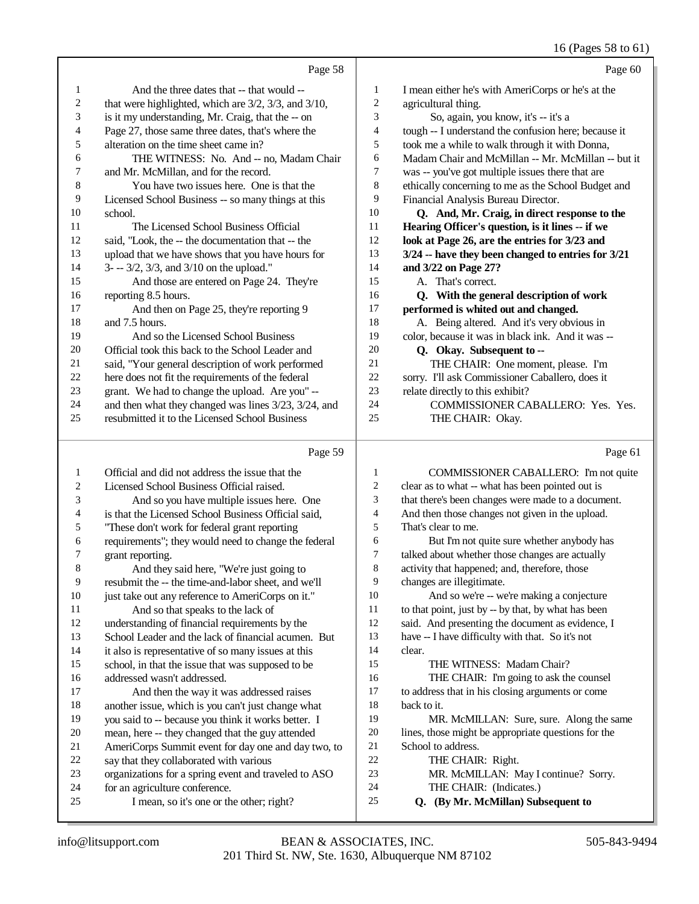## 16 (Pages 58 to 61)

|    | Page 58                                                       |    | Page 60                                                |
|----|---------------------------------------------------------------|----|--------------------------------------------------------|
| 1  | And the three dates that -- that would --                     | 1  | I mean either he's with AmeriCorps or he's at the      |
| 2  | that were highlighted, which are $3/2$ , $3/3$ , and $3/10$ , | 2  | agricultural thing.                                    |
| 3  | is it my understanding, Mr. Craig, that the -- on             | 3  | So, again, you know, it's -- it's a                    |
| 4  | Page 27, those same three dates, that's where the             | 4  | tough -- I understand the confusion here; because it   |
| 5  | alteration on the time sheet came in?                         | 5  | took me a while to walk through it with Donna,         |
| 6  | THE WITNESS: No. And -- no, Madam Chair                       | 6  | Madam Chair and McMillan -- Mr. McMillan -- but it     |
| 7  | and Mr. McMillan, and for the record.                         | 7  | was -- you've got multiple issues there that are       |
| 8  | You have two issues here. One is that the                     | 8  | ethically concerning to me as the School Budget and    |
| 9  | Licensed School Business -- so many things at this            | 9  | Financial Analysis Bureau Director.                    |
| 10 | school.                                                       | 10 | Q. And, Mr. Craig, in direct response to the           |
| 11 | The Licensed School Business Official                         | 11 | Hearing Officer's question, is it lines -- if we       |
| 12 | said, "Look, the -- the documentation that -- the             | 12 | look at Page 26, are the entries for 3/23 and          |
| 13 | upload that we have shows that you have hours for             | 13 | $3/24$ -- have they been changed to entries for $3/21$ |
| 14 | $3 - -3/2$ , $3/3$ , and $3/10$ on the upload."               | 14 | and 3/22 on Page 27?                                   |
| 15 | And those are entered on Page 24. They're                     | 15 | A. That's correct.                                     |
| 16 | reporting 8.5 hours.                                          | 16 | Q. With the general description of work                |
| 17 | And then on Page 25, they're reporting 9                      | 17 | performed is whited out and changed.                   |
| 18 | and 7.5 hours.                                                | 18 | A. Being altered. And it's very obvious in             |
| 19 | And so the Licensed School Business                           | 19 | color, because it was in black ink. And it was --      |
| 20 | Official took this back to the School Leader and              | 20 | Q. Okay. Subsequent to --                              |
| 21 | said, "Your general description of work performed             | 21 | THE CHAIR: One moment, please. I'm                     |
| 22 | here does not fit the requirements of the federal             | 22 | sorry. I'll ask Commissioner Caballero, does it        |
| 23 | grant. We had to change the upload. Are you" --               | 23 | relate directly to this exhibit?                       |
| 24 | and then what they changed was lines 3/23, 3/24, and          | 24 | COMMISSIONER CABALLERO: Yes. Yes.                      |
| 25 | resubmitted it to the Licensed School Business                | 25 | THE CHAIR: Okay.                                       |
|    | Page 59                                                       |    | Page 61                                                |

| 1  | Official and did not address the issue that the      | 1  | COMMISSIONER CABALLERO: I'm not quite               |
|----|------------------------------------------------------|----|-----------------------------------------------------|
| 2  | Licensed School Business Official raised.            | 2  | clear as to what -- what has been pointed out is    |
| 3  | And so you have multiple issues here. One            | 3  | that there's been changes were made to a document.  |
| 4  | is that the Licensed School Business Official said,  | 4  | And then those changes not given in the upload.     |
| 5  | "These don't work for federal grant reporting        | 5  | That's clear to me.                                 |
| 6  | requirements"; they would need to change the federal | 6  | But I'm not quite sure whether anybody has          |
| 7  | grant reporting.                                     | 7  | talked about whether those changes are actually     |
| 8  | And they said here, "We're just going to             | 8  | activity that happened; and, therefore, those       |
| 9  | resubmit the -- the time-and-labor sheet, and we'll  | 9  | changes are illegitimate.                           |
| 10 | just take out any reference to AmeriCorps on it."    | 10 | And so we're -- we're making a conjecture           |
| 11 | And so that speaks to the lack of                    | 11 | to that point, just by -- by that, by what has been |
| 12 | understanding of financial requirements by the       | 12 | said. And presenting the document as evidence, I    |
| 13 | School Leader and the lack of financial acumen. But  | 13 | have -- I have difficulty with that. So it's not    |
| 14 | it also is representative of so many issues at this  | 14 | clear.                                              |
| 15 | school, in that the issue that was supposed to be    | 15 | THE WITNESS: Madam Chair?                           |
| 16 | addressed wasn't addressed.                          | 16 | THE CHAIR: I'm going to ask the counsel             |
| 17 | And then the way it was addressed raises             | 17 | to address that in his closing arguments or come    |
| 18 | another issue, which is you can't just change what   | 18 | back to it.                                         |
| 19 | you said to -- because you think it works better. I  | 19 | MR. McMILLAN: Sure, sure. Along the same            |
| 20 | mean, here -- they changed that the guy attended     | 20 | lines, those might be appropriate questions for the |
| 21 | AmeriCorps Summit event for day one and day two, to  | 21 | School to address.                                  |
| 22 | say that they collaborated with various              | 22 | THE CHAIR: Right.                                   |
| 23 | organizations for a spring event and traveled to ASO | 23 | MR. McMILLAN: May I continue? Sorry.                |
| 24 | for an agriculture conference.                       | 24 | THE CHAIR: (Indicates.)                             |
| 25 | I mean, so it's one or the other; right?             | 25 | Q. (By Mr. McMillan) Subsequent to                  |
|    |                                                      |    |                                                     |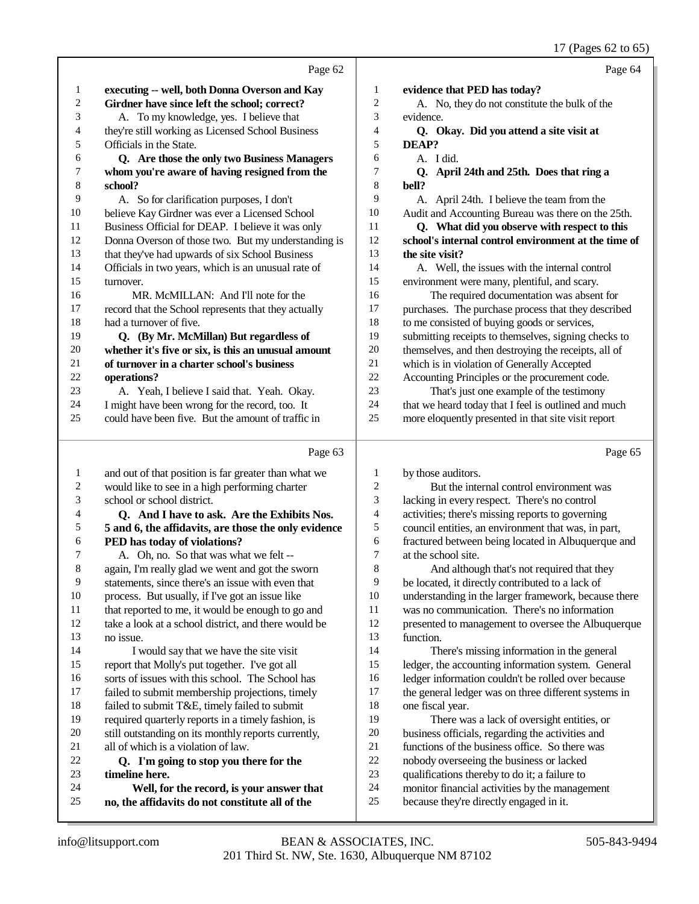17 (Pages 62 to 65)

|              |                                                      |    | $17 \times 1000 = 1000$                              |
|--------------|------------------------------------------------------|----|------------------------------------------------------|
|              | Page 62                                              |    | Page 64                                              |
| $\mathbf{1}$ | executing -- well, both Donna Overson and Kay        | 1  | evidence that PED has today?                         |
| 2            | Girdner have since left the school; correct?         | 2  | A. No, they do not constitute the bulk of the        |
| 3            | A. To my knowledge, yes. I believe that              | 3  | evidence.                                            |
| 4            | they're still working as Licensed School Business    | 4  | Q. Okay. Did you attend a site visit at              |
| 5            | Officials in the State.                              | 5  | DEAP?                                                |
| 6            | Q. Are those the only two Business Managers          | 6  | A. I did.                                            |
| 7            | whom you're aware of having resigned from the        | 7  | <b>Q.</b><br>April 24th and 25th. Does that ring a   |
| 8            | school?                                              | 8  | bell?                                                |
| 9            | A. So for clarification purposes, I don't            | 9  | A. April 24th. I believe the team from the           |
| 10           | believe Kay Girdner was ever a Licensed School       | 10 | Audit and Accounting Bureau was there on the 25th.   |
| 11           | Business Official for DEAP. I believe it was only    | 11 | Q. What did you observe with respect to this         |
| 12           | Donna Overson of those two. But my understanding is  | 12 | school's internal control environment at the time of |
| 13           | that they've had upwards of six School Business      | 13 | the site visit?                                      |
| 14           | Officials in two years, which is an unusual rate of  | 14 | A. Well, the issues with the internal control        |
| 15           | turnover.                                            | 15 | environment were many, plentiful, and scary.         |
| 16           | MR. McMILLAN: And I'll note for the                  | 16 | The required documentation was absent for            |
| 17           | record that the School represents that they actually | 17 | purchases. The purchase process that they described  |
| 18           | had a turnover of five.                              | 18 | to me consisted of buying goods or services,         |
| 19           | Q. (By Mr. McMillan) But regardless of               | 19 | submitting receipts to themselves, signing checks to |
| 20           | whether it's five or six, is this an unusual amount  | 20 | themselves, and then destroying the receipts, all of |
| 21           | of turnover in a charter school's business           | 21 | which is in violation of Generally Accepted          |
| 22           | operations?                                          | 22 | Accounting Principles or the procurement code.       |
| 23           | A. Yeah, I believe I said that. Yeah. Okay.          | 23 | That's just one example of the testimony             |
| 24           | I might have been wrong for the record, too. It      | 24 | that we heard today that I feel is outlined and much |
| 25           | could have been five. But the amount of traffic in   | 25 | more eloquently presented in that site visit report  |
|              | Page 63                                              |    | Page 65                                              |

|         | Page 63                                              |                | Page 65                                              |
|---------|------------------------------------------------------|----------------|------------------------------------------------------|
| 1       | and out of that position is far greater than what we | 1              | by those auditors.                                   |
| 2       | would like to see in a high performing charter       | $\overline{c}$ | But the internal control environment was             |
| 3       | school or school district.                           | 3              | lacking in every respect. There's no control         |
| 4       | Q. And I have to ask. Are the Exhibits Nos.          | 4              | activities; there's missing reports to governing     |
| 5       | 5 and 6, the affidavits, are those the only evidence | 5              | council entities, an environment that was, in part,  |
| 6       | PED has today of violations?                         | 6              | fractured between being located in Albuquerque and   |
| 7       | A. Oh, no. So that was what we felt --               | 7              | at the school site.                                  |
| $\,8\,$ | again, I'm really glad we went and got the sworn     | 8              | And although that's not required that they           |
| 9       | statements, since there's an issue with even that    | 9              | be located, it directly contributed to a lack of     |
| 10      | process. But usually, if I've got an issue like      | 10             | understanding in the larger framework, because there |
| 11      | that reported to me, it would be enough to go and    | 11             | was no communication. There's no information         |
| 12      | take a look at a school district, and there would be | 12             | presented to management to oversee the Albuquerque   |
| 13      | no issue.                                            | 13             | function.                                            |
| 14      | I would say that we have the site visit              | 14             | There's missing information in the general           |
| 15      | report that Molly's put together. I've got all       | 15             | ledger, the accounting information system. General   |
| 16      | sorts of issues with this school. The School has     | 16             | ledger information couldn't be rolled over because   |
| 17      | failed to submit membership projections, timely      | 17             | the general ledger was on three different systems in |
| 18      | failed to submit T&E, timely failed to submit        | 18             | one fiscal year.                                     |
| 19      | required quarterly reports in a timely fashion, is   | 19             | There was a lack of oversight entities, or           |
| 20      | still outstanding on its monthly reports currently,  | 20             | business officials, regarding the activities and     |
| 21      | all of which is a violation of law.                  | 21             | functions of the business office. So there was       |
| 22      | Q. I'm going to stop you there for the               | 22             | nobody overseeing the business or lacked             |
| 23      | timeline here.                                       | 23             | qualifications thereby to do it; a failure to        |
| 24      | Well, for the record, is your answer that            | 24             | monitor financial activities by the management       |
| 25      | no, the affidavits do not constitute all of the      | 25             | because they're directly engaged in it.              |
|         |                                                      |                |                                                      |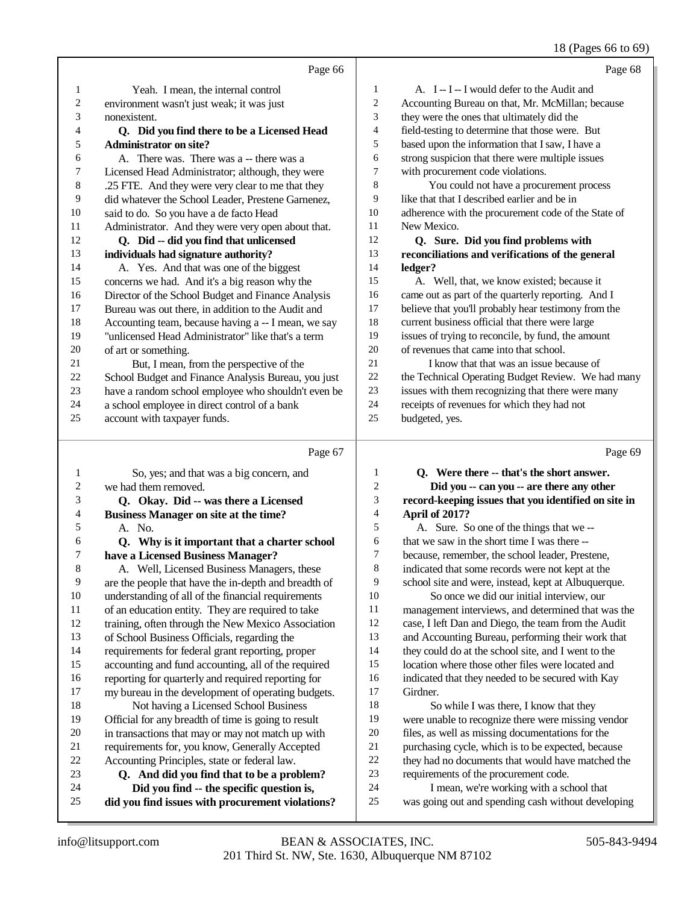18 (Pages 66 to 69)

|                | Page 66                                             |                | Page 68                                              |
|----------------|-----------------------------------------------------|----------------|------------------------------------------------------|
| $\mathbf{1}$   | Yeah. I mean, the internal control                  | $\mathbf{1}$   | A. I -- I -- I would defer to the Audit and          |
| $\overline{c}$ | environment wasn't just weak; it was just           | 2              | Accounting Bureau on that, Mr. McMillan; because     |
| 3              | nonexistent.                                        | 3              | they were the ones that ultimately did the           |
| $\overline{4}$ | Q. Did you find there to be a Licensed Head         | 4              | field-testing to determine that those were. But      |
| 5              | <b>Administrator on site?</b>                       | 5              | based upon the information that I saw, I have a      |
| 6              | A. There was. There was a -- there was a            | 6              | strong suspicion that there were multiple issues     |
| 7              | Licensed Head Administrator; although, they were    | 7              | with procurement code violations.                    |
| 8              | .25 FTE. And they were very clear to me that they   | 8              | You could not have a procurement process             |
| 9              | did whatever the School Leader, Prestene Garnenez,  | 9              | like that that I described earlier and be in         |
| 10             | said to do. So you have a de facto Head             | 10             | adherence with the procurement code of the State of  |
| 11             | Administrator. And they were very open about that.  | 11             | New Mexico.                                          |
| 12             | Q. Did -- did you find that unlicensed              | 12             | Q. Sure. Did you find problems with                  |
| 13             | individuals had signature authority?                | 13             | reconciliations and verifications of the general     |
| 14             | A. Yes. And that was one of the biggest             | 14             | ledger?                                              |
| 15             | concerns we had. And it's a big reason why the      | 15             | A. Well, that, we know existed; because it           |
| 16             | Director of the School Budget and Finance Analysis  | 16             | came out as part of the quarterly reporting. And I   |
| 17             | Bureau was out there, in addition to the Audit and  | 17             | believe that you'll probably hear testimony from the |
| 18             | Accounting team, because having a -- I mean, we say | 18             | current business official that there were large      |
| 19             | "unlicensed Head Administrator" like that's a term  | 19             | issues of trying to reconcile, by fund, the amount   |
| 20             | of art or something.                                | 20             | of revenues that came into that school.              |
| 21             | But, I mean, from the perspective of the            | 21             | I know that that was an issue because of             |
| 22             | School Budget and Finance Analysis Bureau, you just | 22             | the Technical Operating Budget Review. We had many   |
| 23             | have a random school employee who shouldn't even be | 23             | issues with them recognizing that there were many    |
| 24             | a school employee in direct control of a bank       | 24             | receipts of revenues for which they had not          |
| 25             | account with taxpayer funds.                        | 25             | budgeted, yes.                                       |
|                | Page 67                                             |                | Page 69                                              |
| 1              | So, yes; and that was a big concern, and            | $\mathbf{1}$   | Q. Were there -- that's the short answer.            |
| $\overline{c}$ | we had them removed.                                | $\overline{c}$ | Did you -- can you -- are there any other            |
| 3              | Q. Okay. Did -- was there a Licensed                | 3              | record-keeping issues that you identified on site in |

### **Business Manager on site at the time?**

- 
- $\begin{array}{ccc} 5 & \text{A. No.} \\ 6 & \text{O. Wh} \end{array}$  **Q. Why is it important that a charter school** 7 **have a Licensed Business Manager?**<br>8 **A.** Well, Licensed Business Manage A. Well, Licensed Business Managers, these
- 9 are the people that have the in-depth and breadth of 10 understanding of all of the financial requirements 10 understanding of all of the financial requirements<br>11 of an education entity. They are required to take of an education entity. They are required to take training, often through the New Mexico Association
- of School Business Officials, regarding the requirements for federal grant reporting, proper
- accounting and fund accounting, all of the required
- 16 reporting for quarterly and required reporting for<br>17 my bureau in the development of operating budge my bureau in the development of operating budgets. 18 Not having a Licensed School Business<br>19 Official for any breadth of time is voing to result Official for any breadth of time is going to result
- 20 in transactions that may or may not match up with<br>21 requirements for, you know, Generally Accepted
- 21 requirements for, you know, Generally Accepted<br>22 Accounting Principles, state or federal law.
- 22 Accounting Principles, state or federal law.<br>23 **O.** And did you find that to be a pro- **Q. And did you find that to be a problem?**
- **Did you find -- the specific question is,**
- **did you find issues with procurement violations?**
- **April of 2017?**
- A. Sure. So one of the things that we -- that we saw in the short time I was there -- because, remember, the school leader, Prestene, indicated that some records were not kept at the school site and were, instead, kept at Albuquerque. So once we did our initial interview, our management interviews, and determined that was the case, I left Dan and Diego, the team from the Audit and Accounting Bureau, performing their work that they could do at the school site, and I went to the location where those other files were located and indicated that they needed to be secured with Kay Girdner. 18 So while I was there, I know that they
- were unable to recognize there were missing vendor files, as well as missing documentations for the purchasing cycle, which is to be expected, because they had no documents that would have matched the requirements of the procurement code.
- I mean, we're working with a school that
- was going out and spending cash without developing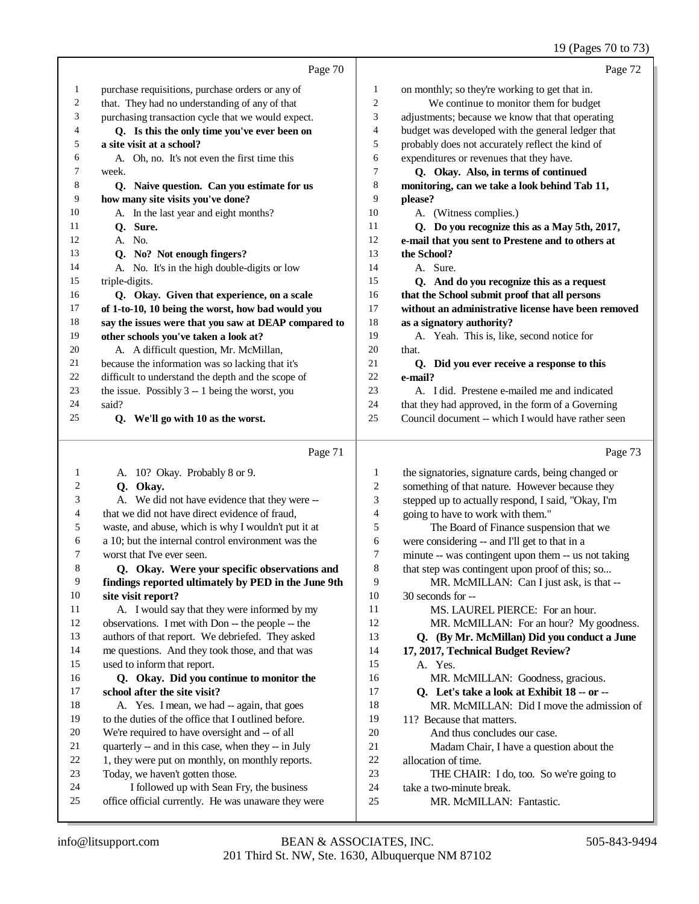#### 19 (Pages 70 to 73)

|    | Page 70                                              |                  | Page 72                                             |
|----|------------------------------------------------------|------------------|-----------------------------------------------------|
| 1  | purchase requisitions, purchase orders or any of     | 1                | on monthly; so they're working to get that in.      |
| 2  | that. They had no understanding of any of that       | $\boldsymbol{2}$ | We continue to monitor them for budget              |
| 3  | purchasing transaction cycle that we would expect.   | 3                | adjustments; because we know that that operating    |
| 4  | Q. Is this the only time you've ever been on         | 4                | budget was developed with the general ledger that   |
| 5  | a site visit at a school?                            | 5                | probably does not accurately reflect the kind of    |
| 6  | A. Oh, no. It's not even the first time this         | 6                | expenditures or revenues that they have.            |
| 7  | week.                                                | $\tau$           | Q. Okay. Also, in terms of continued                |
| 8  | Q. Naive question. Can you estimate for us           | $\,$ 8 $\,$      | monitoring, can we take a look behind Tab 11,       |
| 9  | how many site visits you've done?                    | 9                | please?                                             |
| 10 | A. In the last year and eight months?                | 10               | A. (Witness complies.)                              |
| 11 | Q. Sure.                                             | 11               | Q. Do you recognize this as a May 5th, 2017,        |
| 12 | A. No.                                               | 12               | e-mail that you sent to Prestene and to others at   |
| 13 | Q. No? Not enough fingers?                           | 13               | the School?                                         |
| 14 | A. No. It's in the high double-digits or low         | 14               | A. Sure.                                            |
| 15 | triple-digits.                                       | 15               | Q. And do you recognize this as a request           |
| 16 | Q. Okay. Given that experience, on a scale           | 16               | that the School submit proof that all persons       |
| 17 | of 1-to-10, 10 being the worst, how bad would you    | 17               | without an administrative license have been removed |
| 18 | say the issues were that you saw at DEAP compared to | 18               | as a signatory authority?                           |
| 19 | other schools you've taken a look at?                | 19               | A. Yeah. This is, like, second notice for           |
| 20 | A. A difficult question, Mr. McMillan,               | 20               | that.                                               |
| 21 | because the information was so lacking that it's     | 21               | Q. Did you ever receive a response to this          |
| 22 | difficult to understand the depth and the scope of   | 22               | e-mail?                                             |
| 23 | the issue. Possibly 3 -- 1 being the worst, you      | 23               | A. I did. Prestene e-mailed me and indicated        |
| 24 | said?                                                | 24               | that they had approved, in the form of a Governing  |
| 25 | Q. We'll go with 10 as the worst.                    | 25               | Council document -- which I would have rather seen  |
|    | Page 71                                              |                  | Page 73                                             |
| 1  | A. 10? Okay. Probably 8 or 9.                        | 1                | the signatories, signature cards, being changed or  |
| 2  | Q. Okay.                                             | $\overline{c}$   | something of that nature. However because they      |
| 3  | A. We did not have evidence that they were --        | 3                | stepped up to actually respond, I said, "Okay, I'm  |
| 4  | that we did not have direct evidence of fraud,       | 4                | going to have to work with them."                   |
| 5  | waste, and abuse, which is why I wouldn't put it at  | 5                | The Board of Finance suspension that we             |
| 6  | a 10; but the internal control environment was the   | 6                | were considering -- and I'll get to that in a       |

worst that I've ever seen.

#### **Q. Okay. Were your specific observations and findings reported ultimately by PED in the June 9th site visit report?**

 A. I would say that they were informed by my observations. I met with Don -- the people -- the authors of that report. We debriefed. They asked me questions. And they took those, and that was used to inform that report.

#### **Q. Okay. Did you continue to monitor the school after the site visit?** A. Yes. I mean, we had -- again, that goes

- to the duties of the office that I outlined before.
- We're required to have oversight and -- of all
- quarterly -- and in this case, when they -- in July
- 22 1, they were put on monthly, on monthly reports.
- Today, we haven't gotten those.
- I followed up with Sean Fry, the business
- office official currently. He was unaware they were
- were considering -- and I'll get to that in a minute -- was contingent upon them -- us not taking
- 8 that step was contingent upon proof of this; so... MR. McMILLAN: Can I just ask, is that -- 30 seconds for --
- MS. LAUREL PIERCE: For an hour.
- 12 MR. McMILLAN: For an hour? My goodness.

## **Q. (By Mr. McMillan) Did you conduct a June**

- **17, 2017, Technical Budget Review?**
- A. Yes. MR. McMILLAN: Goodness, gracious.
- **Q. Let's take a look at Exhibit 18 -- or --**
- MR. McMILLAN: Did I move the admission of
- 11? Because that matters.
- And thus concludes our case.
- Madam Chair, I have a question about the
- allocation of time.
- THE CHAIR: I do, too. So we're going to
- take a two-minute break.
- MR. McMILLAN: Fantastic.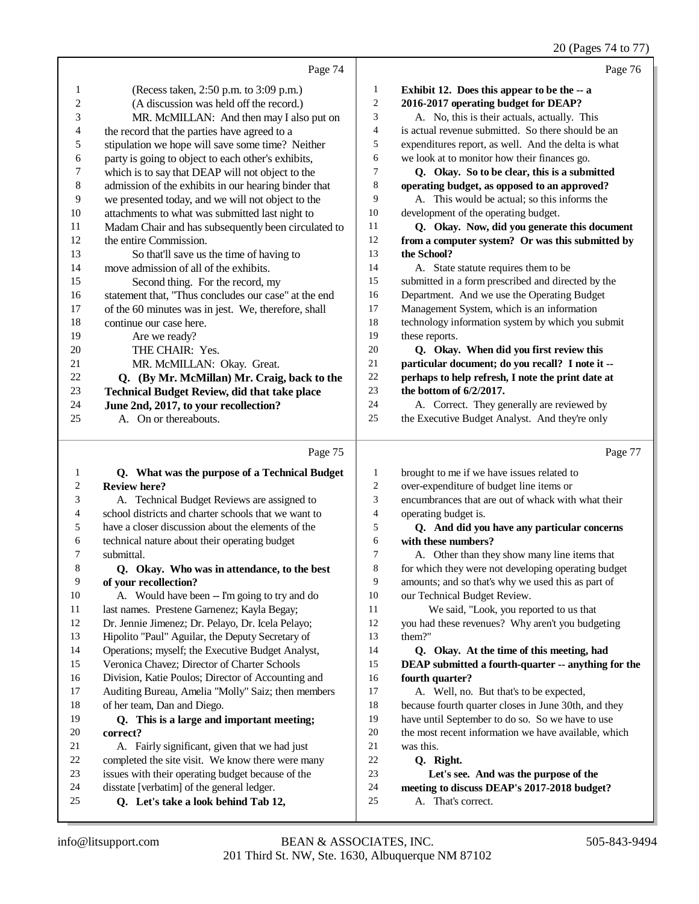20 (Pages 74 to 77)

|    |                                                      |                | 20 (Pages 74 to 7)                                  |
|----|------------------------------------------------------|----------------|-----------------------------------------------------|
|    | Page 74                                              |                | Page 76                                             |
| 1  | (Recess taken, 2:50 p.m. to 3:09 p.m.)               | 1              | Exhibit 12. Does this appear to be the -- a         |
| 2  | (A discussion was held off the record.)              | $\overline{c}$ | 2016-2017 operating budget for DEAP?                |
| 3  | MR. McMILLAN: And then may I also put on             | 3              | A. No, this is their actuals, actually. This        |
| 4  | the record that the parties have agreed to a         | 4              | is actual revenue submitted. So there should be an  |
| 5  | stipulation we hope will save some time? Neither     | 5              | expenditures report, as well. And the delta is what |
| 6  | party is going to object to each other's exhibits,   | 6              | we look at to monitor how their finances go.        |
| 7  | which is to say that DEAP will not object to the     | 7              | Q. Okay. So to be clear, this is a submitted        |
| 8  | admission of the exhibits in our hearing binder that | 8              | operating budget, as opposed to an approved?        |
| 9  | we presented today, and we will not object to the    | 9              | A. This would be actual; so this informs the        |
| 10 | attachments to what was submitted last night to      | 10             | development of the operating budget.                |
| 11 | Madam Chair and has subsequently been circulated to  | 11             | Q. Okay. Now, did you generate this document        |
| 12 | the entire Commission.                               | 12             | from a computer system? Or was this submitted by    |
| 13 | So that'll save us the time of having to             | 13             | the School?                                         |
| 14 | move admission of all of the exhibits.               | 14             | A. State statute requires them to be                |
| 15 | Second thing. For the record, my                     | 15             | submitted in a form prescribed and directed by the  |
| 16 | statement that, "Thus concludes our case" at the end | 16             | Department. And we use the Operating Budget         |
| 17 | of the 60 minutes was in jest. We, therefore, shall  | 17             | Management System, which is an information          |
| 18 | continue our case here.                              | 18             | technology information system by which you submit   |
| 19 | Are we ready?                                        | 19             | these reports.                                      |
| 20 | THE CHAIR: Yes.                                      | 20             | Q. Okay. When did you first review this             |
| 21 | MR. McMILLAN: Okay. Great.                           | 21             | particular document; do you recall? I note it --    |
| 22 | Q. (By Mr. McMillan) Mr. Craig, back to the          | 22             | perhaps to help refresh, I note the print date at   |
| 23 | <b>Technical Budget Review, did that take place</b>  | 23             | the bottom of $6/2/2017$ .                          |
| 24 | June 2nd, 2017, to your recollection?                | 24             | A. Correct. They generally are reviewed by          |
| 25 | On or thereabouts.<br>A.                             | 25             | the Executive Budget Analyst. And they're only      |
|    | Page 75                                              |                | Page 77                                             |
|    |                                                      |                |                                                     |

|    | $I$ age $I$ J                                        |                | $I$ age $II$                                         |
|----|------------------------------------------------------|----------------|------------------------------------------------------|
| 1  | Q. What was the purpose of a Technical Budget        | 1              | brought to me if we have issues related to           |
| 2  | <b>Review here?</b>                                  | $\overline{c}$ | over-expenditure of budget line items or             |
| 3  | A. Technical Budget Reviews are assigned to          | 3              | encumbrances that are out of whack with what their   |
| 4  | school districts and charter schools that we want to | 4              | operating budget is.                                 |
| 5  | have a closer discussion about the elements of the   | 5              | Q. And did you have any particular concerns          |
| 6  | technical nature about their operating budget        | 6              | with these numbers?                                  |
| 7  | submittal.                                           | 7              | A. Other than they show many line items that         |
| 8  | Q. Okay. Who was in attendance, to the best          | 8              | for which they were not developing operating budget  |
| 9  | of your recollection?                                | 9              | amounts; and so that's why we used this as part of   |
| 10 | A. Would have been -- I'm going to try and do        | 10             | our Technical Budget Review.                         |
| 11 | last names. Prestene Garnenez; Kayla Begay;          | 11             | We said, "Look, you reported to us that              |
| 12 | Dr. Jennie Jimenez; Dr. Pelayo, Dr. Icela Pelayo;    | 12             | you had these revenues? Why aren't you budgeting     |
| 13 | Hipolito "Paul" Aguilar, the Deputy Secretary of     | 13             | them?"                                               |
| 14 | Operations; myself; the Executive Budget Analyst,    | 14             | Q. Okay. At the time of this meeting, had            |
| 15 | Veronica Chavez; Director of Charter Schools         | 15             | DEAP submitted a fourth-quarter -- anything for the  |
| 16 | Division, Katie Poulos; Director of Accounting and   | 16             | fourth quarter?                                      |
| 17 | Auditing Bureau, Amelia "Molly" Saiz; then members   | 17             | A. Well, no. But that's to be expected,              |
| 18 | of her team, Dan and Diego.                          | 18             | because fourth quarter closes in June 30th, and they |
| 19 | Q. This is a large and important meeting;            | 19             | have until September to do so. So we have to use     |
| 20 | correct?                                             | 20             | the most recent information we have available, which |
| 21 | A. Fairly significant, given that we had just        | 21             | was this.                                            |
| 22 | completed the site visit. We know there were many    | 22             | Q. Right.                                            |
| 23 | issues with their operating budget because of the    | 23             | Let's see. And was the purpose of the                |
| 24 | disstate [verbatim] of the general ledger.           | 24             | meeting to discuss DEAP's 2017-2018 budget?          |
| 25 | Q. Let's take a look behind Tab 12,                  | 25             | A. That's correct.                                   |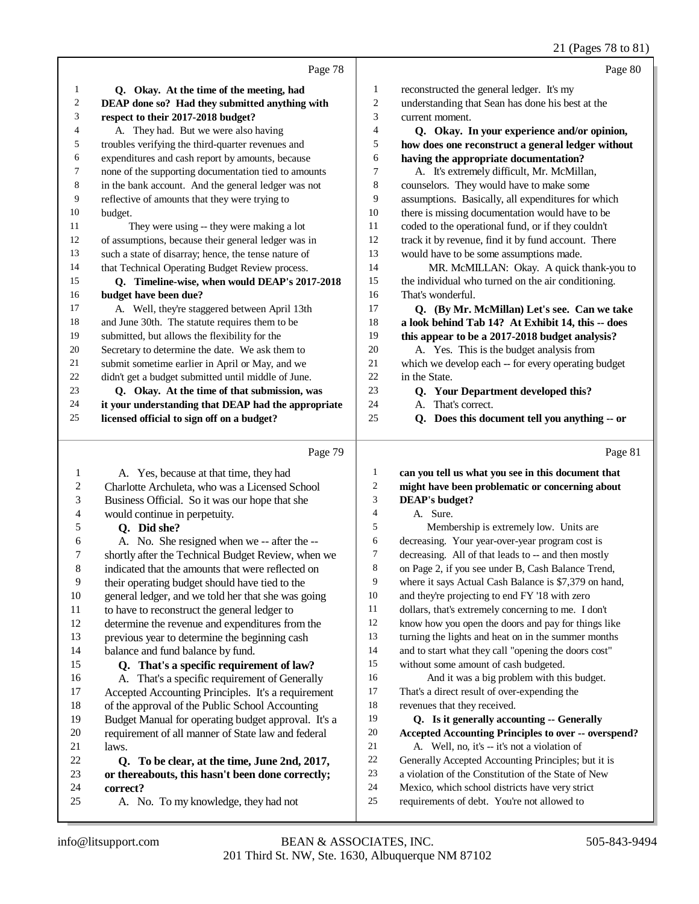21 (Pages 78 to 81)

|    |                                                      |    | $\angle 1$ (Fages 70 to 01                          |
|----|------------------------------------------------------|----|-----------------------------------------------------|
|    | Page 78                                              |    | Page 80                                             |
| 1  | Q. Okay. At the time of the meeting, had             | 1  | reconstructed the general ledger. It's my           |
| 2  | DEAP done so? Had they submitted anything with       | 2  | understanding that Sean has done his best at the    |
| 3  | respect to their 2017-2018 budget?                   | 3  | current moment.                                     |
| 4  | A. They had. But we were also having                 | 4  | Q. Okay. In your experience and/or opinion,         |
| 5  | troubles verifying the third-quarter revenues and    | 5  | how does one reconstruct a general ledger without   |
| 6  | expenditures and cash report by amounts, because     | 6  | having the appropriate documentation?               |
| 7  | none of the supporting documentation tied to amounts | 7  | A. It's extremely difficult, Mr. McMillan,          |
| 8  | in the bank account. And the general ledger was not  | 8  | counselors. They would have to make some            |
| 9  | reflective of amounts that they were trying to       | 9  | assumptions. Basically, all expenditures for which  |
| 10 | budget.                                              | 10 | there is missing documentation would have to be     |
| 11 | They were using -- they were making a lot            | 11 | coded to the operational fund, or if they couldn't  |
| 12 | of assumptions, because their general ledger was in  | 12 | track it by revenue, find it by fund account. There |
| 13 | such a state of disarray; hence, the tense nature of | 13 | would have to be some assumptions made.             |
| 14 | that Technical Operating Budget Review process.      | 14 | MR. McMILLAN: Okay. A quick thank-you to            |
| 15 | Q. Timeline-wise, when would DEAP's 2017-2018        | 15 | the individual who turned on the air conditioning.  |
| 16 | budget have been due?                                | 16 | That's wonderful.                                   |
| 17 | A. Well, they're staggered between April 13th        | 17 | Q. (By Mr. McMillan) Let's see. Can we take         |
| 18 | and June 30th. The statute requires them to be       | 18 | a look behind Tab 14? At Exhibit 14, this -- does   |
| 19 | submitted, but allows the flexibility for the        | 19 | this appear to be a 2017-2018 budget analysis?      |
| 20 | Secretary to determine the date. We ask them to      | 20 | A. Yes. This is the budget analysis from            |
| 21 | submit sometime earlier in April or May, and we      | 21 | which we develop each -- for every operating budget |
| 22 | didn't get a budget submitted until middle of June.  | 22 | in the State.                                       |
| 23 | Q. Okay. At the time of that submission, was         | 23 | Q. Your Department developed this?                  |
| 24 | it your understanding that DEAP had the appropriate  | 24 | A. That's correct.                                  |

 **Q. Does this document tell you anything -- or**

|                | Page 79                                             |                | Page 81                                                     |
|----------------|-----------------------------------------------------|----------------|-------------------------------------------------------------|
| 1              | A. Yes, because at that time, they had              | 1              | can you tell us what you see in this document that          |
| $\overline{c}$ | Charlotte Archuleta, who was a Licensed School      | $\overline{c}$ | might have been problematic or concerning about             |
| 3              | Business Official. So it was our hope that she      | 3              | <b>DEAP's budget?</b>                                       |
| 4              | would continue in perpetuity.                       | $\overline{4}$ | A. Sure.                                                    |
| 5              | Q. Did she?                                         | 5              | Membership is extremely low. Units are                      |
| 6              | A. No. She resigned when we -- after the --         | 6              | decreasing. Your year-over-year program cost is             |
| 7              | shortly after the Technical Budget Review, when we  | 7              | decreasing. All of that leads to -- and then mostly         |
| 8              | indicated that the amounts that were reflected on   | 8              | on Page 2, if you see under B, Cash Balance Trend,          |
| 9              | their operating budget should have tied to the      | 9              | where it says Actual Cash Balance is \$7,379 on hand,       |
| 10             | general ledger, and we told her that she was going  | 10             | and they're projecting to end FY '18 with zero              |
| 11             | to have to reconstruct the general ledger to        | 11             | dollars, that's extremely concerning to me. I don't         |
| 12             | determine the revenue and expenditures from the     | 12             | know how you open the doors and pay for things like         |
| 13             | previous year to determine the beginning cash       | 13             | turning the lights and heat on in the summer months         |
| 14             | balance and fund balance by fund.                   | 14             | and to start what they call "opening the doors cost"        |
| 15             | Q. That's a specific requirement of law?            | 15             | without some amount of cash budgeted.                       |
| 16             | A. That's a specific requirement of Generally       | 16             | And it was a big problem with this budget.                  |
| 17             | Accepted Accounting Principles. It's a requirement  | 17             | That's a direct result of over-expending the                |
| 18             | of the approval of the Public School Accounting     | 18             | revenues that they received.                                |
| 19             | Budget Manual for operating budget approval. It's a | 19             | Q. Is it generally accounting -- Generally                  |
| 20             | requirement of all manner of State law and federal  | 20             | <b>Accepted Accounting Principles to over -- overspend?</b> |
| 21             | laws.                                               | 21             | A. Well, no, it's -- it's not a violation of                |
| 22             | Q. To be clear, at the time, June 2nd, 2017,        | 22             | Generally Accepted Accounting Principles; but it is         |
| 23             | or thereabouts, this hasn't been done correctly;    | 23             | a violation of the Constitution of the State of New         |
| 24             | correct?                                            | 24             | Mexico, which school districts have very strict             |
| 25             | A. No. To my knowledge, they had not                | 25             | requirements of debt. You're not allowed to                 |

**licensed official to sign off on a budget?**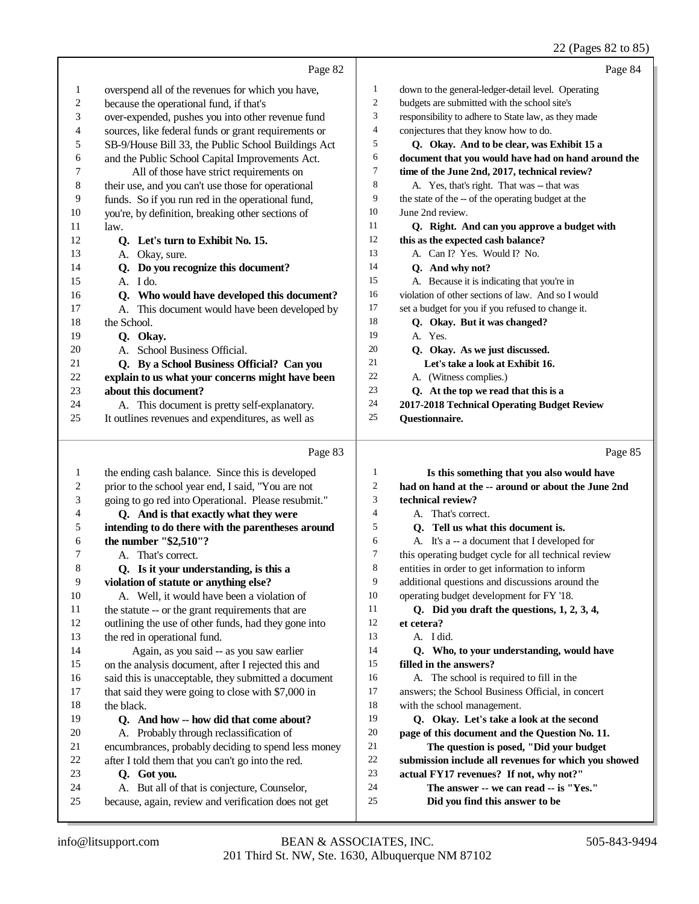#### 22 (Pages 82 to 85)

| Page 82<br>1<br>overspend all of the revenues for which you have,<br>$\mathbf{1}$<br>$\mathfrak{2}$<br>$\sqrt{2}$<br>budgets are submitted with the school site's<br>because the operational fund, if that's<br>3<br>3<br>over-expended, pushes you into other revenue fund<br>4<br>conjectures that they know how to do.<br>4<br>sources, like federal funds or grant requirements or<br>5<br>5<br>SB-9/House Bill 33, the Public School Buildings Act<br>6<br>and the Public School Capital Improvements Act.<br>6<br>7<br>7<br>All of those have strict requirements on<br>time of the June 2nd, 2017, technical review?<br>8<br>$\,8\,$<br>their use, and you can't use those for operational<br>A. Yes, that's right. That was -- that was<br>9<br>9<br>funds. So if you run red in the operational fund,<br>the state of the -- of the operating budget at the<br>10<br>10<br>you're, by definition, breaking other sections of<br>June 2nd review.<br>11<br>11<br>law.<br>12<br>12<br>Q. Let's turn to Exhibit No. 15.<br>this as the expected cash balance?<br>13<br>13<br>A. Can I? Yes. Would I? No.<br>A. Okay, sure.<br>14<br>14<br>Q. Do you recognize this document?<br>Q. And why not?<br>15<br>A. Because it is indicating that you're in<br>15<br>A. I do.<br>16<br>Q. Who would have developed this document?<br>16<br>17<br>17<br>set a budget for you if you refused to change it.<br>A. This document would have been developed by<br>18<br>18<br>Q. Okay. But it was changed?<br>the School.<br>19<br>19<br>A. Yes.<br>Q. Okay.<br>20<br>20<br>A. School Business Official.<br>Q. Okay. As we just discussed.<br>21<br>Q. By a School Business Official? Can you<br>21<br>Let's take a look at Exhibit 16.<br>22<br>22<br>explain to us what your concerns might have been<br>A. (Witness complies.)<br>23<br>23<br>about this document?<br>Q. At the top we read that this is a<br>24<br>24<br>A. This document is pretty self-explanatory.<br>25<br>25<br>It outlines revenues and expenditures, as well as<br>Questionnaire.<br>Page 83<br>Is this something that you also would have<br>the ending cash balance. Since this is developed<br>1<br>$\mathbf{1}$<br>$\boldsymbol{2}$<br>$\boldsymbol{2}$<br>had on hand at the -- around or about the June 2nd<br>prior to the school year end, I said, "You are not<br>3<br>3<br>going to go red into Operational. Please resubmit."<br>technical review?<br>Q. And is that exactly what they were<br>4<br>4<br>A. That's correct.<br>5<br>5<br>intending to do there with the parentheses around<br>Q. Tell us what this document is.<br>the number "\$2,510"?<br>6<br>A. It's a -- a document that I developed for<br>6<br>7<br>7<br>this operating budget cycle for all technical review<br>A. That's correct.<br>8<br>entities in order to get information to inform<br>8<br>Q. Is it your understanding, is this a<br>additional questions and discussions around the<br>9<br>9<br>violation of statute or anything else?<br>10<br>operating budget development for FY '18.<br>10<br>A. Well, it would have been a violation of<br>11<br>11<br>Q. Did you draft the questions, 1, 2, 3, 4,<br>the statute -- or the grant requirements that are<br>12<br>12<br>et cetera?<br>outlining the use of other funds, had they gone into<br>13<br>13<br>the red in operational fund.<br>A. I did.<br>14<br>14<br>Again, as you said -- as you saw earlier<br>Q. Who, to your understanding, would have<br>15<br>15<br>filled in the answers?<br>on the analysis document, after I rejected this and<br>16<br>16<br>A. The school is required to fill in the<br>said this is unacceptable, they submitted a document | Page 84 | down to the general-ledger-detail level. Operating<br>responsibility to adhere to State law, as they made<br>Q. Okay. And to be clear, was Exhibit 15 a<br>document that you would have had on hand around the<br>Q. Right. And can you approve a budget with<br>violation of other sections of law. And so I would |                                                    |    |
|-------------------------------------------------------------------------------------------------------------------------------------------------------------------------------------------------------------------------------------------------------------------------------------------------------------------------------------------------------------------------------------------------------------------------------------------------------------------------------------------------------------------------------------------------------------------------------------------------------------------------------------------------------------------------------------------------------------------------------------------------------------------------------------------------------------------------------------------------------------------------------------------------------------------------------------------------------------------------------------------------------------------------------------------------------------------------------------------------------------------------------------------------------------------------------------------------------------------------------------------------------------------------------------------------------------------------------------------------------------------------------------------------------------------------------------------------------------------------------------------------------------------------------------------------------------------------------------------------------------------------------------------------------------------------------------------------------------------------------------------------------------------------------------------------------------------------------------------------------------------------------------------------------------------------------------------------------------------------------------------------------------------------------------------------------------------------------------------------------------------------------------------------------------------------------------------------------------------------------------------------------------------------------------------------------------------------------------------------------------------------------------------------------------------------------------------------------------------------------------------------------------------------------------------------------------------------------------------------------------------------------------------------------------------------------------------------------------------------------------------------------------------------------------------------------------------------------------------------------------------------------------------------------------------------------------------------------------------------------------------------------------------------------------------------------------------------------------------------------------------------------------------------------------------------------------------------------------------------------------------------------------------------------------------------------------------------------------------------------------------------------------------------------------------------------------------------------------------------------------------------------------------------------------------------------------------------------------------------------------------------------------------------------------------------------------------|---------|---------------------------------------------------------------------------------------------------------------------------------------------------------------------------------------------------------------------------------------------------------------------------------------------------------------------|----------------------------------------------------|----|
|                                                                                                                                                                                                                                                                                                                                                                                                                                                                                                                                                                                                                                                                                                                                                                                                                                                                                                                                                                                                                                                                                                                                                                                                                                                                                                                                                                                                                                                                                                                                                                                                                                                                                                                                                                                                                                                                                                                                                                                                                                                                                                                                                                                                                                                                                                                                                                                                                                                                                                                                                                                                                                                                                                                                                                                                                                                                                                                                                                                                                                                                                                                                                                                                                                                                                                                                                                                                                                                                                                                                                                                                                                                                                           |         |                                                                                                                                                                                                                                                                                                                     |                                                    |    |
|                                                                                                                                                                                                                                                                                                                                                                                                                                                                                                                                                                                                                                                                                                                                                                                                                                                                                                                                                                                                                                                                                                                                                                                                                                                                                                                                                                                                                                                                                                                                                                                                                                                                                                                                                                                                                                                                                                                                                                                                                                                                                                                                                                                                                                                                                                                                                                                                                                                                                                                                                                                                                                                                                                                                                                                                                                                                                                                                                                                                                                                                                                                                                                                                                                                                                                                                                                                                                                                                                                                                                                                                                                                                                           |         |                                                                                                                                                                                                                                                                                                                     |                                                    |    |
|                                                                                                                                                                                                                                                                                                                                                                                                                                                                                                                                                                                                                                                                                                                                                                                                                                                                                                                                                                                                                                                                                                                                                                                                                                                                                                                                                                                                                                                                                                                                                                                                                                                                                                                                                                                                                                                                                                                                                                                                                                                                                                                                                                                                                                                                                                                                                                                                                                                                                                                                                                                                                                                                                                                                                                                                                                                                                                                                                                                                                                                                                                                                                                                                                                                                                                                                                                                                                                                                                                                                                                                                                                                                                           |         |                                                                                                                                                                                                                                                                                                                     |                                                    |    |
|                                                                                                                                                                                                                                                                                                                                                                                                                                                                                                                                                                                                                                                                                                                                                                                                                                                                                                                                                                                                                                                                                                                                                                                                                                                                                                                                                                                                                                                                                                                                                                                                                                                                                                                                                                                                                                                                                                                                                                                                                                                                                                                                                                                                                                                                                                                                                                                                                                                                                                                                                                                                                                                                                                                                                                                                                                                                                                                                                                                                                                                                                                                                                                                                                                                                                                                                                                                                                                                                                                                                                                                                                                                                                           |         |                                                                                                                                                                                                                                                                                                                     |                                                    |    |
|                                                                                                                                                                                                                                                                                                                                                                                                                                                                                                                                                                                                                                                                                                                                                                                                                                                                                                                                                                                                                                                                                                                                                                                                                                                                                                                                                                                                                                                                                                                                                                                                                                                                                                                                                                                                                                                                                                                                                                                                                                                                                                                                                                                                                                                                                                                                                                                                                                                                                                                                                                                                                                                                                                                                                                                                                                                                                                                                                                                                                                                                                                                                                                                                                                                                                                                                                                                                                                                                                                                                                                                                                                                                                           |         |                                                                                                                                                                                                                                                                                                                     |                                                    |    |
|                                                                                                                                                                                                                                                                                                                                                                                                                                                                                                                                                                                                                                                                                                                                                                                                                                                                                                                                                                                                                                                                                                                                                                                                                                                                                                                                                                                                                                                                                                                                                                                                                                                                                                                                                                                                                                                                                                                                                                                                                                                                                                                                                                                                                                                                                                                                                                                                                                                                                                                                                                                                                                                                                                                                                                                                                                                                                                                                                                                                                                                                                                                                                                                                                                                                                                                                                                                                                                                                                                                                                                                                                                                                                           |         |                                                                                                                                                                                                                                                                                                                     |                                                    |    |
|                                                                                                                                                                                                                                                                                                                                                                                                                                                                                                                                                                                                                                                                                                                                                                                                                                                                                                                                                                                                                                                                                                                                                                                                                                                                                                                                                                                                                                                                                                                                                                                                                                                                                                                                                                                                                                                                                                                                                                                                                                                                                                                                                                                                                                                                                                                                                                                                                                                                                                                                                                                                                                                                                                                                                                                                                                                                                                                                                                                                                                                                                                                                                                                                                                                                                                                                                                                                                                                                                                                                                                                                                                                                                           |         |                                                                                                                                                                                                                                                                                                                     |                                                    |    |
|                                                                                                                                                                                                                                                                                                                                                                                                                                                                                                                                                                                                                                                                                                                                                                                                                                                                                                                                                                                                                                                                                                                                                                                                                                                                                                                                                                                                                                                                                                                                                                                                                                                                                                                                                                                                                                                                                                                                                                                                                                                                                                                                                                                                                                                                                                                                                                                                                                                                                                                                                                                                                                                                                                                                                                                                                                                                                                                                                                                                                                                                                                                                                                                                                                                                                                                                                                                                                                                                                                                                                                                                                                                                                           |         |                                                                                                                                                                                                                                                                                                                     |                                                    |    |
|                                                                                                                                                                                                                                                                                                                                                                                                                                                                                                                                                                                                                                                                                                                                                                                                                                                                                                                                                                                                                                                                                                                                                                                                                                                                                                                                                                                                                                                                                                                                                                                                                                                                                                                                                                                                                                                                                                                                                                                                                                                                                                                                                                                                                                                                                                                                                                                                                                                                                                                                                                                                                                                                                                                                                                                                                                                                                                                                                                                                                                                                                                                                                                                                                                                                                                                                                                                                                                                                                                                                                                                                                                                                                           |         |                                                                                                                                                                                                                                                                                                                     |                                                    |    |
|                                                                                                                                                                                                                                                                                                                                                                                                                                                                                                                                                                                                                                                                                                                                                                                                                                                                                                                                                                                                                                                                                                                                                                                                                                                                                                                                                                                                                                                                                                                                                                                                                                                                                                                                                                                                                                                                                                                                                                                                                                                                                                                                                                                                                                                                                                                                                                                                                                                                                                                                                                                                                                                                                                                                                                                                                                                                                                                                                                                                                                                                                                                                                                                                                                                                                                                                                                                                                                                                                                                                                                                                                                                                                           |         |                                                                                                                                                                                                                                                                                                                     |                                                    |    |
|                                                                                                                                                                                                                                                                                                                                                                                                                                                                                                                                                                                                                                                                                                                                                                                                                                                                                                                                                                                                                                                                                                                                                                                                                                                                                                                                                                                                                                                                                                                                                                                                                                                                                                                                                                                                                                                                                                                                                                                                                                                                                                                                                                                                                                                                                                                                                                                                                                                                                                                                                                                                                                                                                                                                                                                                                                                                                                                                                                                                                                                                                                                                                                                                                                                                                                                                                                                                                                                                                                                                                                                                                                                                                           |         |                                                                                                                                                                                                                                                                                                                     |                                                    |    |
|                                                                                                                                                                                                                                                                                                                                                                                                                                                                                                                                                                                                                                                                                                                                                                                                                                                                                                                                                                                                                                                                                                                                                                                                                                                                                                                                                                                                                                                                                                                                                                                                                                                                                                                                                                                                                                                                                                                                                                                                                                                                                                                                                                                                                                                                                                                                                                                                                                                                                                                                                                                                                                                                                                                                                                                                                                                                                                                                                                                                                                                                                                                                                                                                                                                                                                                                                                                                                                                                                                                                                                                                                                                                                           |         |                                                                                                                                                                                                                                                                                                                     |                                                    |    |
|                                                                                                                                                                                                                                                                                                                                                                                                                                                                                                                                                                                                                                                                                                                                                                                                                                                                                                                                                                                                                                                                                                                                                                                                                                                                                                                                                                                                                                                                                                                                                                                                                                                                                                                                                                                                                                                                                                                                                                                                                                                                                                                                                                                                                                                                                                                                                                                                                                                                                                                                                                                                                                                                                                                                                                                                                                                                                                                                                                                                                                                                                                                                                                                                                                                                                                                                                                                                                                                                                                                                                                                                                                                                                           |         |                                                                                                                                                                                                                                                                                                                     |                                                    |    |
|                                                                                                                                                                                                                                                                                                                                                                                                                                                                                                                                                                                                                                                                                                                                                                                                                                                                                                                                                                                                                                                                                                                                                                                                                                                                                                                                                                                                                                                                                                                                                                                                                                                                                                                                                                                                                                                                                                                                                                                                                                                                                                                                                                                                                                                                                                                                                                                                                                                                                                                                                                                                                                                                                                                                                                                                                                                                                                                                                                                                                                                                                                                                                                                                                                                                                                                                                                                                                                                                                                                                                                                                                                                                                           |         |                                                                                                                                                                                                                                                                                                                     |                                                    |    |
|                                                                                                                                                                                                                                                                                                                                                                                                                                                                                                                                                                                                                                                                                                                                                                                                                                                                                                                                                                                                                                                                                                                                                                                                                                                                                                                                                                                                                                                                                                                                                                                                                                                                                                                                                                                                                                                                                                                                                                                                                                                                                                                                                                                                                                                                                                                                                                                                                                                                                                                                                                                                                                                                                                                                                                                                                                                                                                                                                                                                                                                                                                                                                                                                                                                                                                                                                                                                                                                                                                                                                                                                                                                                                           |         |                                                                                                                                                                                                                                                                                                                     |                                                    |    |
|                                                                                                                                                                                                                                                                                                                                                                                                                                                                                                                                                                                                                                                                                                                                                                                                                                                                                                                                                                                                                                                                                                                                                                                                                                                                                                                                                                                                                                                                                                                                                                                                                                                                                                                                                                                                                                                                                                                                                                                                                                                                                                                                                                                                                                                                                                                                                                                                                                                                                                                                                                                                                                                                                                                                                                                                                                                                                                                                                                                                                                                                                                                                                                                                                                                                                                                                                                                                                                                                                                                                                                                                                                                                                           |         |                                                                                                                                                                                                                                                                                                                     |                                                    |    |
|                                                                                                                                                                                                                                                                                                                                                                                                                                                                                                                                                                                                                                                                                                                                                                                                                                                                                                                                                                                                                                                                                                                                                                                                                                                                                                                                                                                                                                                                                                                                                                                                                                                                                                                                                                                                                                                                                                                                                                                                                                                                                                                                                                                                                                                                                                                                                                                                                                                                                                                                                                                                                                                                                                                                                                                                                                                                                                                                                                                                                                                                                                                                                                                                                                                                                                                                                                                                                                                                                                                                                                                                                                                                                           |         |                                                                                                                                                                                                                                                                                                                     |                                                    |    |
|                                                                                                                                                                                                                                                                                                                                                                                                                                                                                                                                                                                                                                                                                                                                                                                                                                                                                                                                                                                                                                                                                                                                                                                                                                                                                                                                                                                                                                                                                                                                                                                                                                                                                                                                                                                                                                                                                                                                                                                                                                                                                                                                                                                                                                                                                                                                                                                                                                                                                                                                                                                                                                                                                                                                                                                                                                                                                                                                                                                                                                                                                                                                                                                                                                                                                                                                                                                                                                                                                                                                                                                                                                                                                           |         |                                                                                                                                                                                                                                                                                                                     |                                                    |    |
|                                                                                                                                                                                                                                                                                                                                                                                                                                                                                                                                                                                                                                                                                                                                                                                                                                                                                                                                                                                                                                                                                                                                                                                                                                                                                                                                                                                                                                                                                                                                                                                                                                                                                                                                                                                                                                                                                                                                                                                                                                                                                                                                                                                                                                                                                                                                                                                                                                                                                                                                                                                                                                                                                                                                                                                                                                                                                                                                                                                                                                                                                                                                                                                                                                                                                                                                                                                                                                                                                                                                                                                                                                                                                           |         |                                                                                                                                                                                                                                                                                                                     |                                                    |    |
|                                                                                                                                                                                                                                                                                                                                                                                                                                                                                                                                                                                                                                                                                                                                                                                                                                                                                                                                                                                                                                                                                                                                                                                                                                                                                                                                                                                                                                                                                                                                                                                                                                                                                                                                                                                                                                                                                                                                                                                                                                                                                                                                                                                                                                                                                                                                                                                                                                                                                                                                                                                                                                                                                                                                                                                                                                                                                                                                                                                                                                                                                                                                                                                                                                                                                                                                                                                                                                                                                                                                                                                                                                                                                           |         |                                                                                                                                                                                                                                                                                                                     |                                                    |    |
|                                                                                                                                                                                                                                                                                                                                                                                                                                                                                                                                                                                                                                                                                                                                                                                                                                                                                                                                                                                                                                                                                                                                                                                                                                                                                                                                                                                                                                                                                                                                                                                                                                                                                                                                                                                                                                                                                                                                                                                                                                                                                                                                                                                                                                                                                                                                                                                                                                                                                                                                                                                                                                                                                                                                                                                                                                                                                                                                                                                                                                                                                                                                                                                                                                                                                                                                                                                                                                                                                                                                                                                                                                                                                           |         |                                                                                                                                                                                                                                                                                                                     |                                                    |    |
|                                                                                                                                                                                                                                                                                                                                                                                                                                                                                                                                                                                                                                                                                                                                                                                                                                                                                                                                                                                                                                                                                                                                                                                                                                                                                                                                                                                                                                                                                                                                                                                                                                                                                                                                                                                                                                                                                                                                                                                                                                                                                                                                                                                                                                                                                                                                                                                                                                                                                                                                                                                                                                                                                                                                                                                                                                                                                                                                                                                                                                                                                                                                                                                                                                                                                                                                                                                                                                                                                                                                                                                                                                                                                           |         |                                                                                                                                                                                                                                                                                                                     |                                                    |    |
|                                                                                                                                                                                                                                                                                                                                                                                                                                                                                                                                                                                                                                                                                                                                                                                                                                                                                                                                                                                                                                                                                                                                                                                                                                                                                                                                                                                                                                                                                                                                                                                                                                                                                                                                                                                                                                                                                                                                                                                                                                                                                                                                                                                                                                                                                                                                                                                                                                                                                                                                                                                                                                                                                                                                                                                                                                                                                                                                                                                                                                                                                                                                                                                                                                                                                                                                                                                                                                                                                                                                                                                                                                                                                           |         |                                                                                                                                                                                                                                                                                                                     |                                                    |    |
|                                                                                                                                                                                                                                                                                                                                                                                                                                                                                                                                                                                                                                                                                                                                                                                                                                                                                                                                                                                                                                                                                                                                                                                                                                                                                                                                                                                                                                                                                                                                                                                                                                                                                                                                                                                                                                                                                                                                                                                                                                                                                                                                                                                                                                                                                                                                                                                                                                                                                                                                                                                                                                                                                                                                                                                                                                                                                                                                                                                                                                                                                                                                                                                                                                                                                                                                                                                                                                                                                                                                                                                                                                                                                           |         |                                                                                                                                                                                                                                                                                                                     |                                                    |    |
|                                                                                                                                                                                                                                                                                                                                                                                                                                                                                                                                                                                                                                                                                                                                                                                                                                                                                                                                                                                                                                                                                                                                                                                                                                                                                                                                                                                                                                                                                                                                                                                                                                                                                                                                                                                                                                                                                                                                                                                                                                                                                                                                                                                                                                                                                                                                                                                                                                                                                                                                                                                                                                                                                                                                                                                                                                                                                                                                                                                                                                                                                                                                                                                                                                                                                                                                                                                                                                                                                                                                                                                                                                                                                           |         | 2017-2018 Technical Operating Budget Review                                                                                                                                                                                                                                                                         |                                                    |    |
|                                                                                                                                                                                                                                                                                                                                                                                                                                                                                                                                                                                                                                                                                                                                                                                                                                                                                                                                                                                                                                                                                                                                                                                                                                                                                                                                                                                                                                                                                                                                                                                                                                                                                                                                                                                                                                                                                                                                                                                                                                                                                                                                                                                                                                                                                                                                                                                                                                                                                                                                                                                                                                                                                                                                                                                                                                                                                                                                                                                                                                                                                                                                                                                                                                                                                                                                                                                                                                                                                                                                                                                                                                                                                           |         |                                                                                                                                                                                                                                                                                                                     |                                                    |    |
|                                                                                                                                                                                                                                                                                                                                                                                                                                                                                                                                                                                                                                                                                                                                                                                                                                                                                                                                                                                                                                                                                                                                                                                                                                                                                                                                                                                                                                                                                                                                                                                                                                                                                                                                                                                                                                                                                                                                                                                                                                                                                                                                                                                                                                                                                                                                                                                                                                                                                                                                                                                                                                                                                                                                                                                                                                                                                                                                                                                                                                                                                                                                                                                                                                                                                                                                                                                                                                                                                                                                                                                                                                                                                           | Page 85 |                                                                                                                                                                                                                                                                                                                     |                                                    |    |
|                                                                                                                                                                                                                                                                                                                                                                                                                                                                                                                                                                                                                                                                                                                                                                                                                                                                                                                                                                                                                                                                                                                                                                                                                                                                                                                                                                                                                                                                                                                                                                                                                                                                                                                                                                                                                                                                                                                                                                                                                                                                                                                                                                                                                                                                                                                                                                                                                                                                                                                                                                                                                                                                                                                                                                                                                                                                                                                                                                                                                                                                                                                                                                                                                                                                                                                                                                                                                                                                                                                                                                                                                                                                                           |         |                                                                                                                                                                                                                                                                                                                     |                                                    |    |
|                                                                                                                                                                                                                                                                                                                                                                                                                                                                                                                                                                                                                                                                                                                                                                                                                                                                                                                                                                                                                                                                                                                                                                                                                                                                                                                                                                                                                                                                                                                                                                                                                                                                                                                                                                                                                                                                                                                                                                                                                                                                                                                                                                                                                                                                                                                                                                                                                                                                                                                                                                                                                                                                                                                                                                                                                                                                                                                                                                                                                                                                                                                                                                                                                                                                                                                                                                                                                                                                                                                                                                                                                                                                                           |         |                                                                                                                                                                                                                                                                                                                     |                                                    |    |
|                                                                                                                                                                                                                                                                                                                                                                                                                                                                                                                                                                                                                                                                                                                                                                                                                                                                                                                                                                                                                                                                                                                                                                                                                                                                                                                                                                                                                                                                                                                                                                                                                                                                                                                                                                                                                                                                                                                                                                                                                                                                                                                                                                                                                                                                                                                                                                                                                                                                                                                                                                                                                                                                                                                                                                                                                                                                                                                                                                                                                                                                                                                                                                                                                                                                                                                                                                                                                                                                                                                                                                                                                                                                                           |         |                                                                                                                                                                                                                                                                                                                     |                                                    |    |
|                                                                                                                                                                                                                                                                                                                                                                                                                                                                                                                                                                                                                                                                                                                                                                                                                                                                                                                                                                                                                                                                                                                                                                                                                                                                                                                                                                                                                                                                                                                                                                                                                                                                                                                                                                                                                                                                                                                                                                                                                                                                                                                                                                                                                                                                                                                                                                                                                                                                                                                                                                                                                                                                                                                                                                                                                                                                                                                                                                                                                                                                                                                                                                                                                                                                                                                                                                                                                                                                                                                                                                                                                                                                                           |         |                                                                                                                                                                                                                                                                                                                     |                                                    |    |
|                                                                                                                                                                                                                                                                                                                                                                                                                                                                                                                                                                                                                                                                                                                                                                                                                                                                                                                                                                                                                                                                                                                                                                                                                                                                                                                                                                                                                                                                                                                                                                                                                                                                                                                                                                                                                                                                                                                                                                                                                                                                                                                                                                                                                                                                                                                                                                                                                                                                                                                                                                                                                                                                                                                                                                                                                                                                                                                                                                                                                                                                                                                                                                                                                                                                                                                                                                                                                                                                                                                                                                                                                                                                                           |         |                                                                                                                                                                                                                                                                                                                     |                                                    |    |
|                                                                                                                                                                                                                                                                                                                                                                                                                                                                                                                                                                                                                                                                                                                                                                                                                                                                                                                                                                                                                                                                                                                                                                                                                                                                                                                                                                                                                                                                                                                                                                                                                                                                                                                                                                                                                                                                                                                                                                                                                                                                                                                                                                                                                                                                                                                                                                                                                                                                                                                                                                                                                                                                                                                                                                                                                                                                                                                                                                                                                                                                                                                                                                                                                                                                                                                                                                                                                                                                                                                                                                                                                                                                                           |         |                                                                                                                                                                                                                                                                                                                     |                                                    |    |
|                                                                                                                                                                                                                                                                                                                                                                                                                                                                                                                                                                                                                                                                                                                                                                                                                                                                                                                                                                                                                                                                                                                                                                                                                                                                                                                                                                                                                                                                                                                                                                                                                                                                                                                                                                                                                                                                                                                                                                                                                                                                                                                                                                                                                                                                                                                                                                                                                                                                                                                                                                                                                                                                                                                                                                                                                                                                                                                                                                                                                                                                                                                                                                                                                                                                                                                                                                                                                                                                                                                                                                                                                                                                                           |         |                                                                                                                                                                                                                                                                                                                     |                                                    |    |
|                                                                                                                                                                                                                                                                                                                                                                                                                                                                                                                                                                                                                                                                                                                                                                                                                                                                                                                                                                                                                                                                                                                                                                                                                                                                                                                                                                                                                                                                                                                                                                                                                                                                                                                                                                                                                                                                                                                                                                                                                                                                                                                                                                                                                                                                                                                                                                                                                                                                                                                                                                                                                                                                                                                                                                                                                                                                                                                                                                                                                                                                                                                                                                                                                                                                                                                                                                                                                                                                                                                                                                                                                                                                                           |         |                                                                                                                                                                                                                                                                                                                     |                                                    |    |
|                                                                                                                                                                                                                                                                                                                                                                                                                                                                                                                                                                                                                                                                                                                                                                                                                                                                                                                                                                                                                                                                                                                                                                                                                                                                                                                                                                                                                                                                                                                                                                                                                                                                                                                                                                                                                                                                                                                                                                                                                                                                                                                                                                                                                                                                                                                                                                                                                                                                                                                                                                                                                                                                                                                                                                                                                                                                                                                                                                                                                                                                                                                                                                                                                                                                                                                                                                                                                                                                                                                                                                                                                                                                                           |         |                                                                                                                                                                                                                                                                                                                     |                                                    |    |
|                                                                                                                                                                                                                                                                                                                                                                                                                                                                                                                                                                                                                                                                                                                                                                                                                                                                                                                                                                                                                                                                                                                                                                                                                                                                                                                                                                                                                                                                                                                                                                                                                                                                                                                                                                                                                                                                                                                                                                                                                                                                                                                                                                                                                                                                                                                                                                                                                                                                                                                                                                                                                                                                                                                                                                                                                                                                                                                                                                                                                                                                                                                                                                                                                                                                                                                                                                                                                                                                                                                                                                                                                                                                                           |         |                                                                                                                                                                                                                                                                                                                     |                                                    |    |
|                                                                                                                                                                                                                                                                                                                                                                                                                                                                                                                                                                                                                                                                                                                                                                                                                                                                                                                                                                                                                                                                                                                                                                                                                                                                                                                                                                                                                                                                                                                                                                                                                                                                                                                                                                                                                                                                                                                                                                                                                                                                                                                                                                                                                                                                                                                                                                                                                                                                                                                                                                                                                                                                                                                                                                                                                                                                                                                                                                                                                                                                                                                                                                                                                                                                                                                                                                                                                                                                                                                                                                                                                                                                                           |         |                                                                                                                                                                                                                                                                                                                     |                                                    |    |
|                                                                                                                                                                                                                                                                                                                                                                                                                                                                                                                                                                                                                                                                                                                                                                                                                                                                                                                                                                                                                                                                                                                                                                                                                                                                                                                                                                                                                                                                                                                                                                                                                                                                                                                                                                                                                                                                                                                                                                                                                                                                                                                                                                                                                                                                                                                                                                                                                                                                                                                                                                                                                                                                                                                                                                                                                                                                                                                                                                                                                                                                                                                                                                                                                                                                                                                                                                                                                                                                                                                                                                                                                                                                                           |         |                                                                                                                                                                                                                                                                                                                     |                                                    |    |
|                                                                                                                                                                                                                                                                                                                                                                                                                                                                                                                                                                                                                                                                                                                                                                                                                                                                                                                                                                                                                                                                                                                                                                                                                                                                                                                                                                                                                                                                                                                                                                                                                                                                                                                                                                                                                                                                                                                                                                                                                                                                                                                                                                                                                                                                                                                                                                                                                                                                                                                                                                                                                                                                                                                                                                                                                                                                                                                                                                                                                                                                                                                                                                                                                                                                                                                                                                                                                                                                                                                                                                                                                                                                                           |         |                                                                                                                                                                                                                                                                                                                     |                                                    |    |
|                                                                                                                                                                                                                                                                                                                                                                                                                                                                                                                                                                                                                                                                                                                                                                                                                                                                                                                                                                                                                                                                                                                                                                                                                                                                                                                                                                                                                                                                                                                                                                                                                                                                                                                                                                                                                                                                                                                                                                                                                                                                                                                                                                                                                                                                                                                                                                                                                                                                                                                                                                                                                                                                                                                                                                                                                                                                                                                                                                                                                                                                                                                                                                                                                                                                                                                                                                                                                                                                                                                                                                                                                                                                                           |         |                                                                                                                                                                                                                                                                                                                     |                                                    |    |
|                                                                                                                                                                                                                                                                                                                                                                                                                                                                                                                                                                                                                                                                                                                                                                                                                                                                                                                                                                                                                                                                                                                                                                                                                                                                                                                                                                                                                                                                                                                                                                                                                                                                                                                                                                                                                                                                                                                                                                                                                                                                                                                                                                                                                                                                                                                                                                                                                                                                                                                                                                                                                                                                                                                                                                                                                                                                                                                                                                                                                                                                                                                                                                                                                                                                                                                                                                                                                                                                                                                                                                                                                                                                                           |         |                                                                                                                                                                                                                                                                                                                     |                                                    |    |
|                                                                                                                                                                                                                                                                                                                                                                                                                                                                                                                                                                                                                                                                                                                                                                                                                                                                                                                                                                                                                                                                                                                                                                                                                                                                                                                                                                                                                                                                                                                                                                                                                                                                                                                                                                                                                                                                                                                                                                                                                                                                                                                                                                                                                                                                                                                                                                                                                                                                                                                                                                                                                                                                                                                                                                                                                                                                                                                                                                                                                                                                                                                                                                                                                                                                                                                                                                                                                                                                                                                                                                                                                                                                                           |         |                                                                                                                                                                                                                                                                                                                     |                                                    |    |
| 17                                                                                                                                                                                                                                                                                                                                                                                                                                                                                                                                                                                                                                                                                                                                                                                                                                                                                                                                                                                                                                                                                                                                                                                                                                                                                                                                                                                                                                                                                                                                                                                                                                                                                                                                                                                                                                                                                                                                                                                                                                                                                                                                                                                                                                                                                                                                                                                                                                                                                                                                                                                                                                                                                                                                                                                                                                                                                                                                                                                                                                                                                                                                                                                                                                                                                                                                                                                                                                                                                                                                                                                                                                                                                        |         | answers; the School Business Official, in concert                                                                                                                                                                                                                                                                   | that said they were going to close with \$7,000 in | 17 |
| 18<br>18<br>with the school management.<br>the black.                                                                                                                                                                                                                                                                                                                                                                                                                                                                                                                                                                                                                                                                                                                                                                                                                                                                                                                                                                                                                                                                                                                                                                                                                                                                                                                                                                                                                                                                                                                                                                                                                                                                                                                                                                                                                                                                                                                                                                                                                                                                                                                                                                                                                                                                                                                                                                                                                                                                                                                                                                                                                                                                                                                                                                                                                                                                                                                                                                                                                                                                                                                                                                                                                                                                                                                                                                                                                                                                                                                                                                                                                                     |         |                                                                                                                                                                                                                                                                                                                     |                                                    |    |
| 19<br>19<br>Q. And how -- how did that come about?                                                                                                                                                                                                                                                                                                                                                                                                                                                                                                                                                                                                                                                                                                                                                                                                                                                                                                                                                                                                                                                                                                                                                                                                                                                                                                                                                                                                                                                                                                                                                                                                                                                                                                                                                                                                                                                                                                                                                                                                                                                                                                                                                                                                                                                                                                                                                                                                                                                                                                                                                                                                                                                                                                                                                                                                                                                                                                                                                                                                                                                                                                                                                                                                                                                                                                                                                                                                                                                                                                                                                                                                                                        |         | Q. Okay. Let's take a look at the second                                                                                                                                                                                                                                                                            |                                                    |    |
| 20<br>20<br>A. Probably through reclassification of                                                                                                                                                                                                                                                                                                                                                                                                                                                                                                                                                                                                                                                                                                                                                                                                                                                                                                                                                                                                                                                                                                                                                                                                                                                                                                                                                                                                                                                                                                                                                                                                                                                                                                                                                                                                                                                                                                                                                                                                                                                                                                                                                                                                                                                                                                                                                                                                                                                                                                                                                                                                                                                                                                                                                                                                                                                                                                                                                                                                                                                                                                                                                                                                                                                                                                                                                                                                                                                                                                                                                                                                                                       |         | page of this document and the Question No. 11.                                                                                                                                                                                                                                                                      |                                                    |    |
| 21<br>21<br>encumbrances, probably deciding to spend less money                                                                                                                                                                                                                                                                                                                                                                                                                                                                                                                                                                                                                                                                                                                                                                                                                                                                                                                                                                                                                                                                                                                                                                                                                                                                                                                                                                                                                                                                                                                                                                                                                                                                                                                                                                                                                                                                                                                                                                                                                                                                                                                                                                                                                                                                                                                                                                                                                                                                                                                                                                                                                                                                                                                                                                                                                                                                                                                                                                                                                                                                                                                                                                                                                                                                                                                                                                                                                                                                                                                                                                                                                           |         | The question is posed, "Did your budget                                                                                                                                                                                                                                                                             |                                                    |    |
| 22<br>$22\,$<br>after I told them that you can't go into the red.                                                                                                                                                                                                                                                                                                                                                                                                                                                                                                                                                                                                                                                                                                                                                                                                                                                                                                                                                                                                                                                                                                                                                                                                                                                                                                                                                                                                                                                                                                                                                                                                                                                                                                                                                                                                                                                                                                                                                                                                                                                                                                                                                                                                                                                                                                                                                                                                                                                                                                                                                                                                                                                                                                                                                                                                                                                                                                                                                                                                                                                                                                                                                                                                                                                                                                                                                                                                                                                                                                                                                                                                                         |         | submission include all revenues for which you showed                                                                                                                                                                                                                                                                |                                                    |    |
|                                                                                                                                                                                                                                                                                                                                                                                                                                                                                                                                                                                                                                                                                                                                                                                                                                                                                                                                                                                                                                                                                                                                                                                                                                                                                                                                                                                                                                                                                                                                                                                                                                                                                                                                                                                                                                                                                                                                                                                                                                                                                                                                                                                                                                                                                                                                                                                                                                                                                                                                                                                                                                                                                                                                                                                                                                                                                                                                                                                                                                                                                                                                                                                                                                                                                                                                                                                                                                                                                                                                                                                                                                                                                           |         | actual FY17 revenues? If not, why not?"                                                                                                                                                                                                                                                                             | Q. Got you.                                        | 23 |
| 23                                                                                                                                                                                                                                                                                                                                                                                                                                                                                                                                                                                                                                                                                                                                                                                                                                                                                                                                                                                                                                                                                                                                                                                                                                                                                                                                                                                                                                                                                                                                                                                                                                                                                                                                                                                                                                                                                                                                                                                                                                                                                                                                                                                                                                                                                                                                                                                                                                                                                                                                                                                                                                                                                                                                                                                                                                                                                                                                                                                                                                                                                                                                                                                                                                                                                                                                                                                                                                                                                                                                                                                                                                                                                        |         | 24<br>The answer -- we can read -- is "Yes."                                                                                                                                                                                                                                                                        | A. But all of that is conjecture, Counselor,       | 24 |

because, again, review and verification does not get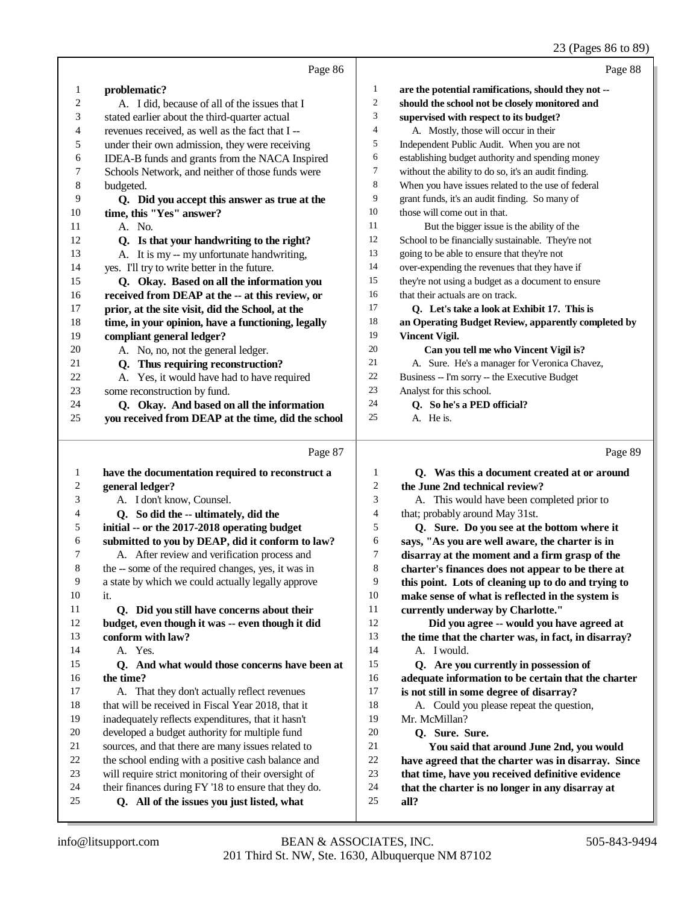#### 23 (Pages 86 to 89)

|    |                                                     |    | $\sim$                                               |
|----|-----------------------------------------------------|----|------------------------------------------------------|
|    | Page 86                                             |    | Page 88                                              |
| 1  | problematic?                                        | 1  | are the potential ramifications, should they not --  |
| 2  | A. I did, because of all of the issues that I       | 2  | should the school not be closely monitored and       |
| 3  | stated earlier about the third-quarter actual       | 3  | supervised with respect to its budget?               |
| 4  | revenues received, as well as the fact that I --    | 4  | A. Mostly, those will occur in their                 |
| 5  | under their own admission, they were receiving      | 5  | Independent Public Audit. When you are not           |
| 6  | IDEA-B funds and grants from the NACA Inspired      | 6  | establishing budget authority and spending money     |
| 7  | Schools Network, and neither of those funds were    | 7  | without the ability to do so, it's an audit finding. |
| 8  | budgeted.                                           | 8  | When you have issues related to the use of federal   |
| 9  | Q. Did you accept this answer as true at the        | 9  | grant funds, it's an audit finding. So many of       |
| 10 | time, this "Yes" answer?                            | 10 | those will come out in that.                         |
| 11 | A. No.                                              | 11 | But the bigger issue is the ability of the           |
| 12 | Q. Is that your handwriting to the right?           | 12 | School to be financially sustainable. They're not    |
| 13 | A. It is my -- my unfortunate handwriting,          | 13 | going to be able to ensure that they're not          |
| 14 | yes. I'll try to write better in the future.        | 14 | over-expending the revenues that they have if        |
| 15 | Q. Okay. Based on all the information you           | 15 | they're not using a budget as a document to ensure   |
| 16 | received from DEAP at the -- at this review, or     | 16 | that their actuals are on track.                     |
| 17 | prior, at the site visit, did the School, at the    | 17 | Q. Let's take a look at Exhibit 17. This is          |
| 18 | time, in your opinion, have a functioning, legally  | 18 | an Operating Budget Review, apparently completed by  |
| 19 | compliant general ledger?                           | 19 | <b>Vincent Vigil.</b>                                |
| 20 | A. No, no, not the general ledger.                  | 20 | Can you tell me who Vincent Vigil is?                |
| 21 | Q. Thus requiring reconstruction?                   | 21 | A. Sure. He's a manager for Veronica Chavez,         |
| 22 | A. Yes, it would have had to have required          | 22 | Business -- I'm sorry -- the Executive Budget        |
| 23 | some reconstruction by fund.                        | 23 | Analyst for this school.                             |
| 24 | Q. Okay. And based on all the information           | 24 | Q. So he's a PED official?                           |
| 25 | you received from DEAP at the time, did the school  | 25 | A. He is.                                            |
|    | Page 87                                             |    | Page 89                                              |
| 1  | have the documentation required to reconstruct a    | 1  | Q. Was this a document created at or around          |
| 2  | general ledger?                                     | 2  | the June 2nd technical review?                       |
| 3  | A. I don't know, Counsel.                           | 3  | A. This would have been completed prior to           |
| 4  | Q. So did the -- ultimately, did the                | 4  | that; probably around May 31st.                      |
| 5  | initial -- or the 2017-2018 operating budget        | 5  | Q. Sure. Do you see at the bottom where it           |
| 6  | submitted to you by DEAP, did it conform to law?    | 6  | says, "As you are well aware, the charter is in      |
| 7  | A. After review and verification process and        | 7  | disarray at the moment and a firm grasp of the       |
| 8  | the -- some of the required changes, yes, it was in | 8  | charter's finances does not appear to be there at    |
| 9  | a state by which we could actually legally approve  | 9  | this point. Lots of cleaning up to do and trying to  |
| 10 | it.                                                 | 10 | make sense of what is reflected in the system is     |
| 11 | Q. Did you still have concerns about their          | 11 | currently underway by Charlotte."                    |
| 12 | budget, even though it was -- even though it did    | 12 | Did you agree -- would you have agreed at            |
| 13 | conform with law?                                   | 13 | the time that the charter was, in fact, in disarray? |
| 14 | A. Yes.                                             | 14 | A. I would.                                          |
| 15 | Q. And what would those concerns have been at       | 15 | Q. Are you currently in possession of                |
| 16 | the time?                                           | 16 | adequate information to be certain that the charter  |
| 17 | A. That they don't actually reflect revenues        | 17 | is not still in some degree of disarray?             |
| 18 | that will be received in Fiscal Year 2018, that it  | 18 | A. Could you please repeat the question,             |
| 19 | inadequately reflects expenditures, that it hasn't  | 19 | Mr. McMillan?                                        |

- **Q. Sure. Sure.**
- **You said that around June 2nd, you would**
- **have agreed that the charter was in disarray. Since**
- **that time, have you received definitive evidence**
- **that the charter is no longer in any disarray at**
- **all?**

 developed a budget authority for multiple fund sources, and that there are many issues related to the school ending with a positive cash balance and will require strict monitoring of their oversight of their finances during FY '18 to ensure that they do.  **Q. All of the issues you just listed, what**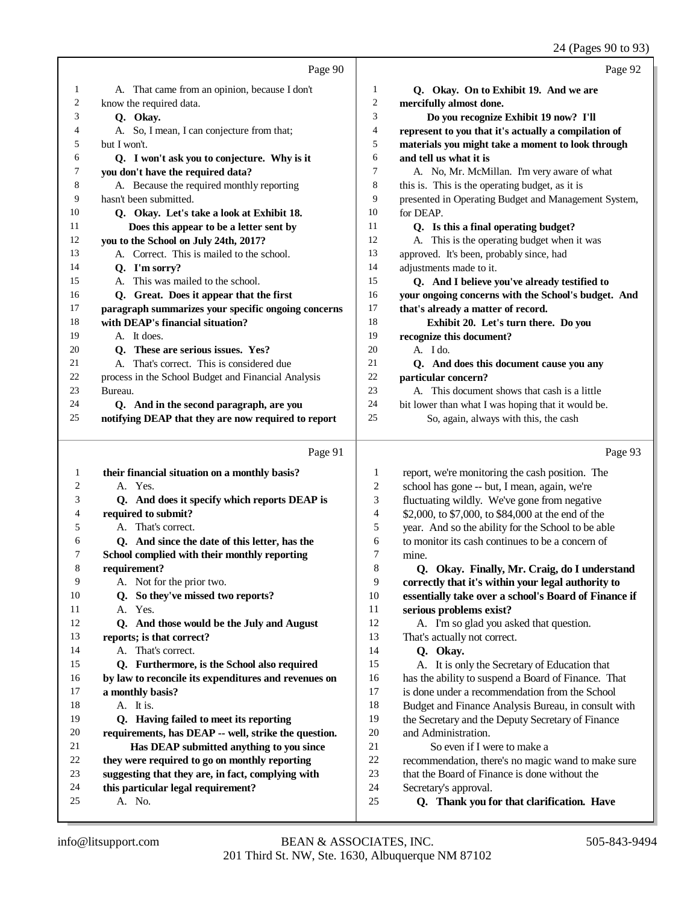|    |                                                      |                | 24 (Pages 90 to 93)                                  |
|----|------------------------------------------------------|----------------|------------------------------------------------------|
|    | Page 90                                              |                | Page 92                                              |
| 1  | A. That came from an opinion, because I don't        | 1              | Q. Okay. On to Exhibit 19. And we are                |
| 2  | know the required data.                              | $\overline{c}$ | mercifully almost done.                              |
| 3  | Q. Okay.                                             | 3              | Do you recognize Exhibit 19 now? I'll                |
| 4  | A. So, I mean, I can conjecture from that;           | $\overline{4}$ | represent to you that it's actually a compilation of |
| 5  | but I won't.                                         | 5              | materials you might take a moment to look through    |
| 6  | Q. I won't ask you to conjecture. Why is it          | 6              | and tell us what it is                               |
| 7  | you don't have the required data?                    | 7              | A. No, Mr. McMillan. I'm very aware of what          |
| 8  | A. Because the required monthly reporting            | 8              | this is. This is the operating budget, as it is      |
| 9  | hasn't been submitted.                               | 9              | presented in Operating Budget and Management System, |
| 10 | Q. Okay. Let's take a look at Exhibit 18.            | 10             | for DEAP.                                            |
| 11 | Does this appear to be a letter sent by              | 11             | Q. Is this a final operating budget?                 |
| 12 | you to the School on July 24th, 2017?                | 12             | A. This is the operating budget when it was          |
| 13 | A. Correct. This is mailed to the school.            | 13             | approved. It's been, probably since, had             |
| 14 | Q. I'm sorry?                                        | 14             | adjustments made to it.                              |
| 15 | A. This was mailed to the school.                    | 15             | Q. And I believe you've already testified to         |
| 16 | Q. Great. Does it appear that the first              | 16             | your ongoing concerns with the School's budget. And  |
| 17 | paragraph summarizes your specific ongoing concerns  | 17             | that's already a matter of record.                   |
| 18 | with DEAP's financial situation?                     | 18             | Exhibit 20. Let's turn there. Do you                 |
| 19 | A. It does.                                          | 19             | recognize this document?                             |
| 20 | Q. These are serious issues. Yes?                    | 20             | A. I do.                                             |
| 21 | A. That's correct. This is considered due            | 21             | Q. And does this document cause you any              |
| 22 | process in the School Budget and Financial Analysis  | 22             | particular concern?                                  |
| 23 | Bureau.                                              | 23             | A. This document shows that cash is a little         |
| 24 | Q. And in the second paragraph, are you              | 24             | bit lower than what I was hoping that it would be.   |
| 25 | notifying DEAP that they are now required to report  | 25             | So, again, always with this, the cash                |
|    | Page 91                                              |                | Page 93                                              |
| 1  | their financial situation on a monthly basis?        | 1              | report, we're monitoring the cash position. The      |
| 2  | A. Yes.                                              | $\overline{2}$ | school has gone -- but, I mean, again, we're         |
| 3  | Q. And does it specify which reports DEAP is         | 3              | fluctuating wildly. We've gone from negative         |
| 4  | required to submit?                                  | $\overline{4}$ | \$2,000, to \$7,000, to \$84,000 at the end of the   |
| 5  | A. That's correct.                                   | 5              | year. And so the ability for the School to be able   |
| 6  | Q. And since the date of this letter, has the        | 6              | to monitor its cash continues to be a concern of     |
| 7  | School complied with their monthly reporting         | 7              | mine.                                                |
| 8  | requirement?                                         | 8              | Q. Okay. Finally, Mr. Craig, do I understand         |
| 9  | A. Not for the prior two.                            | 9              | correctly that it's within your legal authority to   |
| 10 | Q. So they've missed two reports?                    | $10\,$         | essentially take over a school's Board of Finance if |
| 11 | A. Yes.                                              | 11             | serious problems exist?                              |
| 12 | Q. And those would be the July and August            | 12             | A. I'm so glad you asked that question.              |
| 13 | reports; is that correct?                            | 13             | That's actually not correct.                         |
| 14 | A. That's correct.                                   | 14             | Q. Okay.                                             |
| 15 | Q. Furthermore, is the School also required          | 15             | A. It is only the Secretary of Education that        |
| 16 | by law to reconcile its expenditures and revenues on | 16             | has the ability to suspend a Board of Finance. That  |
| 17 | a monthly basis?                                     | $17\,$         | is done under a recommendation from the School       |
| 18 | A. It is.                                            | 18             | Budget and Finance Analysis Bureau, in consult with  |
| 19 | Q. Having failed to meet its reporting               | 19             | the Secretary and the Deputy Secretary of Finance    |

- **requirements, has DEAP -- well, strike the question.** and Administration.
- **Has DEAP submitted anything to you since they were required to go on monthly reporting**
- **suggesting that they are, in fact, complying with**
- **this particular legal requirement?**
- A. No.
- 201 Third St. NW, Ste. 1630, Albuquerque NM 87102 info@litsupport.com BEAN & ASSOCIATES, INC. 505-843-9494

So even if I were to make a

Secretary's approval.

recommendation, there's no magic wand to make sure

that the Board of Finance is done without the

 **Q. Thank you for that clarification. Have**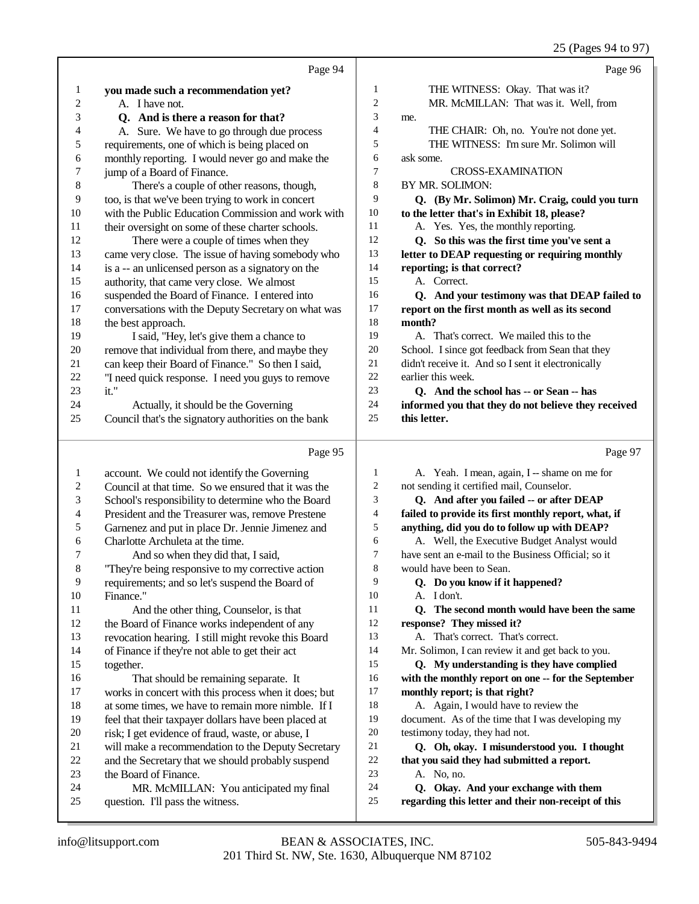25 (Pages 94 to 97)

|              | Page 94                                                                              |                     | Page 96                                                                                     |
|--------------|--------------------------------------------------------------------------------------|---------------------|---------------------------------------------------------------------------------------------|
| 1            | you made such a recommendation yet?                                                  | $\mathbf{1}$        | THE WITNESS: Okay. That was it?                                                             |
| 2            | A. I have not.                                                                       | $\sqrt{2}$          | MR. McMILLAN: That was it. Well, from                                                       |
| 3            | Q. And is there a reason for that?                                                   | 3                   | me.                                                                                         |
| 4            | A. Sure. We have to go through due process                                           | 4                   | THE CHAIR: Oh, no. You're not done yet.                                                     |
| 5            | requirements, one of which is being placed on                                        | 5                   | THE WITNESS: I'm sure Mr. Solimon will                                                      |
| 6            | monthly reporting. I would never go and make the                                     | 6                   | ask some.                                                                                   |
| 7            | jump of a Board of Finance.                                                          | 7                   | <b>CROSS-EXAMINATION</b>                                                                    |
| 8            | There's a couple of other reasons, though,                                           | 8                   | BY MR. SOLIMON:                                                                             |
| 9            | too, is that we've been trying to work in concert                                    | 9                   | Q. (By Mr. Solimon) Mr. Craig, could you turn                                               |
| 10           | with the Public Education Commission and work with                                   | 10                  | to the letter that's in Exhibit 18, please?                                                 |
| 11           | their oversight on some of these charter schools.                                    | 11                  | A. Yes. Yes, the monthly reporting.                                                         |
| 12           | There were a couple of times when they                                               | 12                  | Q. So this was the first time you've sent a                                                 |
| 13           | came very close. The issue of having somebody who                                    | 13                  | letter to DEAP requesting or requiring monthly                                              |
| 14           | is a -- an unlicensed person as a signatory on the                                   | 14                  | reporting; is that correct?                                                                 |
| 15           | authority, that came very close. We almost                                           | 15                  | A. Correct.                                                                                 |
| 16           | suspended the Board of Finance. I entered into                                       | 16                  | Q. And your testimony was that DEAP failed to                                               |
| 17           | conversations with the Deputy Secretary on what was                                  | $17\,$              | report on the first month as well as its second                                             |
| 18           | the best approach.                                                                   | 18                  | month?                                                                                      |
| 19           | I said, "Hey, let's give them a chance to                                            | 19                  | A. That's correct. We mailed this to the                                                    |
| $20\,$       | remove that individual from there, and maybe they                                    | 20                  | School. I since got feedback from Sean that they                                            |
| 21           | can keep their Board of Finance." So then I said,                                    | 21                  | didn't receive it. And so I sent it electronically                                          |
| 22           | "I need quick response. I need you guys to remove                                    | $22\,$              | earlier this week.                                                                          |
| 23           | it."                                                                                 | 23                  | Q. And the school has -- or Sean -- has                                                     |
| 24           | Actually, it should be the Governing                                                 | 24                  | informed you that they do not believe they received                                         |
| 25           | Council that's the signatory authorities on the bank                                 | 25                  | this letter.                                                                                |
|              |                                                                                      |                     |                                                                                             |
|              | Page 95                                                                              |                     |                                                                                             |
|              |                                                                                      |                     | Page 97                                                                                     |
| $\mathbf{1}$ | account. We could not identify the Governing                                         | 1                   | A. Yeah. I mean, again, I -- shame on me for                                                |
| 2            | Council at that time. So we ensured that it was the                                  | $\overline{c}$<br>3 | not sending it certified mail, Counselor.                                                   |
| 3<br>4       | School's responsibility to determine who the Board                                   | 4                   | Q. And after you failed -- or after DEAP                                                    |
| 5            | President and the Treasurer was, remove Prestene                                     | 5                   | failed to provide its first monthly report, what, if                                        |
| 6            | Garnenez and put in place Dr. Jennie Jimenez and<br>Charlotte Archuleta at the time. | 6                   | anything, did you do to follow up with DEAP?<br>A. Well, the Executive Budget Analyst would |
| 7            | And so when they did that, I said,                                                   | $\tau$              | have sent an e-mail to the Business Official; so it                                         |
| 8            | "They're being responsive to my corrective action                                    | 8                   | would have been to Sean.                                                                    |
| 9            | requirements; and so let's suspend the Board of                                      | 9                   | Q. Do you know if it happened?                                                              |
| 10           | Finance."                                                                            | 10                  | A. I don't.                                                                                 |
| 11           | And the other thing, Counselor, is that                                              | 11                  | Q. The second month would have been the same                                                |
| 12           | the Board of Finance works independent of any                                        | 12                  | response? They missed it?                                                                   |
| 13           | revocation hearing. I still might revoke this Board                                  | 13                  | A. That's correct. That's correct.                                                          |
| 14           | of Finance if they're not able to get their act                                      | 14                  | Mr. Solimon, I can review it and get back to you.                                           |
| 15           | together.                                                                            | 15                  | Q. My understanding is they have complied                                                   |
| 16           | That should be remaining separate. It                                                | 16                  | with the monthly report on one -- for the September                                         |
| 17           | works in concert with this process when it does; but                                 | 17                  | monthly report; is that right?                                                              |
| 18           | at some times, we have to remain more nimble. If I                                   | 18                  | A. Again, I would have to review the                                                        |
| 19           | feel that their taxpayer dollars have been placed at                                 | 19                  | document. As of the time that I was developing my                                           |
| 20           | risk; I get evidence of fraud, waste, or abuse, I                                    | 20                  | testimony today, they had not.                                                              |
| 21           | will make a recommendation to the Deputy Secretary                                   | 21                  | Q. Oh, okay. I misunderstood you. I thought                                                 |
| 22           | and the Secretary that we should probably suspend                                    | $22\,$              | that you said they had submitted a report.                                                  |
| 23           | the Board of Finance.                                                                | 23                  | A. No, no.                                                                                  |
| 24<br>25     | MR. McMILLAN: You anticipated my final<br>question. I'll pass the witness.           | 24<br>25            | Q. Okay. And your exchange with them<br>regarding this letter and their non-receipt of this |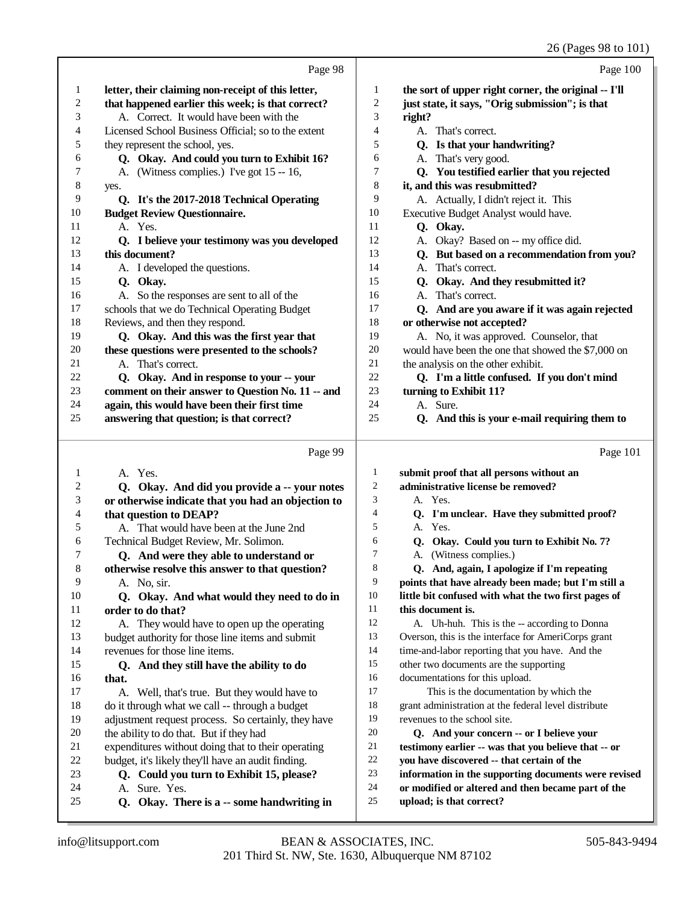#### 26 (Pages 98 to 101)

|    |                                                     |                | 26 (Pages 98 to 101)                                 |
|----|-----------------------------------------------------|----------------|------------------------------------------------------|
|    | Page 98                                             |                | Page 100                                             |
| 1  | letter, their claiming non-receipt of this letter,  | 1              | the sort of upper right corner, the original -- I'll |
| 2  | that happened earlier this week; is that correct?   | 2              | just state, it says, "Orig submission"; is that      |
| 3  | A. Correct. It would have been with the             | 3              | right?                                               |
| 4  | Licensed School Business Official; so to the extent | 4              | A. That's correct.                                   |
| 5  | they represent the school, yes.                     | 5              | Q. Is that your handwriting?                         |
| 6  | Q. Okay. And could you turn to Exhibit 16?          | 6              | A. That's very good.                                 |
| 7  | A. (Witness complies.) I've got 15 -- 16,           | 7              | Q. You testified earlier that you rejected           |
| 8  | yes.                                                | 8              | it, and this was resubmitted?                        |
| 9  | Q. It's the 2017-2018 Technical Operating           | 9              | A. Actually, I didn't reject it. This                |
| 10 | <b>Budget Review Questionnaire.</b>                 | 10             | Executive Budget Analyst would have.                 |
| 11 | A. Yes.                                             | 11             | Q. Okay.                                             |
| 12 | Q. I believe your testimony was you developed       | 12             | A. Okay? Based on -- my office did.                  |
| 13 | this document?                                      | 13             | Q. But based on a recommendation from you?           |
| 14 | A. I developed the questions.                       | 14             | A. That's correct.                                   |
| 15 | Q. Okay.                                            | 15             | Q. Okay. And they resubmitted it?                    |
| 16 | A. So the responses are sent to all of the          | 16             | A. That's correct.                                   |
| 17 | schools that we do Technical Operating Budget       | 17             | Q. And are you aware if it was again rejected        |
| 18 | Reviews, and then they respond.                     | 18             | or otherwise not accepted?                           |
| 19 | Q. Okay. And this was the first year that           | 19             | A. No, it was approved. Counselor, that              |
| 20 | these questions were presented to the schools?      | 20             | would have been the one that showed the \$7,000 on   |
| 21 | A. That's correct.                                  | 21             | the analysis on the other exhibit.                   |
| 22 | Q. Okay. And in response to your -- your            | 22             | Q. I'm a little confused. If you don't mind          |
| 23 | comment on their answer to Question No. 11 -- and   | 23             | turning to Exhibit 11?                               |
| 24 | again, this would have been their first time        | 24             | A. Sure.                                             |
| 25 | answering that question; is that correct?           | 25             | Q. And this is your e-mail requiring them to         |
|    |                                                     |                |                                                      |
|    | Page 99                                             |                | Page 101                                             |
| 1  | A. Yes.                                             | 1              | submit proof that all persons without an             |
| 2  | Q. Okay. And did you provide a -- your notes        | $\mathfrak{2}$ | administrative license be removed?                   |
| 3  | or otherwise indicate that you had an objection to  | 3              | A. Yes.                                              |
| 4  | that question to DEAP?                              | 4              | Q. I'm unclear. Have they submitted proof?           |
| 5  | A. That would have been at the June 2nd             | 5              | A. Yes.                                              |
| 6  | Technical Budget Review, Mr. Solimon.               | 6              | Q. Okay. Could you turn to Exhibit No. 7?            |
| 7  | Q. And were they able to understand or              | 7              | A. (Witness complies.)                               |
| 8  | otherwise resolve this answer to that question?     | 8              | Q. And, again, I apologize if I'm repeating          |
| 9  | A. No, sir.                                         | 9              | points that have already been made; but I'm still a  |
| 10 | Q. Okay. And what would they need to do in          | 10             | little bit confused with what the two first pages of |
| 11 | order to do that?                                   | 11             | this document is.                                    |
| 12 | A. They would have to open up the operating         | 12             | A. Uh-huh. This is the -- according to Donna         |
| 13 | budget authority for those line items and submit    | 13             | Overson, this is the interface for AmeriCorps grant  |
| 14 | revenues for those line items.                      | 14             | time-and-labor reporting that you have. And the      |
| 15 | Q. And they still have the ability to do            | 15             | other two documents are the supporting               |
| 16 | that.                                               | 16             | documentations for this upload.                      |
| 17 | A. Well, that's true. But they would have to        | 17             | This is the documentation by which the               |
| 18 | do it through what we call -- through a budget      | 18             | grant administration at the federal level distribute |
| 19 | adjustment request process. So certainly, they have | 19             | revenues to the school site.                         |
| 20 | the ability to do that. But if they had             | 20             | Q. And your concern -- or I believe your             |
| 21 | expenditures without doing that to their operating  | 21             | testimony earlier -- was that you believe that -- or |
| 22 | budget, it's likely they'll have an audit finding.  | 22             | you have discovered -- that certain of the           |
| 23 | Q. Could you turn to Exhibit 15, please?            | 23             | information in the supporting documents were revised |

- **or modified or altered and then became part of the**
	- **upload; is that correct?**

A. Sure. Yes.

 **Q. Okay. There is a -- some handwriting in**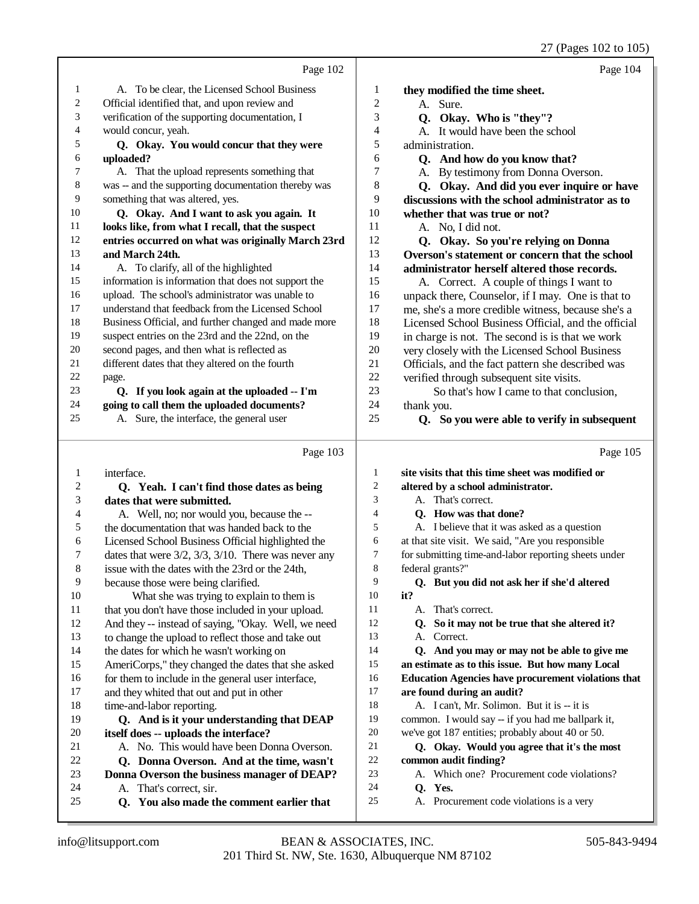|                |                                                              |                | 27 (Pages 102 to 105)                                      |
|----------------|--------------------------------------------------------------|----------------|------------------------------------------------------------|
|                | Page 102                                                     |                | Page 104                                                   |
| 1              | A. To be clear, the Licensed School Business                 | 1              | they modified the time sheet.                              |
| $\overline{c}$ | Official identified that, and upon review and                | $\overline{c}$ | A. Sure.                                                   |
| 3              | verification of the supporting documentation, I              | 3              | Q. Okay. Who is "they"?                                    |
| 4              | would concur, yeah.                                          | 4              | A. It would have been the school                           |
| 5              | Q. Okay. You would concur that they were                     | 5              | administration.                                            |
| 6              | uploaded?                                                    | 6              | Q. And how do you know that?                               |
| 7              | A. That the upload represents something that                 | 7              | A. By testimony from Donna Overson.                        |
| 8              | was -- and the supporting documentation thereby was          | 8              | Q. Okay. And did you ever inquire or have                  |
| 9              | something that was altered, yes.                             | 9              | discussions with the school administrator as to            |
| 10             | Q. Okay. And I want to ask you again. It                     | 10             | whether that was true or not?                              |
| 11             | looks like, from what I recall, that the suspect             | 11             | A. No, I did not.                                          |
| 12             | entries occurred on what was originally March 23rd           | 12             | Q. Okay. So you're relying on Donna                        |
| 13             | and March 24th.                                              | 13             | Overson's statement or concern that the school             |
| 14             | A. To clarify, all of the highlighted                        | 14             | administrator herself altered those records.               |
| 15             | information is information that does not support the         | 15             | A. Correct. A couple of things I want to                   |
| 16             | upload. The school's administrator was unable to             | 16             | unpack there, Counselor, if I may. One is that to          |
| 17             | understand that feedback from the Licensed School            | 17             | me, she's a more credible witness, because she's a         |
| 18             | Business Official, and further changed and made more         | 18             | Licensed School Business Official, and the official        |
| 19             | suspect entries on the 23rd and the 22nd, on the             | 19             | in charge is not. The second is is that we work            |
| 20             | second pages, and then what is reflected as                  | 20             | very closely with the Licensed School Business             |
| 21             | different dates that they altered on the fourth              | 21             | Officials, and the fact pattern she described was          |
| 22             | page.                                                        | 22             | verified through subsequent site visits.                   |
| 23             | Q. If you look again at the uploaded -- I'm                  | 23             | So that's how I came to that conclusion,                   |
| 24             | going to call them the uploaded documents?                   | 24             | thank you.                                                 |
| 25             | A. Sure, the interface, the general user                     | 25             | Q. So you were able to verify in subsequent                |
|                |                                                              |                |                                                            |
|                | Page 103                                                     |                | Page 105                                                   |
| 1              | interface.                                                   | 1              | site visits that this time sheet was modified or           |
| $\mathbf{2}$   | Q. Yeah. I can't find those dates as being                   | 2              | altered by a school administrator.                         |
| 3              | dates that were submitted.                                   | 3              | A. That's correct.                                         |
| 4              | A. Well, no; nor would you, because the --                   | $\overline{4}$ | Q. How was that done?                                      |
| 5              | the documentation that was handed back to the                | 5              | A. I believe that it was asked as a question               |
| 6              | Licensed School Business Official highlighted the            | 6              | at that site visit. We said, "Are you responsible          |
| 7              | dates that were $3/2$ , $3/3$ , $3/10$ . There was never any | 7              | for submitting time-and-labor reporting sheets under       |
| $\,8\,$        | issue with the dates with the 23rd or the 24th,              | 8              | federal grants?"                                           |
| 9              | because those were being clarified.                          | 9              | Q. But you did not ask her if she'd altered                |
| 10             | What she was trying to explain to them is                    | 10             | it?                                                        |
| 11             | that you don't have those included in your upload.           | 11             | A. That's correct.                                         |
| 12             | And they -- instead of saying, "Okay. Well, we need          | 12             | Q. So it may not be true that she altered it?              |
| 13             | to change the upload to reflect those and take out           | 13             | A. Correct.                                                |
| 14             | the dates for which he wasn't working on                     | 14             | Q. And you may or may not be able to give me               |
| 15             | AmeriCorps," they changed the dates that she asked           | 15             | an estimate as to this issue. But how many Local           |
| 16             | for them to include in the general user interface,           | 16             | <b>Education Agencies have procurement violations that</b> |
| $17\,$         | and they whited that out and put in other                    | 17             | are found during an audit?                                 |
| 18             | time-and-labor reporting.                                    | 18             | A. I can't, Mr. Solimon. But it is -- it is                |
| 19             | Q. And is it your understanding that DEAP                    | 19             | common. I would say -- if you had me ballpark it,          |
| $20\,$         | itself does -- uploads the interface?                        | $20\,$         | we've got 187 entities; probably about 40 or 50.           |
| 21             | A. No. This would have been Donna Overson.                   | $21\,$         | Q. Okay. Would you agree that it's the most                |
| $22\,$         | O. Donna Overson. And at the time, wasn't                    | $22\,$         | common audit finding?                                      |

- **Q. Okay. Would you agree that it's the most common audit finding?**
- A. Which one? Procurement code violations?
- **Q. Yes.**
- A. Procurement code violations is a very

24 A. That's correct, sir.<br>25 **O. You also made that** 

 **Q. Donna Overson. And at the time, wasn't** 23 **Donna Overson the business manager of DEAP?**<br>24 A. That's correct. sir.

 **Q. You also made the comment earlier that**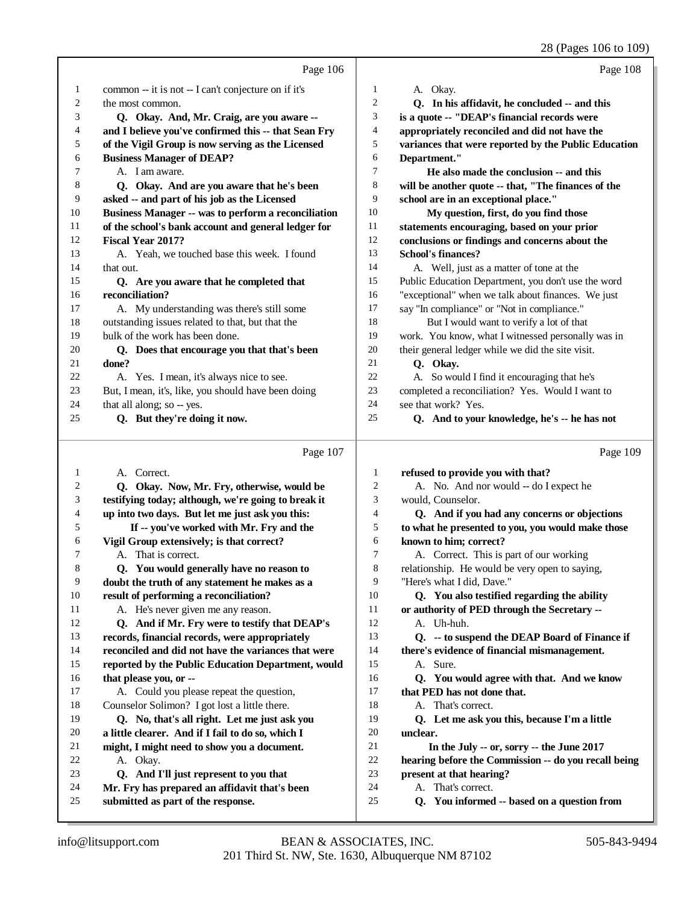|    |                                                            |                  | 28 (Pages 106 to 109)                                |
|----|------------------------------------------------------------|------------------|------------------------------------------------------|
|    | Page 106                                                   |                  | Page 108                                             |
| 1  | common -- it is not -- I can't conjecture on if it's       | 1                | A. Okay.                                             |
| 2  | the most common.                                           | $\overline{c}$   | Q. In his affidavit, he concluded -- and this        |
| 3  | Q. Okay. And, Mr. Craig, are you aware --                  | 3                | is a quote -- "DEAP's financial records were         |
| 4  | and I believe you've confirmed this -- that Sean Fry       | $\overline{4}$   | appropriately reconciled and did not have the        |
| 5  | of the Vigil Group is now serving as the Licensed          | 5                | variances that were reported by the Public Education |
| 6  | <b>Business Manager of DEAP?</b>                           | 6                | Department."                                         |
| 7  | A. I am aware.                                             | 7                | He also made the conclusion -- and this              |
| 8  | Q. Okay. And are you aware that he's been                  | 8                | will be another quote -- that, "The finances of the  |
| 9  | asked -- and part of his job as the Licensed               | 9                | school are in an exceptional place."                 |
| 10 | <b>Business Manager -- was to perform a reconciliation</b> | 10               | My question, first, do you find those                |
| 11 | of the school's bank account and general ledger for        | 11               | statements encouraging, based on your prior          |
| 12 | <b>Fiscal Year 2017?</b>                                   | 12               | conclusions or findings and concerns about the       |
| 13 | A. Yeah, we touched base this week. I found                | 13               | <b>School's finances?</b>                            |
| 14 | that out.                                                  | 14               | A. Well, just as a matter of tone at the             |
| 15 | Q. Are you aware that he completed that                    | 15               | Public Education Department, you don't use the word  |
| 16 | reconciliation?                                            | 16               | "exceptional" when we talk about finances. We just   |
| 17 | A. My understanding was there's still some                 | 17               | say "In compliance" or "Not in compliance."          |
| 18 | outstanding issues related to that, but that the           | 18               | But I would want to verify a lot of that             |
| 19 | bulk of the work has been done.                            | 19               | work. You know, what I witnessed personally was in   |
| 20 | Q. Does that encourage you that that's been                | 20               | their general ledger while we did the site visit.    |
| 21 | done?                                                      | 21               | Q. Okay.                                             |
| 22 | A. Yes. I mean, it's always nice to see.                   | 22               | A. So would I find it encouraging that he's          |
| 23 | But, I mean, it's, like, you should have been doing        | 23               | completed a reconciliation? Yes. Would I want to     |
| 24 | that all along; so -- yes.                                 | 24               | see that work? Yes.                                  |
| 25 | Q. But they're doing it now.                               | 25               | Q. And to your knowledge, he's -- he has not         |
|    | Page 107                                                   |                  | Page 109                                             |
| 1  | A. Correct.                                                | 1                | refused to provide you with that?                    |
| 2  | Q. Okay. Now, Mr. Fry, otherwise, would be                 | $\boldsymbol{2}$ | A. No. And nor would -- do I expect he               |
| 3  | testifying today; although, we're going to break it        | 3                | would, Counselor.                                    |
| 4  | up into two days. But let me just ask you this:            | 4                | Q. And if you had any concerns or objections         |
| 5  | If -- you've worked with Mr. Fry and the                   | 5                | to what he presented to you, you would make those    |
| 6  | Vigil Group extensively; is that correct?                  | 6                | known to him; correct?                               |
| 7  | A. That is correct.                                        | 7                | A. Correct. This is part of our working              |
| 8  | Q. You would generally have no reason to                   | 8                | relationship. He would be very open to saying,       |
| 9  | doubt the truth of any statement he makes as a             | 9                | "Here's what I did, Dave."                           |
| 10 | result of performing a reconciliation?                     | 10               | Q. You also testified regarding the ability          |
| 11 | A. He's never given me any reason.                         | 11               | or authority of PED through the Secretary --         |
| 12 | Q. And if Mr. Fry were to testify that DEAP's              | 12               | A. Uh-huh.                                           |
| 13 | records, financial records, were appropriately             | 13               | Q. -- to suspend the DEAP Board of Finance if        |
| 14 | reconciled and did not have the variances that were        | 14               | there's evidence of financial mismanagement.         |
| 15 | reported by the Public Education Department, would         | 15               | A. Sure.                                             |
| 16 | that please you, or --                                     | 16               | Q. You would agree with that. And we know            |
| 17 | A. Could you please repeat the question,                   | 17               | that PED has not done that.                          |

A. Okay.

 Counselor Solimon? I got lost a little there.  **Q. No, that's all right. Let me just ask you a little clearer. And if I fail to do so, which I might, I might need to show you a document.**

 **Q. And I'll just represent to you that Mr. Fry has prepared an affidavit that's been**

**submitted as part of the response.**

A. That's correct.

 **present at that hearing?** A. That's correct.

**unclear.**

 **Q. Let me ask you this, because I'm a little**

 **In the July -- or, sorry -- the June 2017 hearing before the Commission -- do you recall being**

 **Q. You informed -- based on a question from**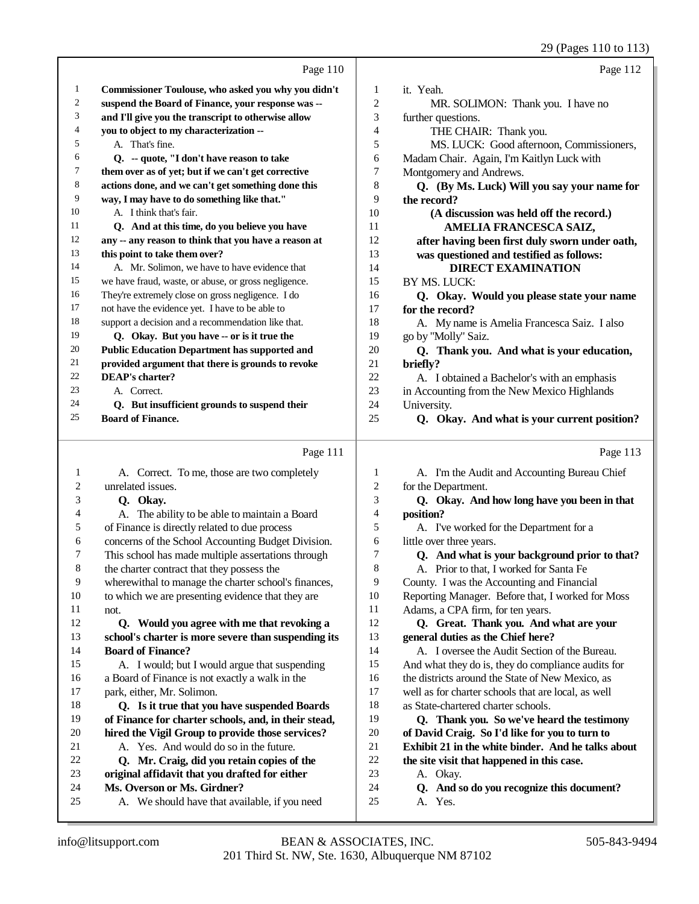|    |                                                      |                | 29 (Pages 110 to 113)                             |
|----|------------------------------------------------------|----------------|---------------------------------------------------|
|    | Page 110                                             |                | Page 112                                          |
| 1  | Commissioner Toulouse, who asked you why you didn't  | 1              | it. Yeah.                                         |
| 2  | suspend the Board of Finance, your response was --   | $\overline{c}$ | MR. SOLIMON: Thank you. I have no                 |
| 3  | and I'll give you the transcript to otherwise allow  | 3              | further questions.                                |
| 4  | you to object to my characterization --              | 4              | THE CHAIR: Thank you.                             |
| 5  | A. That's fine.                                      | 5              | MS. LUCK: Good afternoon, Commissioners,          |
| 6  | Q. -- quote, "I don't have reason to take            | 6              | Madam Chair. Again, I'm Kaitlyn Luck with         |
| 7  | them over as of yet; but if we can't get corrective  | 7              | Montgomery and Andrews.                           |
| 8  | actions done, and we can't get something done this   | 8              | Q. (By Ms. Luck) Will you say your name for       |
| 9  | way, I may have to do something like that."          | 9              | the record?                                       |
| 10 | A. I think that's fair.                              | 10             | (A discussion was held off the record.)           |
| 11 | Q. And at this time, do you believe you have         | 11             | AMELIA FRANCESCA SAIZ,                            |
| 12 | any -- any reason to think that you have a reason at | 12             | after having been first duly sworn under oath,    |
| 13 | this point to take them over?                        | 13             | was questioned and testified as follows:          |
| 14 | A. Mr. Solimon, we have to have evidence that        | 14             | <b>DIRECT EXAMINATION</b>                         |
| 15 | we have fraud, waste, or abuse, or gross negligence. | 15             | BY MS. LUCK:                                      |
| 16 | They're extremely close on gross negligence. I do    | 16             | Q. Okay. Would you please state your name         |
| 17 | not have the evidence yet. I have to be able to      | 17             | for the record?                                   |
| 18 | support a decision and a recommendation like that.   | 18             | A. My name is Amelia Francesca Saiz. I also       |
| 19 | Q. Okay. But you have -- or is it true the           | 19             | go by "Molly" Saiz.                               |
| 20 | <b>Public Education Department has supported and</b> | 20             | Q. Thank you. And what is your education,         |
| 21 | provided argument that there is grounds to revoke    | 21             | briefly?                                          |
| 22 | <b>DEAP's charter?</b>                               | 22             | A. I obtained a Bachelor's with an emphasis       |
| 23 | A. Correct.                                          | 23             | in Accounting from the New Mexico Highlands       |
| 24 | Q. But insufficient grounds to suspend their         | 24             | University.                                       |
| 25 | <b>Board of Finance.</b>                             | 25             | Q. Okay. And what is your current position?       |
|    | Page 111                                             |                | Page 113                                          |
| 1  | A. Correct. To me, those are two completely          | 1              | A. I'm the Audit and Accounting Bureau Chief      |
| 2  | unrelated issues.                                    | $\overline{c}$ | for the Department.                               |
| 3  | Q. Okay.                                             | 3              | Q. Okay. And how long have you been in that       |
| 4  | A. The ability to be able to maintain a Board        | 4              | position?                                         |
| 5  | of Finance is directly related to due process        | 5              | A. I've worked for the Department for a           |
| 6  | concerns of the School Accounting Budget Division.   | 6              | little over three years.                          |
| 7  | This school has made multiple assertations through   | 7              | Q. And what is your background prior to that?     |
| 8  | the charter contract that they possess the           | 8              | A. Prior to that, I worked for Santa Fe           |
| 9  | wherewithal to manage the charter school's finances, | 9              | County. I was the Accounting and Financial        |
| 10 | to which we are presenting evidence that they are    | 10             | Reporting Manager. Before that, I worked for Moss |
| 11 | not.                                                 | 11             | Adams, a CPA firm, for ten years.                 |
| 12 | Q. Would you agree with me that revoking a           | 12             | Q. Great. Thank you. And what are your            |
| 13 | school's charter is more severe than suspending its  | 13             | general duties as the Chief here?                 |
| 14 | <b>Board of Finance?</b>                             | 14             | A. I oversee the Audit Section of the Bureau.     |

 A. I would; but I would argue that suspending a Board of Finance is not exactly a walk in the park, either, Mr. Solimon.

#### **Q. Is it true that you have suspended Boards of Finance for charter schools, and, in their stead, hired the Vigil Group to provide those services?** A. Yes. And would do so in the future.

- **Q. Mr. Craig, did you retain copies of the**
- **original affidavit that you drafted for either**
- **Ms. Overson or Ms. Girdner?**
- A. We should have that available, if you need
- And what they do is, they do compliance audits for
- 16 the districts around the State of New Mexico, as
- well as for charter schools that are local, as well
- as State-chartered charter schools.
- **Q. Thank you. So we've heard the testimony**
- **of David Craig. So I'd like for you to turn to**
- **Exhibit 21 in the white binder. And he talks about** the site visit that happened in this case.
- A. Okay.
- **Q. And so do you recognize this document?**
- A. Yes.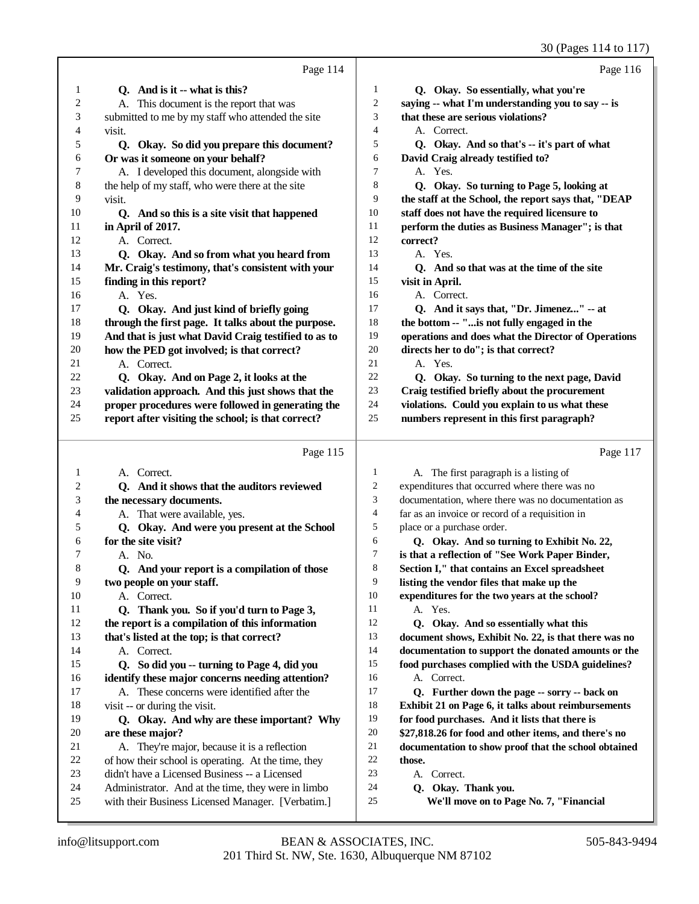30 (Pages 114 to 117)

|              |                                                                                                         | 30 (Pages 114 to 117)                                                      |
|--------------|---------------------------------------------------------------------------------------------------------|----------------------------------------------------------------------------|
|              | Page 114                                                                                                | Page 116                                                                   |
| 1            | Q. And is it -- what is this?                                                                           | $\mathbf{1}$<br>Q. Okay. So essentially, what you're                       |
| 2            | A. This document is the report that was                                                                 | $\boldsymbol{2}$<br>saying -- what I'm understanding you to say -- is      |
| 3            | submitted to me by my staff who attended the site                                                       | 3<br>that these are serious violations?                                    |
| 4            | visit.                                                                                                  | 4<br>A. Correct.                                                           |
| 5            | Q. Okay. So did you prepare this document?                                                              | 5<br>Q. Okay. And so that's -- it's part of what                           |
| 6            | Or was it someone on your behalf?                                                                       | David Craig already testified to?<br>6                                     |
| 7            | A. I developed this document, alongside with                                                            | 7<br>A. Yes.                                                               |
| 8            | the help of my staff, who were there at the site                                                        | 8<br>Q. Okay. So turning to Page 5, looking at                             |
| 9            | visit.                                                                                                  | 9<br>the staff at the School, the report says that, "DEAP                  |
| 10           | Q. And so this is a site visit that happened                                                            | 10<br>staff does not have the required licensure to                        |
| 11           | in April of 2017.                                                                                       | 11<br>perform the duties as Business Manager"; is that                     |
| 12           | A. Correct.                                                                                             | 12<br>correct?                                                             |
| 13           | Q. Okay. And so from what you heard from                                                                | 13<br>A. Yes.                                                              |
| 14           | Mr. Craig's testimony, that's consistent with your                                                      | 14<br>Q. And so that was at the time of the site                           |
| 15           | finding in this report?                                                                                 | 15<br>visit in April.                                                      |
| 16           | A. Yes.                                                                                                 | 16<br>A. Correct.                                                          |
| 17           | Q. Okay. And just kind of briefly going                                                                 | 17<br>Q. And it says that, "Dr. Jimenez" -- at                             |
| 18           | through the first page. It talks about the purpose.                                                     | 18<br>the bottom -- "is not fully engaged in the                           |
| 19           | And that is just what David Craig testified to as to                                                    | 19<br>operations and does what the Director of Operations                  |
| 20           | how the PED got involved; is that correct?                                                              | $20\,$<br>directs her to do"; is that correct?                             |
| 21           | A. Correct.                                                                                             | 21<br>A. Yes.                                                              |
| 22           | Q. Okay. And on Page 2, it looks at the                                                                 | $22\,$<br>Q. Okay. So turning to the next page, David                      |
| 23           | validation approach. And this just shows that the                                                       | 23<br>Craig testified briefly about the procurement                        |
| 24           | proper procedures were followed in generating the                                                       | 24<br>violations. Could you explain to us what these                       |
| 25           | report after visiting the school; is that correct?                                                      | 25<br>numbers represent in this first paragraph?                           |
|              |                                                                                                         |                                                                            |
|              |                                                                                                         |                                                                            |
|              | Page 115                                                                                                | Page 117                                                                   |
| $\mathbf{1}$ | A. Correct.                                                                                             | A. The first paragraph is a listing of<br>1                                |
| 2            | Q. And it shows that the auditors reviewed                                                              | 2<br>expenditures that occurred where there was no                         |
| 3            | the necessary documents.                                                                                | 3<br>documentation, where there was no documentation as                    |
| 4            | A. That were available, yes.                                                                            | 4<br>far as an invoice or record of a requisition in                       |
| 5            | Q. Okay. And were you present at the School                                                             | 5<br>place or a purchase order.                                            |
| 6            | for the site visit?                                                                                     | 6<br>Q. Okay. And so turning to Exhibit No. 22,                            |
| 7            | A. No.                                                                                                  | 7<br>is that a reflection of "See Work Paper Binder,                       |
| 8            | Q. And your report is a compilation of those                                                            | 8<br>Section I," that contains an Excel spreadsheet                        |
| 9            | two people on your staff.                                                                               | 9<br>listing the vendor files that make up the                             |
| 10           | A. Correct.                                                                                             | 10<br>expenditures for the two years at the school?                        |
| 11           | Q. Thank you. So if you'd turn to Page 3,                                                               | 11<br>A. Yes.                                                              |
| 12           | the report is a compilation of this information                                                         | 12<br>Q. Okay. And so essentially what this                                |
| 13           | that's listed at the top; is that correct?                                                              | 13<br>document shows, Exhibit No. 22, is that there was no                 |
| 14           | A. Correct.                                                                                             | 14<br>documentation to support the donated amounts or the                  |
| 15           | Q. So did you -- turning to Page 4, did you                                                             | 15<br>food purchases complied with the USDA guidelines?                    |
| 16           | identify these major concerns needing attention?                                                        | 16<br>A. Correct.                                                          |
| 17           | A. These concerns were identified after the                                                             | 17<br>Q. Further down the page -- sorry -- back on                         |
| 18           | visit -- or during the visit.                                                                           | 18<br>Exhibit 21 on Page 6, it talks about reimbursements                  |
| 19           | Q. Okay. And why are these important? Why                                                               | 19<br>for food purchases. And it lists that there is                       |
| $20\,$       | are these major?                                                                                        | 20<br>\$27,818.26 for food and other items, and there's no                 |
| 21           | A. They're major, because it is a reflection                                                            | $21\,$<br>documentation to show proof that the school obtained             |
| 22           | of how their school is operating. At the time, they                                                     | $22\,$<br>those.                                                           |
| 23           | didn't have a Licensed Business -- a Licensed                                                           | 23<br>A. Correct.                                                          |
| 24<br>25     | Administrator. And at the time, they were in limbo<br>with their Business Licensed Manager. [Verbatim.] | 24<br>Q. Okay. Thank you.<br>25<br>We'll move on to Page No. 7, "Financial |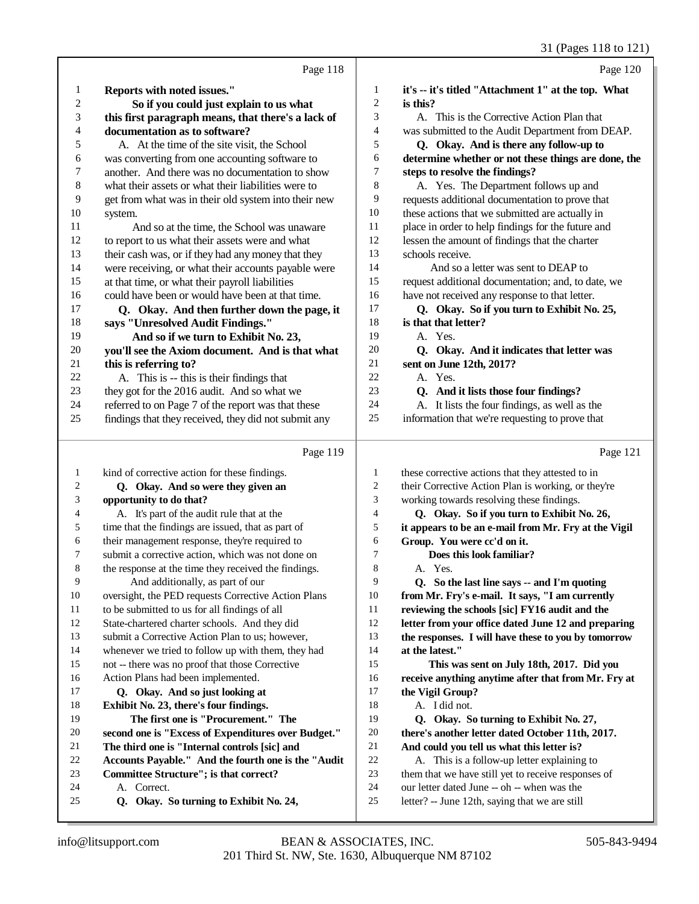## 31 (Pages 118 to 121)

|              | Page 118                                              |                  | Page 120                                                                                      |
|--------------|-------------------------------------------------------|------------------|-----------------------------------------------------------------------------------------------|
| 1            | Reports with noted issues."                           | 1                | it's -- it's titled "Attachment 1" at the top. What                                           |
| 2            | So if you could just explain to us what               | $\overline{c}$   | is this?                                                                                      |
| 3            | this first paragraph means, that there's a lack of    | 3                | A. This is the Corrective Action Plan that                                                    |
| 4            | documentation as to software?                         | 4                | was submitted to the Audit Department from DEAP.                                              |
| 5            | A. At the time of the site visit, the School          | 5                | Q. Okay. And is there any follow-up to                                                        |
| 6            | was converting from one accounting software to        | 6                | determine whether or not these things are done, the                                           |
| 7            | another. And there was no documentation to show       | 7                | steps to resolve the findings?                                                                |
| 8            | what their assets or what their liabilities were to   | 8                | A. Yes. The Department follows up and                                                         |
| 9            | get from what was in their old system into their new  | 9                | requests additional documentation to prove that                                               |
| 10           | system.                                               | 10               | these actions that we submitted are actually in                                               |
| 11           | And so at the time, the School was unaware            | 11               | place in order to help findings for the future and                                            |
| 12           | to report to us what their assets were and what       | 12               | lessen the amount of findings that the charter                                                |
| 13           | their cash was, or if they had any money that they    | 13               | schools receive.                                                                              |
| 14           | were receiving, or what their accounts payable were   | 14               | And so a letter was sent to DEAP to                                                           |
| 15           | at that time, or what their payroll liabilities       | 15               | request additional documentation; and, to date, we                                            |
| 16           | could have been or would have been at that time.      | 16               | have not received any response to that letter.                                                |
| 17           | Q. Okay. And then further down the page, it           | 17               | Q. Okay. So if you turn to Exhibit No. 25,                                                    |
| 18           | says "Unresolved Audit Findings."                     | 18               | is that that letter?                                                                          |
| 19           | And so if we turn to Exhibit No. 23,                  | 19               | A. Yes.                                                                                       |
| 20           | you'll see the Axiom document. And is that what       | 20               | Q. Okay. And it indicates that letter was                                                     |
| 21           | this is referring to?                                 | 21               | sent on June 12th, 2017?                                                                      |
| 22           | A. This is -- this is their findings that             | 22               | A. Yes.                                                                                       |
| 23           | they got for the 2016 audit. And so what we           | 23               | Q. And it lists those four findings?                                                          |
| 24           | referred to on Page 7 of the report was that these    | 24               | A. It lists the four findings, as well as the                                                 |
| 25           | findings that they received, they did not submit any  | 25               | information that we're requesting to prove that                                               |
|              |                                                       |                  |                                                                                               |
|              | Page 119                                              |                  | Page 121                                                                                      |
| $\mathbf{1}$ | kind of corrective action for these findings.         | $\mathbf{1}$     | these corrective actions that they attested to in                                             |
| 2            | Q. Okay. And so were they given an                    | $\boldsymbol{2}$ | their Corrective Action Plan is working, or they're                                           |
| 3            | opportunity to do that?                               | 3                | working towards resolving these findings.                                                     |
| 4            | A. It's part of the audit rule that at the            | 4                | Q. Okay. So if you turn to Exhibit No. 26,                                                    |
| 5            | time that the findings are issued, that as part of    | 5                | it appears to be an e-mail from Mr. Fry at the Vigil                                          |
| 6            | their management response, they're required to        | 6                | Group. You were cc'd on it.                                                                   |
| 7            | submit a corrective action, which was not done on     | $\tau$           | Does this look familiar?                                                                      |
|              | the response at the time they received the findings.  | 8                | A Yes                                                                                         |
| 9            | And additionally, as part of our                      | 9                | Q. So the last line says -- and I'm quoting                                                   |
| 10           | oversight, the PED requests Corrective Action Plans   | 10               | from Mr. Fry's e-mail. It says, "I am currently                                               |
| 11           | to be submitted to us for all findings of all         | 11               | reviewing the schools [sic] FY16 audit and the                                                |
| 12           | State-chartered charter schools. And they did         | 12               | letter from your office dated June 12 and preparing                                           |
| 13           | submit a Corrective Action Plan to us; however,       | 13               | the responses. I will have these to you by tomorrow                                           |
| 14           | whenever we tried to follow up with them, they had    | 14               | at the latest."                                                                               |
| 15           | not -- there was no proof that those Corrective       | 15               | This was sent on July 18th, 2017. Did you                                                     |
| 16           | Action Plans had been implemented.                    | 16               | receive anything anytime after that from Mr. Fry at                                           |
| 17           | Q. Okay. And so just looking at                       | 17               | the Vigil Group?                                                                              |
| 18           | Exhibit No. 23, there's four findings.                | 18               | A. I did not.                                                                                 |
| 19           | The first one is "Procurement." The                   | 19               | Q. Okay. So turning to Exhibit No. 27,                                                        |
| 20           | second one is "Excess of Expenditures over Budget."   | 20               | there's another letter dated October 11th, 2017.                                              |
| 21           | The third one is "Internal controls [sic] and         | 21               | And could you tell us what this letter is?                                                    |
| 22           | Accounts Payable." And the fourth one is the "Audit   | 22               | A. This is a follow-up letter explaining to                                                   |
| 23           | Committee Structure"; is that correct?                | 23               | them that we have still yet to receive responses of                                           |
| 24<br>25     | A. Correct.<br>Q. Okay. So turning to Exhibit No. 24, | 24<br>25         | our letter dated June -- oh -- when was the<br>letter? -- June 12th, saying that we are still |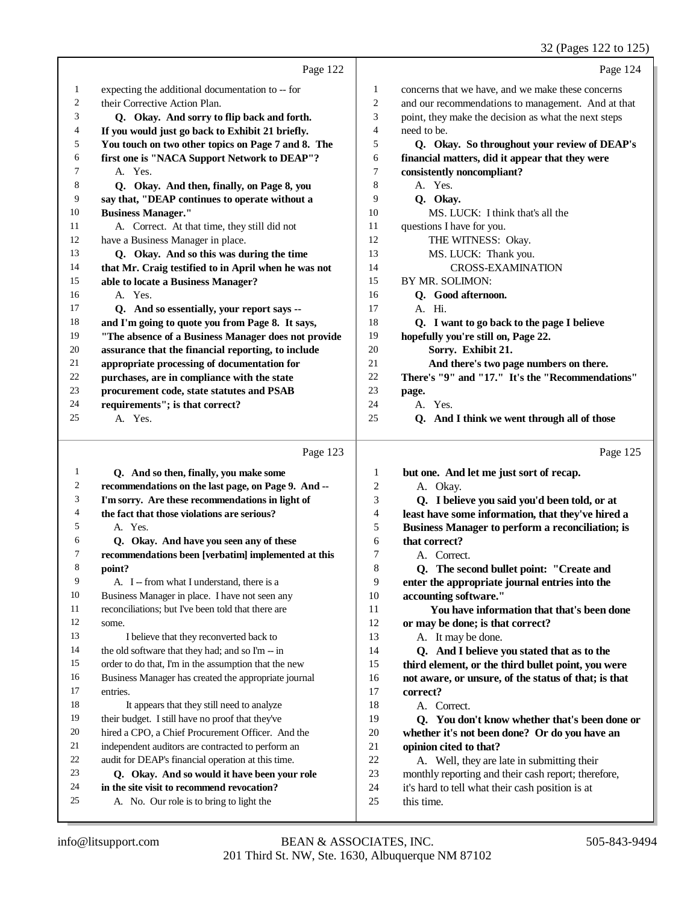|                |                                                                                                    |                  | 32 (Pages 122 to 125)                                                                                   |
|----------------|----------------------------------------------------------------------------------------------------|------------------|---------------------------------------------------------------------------------------------------------|
|                | Page 122                                                                                           |                  | Page 124                                                                                                |
| 1              | expecting the additional documentation to -- for                                                   | 1                | concerns that we have, and we make these concerns                                                       |
| $\overline{c}$ | their Corrective Action Plan.                                                                      | 2                | and our recommendations to management. And at that                                                      |
| 3              | Q. Okay. And sorry to flip back and forth.                                                         | 3                | point, they make the decision as what the next steps                                                    |
| 4              | If you would just go back to Exhibit 21 briefly.                                                   | 4                | need to be.                                                                                             |
| 5              | You touch on two other topics on Page 7 and 8. The                                                 | 5                | Q. Okay. So throughout your review of DEAP's                                                            |
| 6              | first one is "NACA Support Network to DEAP"?                                                       | 6                | financial matters, did it appear that they were                                                         |
| 7              | A. Yes.                                                                                            | 7                | consistently noncompliant?                                                                              |
| 8              | Q. Okay. And then, finally, on Page 8, you                                                         | 8                | A. Yes.                                                                                                 |
| 9              | say that, "DEAP continues to operate without a                                                     | 9                | Q. Okay.                                                                                                |
| 10             | <b>Business Manager."</b>                                                                          | 10               | MS. LUCK: I think that's all the                                                                        |
| 11             | A. Correct. At that time, they still did not                                                       | 11               | questions I have for you.                                                                               |
| 12             | have a Business Manager in place.                                                                  | 12               | THE WITNESS: Okay.                                                                                      |
| 13             | Q. Okay. And so this was during the time                                                           | 13               | MS. LUCK: Thank you.                                                                                    |
| 14             | that Mr. Craig testified to in April when he was not                                               | 14               | <b>CROSS-EXAMINATION</b>                                                                                |
| 15             | able to locate a Business Manager?                                                                 | 15               | BY MR. SOLIMON:                                                                                         |
| 16             | A. Yes.                                                                                            | 16               | Q. Good afternoon.                                                                                      |
| 17             | Q. And so essentially, your report says --                                                         | 17               | A. Hi.                                                                                                  |
| 18             | and I'm going to quote you from Page 8. It says,                                                   | 18               | Q. I want to go back to the page I believe                                                              |
| 19             | "The absence of a Business Manager does not provide                                                | 19               | hopefully you're still on, Page 22.                                                                     |
| $20\,$         | assurance that the financial reporting, to include                                                 | 20               | Sorry. Exhibit 21.                                                                                      |
| 21             | appropriate processing of documentation for                                                        | 21               | And there's two page numbers on there.                                                                  |
| $22\,$         | purchases, are in compliance with the state                                                        | 22               | There's "9" and "17." It's the "Recommendations"                                                        |
| 23             | procurement code, state statutes and PSAB                                                          | 23               | page.                                                                                                   |
| 24             | requirements"; is that correct?                                                                    | 24               | A. Yes.                                                                                                 |
| 25             | A. Yes.                                                                                            | 25               | Q. And I think we went through all of those                                                             |
|                | Page 123                                                                                           |                  | Page 125                                                                                                |
| $\mathbf{1}$   | Q. And so then, finally, you make some                                                             | $\mathbf{1}$     | but one. And let me just sort of recap.                                                                 |
| 2              | recommendations on the last page, on Page 9. And --                                                | $\boldsymbol{2}$ | A. Okay.                                                                                                |
| 3              | I'm sorry. Are these recommendations in light of                                                   | 3                | Q. I believe you said you'd been told, or at                                                            |
| 4              | the fact that those violations are serious?                                                        | 4                | least have some information, that they've hired a                                                       |
| 5              | A. Yes.                                                                                            | 5                | Business Manager to perform a reconciliation; is                                                        |
| 6              | Q. Okay. And have you seen any of these                                                            | 6                | that correct?                                                                                           |
|                | recommendations been [verbatim] implemented at this                                                | $\sqrt{ }$       | A. Correct.                                                                                             |
| 8              | point?                                                                                             | 8                | Q. The second bullet point: "Create and                                                                 |
| 9              | A. I -- from what I understand, there is a                                                         | 9                | enter the appropriate journal entries into the                                                          |
| 10             | Business Manager in place. I have not seen any                                                     | 10               | accounting software."                                                                                   |
| 11             | reconciliations; but I've been told that there are                                                 | 11               | You have information that that's been done                                                              |
| 12             | some.                                                                                              | 12               | or may be done; is that correct?                                                                        |
| 13             | I believe that they reconverted back to                                                            | 13               | A. It may be done.                                                                                      |
| 14             | the old software that they had; and so I'm -- in                                                   | 14               | Q. And I believe you stated that as to the                                                              |
| 15             | order to do that, I'm in the assumption that the new                                               | 15               | third element, or the third bullet point, you were                                                      |
| 16             | Business Manager has created the appropriate journal                                               | 16               | not aware, or unsure, of the status of that; is that                                                    |
| 17             | entries.                                                                                           | 17               | correct?                                                                                                |
| 18             | It appears that they still need to analyze                                                         | 18               | A. Correct.                                                                                             |
| 19<br>20       | their budget. I still have no proof that they've                                                   | 19               | Q. You don't know whether that's been done or                                                           |
| 21             | hired a CPO, a Chief Procurement Officer. And the                                                  | 20               | whether it's not been done? Or do you have an                                                           |
| 22             | independent auditors are contracted to perform an                                                  | 21<br>22         | opinion cited to that?                                                                                  |
| 23             | audit for DEAP's financial operation at this time.<br>Q. Okay. And so would it have been your role | 23               | A. Well, they are late in submitting their                                                              |
| 24             | in the site visit to recommend revocation?                                                         | $24\,$           | monthly reporting and their cash report; therefore,<br>it's hard to tell what their cash position is at |
|                |                                                                                                    |                  |                                                                                                         |

A. No. Our role is to bring to light the

this time.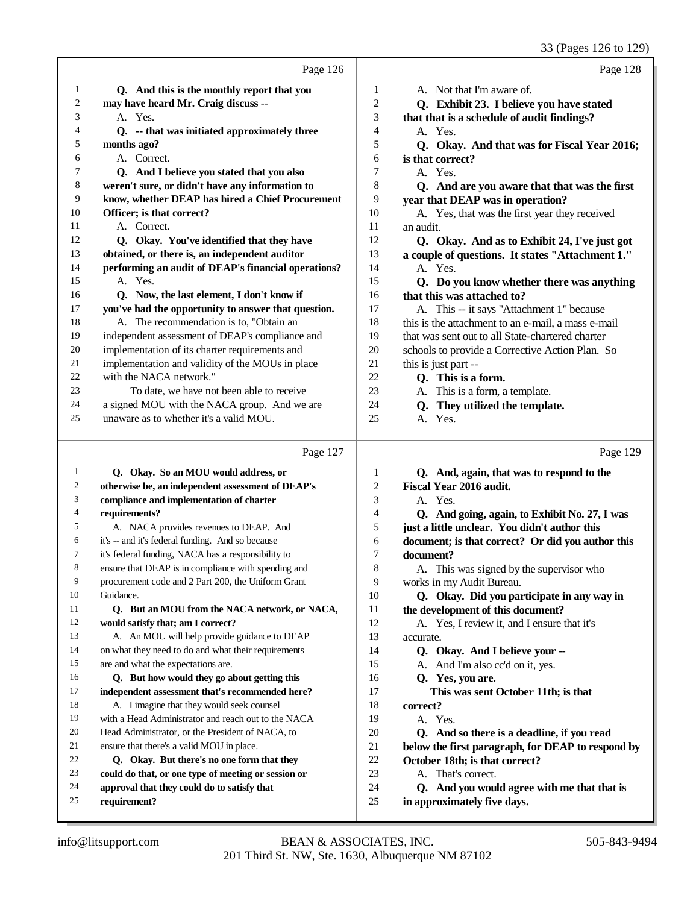|    |                                                     |        | 33 (Pages 126 to 129)                              |
|----|-----------------------------------------------------|--------|----------------------------------------------------|
|    | Page 126                                            |        | Page 128                                           |
| 1  | Q. And this is the monthly report that you          | 1      | A. Not that I'm aware of.                          |
| 2  | may have heard Mr. Craig discuss --                 | 2      | Q. Exhibit 23. I believe you have stated           |
| 3  | A. Yes.                                             | 3      | that that is a schedule of audit findings?         |
| 4  | Q. -- that was initiated approximately three        | 4      | A. Yes.                                            |
| 5  | months ago?                                         | 5      | Q. Okay. And that was for Fiscal Year 2016;        |
| 6  | A. Correct.                                         | 6      | is that correct?                                   |
| 7  | Q. And I believe you stated that you also           | 7      | A. Yes.                                            |
| 8  | weren't sure, or didn't have any information to     | 8      | Q. And are you aware that that was the first       |
| 9  | know, whether DEAP has hired a Chief Procurement    | 9      | year that DEAP was in operation?                   |
| 10 | Officer; is that correct?                           | 10     | A. Yes, that was the first year they received      |
| 11 | A. Correct.                                         | 11     | an audit.                                          |
| 12 | Q. Okay. You've identified that they have           | 12     | Q. Okay. And as to Exhibit 24, I've just got       |
| 13 | obtained, or there is, an independent auditor       | 13     | a couple of questions. It states "Attachment 1."   |
| 14 | performing an audit of DEAP's financial operations? | 14     | A. Yes.                                            |
| 15 | A. Yes.                                             | 15     | Q. Do you know whether there was anything          |
| 16 | Q. Now, the last element, I don't know if           | 16     | that this was attached to?                         |
| 17 | you've had the opportunity to answer that question. | 17     | A. This -- it says "Attachment 1" because          |
| 18 | A. The recommendation is to, "Obtain an             | 18     | this is the attachment to an e-mail, a mass e-mail |
| 19 | independent assessment of DEAP's compliance and     | 19     | that was sent out to all State-chartered charter   |
| 20 | implementation of its charter requirements and      | 20     | schools to provide a Corrective Action Plan. So    |
| 21 | implementation and validity of the MOUs in place    | 21     | this is just part --                               |
| 22 | with the NACA network."                             | 22     | Q. This is a form.                                 |
| 23 | To date, we have not been able to receive           | 23     | A. This is a form, a template.                     |
| 24 | a signed MOU with the NACA group. And we are        | 24     | Q. They utilized the template.                     |
| 25 | unaware as to whether it's a valid MOU.             | 25     | A. Yes.                                            |
|    | Page 127                                            |        | Page 129                                           |
| 1  | Q. Okay. So an MOU would address, or                | 1      | Q. And, again, that was to respond to the          |
| 2  | otherwise be, an independent assessment of DEAP's   | 2      | Fiscal Year 2016 audit.                            |
| 3  | compliance and implementation of charter            | 3      | A. Yes.                                            |
| 4  | requirements?                                       | 4      | Q. And going, again, to Exhibit No. 27, I was      |
| 5  | A. NACA provides revenues to DEAP. And              | 5      | just a little unclear. You didn't author this      |
| 6  | it's -- and it's federal funding. And so because    | 6      | document; is that correct? Or did you author this  |
|    | it's federal funding, NACA has a responsibility to  | 7      | document?                                          |
| 8  | ensure that DEAP is in compliance with spending and | 8      | A. This was signed by the supervisor who           |
| 9  | procurement code and 2 Part 200, the Uniform Grant  | 9      | works in my Audit Bureau.                          |
| 10 | Guidance.                                           | 10     | Q. Okay. Did you participate in any way in         |
| 11 | Q. But an MOU from the NACA network, or NACA,       | 11     | the development of this document?                  |
| 12 | would satisfy that; am I correct?                   | 12     | A. Yes, I review it, and I ensure that it's        |
| 13 | A. An MOU will help provide guidance to DEAP        | 13     | accurate.                                          |
| 14 | on what they need to do and what their requirements | 14     | Q. Okay. And I believe your --                     |
| 15 | are and what the expectations are.                  | 15     | A. And I'm also cc'd on it, yes.                   |
| 16 | Q. But how would they go about getting this         | 16     | Q. Yes, you are.                                   |
| 17 | independent assessment that's recommended here?     | 17     | This was sent October 11th; is that                |
| 18 | A. I imagine that they would seek counsel           | 18     | correct?                                           |
| 19 | with a Head Administrator and reach out to the NACA | 19     | A. Yes.                                            |
| 20 | Head Administrator, or the President of NACA, to    | 20     | Q. And so there is a deadline, if you read         |
| 21 | ensure that there's a valid MOU in place.           | $21\,$ | below the first paragraph, for DEAP to respond by  |

 **approval that they could do to satisfy that requirement?**

 **Q. Okay. But there's no one form that they could do that, or one type of meeting or session or** 21 **below the first paragraph, for DEAP to respond by**<br>22 **October 18th; is that correct?** 

 **Q. And you would agree with me that that is**

22 **October 18th; is that correct?**<br>23 A. That's correct. A. That's correct.

in approximately five days.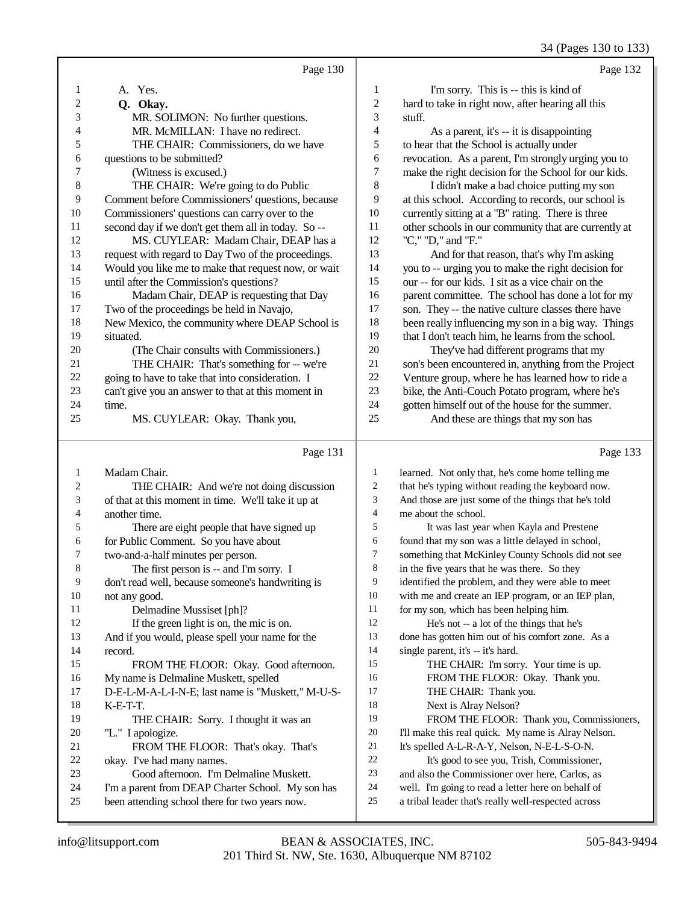34 (Pages 130 to 133)

|                | Page 130                                            |                | Page 132                                             |
|----------------|-----------------------------------------------------|----------------|------------------------------------------------------|
| 1              | A. Yes.                                             | $\mathbf{1}$   | I'm sorry. This is -- this is kind of                |
| 2              | Q. Okay.                                            | $\sqrt{2}$     | hard to take in right now, after hearing all this    |
| 3              | MR. SOLIMON: No further questions.                  | 3              | stuff.                                               |
| 4              | MR. McMILLAN: I have no redirect.                   | $\overline{4}$ | As a parent, it's -- it is disappointing             |
| 5              | THE CHAIR: Commissioners, do we have                | $\mathfrak s$  | to hear that the School is actually under            |
| 6              | questions to be submitted?                          | 6              | revocation. As a parent, I'm strongly urging you to  |
| 7              | (Witness is excused.)                               | $\overline{7}$ | make the right decision for the School for our kids. |
| $\,8\,$        | THE CHAIR: We're going to do Public                 | $\,8\,$        | I didn't make a bad choice putting my son            |
| 9              | Comment before Commissioners' questions, because    | 9              | at this school. According to records, our school is  |
| 10             | Commissioners' questions can carry over to the      | 10             | currently sitting at a "B" rating. There is three    |
| 11             | second day if we don't get them all in today. So -- | 11             | other schools in our community that are currently at |
| 12             | MS. CUYLEAR: Madam Chair, DEAP has a                | 12             | "C," "D," and "F."                                   |
| 13             | request with regard to Day Two of the proceedings.  | 13             | And for that reason, that's why I'm asking           |
| 14             | Would you like me to make that request now, or wait | 14             | you to -- urging you to make the right decision for  |
| 15             | until after the Commission's questions?             | 15             | our -- for our kids. I sit as a vice chair on the    |
| 16             | Madam Chair, DEAP is requesting that Day            | 16             | parent committee. The school has done a lot for my   |
| 17             | Two of the proceedings be held in Navajo,           | 17             | son. They -- the native culture classes there have   |
| 18             | New Mexico, the community where DEAP School is      | 18             | been really influencing my son in a big way. Things  |
| 19             | situated.                                           | 19             | that I don't teach him, he learns from the school.   |
| 20             | (The Chair consults with Commissioners.)            | 20             | They've had different programs that my               |
| 21             | THE CHAIR: That's something for -- we're            | 21             | son's been encountered in, anything from the Project |
| 22             | going to have to take that into consideration. I    | 22             | Venture group, where he has learned how to ride a    |
| 23             | can't give you an answer to that at this moment in  | 23             | bike, the Anti-Couch Potato program, where he's      |
| 24             | time.                                               | 24             | gotten himself out of the house for the summer.      |
| 25             | MS. CUYLEAR: Okay. Thank you,                       | 25             | And these are things that my son has                 |
|                | Page 131                                            |                | Page 133                                             |
| 1              | Madam Chair.                                        | 1              | learned. Not only that, he's come home telling me    |
| $\overline{c}$ | THE CHAIR: And we're not doing discussion           | $\overline{c}$ | that he's typing without reading the keyboard now.   |
| 3              | of that at this moment in time. We'll take it up at | 3              | And those are just some of the things that he's told |
| 4              | another time.                                       | $\overline{4}$ | me about the school.                                 |
| 5              | There are eight people that have signed up          | 5              | It was last year when Kayla and Prestene             |

 for Public Comment. So you have about two-and-a-half minutes per person. The first person is -- and I'm sorry. I don't read well, because someone's handwriting is not any good. Delmadine Mussiset [ph]? If the green light is on, the mic is on. And if you would, please spell your name for the

 record. FROM THE FLOOR: Okay. Good afternoon. My name is Delmaline Muskett, spelled D-E-L-M-A-L-I-N-E; last name is "Muskett," M-U-S-K-E-T-T.

 THE CHAIR: Sorry. I thought it was an "L." I apologize. FROM THE FLOOR: That's okay. That's okay. I've had many names.

- Good afternoon. I'm Delmaline Muskett.
- I'm a parent from DEAP Charter School. My son has
- been attending school there for two years now.

It was last year when Kayla and Prestene 6 found that my son was a little delayed in school,<br>7 something that McKinley County Schools did no

7 something that McKinley County Schools did not see<br>8 in the five years that he was there. So they

- in the five years that he was there. So they identified the problem, and they were able to meet
- with me and create an IEP program, or an IEP plan,
- 11 for my son, which has been helping him.<br>12 He's not -- a lot of the things that help
- He's not -- a lot of the things that he's done has gotten him out of his comfort zone. As a

14 single parent, it's -- it's hard.

- 15 THE CHAIR: I'm sorry. Your time is up. FROM THE FLOOR: Okay. Thank you. 17 THE CHAIR: Thank you. Next is Alray Nelson? FROM THE FLOOR: Thank you, Commissioners, I'll make this real quick. My name is Alray Nelson.
- 21 It's spelled A-L-R-A-Y, Nelson, N-E-L-S-O-N.<br>22 It's good to see you. Trish. Commissione.
- 22 It's good to see you, Trish, Commissioner,<br>23 and also the Commissioner over here. Carlos, as and also the Commissioner over here, Carlos, as
- well. I'm going to read a letter here on behalf of
- a tribal leader that's really well-respected across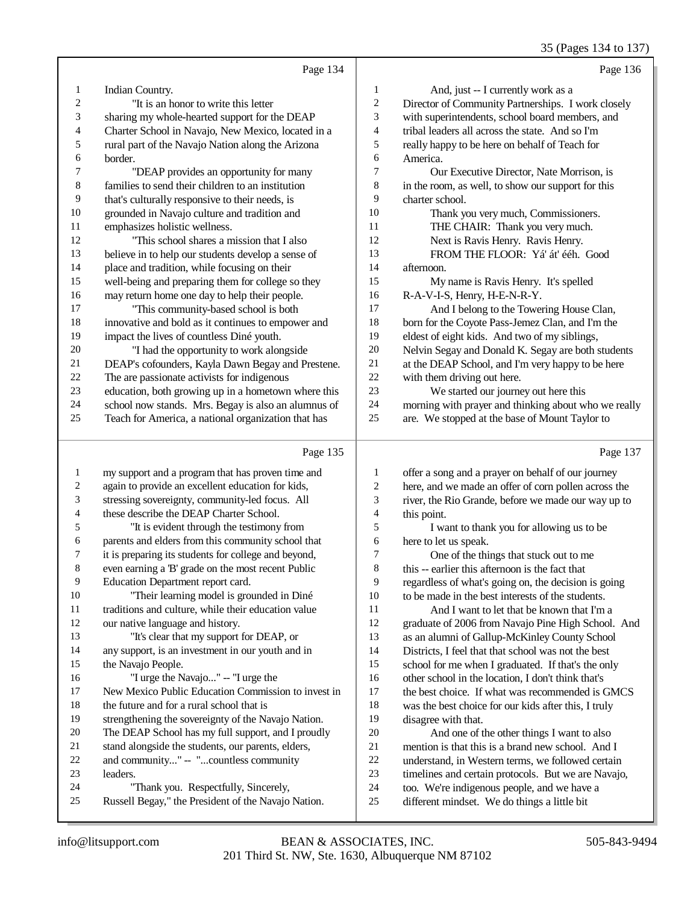#### 35 (Pages 134 to 137)

|    | Page 134                                             |                  | Page 136                                             |
|----|------------------------------------------------------|------------------|------------------------------------------------------|
| 1  | Indian Country.                                      | 1                | And, just -- I currently work as a                   |
| 2  | "It is an honor to write this letter                 | $\boldsymbol{2}$ | Director of Community Partnerships. I work closely   |
| 3  | sharing my whole-hearted support for the DEAP        | 3                | with superintendents, school board members, and      |
| 4  | Charter School in Navajo, New Mexico, located in a   | 4                | tribal leaders all across the state. And so I'm      |
| 5  | rural part of the Navajo Nation along the Arizona    | 5                | really happy to be here on behalf of Teach for       |
| 6  | border.                                              | 6                | America.                                             |
| 7  | "DEAP provides an opportunity for many               | 7                | Our Executive Director, Nate Morrison, is            |
| 8  | families to send their children to an institution    | 8                | in the room, as well, to show our support for this   |
| 9  | that's culturally responsive to their needs, is      | 9                | charter school.                                      |
| 10 | grounded in Navajo culture and tradition and         | 10               | Thank you very much, Commissioners.                  |
| 11 | emphasizes holistic wellness.                        | 11               | THE CHAIR: Thank you very much.                      |
| 12 | "This school shares a mission that I also            | 12               | Next is Ravis Henry. Ravis Henry.                    |
| 13 | believe in to help our students develop a sense of   | 13               | FROM THE FLOOR: Yá' át' ééh. Good                    |
| 14 | place and tradition, while focusing on their         | 14               | afternoon.                                           |
| 15 | well-being and preparing them for college so they    | 15               | My name is Ravis Henry. It's spelled                 |
| 16 | may return home one day to help their people.        | 16               | R-A-V-I-S, Henry, H-E-N-R-Y.                         |
| 17 | "This community-based school is both                 | 17               | And I belong to the Towering House Clan,             |
| 18 | innovative and bold as it continues to empower and   | 18               | born for the Coyote Pass-Jemez Clan, and I'm the     |
| 19 | impact the lives of countless Diné youth.            | 19               | eldest of eight kids. And two of my siblings,        |
| 20 | "I had the opportunity to work alongside             | $20\,$           | Nelvin Segay and Donald K. Segay are both students   |
| 21 | DEAP's cofounders, Kayla Dawn Begay and Prestene.    | 21               | at the DEAP School, and I'm very happy to be here    |
| 22 | The are passionate activists for indigenous          | $22\,$           | with them driving out here.                          |
| 23 | education, both growing up in a hometown where this  | 23               | We started our journey out here this                 |
| 24 | school now stands. Mrs. Begay is also an alumnus of  | 24               | morning with prayer and thinking about who we really |
| 25 | Teach for America, a national organization that has  | 25               | are. We stopped at the base of Mount Taylor to       |
|    | Page 135                                             |                  | Page 137                                             |
| 1  | my support and a program that has proven time and    | 1                | offer a song and a prayer on behalf of our journey   |
| 2  | again to provide an excellent education for kids,    | $\mathfrak{2}$   | here, and we made an offer of corn pollen across the |
| 3  | stressing sovereignty, community-led focus. All      | 3                | river, the Rio Grande, before we made our way up to  |
| 4  | these describe the DEAP Charter School.              | $\overline{4}$   | this point.                                          |
| 5  | "It is evident through the testimony from            | 5                | I want to thank you for allowing us to be            |
| 6  | parents and elders from this community school that   | 6                | here to let us speak.                                |
| 7  | it is preparing its students for college and beyond, | 7                | One of the things that stuck out to me               |
| 8  | even earning a 'B' grade on the most recent Public   | 8                | this -- earlier this afternoon is the fact that      |
| 9  | Education Department report card.                    | 9                | regardless of what's going on, the decision is going |
| 10 | "Their learning model is grounded in Diné            | $10\,$           | to be made in the best interests of the students.    |
| 11 | traditions and culture, while their education value  | 11               | And I want to let that be known that I'm a           |
| 12 | our native language and history.                     | 12               | graduate of 2006 from Navajo Pine High School. And   |
| 13 | "It's clear that my support for DEAP, or             | 13               | as an alumni of Gallup-McKinley County School        |
| 14 | any support, is an investment in our youth and in    | 14               | Districts, I feel that that school was not the best  |
| 15 | the Navajo People.                                   | 15               | school for me when I graduated. If that's the only   |
| 16 | "I urge the Navajo" -- "I urge the                   | 16               | other school in the location, I don't think that's   |
| 17 | New Mexico Public Education Commission to invest in  | 17               | the best choice. If what was recommended is GMCS     |
| 18 | the future and for a rural school that is            | 18               | was the best choice for our kids after this, I truly |
| 19 | strengthening the sovereignty of the Navajo Nation.  | 19               | disagree with that.                                  |
|    |                                                      |                  |                                                      |
| 20 | The DEAP School has my full support, and I proudly   | $20\,$           | And one of the other things I want to also           |

- and community..." -- "...countless community
- leaders.
- "Thank you. Respectfully, Sincerely,
- Russell Begay," the President of the Navajo Nation.
- understand, in Western terms, we followed certain timelines and certain protocols. But we are Navajo,
- 24 too. We're indigenous people, and we have a<br>25 different mindset. We do things a little bit
	- different mindset. We do things a little bit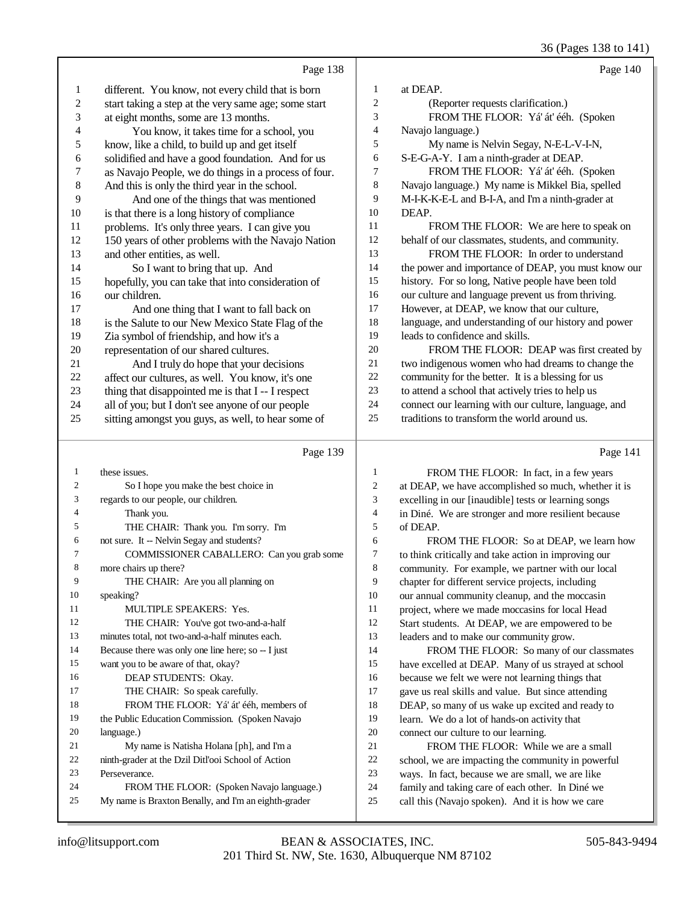36 (Pages 138 to 141)

|    | Page 138                                             |                | Page 140                                             |
|----|------------------------------------------------------|----------------|------------------------------------------------------|
| 1  | different. You know, not every child that is born    |                | at DEAP.                                             |
| 2  | start taking a step at the very same age; some start | 2              | (Reporter requests clarification.)                   |
| 3  | at eight months, some are 13 months.                 | 3              | FROM THE FLOOR: Yá' át' ééh. (Spoken                 |
| 4  | You know, it takes time for a school, you            | $\overline{4}$ | Navajo language.)                                    |
| 5  | know, like a child, to build up and get itself       | 5              | My name is Nelvin Segay, N-E-L-V-I-N,                |
| 6  | solidified and have a good foundation. And for us    | 6              | S-E-G-A-Y. I am a ninth-grader at DEAP.              |
| 7  | as Navajo People, we do things in a process of four. | $\tau$         | FROM THE FLOOR: Yá' át' ééh. (Spoken                 |
| 8  | And this is only the third year in the school.       | 8              | Navajo language.) My name is Mikkel Bia, spelled     |
| 9  | And one of the things that was mentioned             | 9              | M-I-K-K-E-L and B-I-A, and I'm a ninth-grader at     |
| 10 | is that there is a long history of compliance        | 10             | DEAP.                                                |
| 11 | problems. It's only three years. I can give you      | 11             | FROM THE FLOOR: We are here to speak on              |
| 12 | 150 years of other problems with the Navajo Nation   | 12             | behalf of our classmates, students, and community.   |
| 13 | and other entities, as well.                         | 13             | FROM THE FLOOR: In order to understand               |
| 14 | So I want to bring that up. And                      | 14             | the power and importance of DEAP, you must know our  |
| 15 | hopefully, you can take that into consideration of   | 15             | history. For so long, Native people have been told   |
| 16 | our children.                                        | 16             | our culture and language prevent us from thriving.   |
| 17 | And one thing that I want to fall back on            | 17             | However, at DEAP, we know that our culture,          |
| 18 | is the Salute to our New Mexico State Flag of the    | 18             | language, and understanding of our history and power |
| 19 | Zia symbol of friendship, and how it's a             | 19             | leads to confidence and skills.                      |
| 20 | representation of our shared cultures.               | 20             | FROM THE FLOOR: DEAP was first created by            |
| 21 | And I truly do hope that your decisions              | 21             | two indigenous women who had dreams to change the    |
| 22 | affect our cultures, as well. You know, it's one     | 22             | community for the better. It is a blessing for us    |
| 23 | thing that disappointed me is that I--I respect      | 23             | to attend a school that actively tries to help us    |
| 24 | all of you; but I don't see anyone of our people     | 24             | connect our learning with our culture, language, and |
| 25 | sitting amongst you guys, as well, to hear some of   | 25             | traditions to transform the world around us.         |
|    |                                                      |                |                                                      |

#### Page 139

| 1              | these issues.                                        |
|----------------|------------------------------------------------------|
| $\mathfrak{2}$ | So I hope you make the best choice in                |
| 3              | regards to our people, our children.                 |
| $\overline{4}$ | Thank you.                                           |
| 5              | THE CHAIR: Thank you. I'm sorry. I'm                 |
| 6              | not sure. It -- Nelvin Segay and students?           |
| 7              | COMMISSIONER CABALLERO: Can you grab some            |
| 8              | more chairs up there?                                |
| 9              | THE CHAIR: Are you all planning on                   |
| 10             | speaking?                                            |
| 11             | <b>MULTIPLE SPEAKERS: Yes.</b>                       |
| 12             | THE CHAIR: You've got two-and-a-half                 |
| 13             | minutes total, not two-and-a-half minutes each.      |
| 14             | Because there was only one line here; so -- I just   |
| 15             | want you to be aware of that, okay?                  |
| 16             | DEAP STUDENTS: Okay.                                 |
| 17             | THE CHAIR: So speak carefully.                       |
| 18             | FROM THE FLOOR: Yá' át' ééh, members of              |
| 19             | the Public Education Commission. (Spoken Navajo      |
| 20             | language.)                                           |
| 21             | My name is Natisha Holana [ph], and I'm a            |
| 22             | ninth-grader at the Dzil Ditl'ooi School of Action   |
| 23             | Perseverance.                                        |
| 24             | FROM THE FLOOR: (Spoken Navajo language.)            |
| 25             | My name is Braxton Benally, and I'm an eighth-grader |

| 1  | FROM THE FLOOR: In fact, in a few years              |
|----|------------------------------------------------------|
| 2  | at DEAP, we have accomplished so much, whether it is |
| 3  | excelling in our [inaudible] tests or learning songs |
| 4  | in Diné. We are stronger and more resilient because  |
| 5. | of DEAP.                                             |
|    |                                                      |

6 FROM THE FLOOR: So at DEAP, we learn how<br>7 to think critically and take action in improving our 7 to think critically and take action in improving our<br>8 community. For example, we partner with our local community. For example, we partner with our local chapter for different service projects, including our annual community cleanup, and the moccasin 11 project, where we made moccasins for local Head<br>12 Start students. At DEAP, we are empowered to be Start students. At DEAP, we are empowered to be leaders and to make our community grow. FROM THE FLOOR: So many of our classmates have excelled at DEAP. Many of us strayed at school because we felt we were not learning things that gave us real skills and value. But since attending DEAP, so many of us wake up excited and ready to learn. We do a lot of hands-on activity that connect our culture to our learning. 21 FROM THE FLOOR: While we are a small<br>22 school, we are impacting the community in powerful 22 school, we are impacting the community in powerful<br>23 ways. In fact, because we are small, we are like ways. In fact, because we are small, we are like

24 family and taking care of each other. In Diné we<br>25 call this (Navajo spoken). And it is how we care call this (Navajo spoken). And it is how we care

Page 141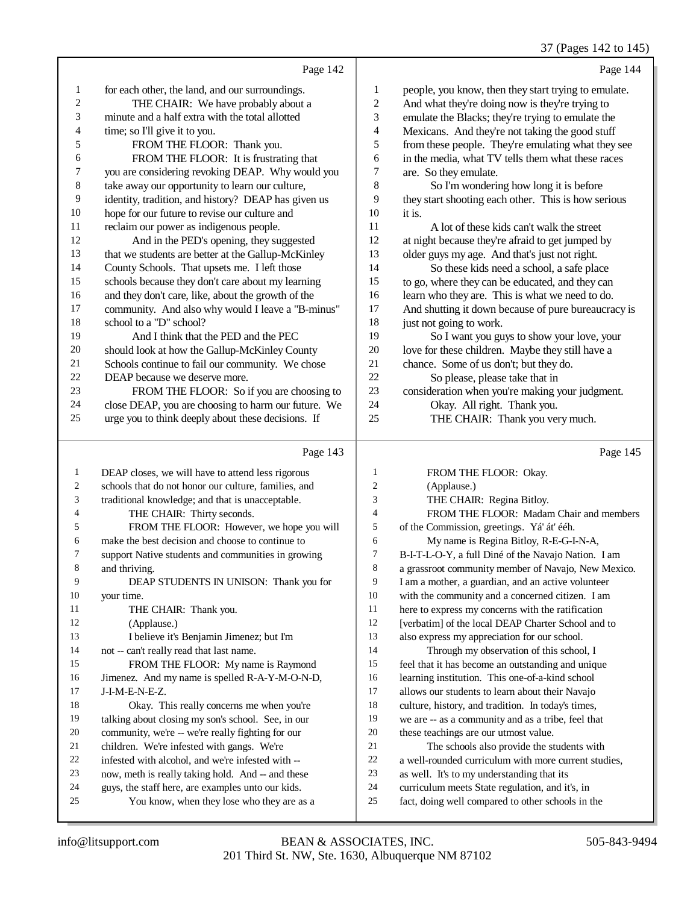37 (Pages 142 to 145)

|                |                                                      |                | 37 (Pages 142 to 145)                                |
|----------------|------------------------------------------------------|----------------|------------------------------------------------------|
|                | Page 142                                             |                | Page 144                                             |
| 1              | for each other, the land, and our surroundings.      | 1              | people, you know, then they start trying to emulate. |
| 2              | THE CHAIR: We have probably about a                  | $\mathbf{2}$   | And what they're doing now is they're trying to      |
| 3              | minute and a half extra with the total allotted      | 3              | emulate the Blacks; they're trying to emulate the    |
| 4              | time; so I'll give it to you.                        | 4              | Mexicans. And they're not taking the good stuff      |
| 5              | FROM THE FLOOR: Thank you.                           | 5              | from these people. They're emulating what they see   |
| 6              | FROM THE FLOOR: It is frustrating that               | 6              | in the media, what TV tells them what these races    |
| 7              | you are considering revoking DEAP. Why would you     | 7              | are. So they emulate.                                |
| $\,8\,$        | take away our opportunity to learn our culture,      | 8              | So I'm wondering how long it is before               |
| 9              | identity, tradition, and history? DEAP has given us  | 9              | they start shooting each other. This is how serious  |
| 10             | hope for our future to revise our culture and        | 10             | it is.                                               |
| 11             | reclaim our power as indigenous people.              | 11             | A lot of these kids can't walk the street            |
| 12             | And in the PED's opening, they suggested             | 12             | at night because they're afraid to get jumped by     |
| 13             | that we students are better at the Gallup-McKinley   | 13             | older guys my age. And that's just not right.        |
| 14             | County Schools. That upsets me. I left those         | 14             | So these kids need a school, a safe place            |
| 15             | schools because they don't care about my learning    | 15             | to go, where they can be educated, and they can      |
| 16             | and they don't care, like, about the growth of the   | 16             | learn who they are. This is what we need to do.      |
| 17             | community. And also why would I leave a "B-minus"    | 17             | And shutting it down because of pure bureaucracy is  |
| 18             | school to a "D" school?                              | 18             | just not going to work.                              |
| 19             | And I think that the PED and the PEC                 | 19             | So I want you guys to show your love, your           |
| 20             | should look at how the Gallup-McKinley County        | $20\,$         | love for these children. Maybe they still have a     |
| 21             | Schools continue to fail our community. We chose     | 21             | chance. Some of us don't; but they do.               |
| $22\,$         | DEAP because we deserve more.                        | 22             | So please, please take that in                       |
| 23             | FROM THE FLOOR: So if you are choosing to            | $23\,$         | consideration when you're making your judgment.      |
| 24             | close DEAP, you are choosing to harm our future. We  | 24             | Okay. All right. Thank you.                          |
| 25             | urge you to think deeply about these decisions. If   | 25             | THE CHAIR: Thank you very much.                      |
|                | Page 143                                             |                | Page 145                                             |
| $\mathbf{1}$   | DEAP closes, we will have to attend less rigorous    | 1              | FROM THE FLOOR: Okay.                                |
| 2              | schools that do not honor our culture, families, and | $\overline{c}$ | (Applause.)                                          |
| 3              | traditional knowledge; and that is unacceptable.     | $\mathfrak{Z}$ | THE CHAIR: Regina Bitloy.                            |
| $\overline{4}$ | THE CHAIR: Thirty seconds.                           | $\overline{4}$ | FROM THE FLOOR: Madam Chair and members              |
| 5              | FROM THE FLOOR: However, we hope you will            | 5              | of the Commission, greetings. Yá' át' ééh.           |
| 6              | make the best decision and choose to continue to     | 6              | My name is Regina Bitloy, R-E-G-I-N-A,               |
| 7              | support Native students and communities in growing   | 7              | B-I-T-L-O-Y, a full Diné of the Navajo Nation. I am  |
| 8              | and thriving.                                        | 8              | a grassroot community member of Navajo, New Mexico.  |
| 9              | DEAP STUDENTS IN UNISON: Thank you for               | 9              | I am a mother, a guardian, and an active volunteer   |
| 10             | your time.                                           | 10             | with the community and a concerned citizen. I am     |
| 11             | THE CHAIR: Thank you.                                | 11             | here to express my concerns with the ratification    |
| 12             | (Applause.)                                          | 12             | [verbatim] of the local DEAP Charter School and to   |
| 13             | I believe it's Benjamin Jimenez; but I'm             | 13             | also express my appreciation for our school.         |
| 14             | not -- can't really read that last name.             | 14             | Through my observation of this school, I             |
| 15             | FROM THE FLOOR: My name is Raymond                   | 15             | feel that it has become an outstanding and unique    |
| 16             | Jimenez. And my name is spelled R-A-Y-M-O-N-D,       | 16             | learning institution. This one-of-a-kind school      |
| 17             | J-I-M-E-N-E-Z.                                       | 17             | allows our students to learn about their Navajo      |
| 18             | Okay. This really concerns me when you're            | 18             | culture, history, and tradition. In today's times,   |
| 19             | talking about closing my son's school. See, in our   | 19             | we are -- as a community and as a tribe, feel that   |
|                |                                                      |                |                                                      |

- infested with alcohol, and we're infested with --
- now, meth is really taking hold. And -- and these
- guys, the staff here, are examples unto our kids.
- 

| -1             | DEAP closes, we will have to attend less rigorous    |                | FROM THE FLOOR: Okay.                                |
|----------------|------------------------------------------------------|----------------|------------------------------------------------------|
| $\overline{c}$ | schools that do not honor our culture, families, and | $\overline{2}$ | (Applause.)                                          |
| 3              | traditional knowledge; and that is unacceptable.     | 3              | THE CHAIR: Regina Bitloy.                            |
| $\overline{4}$ | THE CHAIR: Thirty seconds.                           | 4              | FROM THE FLOOR: Madam Chair and members              |
| 5              | FROM THE FLOOR: However, we hope you will            | 5              | of the Commission, greetings. Yá' át' ééh.           |
| 6              | make the best decision and choose to continue to     | 6              | My name is Regina Bitloy, R-E-G-I-N-A,               |
| $\tau$         | support Native students and communities in growing   | 7              | B-I-T-L-O-Y, a full Diné of the Navajo Nation. I am  |
| 8              | and thriving.                                        | 8              | a grassroot community member of Navajo, New Mexico.  |
| 9              | DEAP STUDENTS IN UNISON: Thank you for               | 9              | I am a mother, a guardian, and an active volunteer   |
| 10             | your time.                                           | 10             | with the community and a concerned citizen. I am     |
| 11             | THE CHAIR: Thank you.                                | 11             | here to express my concerns with the ratification    |
| 12             | (Applause.)                                          | 12             | [verbatim] of the local DEAP Charter School and to   |
| 13             | I believe it's Benjamin Jimenez; but I'm             | 13             | also express my appreciation for our school.         |
| 14             | not -- can't really read that last name.             | 14             | Through my observation of this school, I             |
| 15             | FROM THE FLOOR: My name is Raymond                   | 15             | feel that it has become an outstanding and unique    |
| 16             | Jimenez. And my name is spelled R-A-Y-M-O-N-D,       | 16             | learning institution. This one-of-a-kind school      |
| 17             | J-I-M-E-N-E-Z.                                       | 17             | allows our students to learn about their Navajo      |
| 18             | Okay. This really concerns me when you're            | 18             | culture, history, and tradition. In today's times,   |
| 19             | talking about closing my son's school. See, in our   | 19             | we are -- as a community and as a tribe, feel that   |
| 20             | community, we're -- we're really fighting for our    | 20             | these teachings are our utmost value.                |
| 21             | children. We're infested with gangs. We're           | 21             | The schools also provide the students with           |
| 22             | infested with alcohol, and we're infested with --    | 22             | a well-rounded curriculum with more current studies, |
| 23             | now, meth is really taking hold. And -- and these    | 23             | as well. It's to my understanding that its           |
| 24             | guys, the staff here, are examples unto our kids.    | 24             | curriculum meets State regulation, and it's, in      |
| 25             | You know, when they lose who they are as a           | 25             | fact, doing well compared to other schools in the    |
|                |                                                      |                |                                                      |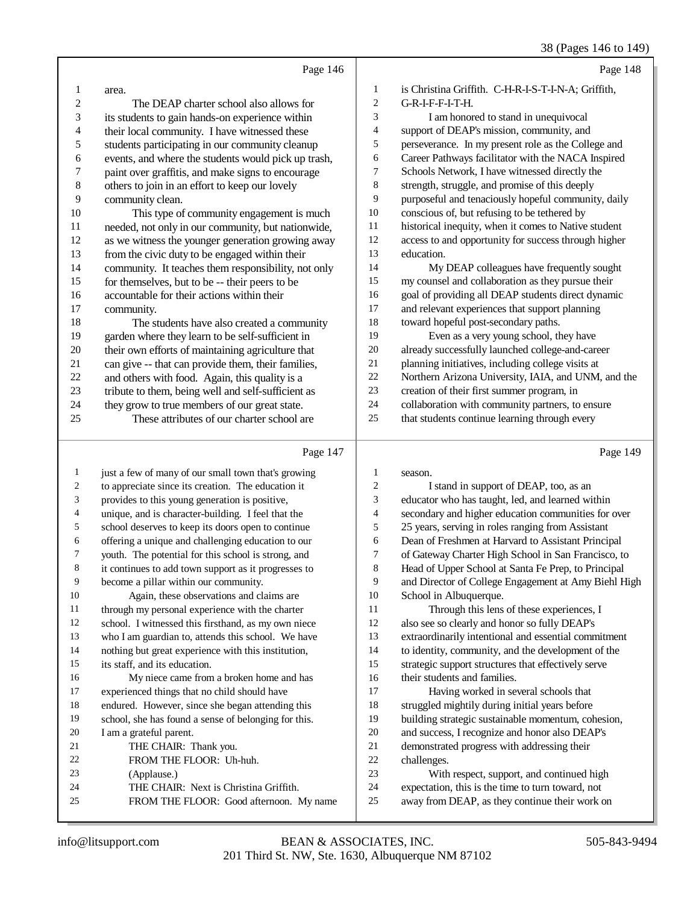|    |                                                     |         | $\sim$ $\sim$ $\sim$ $\sim$ $\sim$                   |
|----|-----------------------------------------------------|---------|------------------------------------------------------|
|    | Page 146                                            |         | Page 148                                             |
| 1  | area.                                               | 1       | is Christina Griffith. C-H-R-I-S-T-I-N-A; Griffith,  |
| 2  | The DEAP charter school also allows for             | 2       | G-R-I-F-F-I-T-H.                                     |
| 3  | its students to gain hands-on experience within     | 3       | I am honored to stand in unequivocal                 |
| 4  | their local community. I have witnessed these       | 4       | support of DEAP's mission, community, and            |
| 5  | students participating in our community cleanup     | 5       | perseverance. In my present role as the College and  |
| 6  | events, and where the students would pick up trash, | 6       | Career Pathways facilitator with the NACA Inspired   |
| 7  | paint over graffitis, and make signs to encourage   | 7       | Schools Network, I have witnessed directly the       |
| 8  | others to join in an effort to keep our lovely      | $\,8\,$ | strength, struggle, and promise of this deeply       |
| 9  | community clean.                                    | 9       | purposeful and tenaciously hopeful community, daily  |
| 10 | This type of community engagement is much           | 10      | conscious of, but refusing to be tethered by         |
| 11 | needed, not only in our community, but nationwide,  | 11      | historical inequity, when it comes to Native student |
| 12 | as we witness the younger generation growing away   | 12      | access to and opportunity for success through higher |
| 13 | from the civic duty to be engaged within their      | 13      | education.                                           |
| 14 | community. It teaches them responsibility, not only | 14      | My DEAP colleagues have frequently sought            |
| 15 | for themselves, but to be -- their peers to be      | 15      | my counsel and collaboration as they pursue their    |
| 16 | accountable for their actions within their          | 16      | goal of providing all DEAP students direct dynamic   |
| 17 | community.                                          | 17      | and relevant experiences that support planning       |
| 18 | The students have also created a community          | 18      | toward hopeful post-secondary paths.                 |
| 19 | garden where they learn to be self-sufficient in    | 19      | Even as a very young school, they have               |
| 20 | their own efforts of maintaining agriculture that   | 20      | already successfully launched college-and-career     |
| 21 | can give -- that can provide them, their families,  | 21      | planning initiatives, including college visits at    |
| 22 | and others with food. Again, this quality is a      | 22      | Northern Arizona University, IAIA, and UNM, and the  |
| 23 | tribute to them, being well and self-sufficient as  | 23      | creation of their first summer program, in           |
| 24 | they grow to true members of our great state.       | 24      | collaboration with community partners, to ensure     |
| 25 | These attributes of our charter school are          | 25      | that students continue learning through every        |
|    | Page 147                                            |         | Page 149                                             |

## Page 147 |

| 1  | just a few of many of our small town that's growing  | 1  | season.                                              |
|----|------------------------------------------------------|----|------------------------------------------------------|
| 2  | to appreciate since its creation. The education it   | 2  | I stand in support of DEAP, too, as an               |
| 3  | provides to this young generation is positive,       | 3  | educator who has taught, led, and learned within     |
| 4  | unique, and is character-building. I feel that the   | 4  | secondary and higher education communities for over  |
| 5  | school deserves to keep its doors open to continue   | 5  | 25 years, serving in roles ranging from Assistant    |
| 6  | offering a unique and challenging education to our   | 6  | Dean of Freshmen at Harvard to Assistant Principal   |
| 7  | youth. The potential for this school is strong, and  | 7  | of Gateway Charter High School in San Francisco, to  |
| 8  | it continues to add town support as it progresses to | 8  | Head of Upper School at Santa Fe Prep, to Principal  |
| 9  | become a pillar within our community.                | 9  | and Director of College Engagement at Amy Biehl High |
| 10 | Again, these observations and claims are             | 10 | School in Albuquerque.                               |
| 11 | through my personal experience with the charter      | 11 | Through this lens of these experiences, I            |
| 12 | school. I witnessed this firsthand, as my own niece  | 12 | also see so clearly and honor so fully DEAP's        |
| 13 | who I am guardian to, attends this school. We have   | 13 | extraordinarily intentional and essential commitment |
| 14 | nothing but great experience with this institution,  | 14 | to identity, community, and the development of the   |
| 15 | its staff, and its education.                        | 15 | strategic support structures that effectively serve  |
| 16 | My niece came from a broken home and has             | 16 | their students and families.                         |
| 17 | experienced things that no child should have         | 17 | Having worked in several schools that                |
| 18 | endured. However, since she began attending this     | 18 | struggled mightily during initial years before       |
| 19 | school, she has found a sense of belonging for this. | 19 | building strategic sustainable momentum, cohesion,   |
| 20 | I am a grateful parent.                              | 20 | and success, I recognize and honor also DEAP's       |
| 21 | THE CHAIR: Thank you.                                | 21 | demonstrated progress with addressing their          |
| 22 | FROM THE FLOOR: Uh-huh.                              | 22 | challenges.                                          |
| 23 | (Applause.)                                          | 23 | With respect, support, and continued high            |
| 24 | THE CHAIR: Next is Christina Griffith.               | 24 | expectation, this is the time to turn toward, not    |
| 25 | FROM THE FLOOR: Good afternoon. My name              | 25 | away from DEAP, as they continue their work on       |
|    |                                                      |    |                                                      |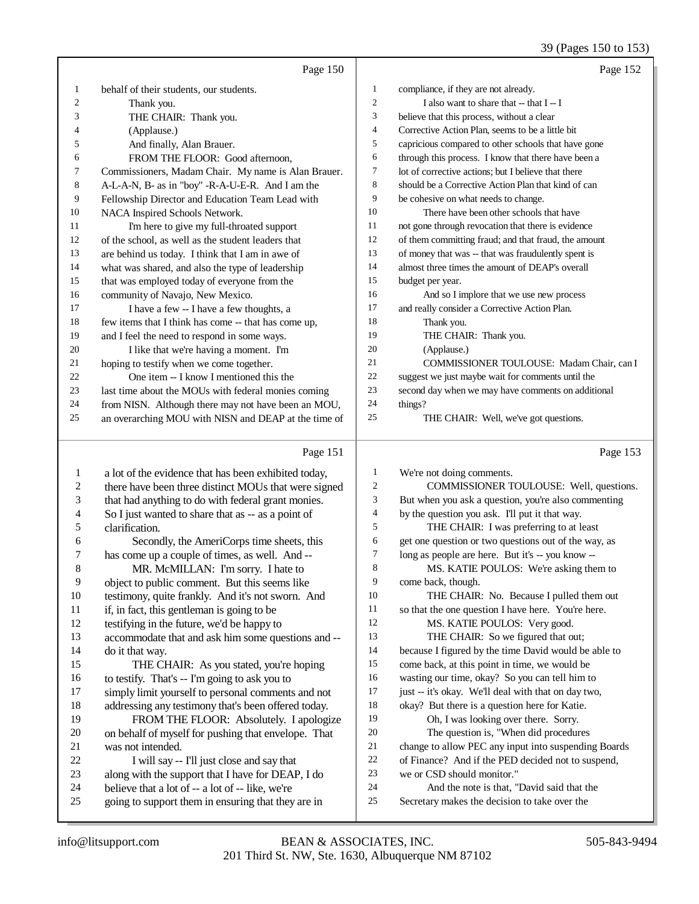39 (Pages 150 to 153)

|                  |                                                      |                  | $37$ (1 ages 150 to 155                              |
|------------------|------------------------------------------------------|------------------|------------------------------------------------------|
|                  | Page 150                                             |                  | Page 152                                             |
| 1                | behalf of their students, our students.              | $\mathbf{1}$     | compliance, if they are not already.                 |
| 2                | Thank you.                                           | $\mathbf{2}$     | I also want to share that -- that I -- I             |
| 3                | THE CHAIR: Thank you.                                | 3                | believe that this process, without a clear           |
| 4                | (Applause.)                                          | $\overline{4}$   | Corrective Action Plan, seems to be a little bit     |
| 5                | And finally, Alan Brauer.                            | 5                | capricious compared to other schools that have gone  |
| 6                | FROM THE FLOOR: Good afternoon,                      | 6                | through this process. I know that there have been a  |
| 7                | Commissioners, Madam Chair. My name is Alan Brauer.  | $\tau$           | lot of corrective actions; but I believe that there  |
| 8                | A-L-A-N, B- as in "boy" -R-A-U-E-R. And I am the     | 8                | should be a Corrective Action Plan that kind of can  |
| 9                | Fellowship Director and Education Team Lead with     | 9                | be cohesive on what needs to change.                 |
| 10               | NACA Inspired Schools Network.                       | 10               | There have been other schools that have              |
| 11               | I'm here to give my full-throated support            | 11               | not gone through revocation that there is evidence   |
| 12               | of the school, as well as the student leaders that   | 12               | of them committing fraud; and that fraud, the amount |
| 13               | are behind us today. I think that I am in awe of     | 13               | of money that was -- that was fraudulently spent is  |
| 14               | what was shared, and also the type of leadership     | 14               | almost three times the amount of DEAP's overall      |
| 15               | that was employed today of everyone from the         | 15               | budget per year.                                     |
| 16               | community of Navajo, New Mexico.                     | 16               | And so I implore that we use new process             |
| 17               | I have a few -- I have a few thoughts, a             | 17               | and really consider a Corrective Action Plan.        |
| 18               | few items that I think has come -- that has come up, | 18               | Thank you.                                           |
| 19               | and I feel the need to respond in some ways.         | 19               | THE CHAIR: Thank you.                                |
| 20               | I like that we're having a moment. I'm               | 20               | (Applause.)                                          |
| 21               | hoping to testify when we come together.             | 21               | COMMISSIONER TOULOUSE: Madam Chair, can I            |
| 22               | One item -- I know I mentioned this the              | 22               | suggest we just maybe wait for comments until the    |
| 23               | last time about the MOUs with federal monies coming  | 23               | second day when we may have comments on additional   |
| 24               | from NISN. Although there may not have been an MOU,  | 24               | things?                                              |
| 25               | an overarching MOU with NISN and DEAP at the time of | 25               | THE CHAIR: Well, we've got questions.                |
|                  |                                                      |                  |                                                      |
|                  | Page 151                                             |                  | Page 153                                             |
| $\mathbf{1}$     | a lot of the evidence that has been exhibited today, | 1                | We're not doing comments.                            |
| $\boldsymbol{2}$ | there have been three distinct MOUs that were signed | $\boldsymbol{2}$ | COMMISSIONER TOULOUSE: Well, questions.              |
| 3                | that had anything to do with federal grant monies.   | 3                | But when you ask a question, you're also commenting  |
| 4                | So I just wanted to share that as -- as a point of   | 4                | by the question you ask. I'll put it that way.       |
| 5                | clarification.                                       | 5                | THE CHAIR: I was preferring to at least              |
| 6                | Secondly, the AmeriCorps time sheets, this           | 6                | get one question or two questions out of the way, as |
| 7                | has come up a couple of times, as well. And --       | 7                | long as people are here. But it's -- you know --     |
| 8                | MR. McMILLAN: I'm sorry. I hate to                   | 8                | MS. KATIE POULOS: We're asking them to               |
| 9                | object to public comment. But this seems like        | 9                | come back, though.                                   |
| $10\,$           | testimony, quite frankly. And it's not sworn. And    | 10               | THE CHAIR: No. Because I pulled them out             |
| 11               | if, in fact, this gentleman is going to be           | 11               | so that the one question I have here. You're here.   |
| 12               | testifying in the future, we'd be happy to           | 12               | MS. KATIE POULOS: Very good.                         |
| 13               | accommodate that and ask him some questions and --   | 13               | THE CHAIR: So we figured that out;                   |
| 14               | do it that way.                                      | 14               | because I figured by the time David would be able to |
| 15               | THE CHAIR: As you stated, you're hoping              | 15               | come back, at this point in time, we would be        |
| 16               | to testify. That's -- I'm going to ask you to        | 16               | wasting our time, okay? So you can tell him to       |
| 17               | simply limit yourself to personal comments and not   | $17\,$           | just -- it's okay. We'll deal with that on day two,  |
| 18               | addressing any testimony that's been offered today.  | $18\,$           | okay? But there is a question here for Katie.        |
| 19               | FROM THE FLOOR: Absolutely. I apologize              | 19               | Oh, I was looking over there. Sorry.                 |
| $20\,$           | on behalf of myself for pushing that envelope. That  | $20\,$           | The question is, "When did procedures                |
| 21               | was not intended.                                    | $21\,$           | change to allow PEC any input into suspending Boards |
| $22\,$           | I will say -- I'll just close and say that           | $22\,$           | of Finance? And if the PED decided not to suspend,   |
| 23               | along with the support that I have for DEAP, I do    | $23\,$           | we or CSD should monitor."                           |
| 24               | believe that a lot of -- a lot of -- like we're      | 24               | And the note is that. "David said that the           |

- 23 along with the support that I have for DEAP, I do<br>
24 believe that a lot of  $-$  a lot of  $-$  like, we're
- 24 believe that a lot of -- a lot of -- like, we're<br>25 going to support them in ensuring that they going to support them in ensuring that they are in
- 24 And the note is that, "David said that the 25 Secretary makes the decision to take over the Secretary makes the decision to take over the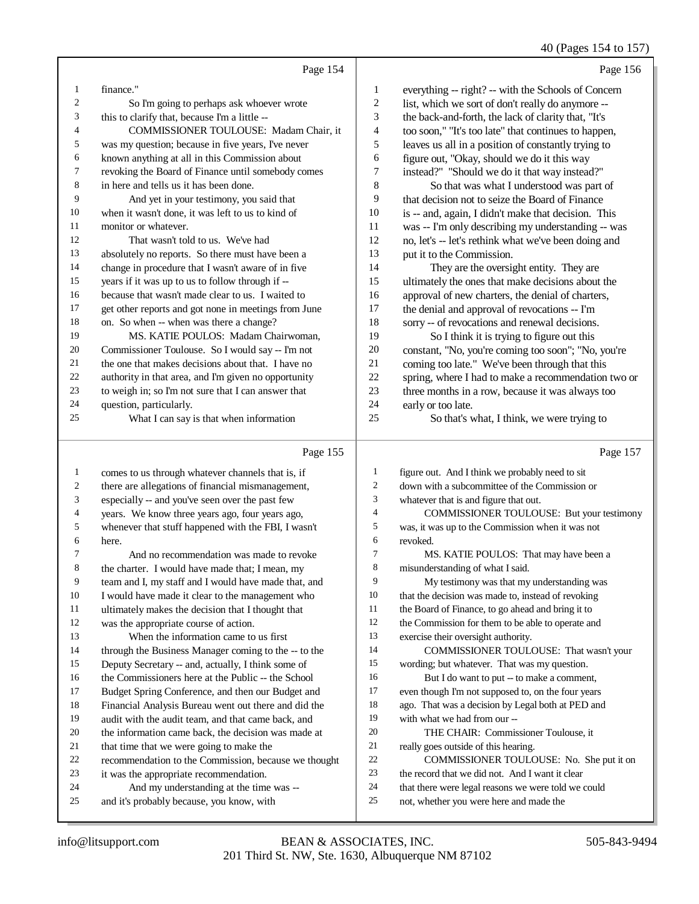## 40 (Pages 154 to 157)

|    | Page 154                                             |    | Page 156                                             |
|----|------------------------------------------------------|----|------------------------------------------------------|
| 1  | finance."                                            | 1  | everything -- right? -- with the Schools of Concern  |
| 2  | So I'm going to perhaps ask whoever wrote            | 2  | list, which we sort of don't really do anymore --    |
| 3  | this to clarify that, because I'm a little --        | 3  | the back-and-forth, the lack of clarity that, "It's  |
| 4  | COMMISSIONER TOULOUSE: Madam Chair, it               | 4  | too soon," "It's too late" that continues to happen, |
| 5  | was my question; because in five years, I've never   | 5  | leaves us all in a position of constantly trying to  |
| 6  | known anything at all in this Commission about       | 6  | figure out, "Okay, should we do it this way          |
| 7  | revoking the Board of Finance until somebody comes   | 7  | instead?" "Should we do it that way instead?"        |
| 8  | in here and tells us it has been done.               | 8  | So that was what I understood was part of            |
| 9  | And yet in your testimony, you said that             | 9  | that decision not to seize the Board of Finance      |
| 10 | when it wasn't done, it was left to us to kind of    | 10 | is -- and, again, I didn't make that decision. This  |
| 11 | monitor or whatever.                                 | 11 | was -- I'm only describing my understanding -- was   |
| 12 | That wasn't told to us. We've had                    | 12 | no, let's -- let's rethink what we've been doing and |
| 13 | absolutely no reports. So there must have been a     | 13 | put it to the Commission.                            |
| 14 | change in procedure that I wasn't aware of in five   | 14 | They are the oversight entity. They are              |
| 15 | years if it was up to us to follow through if --     | 15 | ultimately the ones that make decisions about the    |
| 16 | because that wasn't made clear to us. I waited to    | 16 | approval of new charters, the denial of charters,    |
| 17 | get other reports and got none in meetings from June | 17 | the denial and approval of revocations -- I'm        |
| 18 | on. So when -- when was there a change?              | 18 | sorry -- of revocations and renewal decisions.       |
| 19 | MS. KATIE POULOS: Madam Chairwoman.                  | 19 | So I think it is trying to figure out this           |
| 20 | Commissioner Toulouse. So I would say -- I'm not     | 20 | constant, "No, you're coming too soon"; "No, you're  |
| 21 | the one that makes decisions about that. I have no   | 21 | coming too late." We've been through that this       |
| 22 | authority in that area, and I'm given no opportunity | 22 | spring, where I had to make a recommendation two or  |
| 23 | to weigh in; so I'm not sure that I can answer that  | 23 | three months in a row, because it was always too     |
| 24 | question, particularly.                              | 24 | early or too late.                                   |
| 25 | What I can say is that when information              | 25 | So that's what, I think, we were trying to           |
|    |                                                      |    |                                                      |

### Page 155  $\parallel$

|                | Page 155                                             |              | Page 157                                            |
|----------------|------------------------------------------------------|--------------|-----------------------------------------------------|
| 1              | comes to us through whatever channels that is, if    | $\mathbf{1}$ | figure out. And I think we probably need to sit     |
| 2              | there are allegations of financial mismanagement,    | 2            | down with a subcommittee of the Commission or       |
| 3              | especially -- and you've seen over the past few      | 3            | whatever that is and figure that out.               |
| $\overline{4}$ | years. We know three years ago, four years ago,      | 4            | COMMISSIONER TOULOUSE: But your testimony           |
| 5              | whenever that stuff happened with the FBI, I wasn't  | 5            | was, it was up to the Commission when it was not    |
| 6              | here.                                                | 6            | revoked.                                            |
| 7              | And no recommendation was made to revoke             | 7            | MS. KATIE POULOS: That may have been a              |
| 8              | the charter. I would have made that; I mean, my      | 8            | misunderstanding of what I said.                    |
| 9              | team and I, my staff and I would have made that, and | 9            | My testimony was that my understanding was          |
| 10             | I would have made it clear to the management who     | 10           | that the decision was made to, instead of revoking  |
| 11             | ultimately makes the decision that I thought that    | 11           | the Board of Finance, to go ahead and bring it to   |
| 12             | was the appropriate course of action.                | 12           | the Commission for them to be able to operate and   |
| 13             | When the information came to us first                | 13           | exercise their oversight authority.                 |
| 14             | through the Business Manager coming to the -- to the | 14           | COMMISSIONER TOULOUSE: That wasn't your             |
| 15             | Deputy Secretary -- and, actually, I think some of   | 15           | wording; but whatever. That was my question.        |
| 16             | the Commissioners here at the Public -- the School   | 16           | But I do want to put -- to make a comment,          |
| 17             | Budget Spring Conference, and then our Budget and    | 17           | even though I'm not supposed to, on the four years  |
| 18             | Financial Analysis Bureau went out there and did the | 18           | ago. That was a decision by Legal both at PED and   |
| 19             | audit with the audit team, and that came back, and   | 19           | with what we had from our --                        |
| 20             | the information came back, the decision was made at  | 20           | THE CHAIR: Commissioner Toulouse, it                |
| 21             | that time that we were going to make the             | 21           | really goes outside of this hearing.                |
| 22             | recommendation to the Commission, because we thought | 22           | COMMISSIONER TOULOUSE: No. She put it on            |
| 23             | it was the appropriate recommendation.               | 23           | the record that we did not. And I want it clear     |
| 24             | And my understanding at the time was --              | 24           | that there were legal reasons we were told we could |
| 25             | and it's probably because, you know, with            | 25           | not, whether you were here and made the             |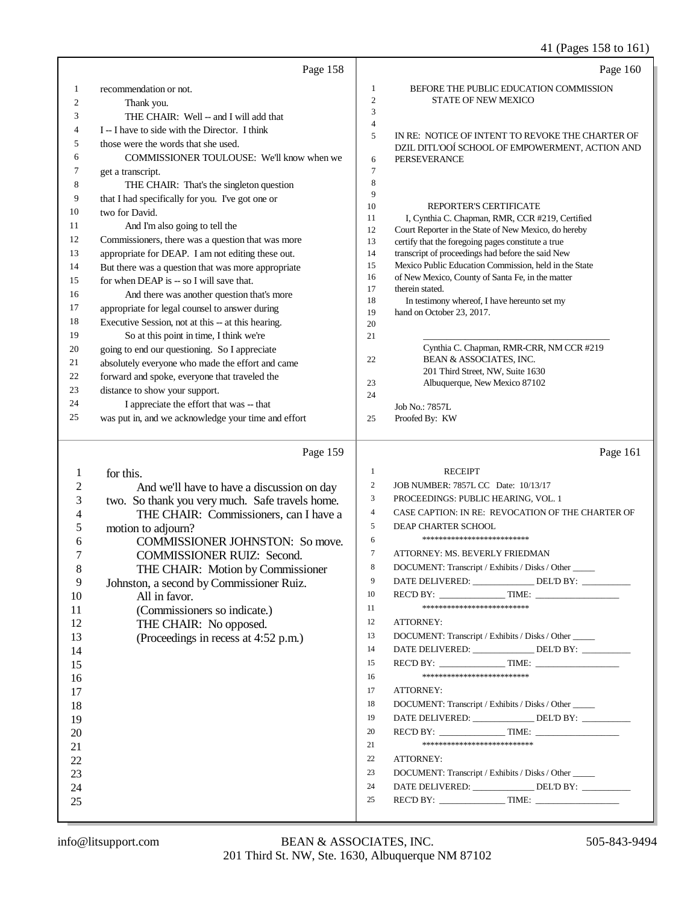## 41 (Pages 158 to 161)

|                | Page 158                                            |                | Page 160                                                            |
|----------------|-----------------------------------------------------|----------------|---------------------------------------------------------------------|
| 1              | recommendation or not.                              | 1              | BEFORE THE PUBLIC EDUCATION COMMISSION                              |
| $\overline{c}$ | Thank you.                                          | $\mathbf{2}$   | STATE OF NEW MEXICO                                                 |
| 3              | THE CHAIR: Well -- and I will add that              | 3              |                                                                     |
| 4              | I – I have to side with the Director. I think       | $\overline{4}$ |                                                                     |
| 5              |                                                     | 5              | IN RE: NOTICE OF INTENT TO REVOKE THE CHARTER OF                    |
| 6              | those were the words that she used.                 |                | DZIL DITL'OOÍ SCHOOL OF EMPOWERMENT, ACTION AND                     |
|                | COMMISSIONER TOULOUSE: We'll know when we           | 6              | PERSEVERANCE                                                        |
| 7              | get a transcript.                                   | $\tau$<br>8    |                                                                     |
| 8              | THE CHAIR: That's the singleton question            | 9              |                                                                     |
| 9              | that I had specifically for you. I've got one or    | 10             | REPORTER'S CERTIFICATE                                              |
| 10             | two for David.                                      | 11             | I, Cynthia C. Chapman, RMR, CCR #219, Certified                     |
| 11             | And I'm also going to tell the                      | 12             | Court Reporter in the State of New Mexico, do hereby                |
| 12             | Commissioners, there was a question that was more   | 13             | certify that the foregoing pages constitute a true                  |
| 13             | appropriate for DEAP. I am not editing these out.   | 14             | transcript of proceedings had before the said New                   |
| 14             | But there was a question that was more appropriate  | 15             | Mexico Public Education Commission, held in the State               |
| 15             | for when DEAP is -- so I will save that.            | 16<br>17       | of New Mexico, County of Santa Fe, in the matter<br>therein stated. |
| 16             | And there was another question that's more          | 18             | In testimony whereof, I have hereunto set my                        |
| 17             | appropriate for legal counsel to answer during      | 19             | hand on October 23, 2017.                                           |
| 18             | Executive Session, not at this -- at this hearing.  | 20             |                                                                     |
| 19             | So at this point in time, I think we're             | 21             |                                                                     |
| 20             | going to end our questioning. So I appreciate       |                | Cynthia C. Chapman, RMR-CRR, NM CCR #219                            |
| 21             | absolutely everyone who made the effort and came    | 22             | BEAN & ASSOCIATES, INC.                                             |
| 22             | forward and spoke, everyone that traveled the       |                | 201 Third Street, NW, Suite 1630                                    |
| 23             | distance to show your support.                      | 23<br>24       | Albuquerque, New Mexico 87102                                       |
| 24             | I appreciate the effort that was -- that            |                | Job No.: 7857L                                                      |
| 25             | was put in, and we acknowledge your time and effort | 25             | Proofed By: KW                                                      |
|                |                                                     |                |                                                                     |
|                |                                                     |                |                                                                     |
|                |                                                     |                |                                                                     |
|                | Page 159                                            |                | Page 161                                                            |
| 1              | for this.                                           | 1              | <b>RECEIPT</b>                                                      |
| $\overline{c}$ | And we'll have to have a discussion on day          | $\overline{c}$ | JOB NUMBER: 7857L CC Date: 10/13/17                                 |
| 3              |                                                     | 3              | PROCEEDINGS: PUBLIC HEARING, VOL. 1                                 |
| 4              | two. So thank you very much. Safe travels home.     | $\overline{4}$ | CASE CAPTION: IN RE: REVOCATION OF THE CHARTER OF                   |
| 5              | THE CHAIR: Commissioners, can I have a              | 5              | DEAP CHARTER SCHOOL                                                 |
| 6              | motion to adjourn?                                  | 6              | ***************************                                         |
| 7              | <b>COMMISSIONER JOHNSTON: So move.</b>              | 7              | ATTORNEY: MS. BEVERLY FRIEDMAN                                      |
|                | <b>COMMISSIONER RUIZ: Second.</b>                   | 8              | DOCUMENT: Transcript / Exhibits / Disks / Other                     |
| 8              | THE CHAIR: Motion by Commissioner                   | 9              | DATE DELIVERED: ________________ DEL'D BY: _________                |
| 9              | Johnston, a second by Commissioner Ruiz.            | 10             | REC'D BY: TIME:                                                     |
| 10             | All in favor.                                       | 11             | ***************************                                         |
| 11             | (Commissioners so indicate.)                        | 12             | ATTORNEY:                                                           |
| 12             | THE CHAIR: No opposed.                              | 13             | DOCUMENT: Transcript / Exhibits / Disks / Other                     |
| 13             | (Proceedings in recess at 4:52 p.m.)                | 14             |                                                                     |
| 14             |                                                     |                | DATE DELIVERED: ______________DEL'D BY: _________                   |
| 15             |                                                     | 15             | REC'D BY: TIME:<br>**************************                       |
| 16             |                                                     | 16             |                                                                     |
| 17             |                                                     | 17             | ATTORNEY:                                                           |
| 18             |                                                     | 18             | DOCUMENT: Transcript / Exhibits / Disks / Other                     |
| 19             |                                                     | 19             | DATE DELIVERED: ______________DEL'D BY: _________                   |
| 20             |                                                     | 20             | $RECD BY:$ TIME:                                                    |
| 21             |                                                     | 21             | ***************************                                         |
| 22             |                                                     | 22             | ATTORNEY:                                                           |
| 23             |                                                     | 23             | DOCUMENT: Transcript / Exhibits / Disks / Other                     |
| 24             |                                                     | 24             | DATE DELIVERED: ______________ DEL'D BY: ________                   |
| 25             |                                                     | 25             |                                                                     |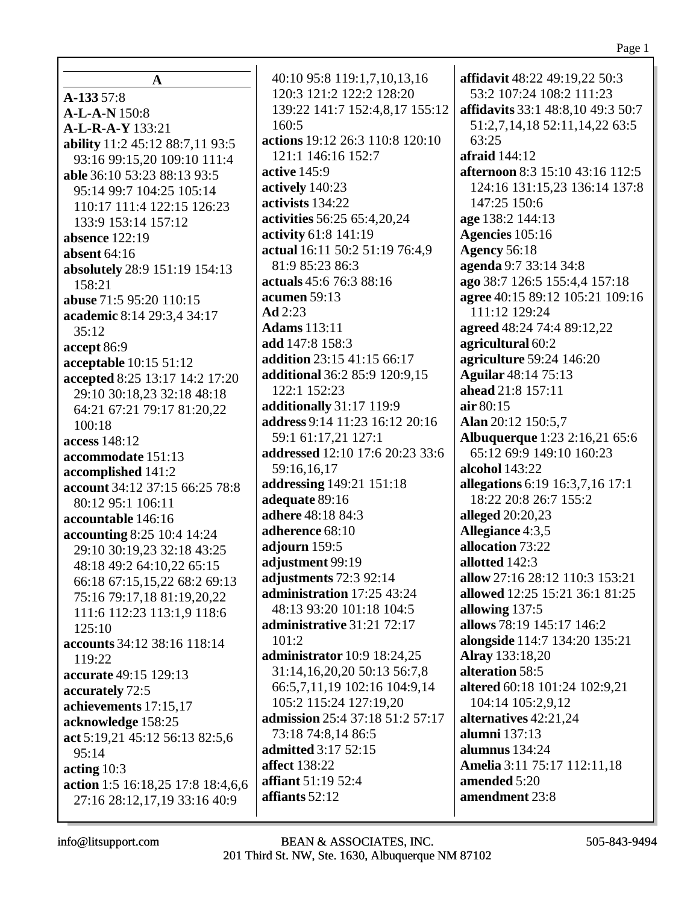|                                 | affidavit 48:22 49:19,22 50:3                                                                                                                                                                                                                                                                                                                                                                                                                                                                                                                                                                                                                                                                                                                                                                                                                                                                                                                                                                                                            |
|---------------------------------|------------------------------------------------------------------------------------------------------------------------------------------------------------------------------------------------------------------------------------------------------------------------------------------------------------------------------------------------------------------------------------------------------------------------------------------------------------------------------------------------------------------------------------------------------------------------------------------------------------------------------------------------------------------------------------------------------------------------------------------------------------------------------------------------------------------------------------------------------------------------------------------------------------------------------------------------------------------------------------------------------------------------------------------|
|                                 | 53:2 107:24 108:2 111:23                                                                                                                                                                                                                                                                                                                                                                                                                                                                                                                                                                                                                                                                                                                                                                                                                                                                                                                                                                                                                 |
|                                 | <b>affidavits</b> 33:1 48:8,10 49:3 50:7                                                                                                                                                                                                                                                                                                                                                                                                                                                                                                                                                                                                                                                                                                                                                                                                                                                                                                                                                                                                 |
|                                 | 51:2,7,14,18 52:11,14,22 63:5                                                                                                                                                                                                                                                                                                                                                                                                                                                                                                                                                                                                                                                                                                                                                                                                                                                                                                                                                                                                            |
|                                 | 63:25                                                                                                                                                                                                                                                                                                                                                                                                                                                                                                                                                                                                                                                                                                                                                                                                                                                                                                                                                                                                                                    |
|                                 | afraid 144:12                                                                                                                                                                                                                                                                                                                                                                                                                                                                                                                                                                                                                                                                                                                                                                                                                                                                                                                                                                                                                            |
|                                 | <b>afternoon</b> 8:3 15:10 43:16 112:5                                                                                                                                                                                                                                                                                                                                                                                                                                                                                                                                                                                                                                                                                                                                                                                                                                                                                                                                                                                                   |
|                                 | 124:16 131:15,23 136:14 137:8                                                                                                                                                                                                                                                                                                                                                                                                                                                                                                                                                                                                                                                                                                                                                                                                                                                                                                                                                                                                            |
|                                 | 147:25 150:6                                                                                                                                                                                                                                                                                                                                                                                                                                                                                                                                                                                                                                                                                                                                                                                                                                                                                                                                                                                                                             |
|                                 | age 138:2 144:13                                                                                                                                                                                                                                                                                                                                                                                                                                                                                                                                                                                                                                                                                                                                                                                                                                                                                                                                                                                                                         |
|                                 | Agencies 105:16                                                                                                                                                                                                                                                                                                                                                                                                                                                                                                                                                                                                                                                                                                                                                                                                                                                                                                                                                                                                                          |
|                                 | <b>Agency 56:18</b><br>agenda 9:7 33:14 34:8                                                                                                                                                                                                                                                                                                                                                                                                                                                                                                                                                                                                                                                                                                                                                                                                                                                                                                                                                                                             |
|                                 | ago 38:7 126:5 155:4,4 157:18                                                                                                                                                                                                                                                                                                                                                                                                                                                                                                                                                                                                                                                                                                                                                                                                                                                                                                                                                                                                            |
|                                 | agree 40:15 89:12 105:21 109:16                                                                                                                                                                                                                                                                                                                                                                                                                                                                                                                                                                                                                                                                                                                                                                                                                                                                                                                                                                                                          |
|                                 | 111:12 129:24                                                                                                                                                                                                                                                                                                                                                                                                                                                                                                                                                                                                                                                                                                                                                                                                                                                                                                                                                                                                                            |
|                                 | agreed 48:24 74:4 89:12,22                                                                                                                                                                                                                                                                                                                                                                                                                                                                                                                                                                                                                                                                                                                                                                                                                                                                                                                                                                                                               |
|                                 | agricultural 60:2                                                                                                                                                                                                                                                                                                                                                                                                                                                                                                                                                                                                                                                                                                                                                                                                                                                                                                                                                                                                                        |
|                                 | agriculture 59:24 146:20                                                                                                                                                                                                                                                                                                                                                                                                                                                                                                                                                                                                                                                                                                                                                                                                                                                                                                                                                                                                                 |
|                                 | <b>Aguilar</b> 48:14 75:13                                                                                                                                                                                                                                                                                                                                                                                                                                                                                                                                                                                                                                                                                                                                                                                                                                                                                                                                                                                                               |
|                                 | ahead 21:8 157:11                                                                                                                                                                                                                                                                                                                                                                                                                                                                                                                                                                                                                                                                                                                                                                                                                                                                                                                                                                                                                        |
|                                 | air 80:15                                                                                                                                                                                                                                                                                                                                                                                                                                                                                                                                                                                                                                                                                                                                                                                                                                                                                                                                                                                                                                |
|                                 | Alan 20:12 150:5,7                                                                                                                                                                                                                                                                                                                                                                                                                                                                                                                                                                                                                                                                                                                                                                                                                                                                                                                                                                                                                       |
|                                 | Albuquerque 1:23 2:16,21 65:6                                                                                                                                                                                                                                                                                                                                                                                                                                                                                                                                                                                                                                                                                                                                                                                                                                                                                                                                                                                                            |
| addressed 12:10 17:6 20:23 33:6 | 65:12 69:9 149:10 160:23                                                                                                                                                                                                                                                                                                                                                                                                                                                                                                                                                                                                                                                                                                                                                                                                                                                                                                                                                                                                                 |
| 59:16,16,17                     | <b>alcohol</b> 143:22                                                                                                                                                                                                                                                                                                                                                                                                                                                                                                                                                                                                                                                                                                                                                                                                                                                                                                                                                                                                                    |
| addressing 149:21 151:18        | allegations 6:19 16:3,7,16 17:1                                                                                                                                                                                                                                                                                                                                                                                                                                                                                                                                                                                                                                                                                                                                                                                                                                                                                                                                                                                                          |
| adequate 89:16                  | 18:22 20:8 26:7 155:2                                                                                                                                                                                                                                                                                                                                                                                                                                                                                                                                                                                                                                                                                                                                                                                                                                                                                                                                                                                                                    |
| adhere 48:18 84:3               | alleged 20:20,23                                                                                                                                                                                                                                                                                                                                                                                                                                                                                                                                                                                                                                                                                                                                                                                                                                                                                                                                                                                                                         |
| adherence 68:10                 | Allegiance 4:3,5                                                                                                                                                                                                                                                                                                                                                                                                                                                                                                                                                                                                                                                                                                                                                                                                                                                                                                                                                                                                                         |
| adjourn 159:5                   | allocation 73:22                                                                                                                                                                                                                                                                                                                                                                                                                                                                                                                                                                                                                                                                                                                                                                                                                                                                                                                                                                                                                         |
|                                 | allotted 142:3                                                                                                                                                                                                                                                                                                                                                                                                                                                                                                                                                                                                                                                                                                                                                                                                                                                                                                                                                                                                                           |
|                                 | allow 27:16 28:12 110:3 153:21                                                                                                                                                                                                                                                                                                                                                                                                                                                                                                                                                                                                                                                                                                                                                                                                                                                                                                                                                                                                           |
|                                 | allowed 12:25 15:21 36:1 81:25                                                                                                                                                                                                                                                                                                                                                                                                                                                                                                                                                                                                                                                                                                                                                                                                                                                                                                                                                                                                           |
|                                 | allowing 137:5                                                                                                                                                                                                                                                                                                                                                                                                                                                                                                                                                                                                                                                                                                                                                                                                                                                                                                                                                                                                                           |
|                                 | allows 78:19 145:17 146:2                                                                                                                                                                                                                                                                                                                                                                                                                                                                                                                                                                                                                                                                                                                                                                                                                                                                                                                                                                                                                |
|                                 | alongside 114:7 134:20 135:21                                                                                                                                                                                                                                                                                                                                                                                                                                                                                                                                                                                                                                                                                                                                                                                                                                                                                                                                                                                                            |
|                                 | <b>Alray</b> 133:18,20                                                                                                                                                                                                                                                                                                                                                                                                                                                                                                                                                                                                                                                                                                                                                                                                                                                                                                                                                                                                                   |
|                                 | alteration 58:5                                                                                                                                                                                                                                                                                                                                                                                                                                                                                                                                                                                                                                                                                                                                                                                                                                                                                                                                                                                                                          |
|                                 | altered 60:18 101:24 102:9,21<br>104:14 105:2,9,12                                                                                                                                                                                                                                                                                                                                                                                                                                                                                                                                                                                                                                                                                                                                                                                                                                                                                                                                                                                       |
|                                 | alternatives 42:21,24                                                                                                                                                                                                                                                                                                                                                                                                                                                                                                                                                                                                                                                                                                                                                                                                                                                                                                                                                                                                                    |
|                                 | alumni 137:13                                                                                                                                                                                                                                                                                                                                                                                                                                                                                                                                                                                                                                                                                                                                                                                                                                                                                                                                                                                                                            |
|                                 | alumnus 134:24                                                                                                                                                                                                                                                                                                                                                                                                                                                                                                                                                                                                                                                                                                                                                                                                                                                                                                                                                                                                                           |
|                                 | Amelia 3:11 75:17 112:11,18                                                                                                                                                                                                                                                                                                                                                                                                                                                                                                                                                                                                                                                                                                                                                                                                                                                                                                                                                                                                              |
|                                 | amended 5:20                                                                                                                                                                                                                                                                                                                                                                                                                                                                                                                                                                                                                                                                                                                                                                                                                                                                                                                                                                                                                             |
|                                 | amendment 23:8                                                                                                                                                                                                                                                                                                                                                                                                                                                                                                                                                                                                                                                                                                                                                                                                                                                                                                                                                                                                                           |
|                                 |                                                                                                                                                                                                                                                                                                                                                                                                                                                                                                                                                                                                                                                                                                                                                                                                                                                                                                                                                                                                                                          |
|                                 | 40:10 95:8 119:1,7,10,13,16<br>120:3 121:2 122:2 128:20<br>139:22 141:7 152:4,8,17 155:12<br>160:5<br>actions 19:12 26:3 110:8 120:10<br>121:1 146:16 152:7<br><b>active</b> 145:9<br>actively 140:23<br>activists 134:22<br>activities 56:25 65:4,20,24<br>activity 61:8 141:19<br>actual 16:11 50:2 51:19 76:4,9<br>81:9 85:23 86:3<br>actuals 45:6 76:3 88:16<br>acumen 59:13<br>Ad 2:23<br><b>Adams</b> 113:11<br>add 147:8 158:3<br>addition 23:15 41:15 66:17<br>additional 36:2 85:9 120:9,15<br>122:1 152:23<br>additionally 31:17 119:9<br>address 9:14 11:23 16:12 20:16<br>59:1 61:17,21 127:1<br>adjustment 99:19<br>adjustments $72:392:14$<br>administration 17:25 43:24<br>48:13 93:20 101:18 104:5<br>administrative 31:21 72:17<br>101:2<br>administrator 10:9 18:24,25<br>31:14,16,20,20 50:13 56:7,8<br>66:5,7,11,19 102:16 104:9,14<br>105:2 115:24 127:19,20<br>admission 25:4 37:18 51:2 57:17<br>73:18 74:8,14 86:5<br><b>admitted</b> 3:17 52:15<br><b>affect</b> 138:22<br>affiant 51:19 52:4<br>affiants 52:12 |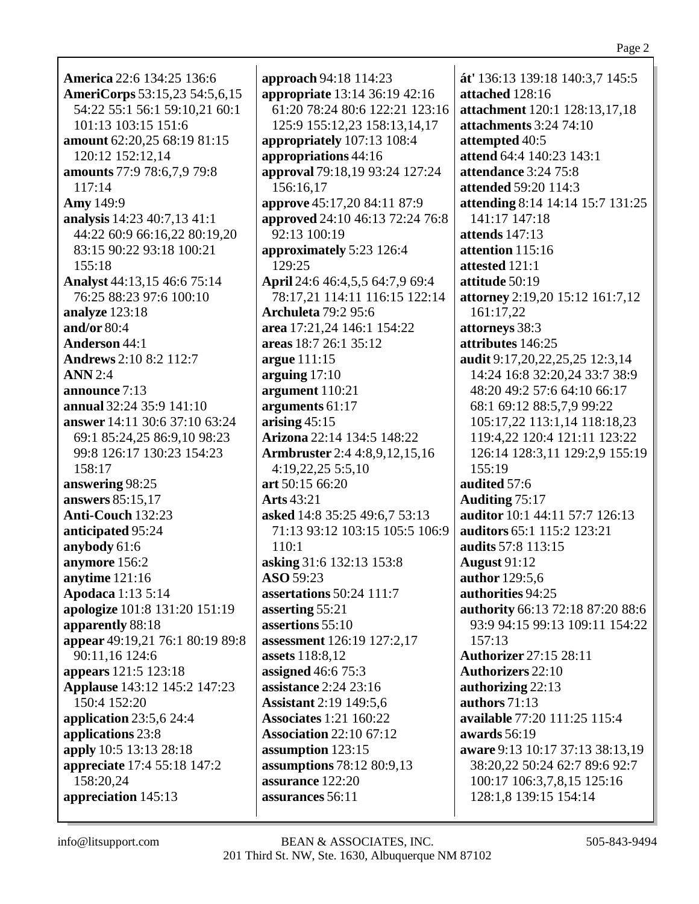**America** 22:6 134:25 136:6 AmeriCorps 53:15,23 54:5,6,15 54:22 55:1 56:1 59:10,21 60:1 101:13 103:15 151:6 amount 62:20,25 68:19 81:15 120:12 152:12,14 amounts 77:9 78:6,7,9 79:8  $117:14$ **Amy** 149:9 analysis 14:23 40:7,13 41:1 44:22 60:9 66:16.22 80:19.20 83:15 90:22 93:18 100:21  $155:18$ **Analyst** 44:13,15 46:6 75:14 76:25 88:23 97:6 100:10 analyze 123:18 and/or  $80:4$ **Anderson 44:1 Andrews** 2:10 8:2 112:7  $ANN 2:4$ announce  $7:13$ annual 32:24 35:9 141:10 **answer** 14:11 30:6 37:10 63:24 69:1 85:24,25 86:9,10 98:23 99:8 126:17 130:23 154:23 158:17 answering 98:25 answers 85:15.17 Anti-Couch 132:23 anticipated 95:24 anybody 61:6 anymore 156:2 anytime 121:16 **Apodaca** 1:13 5:14 apologize 101:8 131:20 151:19 apparently 88:18 appear 49:19,21 76:1 80:19 89:8 90:11,16 124:6 appears 121:5 123:18 **Applause** 143:12 145:2 147:23  $150:4$  152:20 application  $23:5.624:4$ applications 23:8 apply 10:5 13:13 28:18 appreciate 17:4 55:18 147:2 158:20.24 appreciation 145:13

**approach** 94:18 114:23 appropriate 13:14 36:19 42:16 61:20 78:24 80:6 122:21 123:16 125:9 155:12.23 158:13.14.17 appropriately 107:13 108:4 appropriations 44:16 approval 79:18,19 93:24 127:24 156:16,17 **approve** 45:17,20 84:11 87:9 approved 24:10 46:13 72:24 76:8 92:13 100:19 approximately 5:23 126:4 129:25 April 24:6 46:4,5,5 64:7,9 69:4 78:17.21 114:11 116:15 122:14 **Archuleta** 79:2 95:6 area 17:21.24 146:1 154:22 areas 18:7 26:1 35:12 argue 111:15 arguing  $17:10$ argument 110:21 arguments  $61:17$ arising  $45:15$ **Arizona** 22:14 134:5 148:22 **Armbruster** 2:4 4:8,9,12,15,16  $4:19,22,25\ 5:5,10$ art  $50:15\,66:20$ **Arts** 43:21 asked 14:8 35:25 49:6,7 53:13 71:13 93:12 103:15 105:5 106:9 110:1 asking 31:6 132:13 153:8 ASO 59:23 assertations  $50:24$  111:7 asserting 55:21 assertions 55:10 assessment 126:19 127:2,17 **assets** 118:8,12 **assigned** 46:6 75:3 assistance  $2:24$   $23:16$ **Assistant** 2:19 149:5,6 **Associates** 1:21 160:22 **Association 22:10 67:12** assumption 123:15 assumptions  $78:1280:9,13$ assurance  $122:20$ assurances 56:11

át' 136:13 139:18 140:3,7 145:5 attached 128:16 **attachment** 120:1 128:13.17.18 attachments 3:24 74:10 attempted 40:5 attend 64:4 140:23 143:1 attendance  $3:24$  75:8 attended 59:20 114:3 attending 8:14 14:14 15:7 131:25 141:17 147:18 attends  $147:13$ attention  $115:16$ attested 121:1 attitude 50:19 attorney 2:19,20 15:12 161:7,12 161:17,22 attorneys 38:3 attributes 146:25 audit 9:17,20,22,25,25 12:3,14 14:24 16:8 32:20,24 33:7 38:9 48:20 49:2 57:6 64:10 66:17 68:1 69:12 88:5,7,9 99:22 105:17.22 113:1.14 118:18.23 119:4,22 120:4 121:11 123:22 126:14 128:3,11 129:2,9 155:19 155:19 audited 57:6 **Auditing 75:17** auditor 10:1 44:11 57:7 126:13 **auditors** 65:1 115:2 123:21 **audits** 57:8 113:15 **August 91:12** author 129:5,6 authorities 94:25 authority 66:13 72:18 87:20 88:6 93:9 94:15 99:13 109:11 154:22  $157:13$ **Authorizer** 27:15 28:11 **Authorizers** 22:10 authorizing 22:13 authors  $71:13$ available 77:20 111:25 115:4 awards 56:19 aware 9:13 10:17 37:13 38:13.19 38:20.22 50:24 62:7 89:6 92:7 100:17 106:3,7,8,15 125:16 128:1,8 139:15 154:14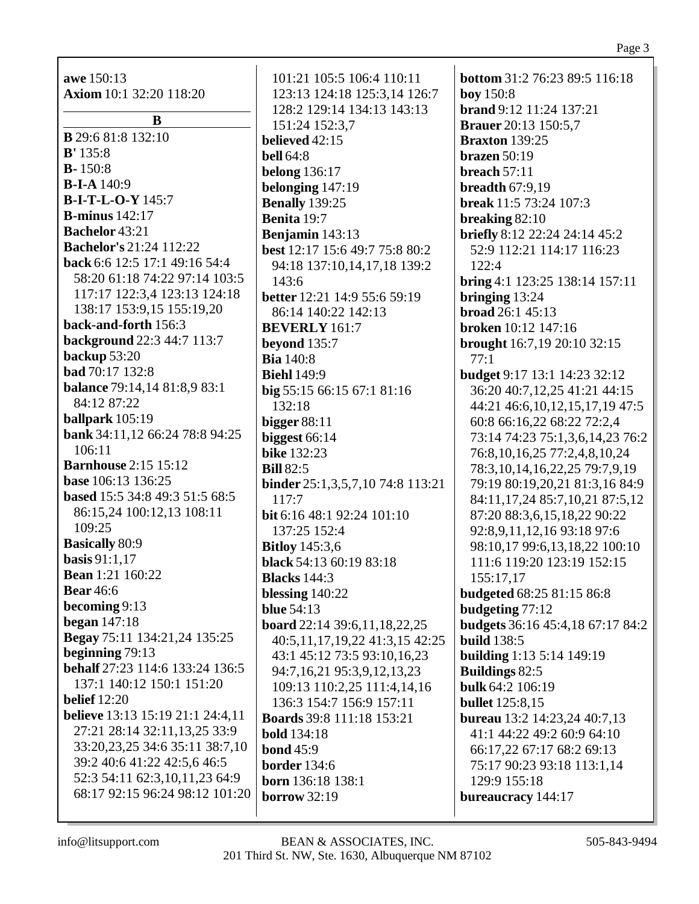awe 150:13 Axiom 10:1 32:20 118:20

 $\bf{B}$ **B** 29:6 81:8 132:10  $B' 135:8$  $B - 150:8$ **B-I-A**  $140:9$ **B-I-T-L-O-Y** 145:7 **B-minus**  $142:17$ **Bachelor** 43:21 **Bachelor's 21:24 112:22** back 6:6 12:5 17:1 49:16 54:4 58:20 61:18 74:22 97:14 103:5 117:17 122:3,4 123:13 124:18 138:17 153:9,15 155:19,20 back-and-forth 156:3 **background** 22:3 44:7 113:7 backup  $53:20$ **bad** 70:17 132:8 **balance** 79:14,14 81:8,9 83:1 84:12 87:22 ballpark  $105:19$ bank 34:11,12 66:24 78:8 94:25  $106:11$ **Barnhouse** 2:15 15:12 base 106:13 136:25 based 15:5 34:8 49:3 51:5 68:5 86:15,24 100:12,13 108:11 109:25 **Basically 80:9** basis  $91:1,17$ **Bean** 1:21 160:22 **Bear** 46:6 becoming  $9:13$ began  $147:18$ Begay 75:11 134:21,24 135:25 beginning  $79:13$ **behalf** 27:23 114:6 133:24 136:5 137:1 140:12 150:1 151:20 belief  $12:20$ **believe** 13:13 15:19 21:1 24:4,11 27:21 28:14 32:11,13,25 33:9 33:20,23,25 34:6 35:11 38:7,10 39:2 40:6 41:22 42:5,6 46:5 52:3 54:11 62:3,10,11,23 64:9 68:17 92:15 96:24 98:12 101:20

101:21 105:5 106:4 110:11 123:13 124:18 125:3,14 126:7 128:2 129:14 134:13 143:13 151:24 152:3,7 believed  $42:15$ **bell** 64:8 **belong** 136:17 belonging  $147:19$ **Benally** 139:25 Benita 19:7 **Benjamin**  $143:13$ best 12:17 15:6 49:7 75:8 80:2 94:18 137:10,14,17,18 139:2 143:6 **better** 12:21 14:9 55:6 59:19 86:14 140:22 142:13 **BEVERLY** 161:7 beyond  $135:7$ **Bia** 140:8 **Biehl** 149:9 big 55:15 66:15 67:1 81:16 132:18 bigger  $88:11$ biggest  $66:14$ **bike** 132:23 **Bill** 82:5 **binder** 25:1,3,5,7,10 74:8 113:21  $117:7$ bit 6:16 48:1 92:24 101:10 137:25 152:4 **Bitloy** 145:3,6 black 54:13 60:19 83:18 **Blacks** 144:3 blessing  $140:22$ **blue** 54:13 **board** 22:14 39:6,11,18,22,25 40:5,11,17,19,22 41:3,15 42:25 43:1 45:12 73:5 93:10,16,23 94:7,16,21 95:3,9,12,13,23 109:13 110:2,25 111:4,14,16 136:3 154:7 156:9 157:11 **Boards** 39:8 111:18 153:21 **bold** 134:18 **bond**  $45:9$ **border** 134:6 **born** 136:18 138:1 borrow  $32:19$ 

**bottom** 31:2 76:23 89:5 116:18 **boy** 150:8 brand 9:12 11:24 137:21 **Brauer** 20:13 150:5,7 **Braxton** 139:25 brazen  $50:19$ breach  $57:11$ breadth  $67:9.19$ **break** 11:5 73:24 107:3 breaking  $82:10$ **briefly** 8:12 22:24 24:14 45:2 52:9 112:21 114:17 116:23  $122:4$ bring 4:1 123:25 138:14 157:11 bringing  $13:24$ **broad**  $26:1$  45:13 **broken** 10:12 147:16 **brought** 16:7,19 20:10 32:15  $77:1$ **budget 9:17 13:1 14:23 32:12** 36:20 40:7,12,25 41:21 44:15 44:21 46:6,10,12,15,17,19 47:5 60:8 66:16.22 68:22 72:2.4 73:14 74:23 75:1,3,6,14,23 76:2 76:8, 10, 16, 25 77:2, 4, 8, 10, 24 78:3, 10, 14, 16, 22, 25 79: 7, 9, 19 79:19 80:19.20.21 81:3.16 84:9 84:11,17,24 85:7,10,21 87:5,12 87:20 88:3,6,15,18,22 90:22 92:8,9,11,12,16 93:18 97:6 98:10,17 99:6,13,18,22 100:10 111:6 119:20 123:19 152:15 155:17,17 **budgeted** 68:25 81:15 86:8 budgeting  $77:12$ **budgets** 36:16 45:4,18 67:17 84:2 **build** 138:5 **building** 1:13 5:14 149:19 **Buildings 82:5 bulk 64:2 106:19 bullet** 125:8.15 **bureau** 13:2 14:23,24 40:7,13 41:1 44:22 49:2 60:9 64:10 66:17.22 67:17 68:2 69:13 75:17 90:23 93:18 113:1,14 129:9 155:18 bureaucracy 144:17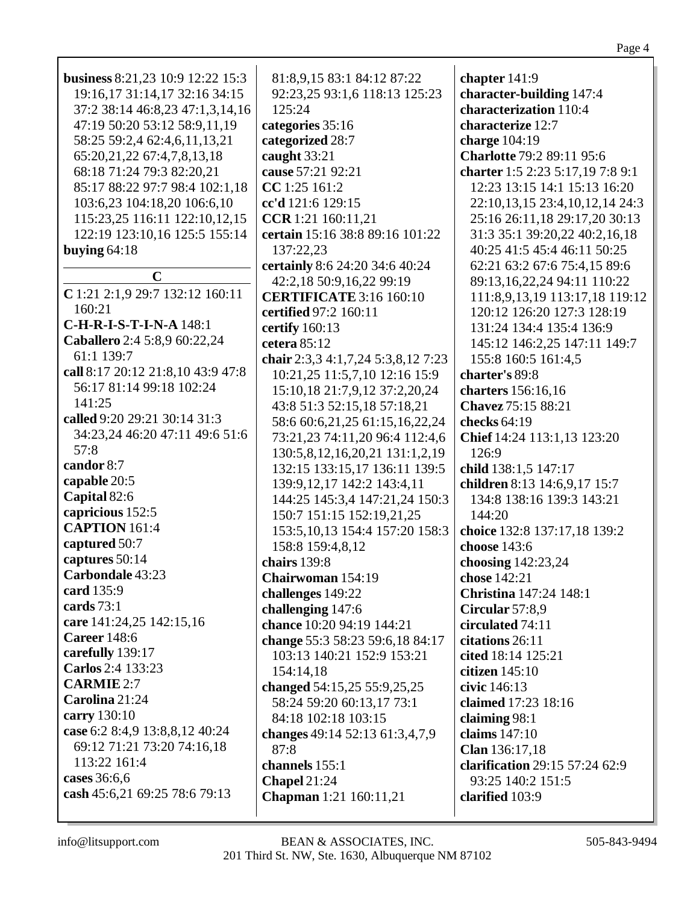| business 8:21,23 10:9 12:22 15:3                                        | 81:8,9,15 83:1 84:12 87:22                                                                      | chapter 141:9                                                                               |
|-------------------------------------------------------------------------|-------------------------------------------------------------------------------------------------|---------------------------------------------------------------------------------------------|
| 19:16,17 31:14,17 32:16 34:15                                           | 92:23,25 93:1,6 118:13 125:23                                                                   | character-building 147:4                                                                    |
| 37:2 38:14 46:8,23 47:1,3,14,16                                         | 125:24                                                                                          | characterization 110:4                                                                      |
| 47:19 50:20 53:12 58:9,11,19                                            | categories 35:16                                                                                | characterize 12:7                                                                           |
| 58:25 59:2,4 62:4,6,11,13,21                                            | categorized 28:7                                                                                | charge 104:19                                                                               |
| 65:20,21,22 67:4,7,8,13,18                                              | caught 33:21                                                                                    | Charlotte 79:2 89:11 95:6                                                                   |
| 68:18 71:24 79:3 82:20,21                                               | cause 57:21 92:21                                                                               | charter 1:5 2:23 5:17,19 7:8 9:1                                                            |
| 85:17 88:22 97:7 98:4 102:1,18                                          | CC 1:25 161:2                                                                                   | 12:23 13:15 14:1 15:13 16:20                                                                |
| 103:6,23 104:18,20 106:6,10                                             | cc'd 121:6 129:15                                                                               | 22:10,13,15 23:4,10,12,14 24:3                                                              |
| 115:23,25 116:11 122:10,12,15                                           | CCR 1:21 160:11,21                                                                              | 25:16 26:11,18 29:17,20 30:13                                                               |
| 122:19 123:10,16 125:5 155:14                                           | certain 15:16 38:8 89:16 101:22                                                                 | 31:3 35:1 39:20,22 40:2,16,18                                                               |
| buying $64:18$                                                          | 137:22,23                                                                                       | 40:25 41:5 45:4 46:11 50:25                                                                 |
| $\mathbf C$                                                             | certainly 8:6 24:20 34:6 40:24                                                                  | 62:21 63:2 67:6 75:4,15 89:6                                                                |
| C 1:21 2:1,9 29:7 132:12 160:11<br>160:21                               | 42:2,18 50:9,16,22 99:19<br><b>CERTIFICATE 3:16 160:10</b><br>certified 97:2 160:11             | 89:13,16,22,24 94:11 110:22<br>111:8,9,13,19 113:17,18 119:12<br>120:12 126:20 127:3 128:19 |
| C-H-R-I-S-T-I-N-A 148:1                                                 | certify 160:13                                                                                  | 131:24 134:4 135:4 136:9                                                                    |
| Caballero 2:4 5:8,9 60:22,24                                            | cetera 85:12                                                                                    | 145:12 146:2,25 147:11 149:7                                                                |
| 61:1 139:7                                                              | chair 2:3,3 4:1,7,24 5:3,8,12 7:23                                                              | 155:8 160:5 161:4,5                                                                         |
| call 8:17 20:12 21:8,10 43:9 47:8<br>56:17 81:14 99:18 102:24<br>141:25 | 10:21,25 11:5,7,10 12:16 15:9<br>15:10,18 21:7,9,12 37:2,20,24                                  | charter's 89:8<br>charters 156:16,16                                                        |
| called 9:20 29:21 30:14 31:3<br>34:23,24 46:20 47:11 49:6 51:6          | 43:8 51:3 52:15,18 57:18,21<br>58:6 60:6,21,25 61:15,16,22,24<br>73:21,23 74:11,20 96:4 112:4,6 | Chavez 75:15 88:21<br>checks 64:19<br>Chief 14:24 113:1,13 123:20                           |
| 57:8                                                                    | 130:5,8,12,16,20,21 131:1,2,19                                                                  | 126:9                                                                                       |
| candor 8:7                                                              | 132:15 133:15,17 136:11 139:5                                                                   | child 138:1,5 147:17                                                                        |
| capable 20:5                                                            | 139:9, 12, 17 142: 2 143: 4, 11                                                                 | children 8:13 14:6,9,17 15:7                                                                |
| Capital 82:6                                                            | 144:25 145:3,4 147:21,24 150:3                                                                  | 134:8 138:16 139:3 143:21                                                                   |
| capricious 152:5                                                        | 150:7 151:15 152:19,21,25                                                                       | 144:20                                                                                      |
| <b>CAPTION 161:4</b>                                                    | 153:5, 10, 13 154:4 157: 20 158: 3                                                              | choice 132:8 137:17,18 139:2                                                                |
| captured 50:7                                                           | 158:8 159:4,8,12                                                                                | choose 143:6                                                                                |
| captures 50:14                                                          | chairs 139:8                                                                                    | choosing 142:23,24                                                                          |
| Carbondale 43:23                                                        | Chairwoman 154:19                                                                               | chose 142:21                                                                                |
| card 135:9                                                              | challenges 149:22                                                                               | <b>Christina</b> 147:24 148:1                                                               |
| cards $73:1$                                                            | challenging 147:6                                                                               | Circular 57:8,9                                                                             |
| care 141:24,25 142:15,16                                                | chance 10:20 94:19 144:21                                                                       | circulated 74:11                                                                            |
| <b>Career</b> 148:6                                                     | change 55:3 58:23 59:6,18 84:17                                                                 | citations 26:11                                                                             |
| carefully 139:17                                                        | 103:13 140:21 152:9 153:21                                                                      | cited 18:14 125:21                                                                          |
| Carlos 2:4 133:23                                                       | 154:14,18                                                                                       | citizen $145:10$                                                                            |
| <b>CARMIE 2:7</b>                                                       | changed 54:15,25 55:9,25,25                                                                     | civic 146:13                                                                                |
| Carolina 21:24<br>carry 130:10<br>case 6:2 8:4,9 13:8,8,12 40:24        | 58:24 59:20 60:13,17 73:1<br>84:18 102:18 103:15                                                | claimed 17:23 18:16<br>claiming $98:1$                                                      |
| 69:12 71:21 73:20 74:16,18<br>113:22 161:4                              | changes 49:14 52:13 61:3,4,7,9<br>87:8<br>channels 155:1                                        | claims 147:10<br>Clan 136:17,18<br>clarification 29:15 57:24 62:9                           |
| cases 36:6,6                                                            | Chapel 21:24                                                                                    | 93:25 140:2 151:5                                                                           |
| cash 45:6,21 69:25 78:6 79:13                                           | <b>Chapman</b> 1:21 160:11,21                                                                   | clarified 103:9                                                                             |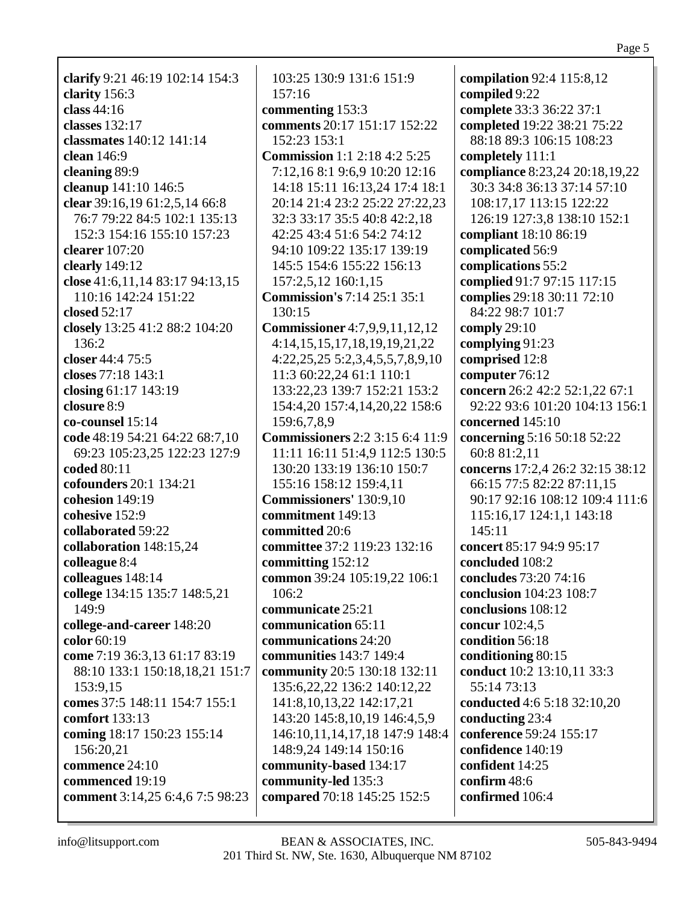**clarify** 9:21 46:19 102:14 154:3 **clarity** 156:3 **class** 44:16 **classes** 132:17 **classmates** 140:12 141:14 **clean** 146:9 **cleaning** 89:9 **cleanup** 141:10 146:5 **clear** 39:16,19 61:2,5,14 66:8 76:7 79:22 84:5 102:1 135:13 152:3 154:16 155:10 157:23 **clearer** 107:20 **clearly** 149:12 **close** 41:6,11,14 83:17 94:13,15 110:16 142:24 151:22 **closed** 52:17 **closely** 13:25 41:2 88:2 104:20 136:2 **closer** 44:4 75:5 **closes** 77:18 143:1 **closing** 61:17 143:19 **closure** 8:9 **co-counsel** 15:14 **code** 48:19 54:21 64:22 68:7,10 69:23 105:23,25 122:23 127:9 **coded** 80:11 **cofounders** 20:1 134:21 **cohesion** 149:19 **cohesive** 152:9 **collaborated** 59:22 **collaboration** 148:15,24 **colleague** 8:4 **colleagues** 148:14 **college** 134:15 135:7 148:5,21 149:9 **college-and-career** 148:20 **color** 60:19 **come** 7:19 36:3,13 61:17 83:19 88:10 133:1 150:18,18,21 151:7 153:9,15 **comes** 37:5 148:11 154:7 155:1 **comfort** 133:13 **coming** 18:17 150:23 155:14 156:20,21 **commence** 24:10 **commenced** 19:19 **comment** 3:14,25 6:4,6 7:5 98:23

103:25 130:9 131:6 151:9 157:16 **commenting** 153:3 **comments** 20:17 151:17 152:22 152:23 153:1 **Commission** 1:1 2:18 4:2 5:25 7:12,16 8:1 9:6,9 10:20 12:16 14:18 15:11 16:13,24 17:4 18:1 20:14 21:4 23:2 25:22 27:22,23 32:3 33:17 35:5 40:8 42:2,18 42:25 43:4 51:6 54:2 74:12 94:10 109:22 135:17 139:19 145:5 154:6 155:22 156:13 157:2,5,12 160:1,15 **Commission's** 7:14 25:1 35:1 130:15 **Commissioner** 4:7,9,9,11,12,12 4:14,15,15,17,18,19,19,21,22 4:22,25,25 5:2,3,4,5,5,7,8,9,10 11:3 60:22,24 61:1 110:1 133:22,23 139:7 152:21 153:2 154:4,20 157:4,14,20,22 158:6 159:6,7,8,9 **Commissioners** 2:2 3:15 6:4 11:9 11:11 16:11 51:4,9 112:5 130:5 130:20 133:19 136:10 150:7 155:16 158:12 159:4,11 **Commissioners'** 130:9,10 **commitment** 149:13 **committed** 20:6 **committee** 37:2 119:23 132:16 **committing** 152:12 **common** 39:24 105:19,22 106:1 106:2 **communicate** 25:21 **communication** 65:11 **communications** 24:20 **communities** 143:7 149:4 **community** 20:5 130:18 132:11 135:6,22,22 136:2 140:12,22 141:8,10,13,22 142:17,21 143:20 145:8,10,19 146:4,5,9 146:10,11,14,17,18 147:9 148:4 148:9,24 149:14 150:16 **community-based** 134:17 **community-led** 135:3 **compared** 70:18 145:25 152:5

**compilation** 92:4 115:8,12 **compiled** 9:22 **complete** 33:3 36:22 37:1 **completed** 19:22 38:21 75:22 88:18 89:3 106:15 108:23 **completely** 111:1 **compliance** 8:23,24 20:18,19,22 30:3 34:8 36:13 37:14 57:10 108:17,17 113:15 122:22 126:19 127:3,8 138:10 152:1 **compliant** 18:10 86:19 **complicated** 56:9 **complications** 55:2 **complied** 91:7 97:15 117:15 **complies** 29:18 30:11 72:10 84:22 98:7 101:7 **comply** 29:10 **complying** 91:23 **comprised** 12:8 **computer** 76:12 **concern** 26:2 42:2 52:1,22 67:1 92:22 93:6 101:20 104:13 156:1 **concerned** 145:10 **concerning** 5:16 50:18 52:22 60:8 81:2,11 **concerns** 17:2,4 26:2 32:15 38:12 66:15 77:5 82:22 87:11,15 90:17 92:16 108:12 109:4 111:6 115:16,17 124:1,1 143:18 145:11 **concert** 85:17 94:9 95:17 **concluded** 108:2 **concludes** 73:20 74:16 **conclusion** 104:23 108:7 **conclusions** 108:12 **concur** 102:4,5 **condition** 56:18 **conditioning** 80:15 **conduct** 10:2 13:10,11 33:3 55:14 73:13 **conducted** 4:6 5:18 32:10,20 **conducting** 23:4 **conference** 59:24 155:17 **confidence** 140:19 **confident** 14:25 **confirm** 48:6 **confirmed** 106:4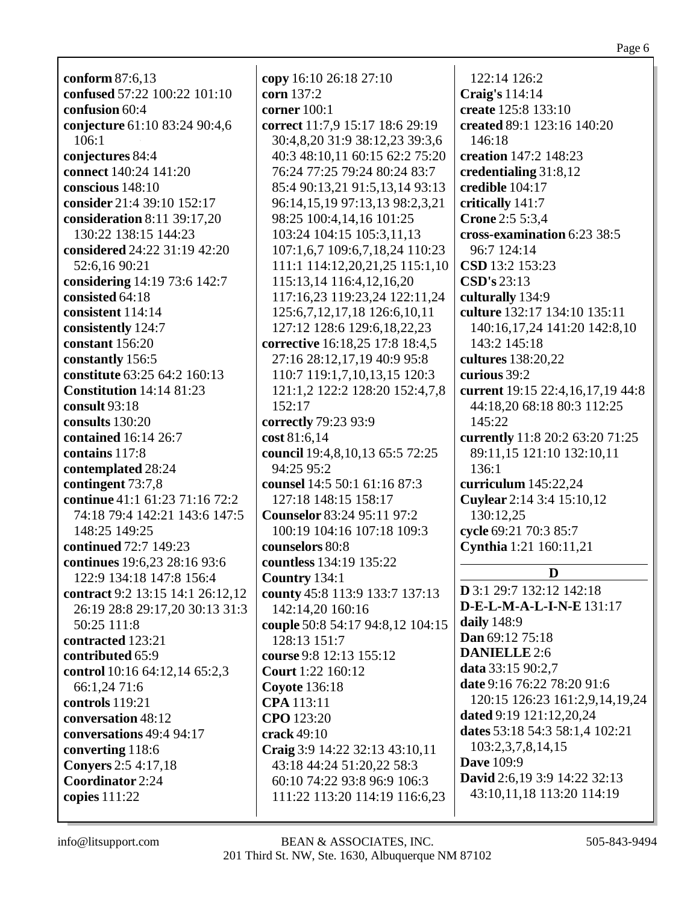**conform** 87:6,13 **confused** 57:22 100:22 101:10 **confusion** 60:4 **conjecture** 61:10 83:24 90:4,6 106:1 **conjectures** 84:4 **connect** 140:24 141:20 **conscious** 148:10 **consider** 21:4 39:10 152:17 **consideration** 8:11 39:17,20 130:22 138:15 144:23 **considered** 24:22 31:19 42:20 52:6,16 90:21 **considering** 14:19 73:6 142:7 **consisted** 64:18 **consistent** 114:14 **consistently** 124:7 **constant** 156:20 **constantly** 156:5 **constitute** 63:25 64:2 160:13 **Constitution** 14:14 81:23 **consult** 93:18 **consults** 130:20 **contained** 16:14 26:7 **contains** 117:8 **contemplated** 28:24 **contingent** 73:7,8 **continue** 41:1 61:23 71:16 72:2 74:18 79:4 142:21 143:6 147:5 148:25 149:25 **continued** 72:7 149:23 **continues** 19:6,23 28:16 93:6 122:9 134:18 147:8 156:4 **contract** 9:2 13:15 14:1 26:12,12 26:19 28:8 29:17,20 30:13 31:3 50:25 111:8 **contracted** 123:21 **contributed** 65:9 **control** 10:16 64:12,14 65:2,3 66:1,24 71:6 **controls** 119:21 **conversation** 48:12 **conversations** 49:4 94:17 **converting** 118:6 **Conyers** 2:5 4:17,18 **Coordinator** 2:24 **copies** 111:22

**copy** 16:10 26:18 27:10 **corn** 137:2 **corner** 100:1 **correct** 11:7,9 15:17 18:6 29:19 30:4,8,20 31:9 38:12,23 39:3,6 40:3 48:10,11 60:15 62:2 75:20 76:24 77:25 79:24 80:24 83:7 85:4 90:13,21 91:5,13,14 93:13 96:14,15,19 97:13,13 98:2,3,21 98:25 100:4,14,16 101:25 103:24 104:15 105:3,11,13 107:1,6,7 109:6,7,18,24 110:23 111:1 114:12,20,21,25 115:1,10 115:13,14 116:4,12,16,20 117:16,23 119:23,24 122:11,24 125:6,7,12,17,18 126:6,10,11 127:12 128:6 129:6,18,22,23 **corrective** 16:18,25 17:8 18:4,5 27:16 28:12,17,19 40:9 95:8 110:7 119:1,7,10,13,15 120:3 121:1,2 122:2 128:20 152:4,7,8 152:17 **correctly** 79:23 93:9 **cost** 81:6,14 **council** 19:4,8,10,13 65:5 72:25 94:25 95:2 **counsel** 14:5 50:1 61:16 87:3 127:18 148:15 158:17 **Counselor** 83:24 95:11 97:2 100:19 104:16 107:18 109:3 **counselors** 80:8 **countless** 134:19 135:22 **Country** 134:1 **county** 45:8 113:9 133:7 137:13 142:14,20 160:16 **couple** 50:8 54:17 94:8,12 104:15 128:13 151:7 **course** 9:8 12:13 155:12 **Court** 1:22 160:12 **Coyote** 136:18 **CPA** 113:11 **CPO** 123:20 **crack** 49:10 **Craig** 3:9 14:22 32:13 43:10,11 43:18 44:24 51:20,22 58:3 60:10 74:22 93:8 96:9 106:3 111:22 113:20 114:19 116:6,23

122:14 126:2 **Craig's** 114:14 **create** 125:8 133:10 **created** 89:1 123:16 140:20 146:18 **creation** 147:2 148:23 **credentialing** 31:8,12 **credible** 104:17 **critically** 141:7 **Crone** 2:5 5:3,4 **cross-examination** 6:23 38:5 96:7 124:14 **CSD** 13:2 153:23 **CSD's** 23:13 **culturally** 134:9 **culture** 132:17 134:10 135:11 140:16,17,24 141:20 142:8,10 143:2 145:18 **cultures** 138:20,22 **curious** 39:2 **current** 19:15 22:4,16,17,19 44:8 44:18,20 68:18 80:3 112:25 145:22 **currently** 11:8 20:2 63:20 71:25 89:11,15 121:10 132:10,11 136:1 **curriculum** 145:22,24 **Cuylear** 2:14 3:4 15:10,12 130:12,25 **cycle** 69:21 70:3 85:7 **Cynthia** 1:21 160:11,21 **D D** 3:1 29:7 132:12 142:18 **D-E-L-M-A-L-I-N-E** 131:17

**daily** 148:9 **Dan** 69:12 75:18 **DANIELLE** 2:6 **data** 33:15 90:2,7 **date** 9:16 76:22 78:20 91:6 120:15 126:23 161:2,9,14,19,24 **dated** 9:19 121:12,20,24 **dates** 53:18 54:3 58:1,4 102:21 103:2,3,7,8,14,15 **Dave** 109:9 **David** 2:6,19 3:9 14:22 32:13 43:10,11,18 113:20 114:19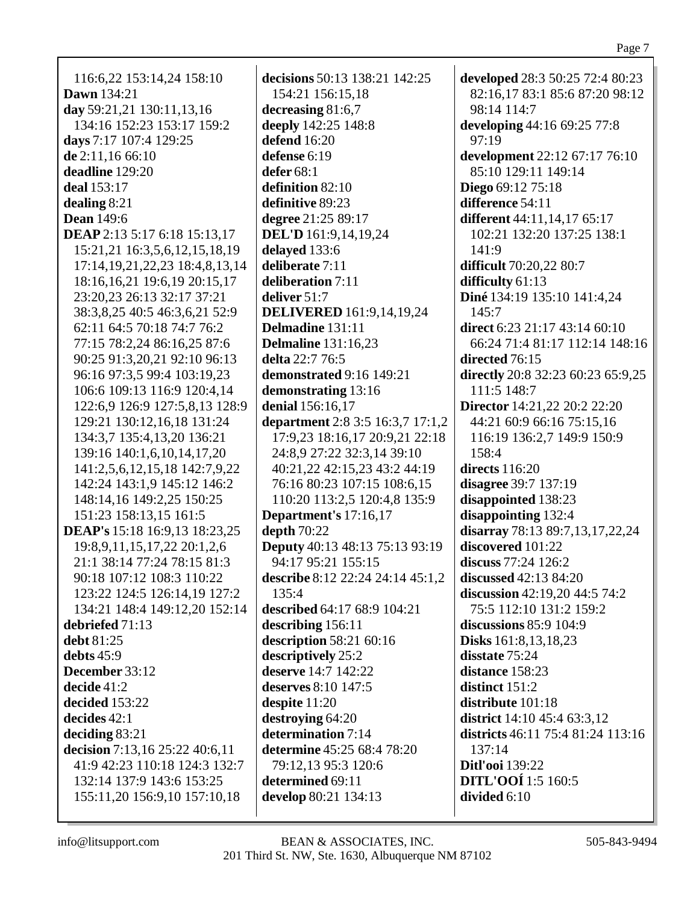| 116:6,22 153:14,24 158:10              | d                       |
|----------------------------------------|-------------------------|
| Dawn 134:21                            |                         |
|                                        |                         |
| day 59:21,21 130:11,13,16              | $\mathbf d$             |
| 134:16 152:23 153:17 159:2             | d                       |
| days 7:17 107:4 129:25                 | d                       |
| de 2:11,16 66:10                       | d                       |
| deadline 129:20                        | d                       |
| deal 153:17                            | d                       |
| dealing $8:21$                         | d                       |
| <b>Dean</b> 149:6                      | d                       |
| DEAP 2:13 5:17 6:18 15:13,17           | I                       |
| 15:21,21 16:3,5,6,12,15,18,19          | d                       |
| 17:14, 19, 21, 22, 23 18: 4, 8, 13, 14 | $\overline{\mathbf{d}}$ |
| 18:16,16,21 19:6,19 20:15,17           | d                       |
| 23:20,23 26:13 32:17 37:21             | d                       |
| 38:3,8,25 40:5 46:3,6,21 52:9          | I                       |
|                                        |                         |
| 62:11 64:5 70:18 74:7 76:2             | I                       |
| 77:15 78:2,24 86:16,25 87:6            | I                       |
| 90:25 91:3,20,21 92:10 96:13           | d                       |
| 96:16 97:3,5 99:4 103:19,23            | d                       |
| 106:6 109:13 116:9 120:4,14            | d                       |
| 122:6,9 126:9 127:5,8,13 128:9         | d                       |
| 129:21 130:12,16,18 131:24             | d                       |
| 134:3,7 135:4,13,20 136:21             |                         |
| 139:16 140:1,6,10,14,17,20             |                         |
| 141:2,5,6,12,15,18 142:7,9,22          |                         |
| 142:24 143:1,9 145:12 146:2            |                         |
| 148:14,16 149:2,25 150:25              |                         |
| 151:23 158:13,15 161:5                 | I                       |
| DEAP's 15:18 16:9,13 18:23,25          | d                       |
|                                        | I                       |
| 19:8, 9, 11, 15, 17, 22 20:1, 2, 6     |                         |
| 21:1 38:14 77:24 78:15 81:3            |                         |
| 90:18 107:12 108:3 110:22              | d                       |
| 123:22 124:5 126:14,19 127:2           |                         |
| 134:21 148:4 149:12,20 152:14          | $\mathbf{d}$            |
| debriefed 71:13                        | $\mathbf d$             |
| debt 81:25                             | d                       |
| debts $45:9$                           | $\mathbf d$             |
| December 33:12                         | $\mathbf d$             |
| decide 41:2                            | $\mathbf d$             |
| decided 153:22                         | $\mathbf d$             |
| decides 42:1                           | $\mathbf d$             |
| deciding $83:21$                       | $\mathbf d$             |
| decision 7:13,16 25:22 40:6,11         | d                       |
| 41:9 42:23 110:18 124:3 132:7          |                         |
| 132:14 137:9 143:6 153:25              | $\mathbf d$             |
| 155:11,20 156:9,10 157:10,18           | d                       |
|                                        |                         |
|                                        |                         |

**decisions** 50:13 138:21 142:25 154:21 156:15,18 **decreasing** 81:6,7 **deeply** 142:25 148:8 **defend** 16:20 **defense** 6:19 **defer** 68:1 **definition** 82:10 **definitive** 89:23 **degree** 21:25 89:17 **DEL'D** 161:9,14,19,24 **delayed** 133:6 **deliberate** 7:11 **deliberation** 7:11 **deliver** 51:7 **DELIVERED** 161:9,14,19,24 **Delmadine** 131:11 **Delmaline** 131:16,23 **delta** 22:7 76:5 **demonstrated** 9:16 149:21 **demonstrating** 13:16 **denial** 156:16,17 **department** 2:8 3:5 16:3,7 17:1,2 17:9,23 18:16,17 20:9,21 22:18 24:8,9 27:22 32:3,14 39:10 40:21,22 42:15,23 43:2 44:19 76:16 80:23 107:15 108:6,15 110:20 113:2,5 120:4,8 135:9 **Department's** 17:16,17 **depth** 70:22 **Deputy** 40:13 48:13 75:13 93:19 94:17 95:21 155:15 **describe** 8:12 22:24 24:14 45:1,2  $135:4$ **described** 64:17 68:9 104:21 **describing** 156:11 **description** 58:21 60:16 **descriptively** 25:2 **deserve** 14:7 142:22 **deserves** 8:10 147:5 **despite** 11:20 **destroying** 64:20 **determination** 7:14 **determine** 45:25 68:4 78:20 79:12,13 95:3 120:6 **determined** 69:11 **develop** 80:21 134:13

**developed** 28:3 50:25 72:4 80:23 82:16,17 83:1 85:6 87:20 98:12 98:14 114:7 **developing** 44:16 69:25 77:8 97:19 **development** 22:12 67:17 76:10 85:10 129:11 149:14 **Diego** 69:12 75:18 **difference** 54:11 **different** 44:11,14,17 65:17 102:21 132:20 137:25 138:1 141:9 **difficult** 70:20,22 80:7 **difficulty** 61:13 **Diné** 134:19 135:10 141:4,24 145:7 **direct** 6:23 21:17 43:14 60:10 66:24 71:4 81:17 112:14 148:16 **directed** 76:15 **directly** 20:8 32:23 60:23 65:9,25 111:5 148:7 **Director** 14:21,22 20:2 22:20 44:21 60:9 66:16 75:15,16 116:19 136:2,7 149:9 150:9 158:4 **directs** 116:20 **disagree** 39:7 137:19 **disappointed** 138:23 **disappointing** 132:4 **disarray** 78:13 89:7,13,17,22,24 **discovered** 101:22 **discuss** 77:24 126:2 **discussed** 42:13 84:20 **discussion** 42:19,20 44:5 74:2 75:5 112:10 131:2 159:2 **discussions** 85:9 104:9 **Disks** 161:8,13,18,23 **disstate** 75:24 **distance** 158:23 **distinct** 151:2 **distribute** 101:18 **district** 14:10 45:4 63:3,12 **districts** 46:11 75:4 81:24 113:16 137:14 **Ditl'ooi** 139:22 **DITL'OOÍ** 1:5 160:5 **divided** 6:10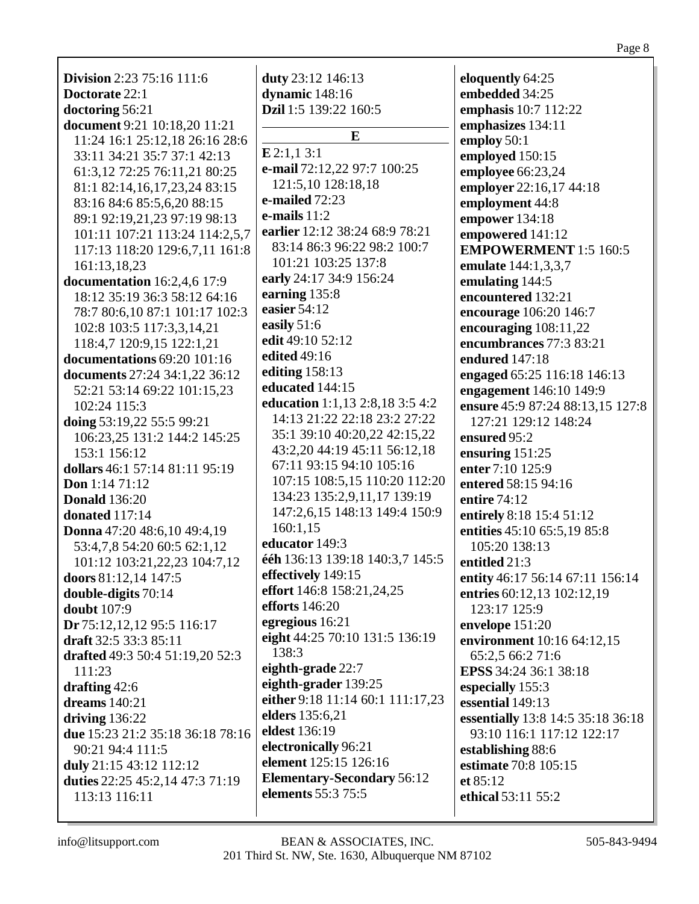| <b>Division</b> 2:23 75:16 111:6 | duty 23:12 146:13                      | eloquently 64:25                  |
|----------------------------------|----------------------------------------|-----------------------------------|
| Doctorate 22:1                   | dynamic 148:16                         | embedded 34:25                    |
| doctoring 56:21                  | Dzil 1:5 139:22 160:5                  | emphasis 10:7 112:22              |
| document 9:21 10:18,20 11:21     | E                                      | emphasizes 134:11                 |
| 11:24 16:1 25:12,18 26:16 28:6   |                                        | employ 50:1                       |
| 33:11 34:21 35:7 37:1 42:13      | E2:1,13:1                              | employed 150:15                   |
| 61:3,12 72:25 76:11,21 80:25     | e-mail 72:12,22 97:7 100:25            | employee 66:23,24                 |
| 81:1 82:14,16,17,23,24 83:15     | 121:5,10 128:18,18<br>e-mailed $72:23$ | employer 22:16,17 44:18           |
| 83:16 84:6 85:5,6,20 88:15       |                                        | employment 44:8                   |
| 89:1 92:19,21,23 97:19 98:13     | e-mails $11:2$                         | empower 134:18                    |
| 101:11 107:21 113:24 114:2,5,7   | earlier 12:12 38:24 68:9 78:21         | empowered 141:12                  |
| 117:13 118:20 129:6,7,11 161:8   | 83:14 86:3 96:22 98:2 100:7            | <b>EMPOWERMENT</b> 1:5 160:5      |
| 161:13,18,23                     | 101:21 103:25 137:8                    | emulate 144:1,3,3,7               |
| documentation 16:2,4,6 17:9      | early 24:17 34:9 156:24                | emulating 144:5                   |
| 18:12 35:19 36:3 58:12 64:16     | earning 135:8                          | encountered 132:21                |
| 78:7 80:6,10 87:1 101:17 102:3   | easier 54:12                           | encourage 106:20 146:7            |
| 102:8 103:5 117:3,3,14,21        | easily 51:6                            | encouraging 108:11,22             |
| 118:4,7 120:9,15 122:1,21        | edit 49:10 52:12                       | encumbrances 77:3 83:21           |
| documentations 69:20 101:16      | edited 49:16                           | endured 147:18                    |
| documents 27:24 34:1,22 36:12    | editing 158:13                         | engaged 65:25 116:18 146:13       |
| 52:21 53:14 69:22 101:15,23      | educated 144:15                        | engagement 146:10 149:9           |
| 102:24 115:3                     | education 1:1,13 2:8,18 3:5 4:2        | ensure 45:9 87:24 88:13,15 127:8  |
| doing 53:19,22 55:5 99:21        | 14:13 21:22 22:18 23:2 27:22           | 127:21 129:12 148:24              |
| 106:23,25 131:2 144:2 145:25     | 35:1 39:10 40:20,22 42:15,22           | ensured 95:2                      |
| 153:1 156:12                     | 43:2,20 44:19 45:11 56:12,18           | ensuring $151:25$                 |
| dollars 46:1 57:14 81:11 95:19   | 67:11 93:15 94:10 105:16               | enter 7:10 125:9                  |
| Don 1:14 71:12                   | 107:15 108:5,15 110:20 112:20          | entered 58:15 94:16               |
| <b>Donald</b> 136:20             | 134:23 135:2,9,11,17 139:19            | entire 74:12                      |
| donated 117:14                   | 147:2,6,15 148:13 149:4 150:9          | entirely 8:18 15:4 51:12          |
| Donna 47:20 48:6,10 49:4,19      | 160:1,15                               | entities 45:10 65:5,19 85:8       |
| 53:4,7,8 54:20 60:5 62:1,12      | educator 149:3                         | 105:20 138:13                     |
| 101:12 103:21,22,23 104:7,12     | ééh 136:13 139:18 140:3,7 145:5        | entitled 21:3                     |
| doors 81:12,14 147:5             | effectively 149:15                     | entity 46:17 56:14 67:11 156:14   |
| double-digits 70:14              | effort 146:8 158:21,24,25              | entries 60:12,13 102:12,19        |
| <b>doubt</b> 107:9               | <b>efforts</b> 146:20                  | 123:17 125:9                      |
| Dr 75:12,12,12 95:5 116:17       | egregious 16:21                        | envelope 151:20                   |
| draft 32:5 33:3 85:11            | eight 44:25 70:10 131:5 136:19         | environment 10:16 64:12,15        |
| drafted 49:3 50:4 51:19,20 52:3  | 138:3                                  | 65:2,5 66:2 71:6                  |
| 111:23                           | eighth-grade 22:7                      | EPSS 34:24 36:1 38:18             |
| drafting $42:6$                  | eighth-grader 139:25                   | especially 155:3                  |
| dreams 140:21                    | either 9:18 11:14 60:1 111:17,23       | essential 149:13                  |
| driving $136:22$                 | elders 135:6,21                        | essentially 13:8 14:5 35:18 36:18 |
| due 15:23 21:2 35:18 36:18 78:16 | eldest 136:19                          | 93:10 116:1 117:12 122:17         |
| 90:21 94:4 111:5                 | electronically 96:21                   | establishing 88:6                 |
| duly 21:15 43:12 112:12          | element 125:15 126:16                  | estimate 70:8 105:15              |
| duties 22:25 45:2,14 47:3 71:19  | <b>Elementary-Secondary 56:12</b>      | et $85:12$                        |
| 113:13 116:11                    | elements 55:3 75:5                     | ethical 53:11 55:2                |
|                                  |                                        |                                   |

Page 8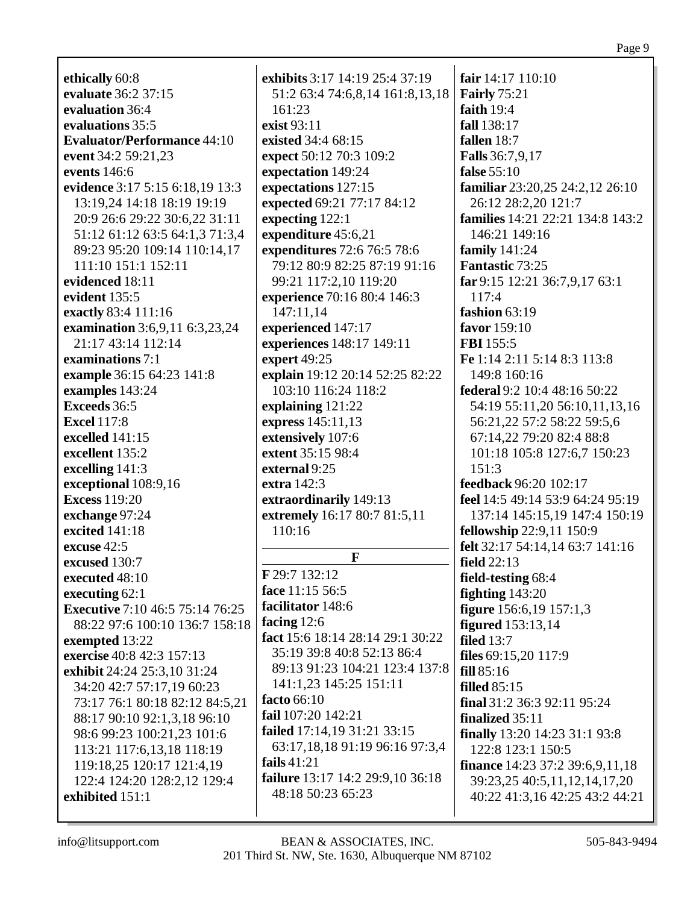ethically 60:8 evaluate 36:2 37:15 evaluation 36:4 evaluations 35:5 **Evaluator/Performance 44:10** event 34:2 59:21.23 events  $146:6$ evidence 3:17 5:15 6:18,19 13:3 13:19.24 14:18 18:19 19:19 20:9 26:6 29:22 30:6,22 31:11 51:12 61:12 63:5 64:1.3 71:3.4 89:23 95:20 109:14 110:14,17  $111:10$  151:1 152:11 evidenced 18:11 evident  $135:5$ exactly 83:4 111:16 examination 3:6.9.11 6:3.23.24 21:17 43:14 112:14 examinations 7:1 example 36:15 64:23 141:8 examples 143:24 **Exceeds** 36:5 **Excel 117:8** excelled  $141:15$ excellent 135:2 excelling  $141:3$ exceptional 108:9,16 **Excess 119:20** exchange 97:24 **excited** 141:18 excuse 42:5 excused 130:7 executed 48:10 executing  $62:1$ **Executive** 7:10 46:5 75:14 76:25 88:22 97:6 100:10 136:7 158:18 exempted 13:22 exercise 40:8 42:3 157:13 exhibit 24:24 25:3,10 31:24 34:20 42:7 57:17,19 60:23 73:17 76:1 80:18 82:12 84:5,21 88:17 90:10 92:1,3,18 96:10 98:6 99:23 100:21,23 101:6 113:21 117:6.13.18 118:19 119:18,25 120:17 121:4,19 122:4 124:20 128:2,12 129:4 exhibited 151:1

exhibits 3:17 14:19 25:4 37:19 51:2 63:4 74:6,8,14 161:8,13,18  $161:23$ exist  $93:11$ existed 34:4 68:15 expect 50:12 70:3 109:2 expectation 149:24 expectations 127:15 expected 69:21 77:17 84:12 expecting 122:1 expenditure 45:6.21 **expenditures** 72:6 76:5 78:6 79:12 80:9 82:25 87:19 91:16 99:21 117:2,10 119:20 experience 70:16 80:4 146:3 147:11,14 experienced 147:17 experiences 148:17 149:11 expert 49:25 explain 19:12 20:14 52:25 82:22 103:10 116:24 118:2 explaining  $121:22$ express 145:11,13 extensively 107:6 extent 35:15 98:4 external 9:25 extra 142:3 extraordinarily 149:13 extremely 16:17 80:7 81:5,11 110:16 F F 29:7 132:12 face 11:15 56:5 facilitator 148:6 facing  $12:6$ fact 15:6 18:14 28:14 29:1 30:22 35:19 39:8 40:8 52:13 86:4 89:13 91:23 104:21 123:4 137:8 141:1.23 145:25 151:11 facto  $66:10$ fail 107:20 142:21 failed 17:14,19 31:21 33:15 63:17,18,18 91:19 96:16 97:3,4 fails  $41:21$ failure 13:17 14:2 29:9,10 36:18 48:18 50:23 65:23

fair  $14:17$   $110:10$ **Fairly** 75:21 faith  $19:4$ fall 138:17 fallen  $18:7$ **Falls** 36:7.9.17 false  $55:10$ familiar 23:20,25 24:2,12 26:10 26:12 28:2,20 121:7 **families** 14:21 22:21 134:8 143:2 146:21 149:16 family  $141:24$ **Fantastic 73:25** far 9:15 12:21 36:7,9,17 63:1 117:4 fashion  $63:19$ favor 159:10 **FBI** 155:5 Fe 1:14 2:11 5:14 8:3 113:8 149:8 160:16 federal 9:2 10:4 48:16 50:22 54:19 55:11,20 56:10,11,13,16 56:21.22 57:2 58:22 59:5.6 67:14,22 79:20 82:4 88:8 101:18 105:8 127:6,7 150:23  $151:3$ feedback 96:20 102:17 feel 14:5 49:14 53:9 64:24 95:19 137:14 145:15,19 147:4 150:19 **fellowship** 22:9,11 150:9 felt 32:17 54:14,14 63:7 141:16 field  $22:13$ field-testing 68:4 fighting  $143:20$ figure 156:6,19 157:1,3 figured  $153:13,14$ filed  $13:7$ files  $69:15,20$  117:9  $fill 85:16$ filled  $85:15$ final  $31:2$  36:3 92:11 95:24 finalized  $35:11$ finally 13:20 14:23 31:1 93:8 122:8 123:1 150:5 finance 14:23 37:2 39:6,9,11,18 39:23,25 40:5,11,12,14,17,20 40:22 41:3,16 42:25 43:2 44:21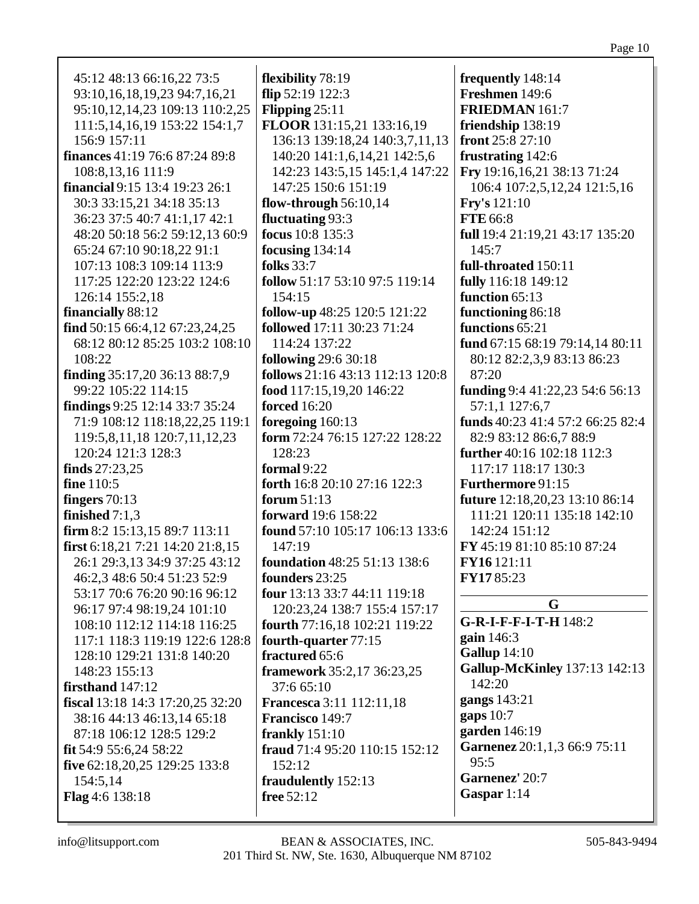| 45:12 48:13 66:16,22 73:5             | flexibility 78:19                   | frequently 148:14                |
|---------------------------------------|-------------------------------------|----------------------------------|
| 93:10,16,18,19,23 94:7,16,21          | flip 52:19 122:3                    | Freshmen 149:6                   |
| 95:10,12,14,23 109:13 110:2,25        | Flipping $25:11$                    | <b>FRIEDMAN</b> 161:7            |
| 111:5, 14, 16, 19 153: 22 154: 1, 7   | FLOOR 131:15,21 133:16,19           | friendship 138:19                |
| 156:9 157:11                          | 136:13 139:18,24 140:3,7,11,13      | front 25:8 27:10                 |
| <b>finances</b> 41:19 76:6 87:24 89:8 | 140:20 141:1,6,14,21 142:5,6        | frustrating 142:6                |
| 108:8,13,16 111:9                     | 142:23 143:5,15 145:1,4 147:22      | Fry 19:16,16,21 38:13 71:24      |
| financial 9:15 13:4 19:23 26:1        | 147:25 150:6 151:19                 | 106:4 107:2,5,12,24 121:5,16     |
| 30:3 33:15,21 34:18 35:13             | flow-through $56:10,14$             | <b>Fry's</b> 121:10              |
| 36:23 37:5 40:7 41:1,17 42:1          | fluctuating 93:3                    | FTE 66:8                         |
| 48:20 50:18 56:2 59:12,13 60:9        | focus 10:8 135:3                    | full 19:4 21:19,21 43:17 135:20  |
| 65:24 67:10 90:18,22 91:1             | focusing $134:14$                   | 145:7                            |
| 107:13 108:3 109:14 113:9             | <b>folks</b> 33:7                   | full-throated 150:11             |
| 117:25 122:20 123:22 124:6            | follow 51:17 53:10 97:5 119:14      | fully 116:18 149:12              |
| 126:14 155:2,18                       | 154:15                              | function 65:13                   |
| financially 88:12                     | follow-up 48:25 120:5 121:22        | functioning 86:18                |
| find 50:15 66:4,12 67:23,24,25        | followed 17:11 30:23 71:24          | functions 65:21                  |
| 68:12 80:12 85:25 103:2 108:10        | 114:24 137:22                       | fund 67:15 68:19 79:14,14 80:11  |
| 108:22                                | <b>following 29:6 30:18</b>         | 80:12 82:2,3,9 83:13 86:23       |
| finding 35:17,20 36:13 88:7,9         | follows 21:16 43:13 112:13 120:8    | 87:20                            |
| 99:22 105:22 114:15                   | food 117:15,19,20 146:22            | funding $9:441:22,2354:656:13$   |
| findings 9:25 12:14 33:7 35:24        | <b>forced</b> 16:20                 | 57:1,1 127:6,7                   |
| 71:9 108:12 118:18,22,25 119:1        | foregoing 160:13                    | funds 40:23 41:4 57:2 66:25 82:4 |
| 119:5,8,11,18 120:7,11,12,23          | form 72:24 76:15 127:22 128:22      | 82:9 83:12 86:6,7 88:9           |
| 120:24 121:3 128:3                    | 128:23                              | further 40:16 102:18 112:3       |
| finds $27:23,25$                      | formal 9:22                         | 117:17 118:17 130:3              |
| fine 110:5                            | forth 16:8 20:10 27:16 122:3        | Furthermore 91:15                |
| fingers $70:13$                       | forum $51:13$                       | future 12:18,20,23 13:10 86:14   |
| finished $7:1,3$                      | forward 19:6 158:22                 | 111:21 120:11 135:18 142:10      |
| firm 8:2 15:13,15 89:7 113:11         | found 57:10 105:17 106:13 133:6     | 142:24 151:12                    |
| first 6:18,21 7:21 14:20 21:8,15      | 147:19                              | FY 45:19 81:10 85:10 87:24       |
| 26:1 29:3,13 34:9 37:25 43:12         | <b>foundation</b> 48:25 51:13 138:6 | FY16 121:11                      |
| 46:2,3 48:6 50:4 51:23 52:9           | founders 23:25                      | FY1785:23                        |
| 53:17 70:6 76:20 90:16 96:12          | four 13:13 33:7 44:11 119:18        |                                  |
| 96:17 97:4 98:19,24 101:10            | 120:23,24 138:7 155:4 157:17        | G                                |
| 108:10 112:12 114:18 116:25           | fourth 77:16,18 102:21 119:22       | G-R-I-F-F-I-T-H 148:2            |
| 117:1 118:3 119:19 122:6 128:8        | fourth-quarter 77:15                | gain $146:3$                     |
| 128:10 129:21 131:8 140:20            | fractured 65:6                      | <b>Gallup</b> 14:10              |
| 148:23 155:13                         | framework 35:2,17 36:23,25          | Gallup-McKinley 137:13 142:13    |
| firsthand $147:12$                    | 37:6 65:10                          | 142:20                           |
| fiscal 13:18 14:3 17:20,25 32:20      | <b>Francesca</b> 3:11 112:11,18     | gangs 143:21                     |
| 38:16 44:13 46:13,14 65:18            | Francisco 149:7                     | gaps $10:7$                      |
| 87:18 106:12 128:5 129:2              |                                     | garden 146:19                    |
|                                       | frankly $151:10$                    | Garnenez 20:1,1,3 66:9 75:11     |
| fit 54:9 55:6,24 58:22                | fraud 71:4 95:20 110:15 152:12      | 95:5                             |
| five 62:18,20,25 129:25 133:8         | 152:12                              | Garnenez' 20:7                   |
| 154:5,14                              | fraudulently 152:13                 | Gaspar 1:14                      |
| Flag 4:6 138:18                       | free 52:12                          |                                  |
|                                       |                                     |                                  |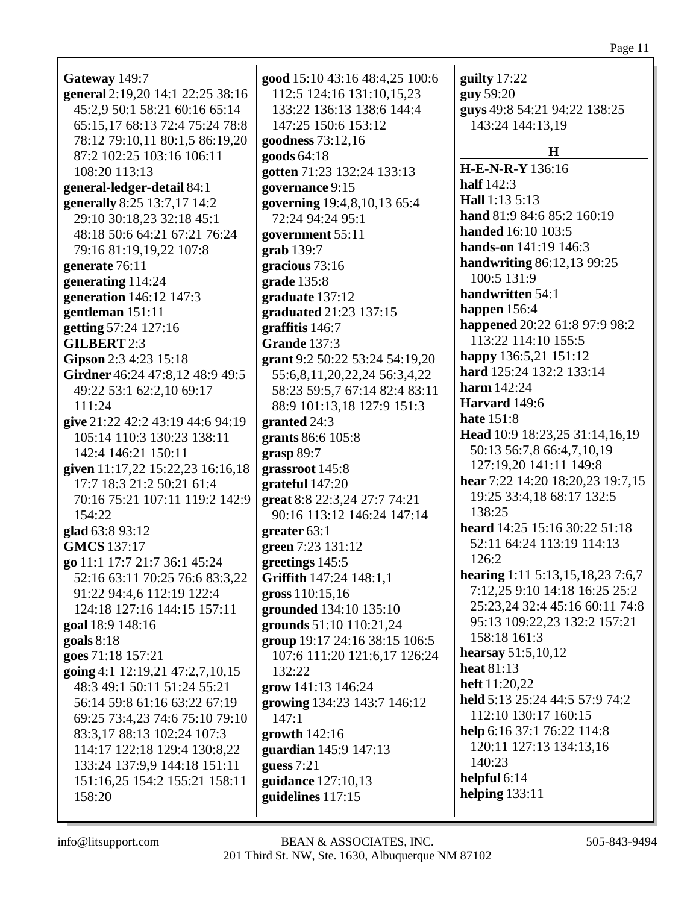| Gateway 149:7                    | good 15:10 43:16 48:4,25 100:6 | guilty 17:22                              |
|----------------------------------|--------------------------------|-------------------------------------------|
| general 2:19,20 14:1 22:25 38:16 | 112:5 124:16 131:10,15,23      | guy 59:20                                 |
| 45:2,9 50:1 58:21 60:16 65:14    | 133:22 136:13 138:6 144:4      | guys 49:8 54:21 94:22 138:25              |
| 65:15,17 68:13 72:4 75:24 78:8   | 147:25 150:6 153:12            | 143:24 144:13,19                          |
| 78:12 79:10,11 80:1,5 86:19,20   | goodness 73:12,16              |                                           |
| 87:2 102:25 103:16 106:11        |                                | H                                         |
|                                  | goods 64:18                    | <b>H-E-N-R-Y</b> 136:16                   |
| 108:20 113:13                    | gotten 71:23 132:24 133:13     | half $142:3$                              |
| general-ledger-detail 84:1       | governance 9:15                | Hall 1:13 5:13                            |
| generally 8:25 13:7,17 14:2      | governing 19:4,8,10,13 65:4    | hand 81:9 84:6 85:2 160:19                |
| 29:10 30:18,23 32:18 45:1        | 72:24 94:24 95:1               | handed 16:10 103:5                        |
| 48:18 50:6 64:21 67:21 76:24     | government 55:11               | hands-on 141:19 146:3                     |
| 79:16 81:19,19,22 107:8          | grab 139:7                     |                                           |
| generate 76:11                   | gracious 73:16                 | handwriting 86:12,13 99:25<br>100:5 131:9 |
| generating 114:24                | grade $135:8$                  |                                           |
| generation 146:12 147:3          | graduate 137:12                | handwritten 54:1                          |
| gentleman 151:11                 | graduated 21:23 137:15         | happen $156:4$                            |
| getting 57:24 127:16             | graffitis 146:7                | happened 20:22 61:8 97:9 98:2             |
| <b>GILBERT 2:3</b>               | <b>Grande</b> 137:3            | 113:22 114:10 155:5                       |
| Gipson 2:3 4:23 15:18            | grant 9:2 50:22 53:24 54:19,20 | happy 136:5,21 151:12                     |
| Girdner 46:24 47:8,12 48:9 49:5  | 55:6,8,11,20,22,24 56:3,4,22   | hard 125:24 132:2 133:14                  |
| 49:22 53:1 62:2,10 69:17         | 58:23 59:5,7 67:14 82:4 83:11  | harm $142:24$                             |
| 111:24                           | 88:9 101:13,18 127:9 151:3     | Harvard 149:6                             |
| give 21:22 42:2 43:19 44:6 94:19 | granted 24:3                   | <b>hate</b> 151:8                         |
| 105:14 110:3 130:23 138:11       | grants 86:6 105:8              | Head 10:9 18:23,25 31:14,16,19            |
| 142:4 146:21 150:11              | grasp 89:7                     | 50:13 56:7,8 66:4,7,10,19                 |
| given 11:17,22 15:22,23 16:16,18 | grassroot 145:8                | 127:19,20 141:11 149:8                    |
| 17:7 18:3 21:2 50:21 61:4        | grateful 147:20                | hear 7:22 14:20 18:20,23 19:7,15          |
| 70:16 75:21 107:11 119:2 142:9   | great 8:8 22:3,24 27:7 74:21   | 19:25 33:4,18 68:17 132:5                 |
| 154:22                           | 90:16 113:12 146:24 147:14     | 138:25                                    |
| glad 63:8 93:12                  | greater $63:1$                 | heard 14:25 15:16 30:22 51:18             |
| <b>GMCS</b> 137:17               | green 7:23 131:12              | 52:11 64:24 113:19 114:13                 |
| go 11:1 17:7 21:7 36:1 45:24     | greetings 145:5                | 126:2                                     |
| 52:16 63:11 70:25 76:6 83:3,22   | Griffith 147:24 148:1,1        | hearing 1:11 5:13,15,18,23 7:6,7          |
| 91:22 94:4,6 112:19 122:4        | gross 110:15,16                | 7:12,25 9:10 14:18 16:25 25:2             |
| 124:18 127:16 144:15 157:11      | grounded 134:10 135:10         | 25:23,24 32:4 45:16 60:11 74:8            |
| goal 18:9 148:16                 | grounds 51:10 110:21,24        | 95:13 109:22,23 132:2 157:21              |
| goals $8:18$                     | group 19:17 24:16 38:15 106:5  | 158:18 161:3                              |
| goes 71:18 157:21                | 107:6 111:20 121:6,17 126:24   | hearsay 51:5,10,12                        |
| going 4:1 12:19,21 47:2,7,10,15  | 132:22                         | heat $81:13$                              |
| 48:3 49:1 50:11 51:24 55:21      | grow 141:13 146:24             | heft 11:20,22                             |
| 56:14 59:8 61:16 63:22 67:19     | growing 134:23 143:7 146:12    | held 5:13 25:24 44:5 57:9 74:2            |
| 69:25 73:4,23 74:6 75:10 79:10   | 147:1                          | 112:10 130:17 160:15                      |
| 83:3,17 88:13 102:24 107:3       | growth $142:16$                | help 6:16 37:1 76:22 114:8                |
| 114:17 122:18 129:4 130:8,22     | guardian 145:9 147:13          | 120:11 127:13 134:13,16                   |
| 133:24 137:9,9 144:18 151:11     | guess $7:21$                   | 140:23                                    |
| 151:16,25 154:2 155:21 158:11    | guidance 127:10,13             | helpful 6:14                              |
| 158:20                           | guidelines 117:15              | helping $133:11$                          |
|                                  |                                |                                           |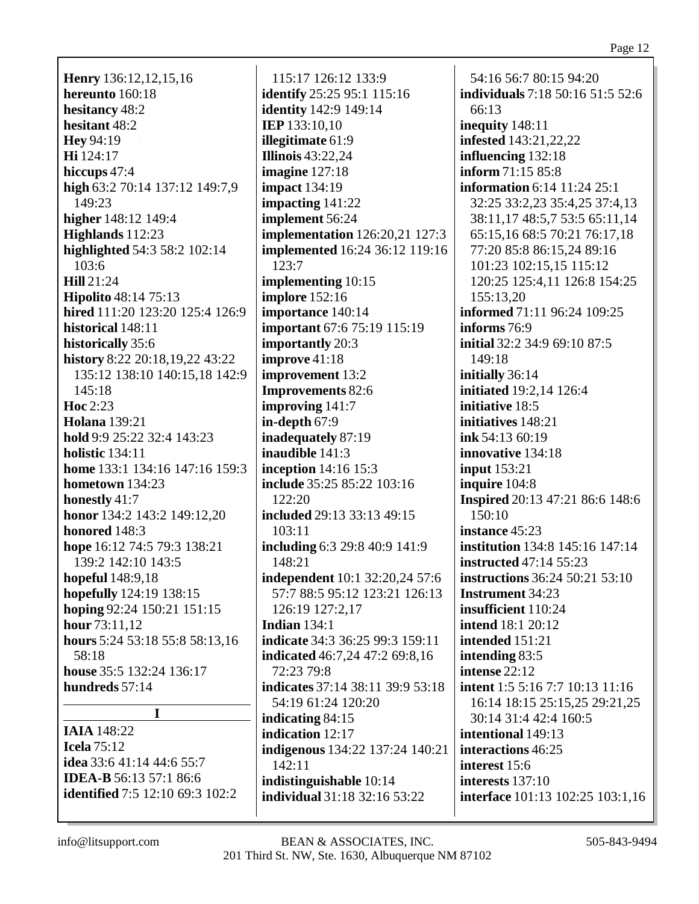Henry 136:12,12,15,16 hereunto 160:18 hesitancy 48:2 hesitant 48:2 **Hev** 94:19 Hi 124:17 hiccups  $47:4$ high 63:2 70:14 137:12 149:7,9 149:23 higher 148:12 149:4 Highlands 112:23 highlighted 54:3 58:2 102:14  $103:6$ Hill  $21:24$ **Hipolito** 48:14 75:13 hired 111:20 123:20 125:4 126:9 historical 148:11 historically 35:6 history 8:22 20:18,19,22 43:22 135:12 138:10 140:15,18 142:9  $145:18$ Hoc  $2:23$ **Holana** 139:21 hold 9:9 25:22 32:4 143:23 holistic  $134:11$ **home** 133:1 134:16 147:16 159:3 hometown  $134:23$ honestly  $41:7$ honor 134:2 143:2 149:12,20 honored 148:3 hope 16:12 74:5 79:3 138:21 139:2 142:10 143:5 **hopeful** 148:9,18 hopefully 124:19 138:15 hoping 92:24 150:21 151:15 hour  $73:11.12$ hours 5:24 53:18 55:8 58:13,16 58:18 house 35:5 132:24 136:17 hundreds  $57:14$  $\mathbf I$ 

**IAIA** 148:22 Icela  $75:12$ idea 33:6 41:14 44:6 55:7 **IDEA-B** 56:13 57:1 86:6 **identified** 7:5 12:10 69:3 102:2

115:17 126:12 133:9 **identify** 25:25 95:1 115:16 **identity** 142:9 149:14 **IEP** 133:10,10 **illegitimate** 61:9 **Illinois** 43:22,24 imagine  $127:18$ **impact** 134:19 impacting  $141:22$ implement 56:24 **implementation** 126:20,21 127:3 **implemented** 16:24 36:12 119:16  $123:7$ implementing  $10:15$ **implore** 152:16 importance 140:14 **important** 67:6 75:19 115:19 **importantly** 20:3 improve  $41:18$ improvement 13:2 **Improvements 82:6** improving  $141:7$ in-depth  $67:9$ inadequately 87:19 inaudible 141:3 inception  $14:16$  15:3 include 35:25 85:22 103:16  $122:20$ included 29:13 33:13 49:15 103:11 including 6:3 29:8 40:9 141:9 148:21 independent 10:1 32:20,24 57:6 57:7 88:5 95:12 123:21 126:13 126:19 127:2.17 Indian  $134:1$ indicate 34:3 36:25 99:3 159:11 **indicated** 46:7,24 47:2 69:8,16 72:23 79:8 indicates 37:14 38:11 39:9 53:18 54:19 61:24 120:20 indicating 84:15 indication 12:17 indigenous 134:22 137:24 140:21  $142:11$ indistinguishable 10:14 **individual** 31:18 32:16 53:22

54:16 56:7 80:15 94:20 **individuals** 7:18 50:16 51:5 52:6  $66:13$ inequity 148:11 **infested** 143:21,22,22 influencing  $132:18$ inform  $71:15.85:8$ information 6:14 11:24 25:1 32:25 33:2.23 35:4.25 37:4.13 38:11,17 48:5,7 53:5 65:11,14 65:15,16 68:5 70:21 76:17,18 77:20 85:8 86:15,24 89:16 101:23 102:15,15 115:12 120:25 125:4,11 126:8 154:25 155:13.20 informed 71:11 96:24 109:25 informs  $76:9$ **initial** 32:2 34:9 69:10 87:5 149:18 initially 36:14 initiated 19:2,14 126:4 initiative 18:5 initiatives 148:21  $ink 54:1360:19$ innovative 134:18 input  $153:21$ inquire 104:8 **Inspired** 20:13 47:21 86:6 148:6  $150:10$ instance 45:23 institution 134:8 145:16 147:14 **instructed** 47:14 55:23 **instructions** 36:24 50:21 53:10 **Instrument** 34:23 insufficient 110:24 **intend**  $18:120:12$ intended 151:21 intending 83:5 intense  $22:12$ **intent** 1:5 5:16 7:7 10:13 11:16 16:14 18:15 25:15,25 29:21,25 30:14 31:4 42:4 160:5 intentional 149:13 interactions 46:25 interest 15:6 interests  $137:10$ interface 101:13 102:25 103:1,16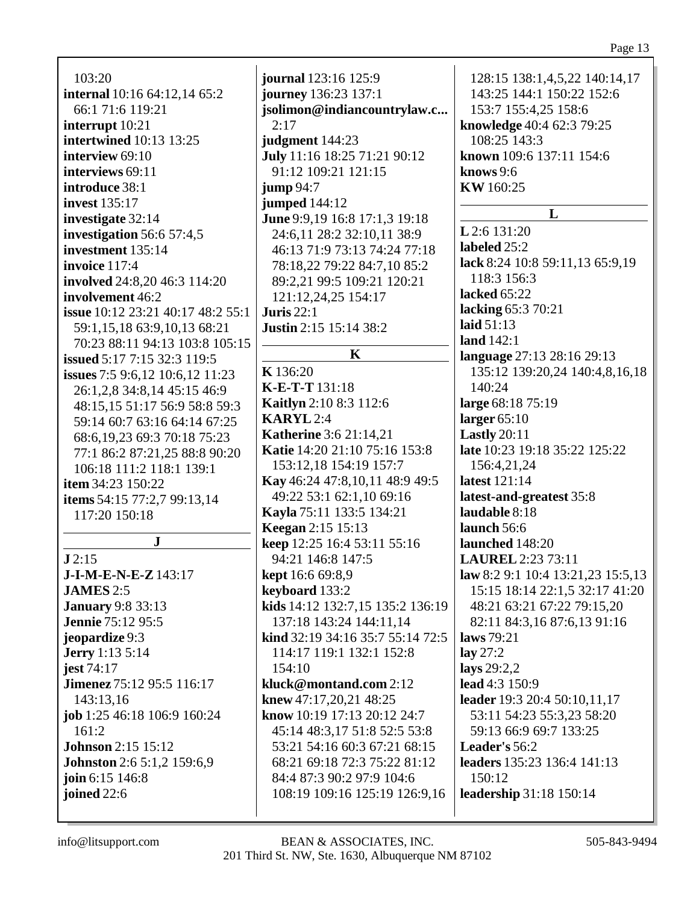103:20 **internal** 10:16 64:12,14 65:2 66:1 71:6 119:21 **interrupt** 10:21 **intertwined** 10:13 13:25 **interview** 69:10 **interviews** 69:11 **introduce** 38:1 **invest** 135:17 **investigate** 32:14 **investigation** 56:6 57:4,5 **investment** 135:14 **invoice** 117:4 **involved** 24:8,20 46:3 114:20 **involvement** 46:2 **issue** 10:12 23:21 40:17 48:2 55:1 59:1,15,18 63:9,10,13 68:21 70:23 88:11 94:13 103:8 105:15 **issued** 5:17 7:15 32:3 119:5 **issues** 7:5 9:6,12 10:6,12 11:23 26:1,2,8 34:8,14 45:15 46:9 48:15,15 51:17 56:9 58:8 59:3 59:14 60:7 63:16 64:14 67:25 68:6,19,23 69:3 70:18 75:23 77:1 86:2 87:21,25 88:8 90:20 106:18 111:2 118:1 139:1 **item** 34:23 150:22 **items** 54:15 77:2,7 99:13,14 117:20 150:18 **J J** 2:15 **J-I-M-E-N-E-Z**143:17 **JAMES** 2:5 **January** 9:8 33:13 **Jennie** 75:12 95:5 **jeopardize** 9:3 **Jerry** 1:13 5:14 **jest** 74:17 **Jimenez** 75:12 95:5 116:17 143:13,16 **job** 1:25 46:18 106:9 160:24 161:2 **Johnson** 2:15 15:12 **Johnston** 2:6 5:1,2 159:6,9 **join** 6:15 146:8

**journal** 123:16 125:9 **journey** 136:23 137:1 **jsolimon@indiancountrylaw.c...** 2:17 **judgment** 144:23 **July** 11:16 18:25 71:21 90:12 91:12 109:21 121:15 **jump** 94:7 **jumped** 144:12 **June** 9:9,19 16:8 17:1,3 19:18 24:6,11 28:2 32:10,11 38:9 46:13 71:9 73:13 74:24 77:18 78:18,22 79:22 84:7,10 85:2 89:2,21 99:5 109:21 120:21 121:12,24,25 154:17 **Juris** 22:1 **Justin** 2:15 15:14 38:2 **K K** 136:20 **K-E-T-T** 131:18 **Kaitlyn** 2:10 8:3 112:6 **KARYL** 2:4 **Katherine** 3:6 21:14,21 **Katie** 14:20 21:10 75:16 153:8 153:12,18 154:19 157:7 **Kay** 46:24 47:8,10,11 48:9 49:5 49:22 53:1 62:1,10 69:16 **Kayla** 75:11 133:5 134:21 **Keegan** 2:15 15:13 **keep** 12:25 16:4 53:11 55:16 94:21 146:8 147:5 **kept** 16:6 69:8,9 **keyboard** 133:2 **kids** 14:12 132:7,15 135:2 136:19 137:18 143:24 144:11,14 **kind** 32:19 34:16 35:7 55:14 72:5 114:17 119:1 132:1 152:8 154:10 **kluck@montand.com** 2:12 **knew** 47:17,20,21 48:25 **know** 10:19 17:13 20:12 24:7 45:14 48:3,17 51:8 52:5 53:8 53:21 54:16 60:3 67:21 68:15 68:21 69:18 72:3 75:22 81:12 84:4 87:3 90:2 97:9 104:6 108:19 109:16 125:19 126:9,16

128:15 138:1,4,5,22 140:14,17 143:25 144:1 150:22 152:6 153:7 155:4,25 158:6 **knowledge** 40:4 62:3 79:25 108:25 143:3 **known** 109:6 137:11 154:6 **knows** 9:6 **KW** 160:25 **L L** 2:6 131:20 **labeled** 25:2 **lack** 8:24 10:8 59:11,13 65:9,19 118:3 156:3 **lacked** 65:22 **lacking** 65:3 70:21 **laid** 51:13 **land** 142:1 **language** 27:13 28:16 29:13 135:12 139:20,24 140:4,8,16,18 140:24 **large** 68:18 75:19 **larger** 65:10 **Lastly** 20:11 **late** 10:23 19:18 35:22 125:22 156:4,21,24 **latest** 121:14 **latest-and-greatest** 35:8 **laudable** 8:18 **launch** 56:6 **launched** 148:20 **LAUREL** 2:23 73:11 **law** 8:2 9:1 10:4 13:21,23 15:5,13 15:15 18:14 22:1,5 32:17 41:20 48:21 63:21 67:22 79:15,20 82:11 84:3,16 87:6,13 91:16 **laws** 79:21 **lay** 27:2 **lays** 29:2,2 **lead** 4:3 150:9 **leader** 19:3 20:4 50:10,11,17 53:11 54:23 55:3,23 58:20 59:13 66:9 69:7 133:25 **Leader's** 56:2 **leaders** 135:23 136:4 141:13 150:12 **leadership** 31:18 150:14

**joined** 22:6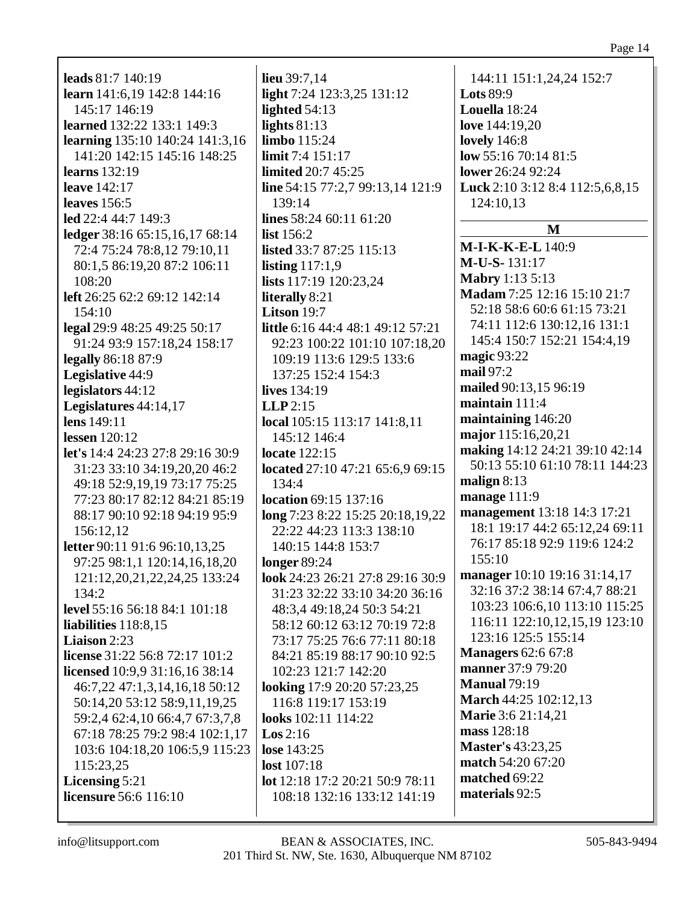### Page 14

| <b>leads</b> 81:7 140:19                | lieu 39:7,14                      | 144:11 151:1,24,24 152:7        |
|-----------------------------------------|-----------------------------------|---------------------------------|
| <b>learn</b> 141:6,19 142:8 144:16      | light 7:24 123:3,25 131:12        | <b>Lots 89:9</b>                |
| 145:17 146:19                           | lighted $54:13$                   | Louella 18:24                   |
| <b>learned</b> 132:22 133:1 149:3       | lights $81:13$                    | love 144:19,20                  |
| <b>learning</b> 135:10 140:24 141:3,16  | limbo 115:24                      | <b>lovely</b> 146:8             |
| 141:20 142:15 145:16 148:25             | limit 7:4 151:17                  | low 55:16 70:14 81:5            |
| <b>learns</b> 132:19                    | <b>limited</b> 20:7 45:25         | lower 26:24 92:24               |
| <b>leave</b> 142:17                     | line 54:15 77:2,7 99:13,14 121:9  | Luck 2:10 3:12 8:4 112:5,6,8,15 |
| <b>leaves</b> 156:5                     | 139:14                            | 124:10,13                       |
| led 22:4 44:7 149:3                     | lines $58:2460:1161:20$           |                                 |
| ledger 38:16 65:15,16,17 68:14          | list $156:2$                      | M                               |
| 72:4 75:24 78:8,12 79:10,11             | listed 33:7 87:25 115:13          | M-I-K-K-E-L 140:9               |
| 80:1,5 86:19,20 87:2 106:11             | listing $117:1,9$                 | M-U-S-131:17                    |
| 108:20                                  | lists 117:19 120:23,24            | <b>Mabry 1:13 5:13</b>          |
| left 26:25 62:2 69:12 142:14            | literally 8:21                    | Madam 7:25 12:16 15:10 21:7     |
| 154:10                                  | Litson 19:7                       | 52:18 58:6 60:6 61:15 73:21     |
| legal 29:9 48:25 49:25 50:17            | little 6:16 44:4 48:1 49:12 57:21 | 74:11 112:6 130:12,16 131:1     |
| 91:24 93:9 157:18,24 158:17             | 92:23 100:22 101:10 107:18,20     | 145:4 150:7 152:21 154:4,19     |
| legally 86:18 87:9                      | 109:19 113:6 129:5 133:6          | magic 93:22                     |
| Legislative 44:9                        | 137:25 152:4 154:3                | mail 97:2                       |
| legislators 44:12                       | lives 134:19                      | mailed 90:13,15 96:19           |
| Legislatures 44:14,17                   | $LLP$ 2:15                        | maintain 111:4                  |
| lens 149:11                             | local 105:15 113:17 141:8,11      | maintaining 146:20              |
| lessen $120:12$                         | 145:12 146:4                      | major 115:16,20,21              |
| <b>let's</b> 14:4 24:23 27:8 29:16 30:9 | <b>locate</b> 122:15              | making 14:12 24:21 39:10 42:14  |
| 31:23 33:10 34:19,20,20 46:2            | located 27:10 47:21 65:6,9 69:15  | 50:13 55:10 61:10 78:11 144:23  |
| 49:18 52:9,19,19 73:17 75:25            | 134:4                             | malign $8:13$                   |
| 77:23 80:17 82:12 84:21 85:19           | location 69:15 137:16             | manage 111:9                    |
| 88:17 90:10 92:18 94:19 95:9            | long 7:23 8:22 15:25 20:18,19,22  | management 13:18 14:3 17:21     |
| 156:12,12                               | 22:22 44:23 113:3 138:10          | 18:1 19:17 44:2 65:12,24 69:11  |
| letter 90:11 91:6 96:10,13,25           | 140:15 144:8 153:7                | 76:17 85:18 92:9 119:6 124:2    |
| 97:25 98:1,1 120:14,16,18,20            | longer $89:24$                    | 155:10                          |
| 121:12,20,21,22,24,25 133:24            | look 24:23 26:21 27:8 29:16 30:9  | manager 10:10 19:16 31:14,17    |
| 134:2                                   | 31:23 32:22 33:10 34:20 36:16     | 32:16 37:2 38:14 67:4,7 88:21   |
| level 55:16 56:18 84:1 101:18           | 48:3,4 49:18,24 50:3 54:21        | 103:23 106:6,10 113:10 115:25   |
| liabilities $118:8,15$                  | 58:12 60:12 63:12 70:19 72:8      | 116:11 122:10,12,15,19 123:10   |
| <b>Liaison</b> 2:23                     | 73:17 75:25 76:6 77:11 80:18      | 123:16 125:5 155:14             |
| <b>license</b> 31:22 56:8 72:17 101:2   | 84:21 85:19 88:17 90:10 92:5      | <b>Managers</b> 62:6 67:8       |
| licensed 10:9,9 31:16,16 38:14          | 102:23 121:7 142:20               | manner 37:9 79:20               |
| 46:7,22 47:1,3,14,16,18 50:12           | looking 17:9 20:20 57:23,25       | <b>Manual 79:19</b>             |
| 50:14,20 53:12 58:9,11,19,25            | 116:8 119:17 153:19               | March 44:25 102:12,13           |
| 59:2,4 62:4,10 66:4,7 67:3,7,8          | looks 102:11 114:22               | <b>Marie</b> 3:6 21:14,21       |
| 67:18 78:25 79:2 98:4 102:1,17          | $\text{Los } 2:16$                | mass 128:18                     |
| 103:6 104:18,20 106:5,9 115:23          | lose 143:25                       | <b>Master's 43:23,25</b>        |
| 115:23,25                               | lost $107:18$                     | match 54:20 67:20               |
| Licensing 5:21                          | lot 12:18 17:2 20:21 50:9 78:11   | matched 69:22                   |
| <b>licensure</b> 56:6 116:10            | 108:18 132:16 133:12 141:19       | materials 92:5                  |
|                                         |                                   |                                 |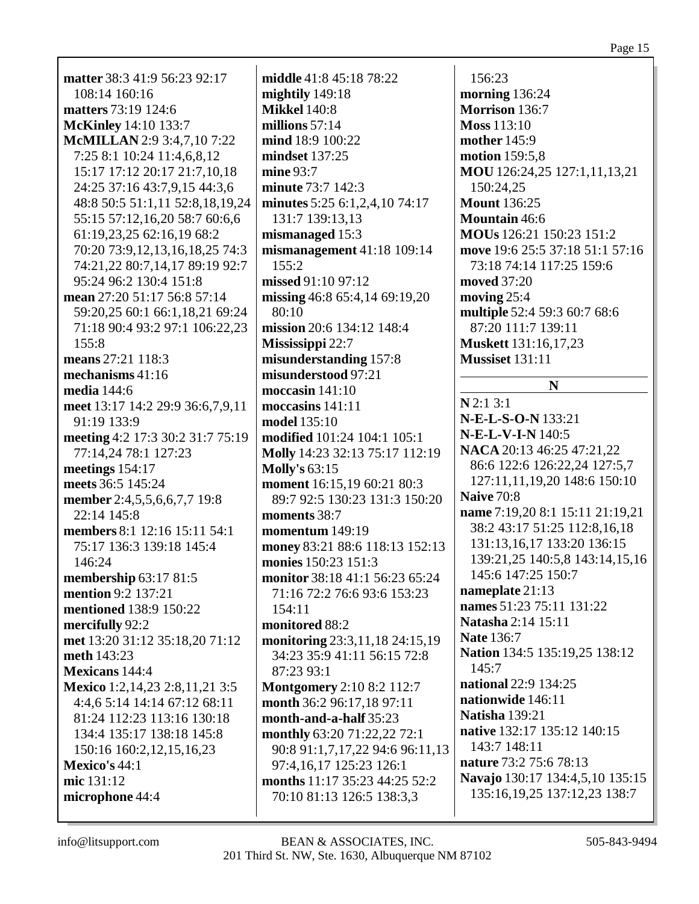**matter** 38:3 41:9 56:23 92:17 108:14 160:16 **matters** 73:19 124:6 **McKinley** 14:10 133:7 **McMILLAN** 2:9 3:4,7,10 7:22 7:25 8:1 10:24 11:4,6,8,12 15:17 17:12 20:17 21:7,10,18 24:25 37:16 43:7,9,15 44:3,6 48:8 50:5 51:1,11 52:8,18,19,24 55:15 57:12,16,20 58:7 60:6,6 61:19,23,25 62:16,19 68:2 70:20 73:9,12,13,16,18,25 74:3 74:21,22 80:7,14,17 89:19 92:7 95:24 96:2 130:4 151:8 **mean** 27:20 51:17 56:8 57:14 59:20,25 60:1 66:1,18,21 69:24 71:18 90:4 93:2 97:1 106:22,23 155:8 **means** 27:21 118:3 **mechanisms** 41:16 **media** 144:6 **meet** 13:17 14:2 29:9 36:6,7,9,11 91:19 133:9 **meeting** 4:2 17:3 30:2 31:7 75:19 77:14,24 78:1 127:23 **meetings** 154:17 **meets** 36:5 145:24 **member** 2:4,5,5,6,6,7,7 19:8 22:14 145:8 **members** 8:1 12:16 15:11 54:1 75:17 136:3 139:18 145:4 146:24 **membership** 63:17 81:5 **mention** 9:2 137:21 **mentioned** 138:9 150:22 **mercifully** 92:2 **met** 13:20 31:12 35:18,20 71:12 **meth** 143:23 **Mexicans** 144:4 **Mexico** 1:2,14,23 2:8,11,21 3:5 4:4,6 5:14 14:14 67:12 68:11 81:24 112:23 113:16 130:18 134:4 135:17 138:18 145:8 150:16 160:2,12,15,16,23 **Mexico's** 44:1 **mic** 131:12 **microphone** 44:4

**middle** 41:8 45:18 78:22 **mightily** 149:18 **Mikkel** 140:8 **millions** 57:14 **mind** 18:9 100:22 **mindset** 137:25 **mine** 93:7 **minute** 73:7 142:3 **minutes** 5:25 6:1,2,4,10 74:17 131:7 139:13,13 **mismanaged** 15:3 **mismanagement** 41:18 109:14 155:2 **missed** 91:10 97:12 **missing** 46:8 65:4,14 69:19,20 80:10 **mission** 20:6 134:12 148:4 **Mississippi** 22:7 **misunderstanding** 157:8 **misunderstood** 97:21 **moccasin** 141:10 **moccasins** 141:11 **model** 135:10 **modified** 101:24 104:1 105:1 **Molly** 14:23 32:13 75:17 112:19 **Molly's** 63:15 **moment** 16:15,19 60:21 80:3 89:7 92:5 130:23 131:3 150:20 **moments** 38:7 **momentum** 149:19 **money** 83:21 88:6 118:13 152:13 **monies** 150:23 151:3 **monitor** 38:18 41:1 56:23 65:24 71:16 72:2 76:6 93:6 153:23 154:11 **monitored** 88:2 **monitoring** 23:3,11,18 24:15,19 34:23 35:9 41:11 56:15 72:8 87:23 93:1 **Montgomery** 2:10 8:2 112:7 **month** 36:2 96:17,18 97:11 **month-and-a-half** 35:23 **monthly** 63:20 71:22,22 72:1 90:8 91:1,7,17,22 94:6 96:11,13 97:4,16,17 125:23 126:1 **months** 11:17 35:23 44:25 52:2 70:10 81:13 126:5 138:3,3

156:23 **morning** 136:24 **Morrison** 136:7 **Moss** 113:10 **mother** 145:9 **motion** 159:5,8 **MOU** 126:24,25 127:1,11,13,21 150:24,25 **Mount** 136:25 **Mountain** 46:6 **MOUs** 126:21 150:23 151:2 **move** 19:6 25:5 37:18 51:1 57:16 73:18 74:14 117:25 159:6 **moved** 37:20 **moving** 25:4 **multiple** 52:4 59:3 60:7 68:6 87:20 111:7 139:11 **Muskett** 131:16,17,23 **Mussiset** 131:11

## **N**

**N** 2:1 3:1 **N-E-L-S-O-N** 133:21 **N-E-L-V-I-N** 140:5 **NACA** 20:13 46:25 47:21,22 86:6 122:6 126:22,24 127:5,7 127:11,11,19,20 148:6 150:10 **Naive** 70:8 **name** 7:19,20 8:1 15:11 21:19,21 38:2 43:17 51:25 112:8,16,18 131:13,16,17 133:20 136:15 139:21,25 140:5,8 143:14,15,16 145:6 147:25 150:7 **nameplate** 21:13 **names** 51:23 75:11 131:22 **Natasha** 2:14 15:11 **Nate** 136:7 **Nation** 134:5 135:19,25 138:12  $145:7$ **national** 22:9 134:25 **nationwide** 146:11 **Natisha** 139:21 **native** 132:17 135:12 140:15 143:7 148:11 **nature** 73:2 75:6 78:13 **Navajo** 130:17 134:4,5,10 135:15 135:16,19,25 137:12,23 138:7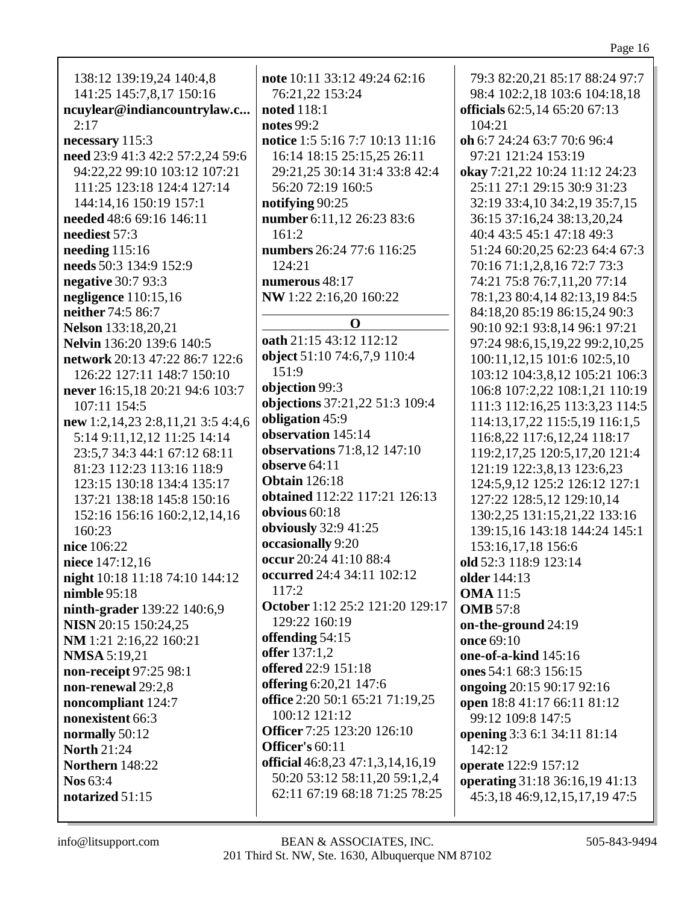| 138:12 139:19,24 140:4,8          | note 10:11 33:         |
|-----------------------------------|------------------------|
| 141:25 145:7,8,17 150:16          | 76:21,22 153           |
| ncuylear@indiancountrylaw.c       | <b>noted</b> 118:1     |
| 2:17                              | <b>notes</b> 99:2      |
|                                   | <b>notice</b> 1:5 5:16 |
| necessary 115:3                   |                        |
| need 23:9 41:3 42:2 57:2,24 59:6  | 16:14 18:15            |
| 94:22,22 99:10 103:12 107:21      | 29:21,25 30:           |
| 111:25 123:18 124:4 127:14        | 56:20 72:19            |
| 144:14,16 150:19 157:1            | notifying 90:2         |
| needed 48:6 69:16 146:11          | number 6:11,1          |
| neediest 57:3                     | 161:2                  |
| needing $115:16$                  | numbers 26:24          |
| needs 50:3 134:9 152:9            | 124:21                 |
| negative 30:7 93:3                | numerous 48:           |
| negligence 110:15,16              | NW 1:22 2:16           |
| neither 74:5 86:7                 |                        |
| <b>Nelson</b> 133:18,20,21        |                        |
| Nelvin 136:20 139:6 140:5         | oath 21:15 43:         |
| network 20:13 47:22 86:7 122:6    | object 51:10 7         |
| 126:22 127:11 148:7 150:10        | 151:9                  |
| never 16:15,18 20:21 94:6 103:7   | objection 99:3         |
| 107:11 154:5                      | objections 37:         |
| new 1:2,14,23 2:8,11,21 3:5 4:4,6 | obligation 45:         |
| 5:14 9:11,12,12 11:25 14:14       | observation 14         |
| 23:5,7 34:3 44:1 67:12 68:11      | observations?          |
| 81:23 112:23 113:16 118:9         | observe 64:11          |
| 123:15 130:18 134:4 135:17        | <b>Obtain</b> 126:18   |
| 137:21 138:18 145:8 150:16        | obtained 112:          |
| 152:16 156:16 160:2,12,14,16      | obvious $60:18$        |
| 160:23                            | obviously 32:9         |
| nice 106:22                       | occasionally 9         |
| niece 147:12,16                   | occur 20:24 41         |
| night 10:18 11:18 74:10 144:12    | occurred 24:4          |
| nimble 95:18                      | 117:2                  |
|                                   | October 1:12           |
| ninth-grader 139:22 140:6,9       | 129:22 160:1           |
| NISN 20:15 150:24,25              | offending 54:1         |
| NM 1:21 2:16,22 160:21            | <b>offer</b> $137:1,2$ |
| <b>NMSA</b> 5:19,21               | offered 22:9 1.        |
| non-receipt 97:25 98:1            | offering 6:20,2        |
| non-renewal 29:2,8                | office 2:20 50:        |
| noncompliant 124:7                | 100:12 121:1           |
| nonexistent 66:3                  |                        |
| normally 50:12                    | <b>Officer</b> 7:25 1: |
| <b>North 21:24</b>                | Officer's 60:11        |
| <b>Northern</b> 148:22            | official 46:8,23       |
| Nos 63:4                          | 50:20 53:12            |
| notarized 51:15                   | 62:11 67:19            |
|                                   |                        |

 $12\,49:24\,62:16$  $3:24$ 6 7:7 10:13 11:16 25:15.25 26:11 14 31:4 33:8 42:4  $160:5$  $\mathfrak{F}$ 12 26:23 83:6 4 77:6 116:25 17 .20 160:22  $\mathbf{O}$ 12 112:12  $4:6,7,9$  110:4 21.22 51:3 109:4 Q 45:14 71:8,12 147:10 Ś. 22 117:21 126:13 941:25  $:20$ 1:10 88:4 34:11 102:12 25:2 121:20 129:17 19  $\overline{5}$  $51:18$ 21 147:6  $165:2171:19,25$ 12 23:20 126:10 1 3 47:1,3,14,16,19 58:11,20 59:1,2,4 68:18 71:25 78:25

79:3 82:20,21 85:17 88:24 97:7 98:4 102:2,18 103:6 104:18,18 officials 62:5.14 65:20 67:13  $104:21$ **oh** 6:7 24:24 63:7 70:6 96:4 97:21 121:24 153:19 okay 7:21,22 10:24 11:12 24:23 25:11 27:1 29:15 30:9 31:23 32:19 33:4,10 34:2,19 35:7,15 36:15 37:16,24 38:13,20,24 40:4 43:5 45:1 47:18 49:3 51:24 60:20,25 62:23 64:4 67:3 70:16 71:1,2,8,16 72:7 73:3 74:21 75:8 76:7,11,20 77:14 78:1,23 80:4,14 82:13,19 84:5 84:18,20 85:19 86:15,24 90:3 90:10 92:1 93:8,14 96:1 97:21 97:24 98:6,15,19,22 99:2,10,25 100:11,12,15 101:6 102:5,10 103:12 104:3,8,12 105:21 106:3 106:8 107:2,22 108:1,21 110:19 111:3 112:16,25 113:3,23 114:5 114:13.17.22 115:5.19 116:1.5 116:8,22 117:6,12,24 118:17 119:2,17,25 120:5,17,20 121:4 121:19 122:3,8,13 123:6,23 124:5,9,12 125:2 126:12 127:1 127:22 128:5.12 129:10.14 130:2.25 131:15.21.22 133:16 139:15,16 143:18 144:24 145:1 153:16,17,18 156:6 old 52:3 118:9 123:14 **older** 144:13 **OMA** 11:5 **OMB** 57:8 on-the-ground 24:19 once 69:10 one-of-a-kind 145:16 ones 54:1 68:3 156:15 **ongoing** 20:15 90:17 92:16 open 18:8 41:17 66:11 81:12 99:12 109:8 147:5 opening 3:3 6:1 34:11 81:14  $142:12$ operate 122:9 157:12 operating 31:18 36:16,19 41:13 45:3,18 46:9,12,15,17,19 47:5

info@litsupport.com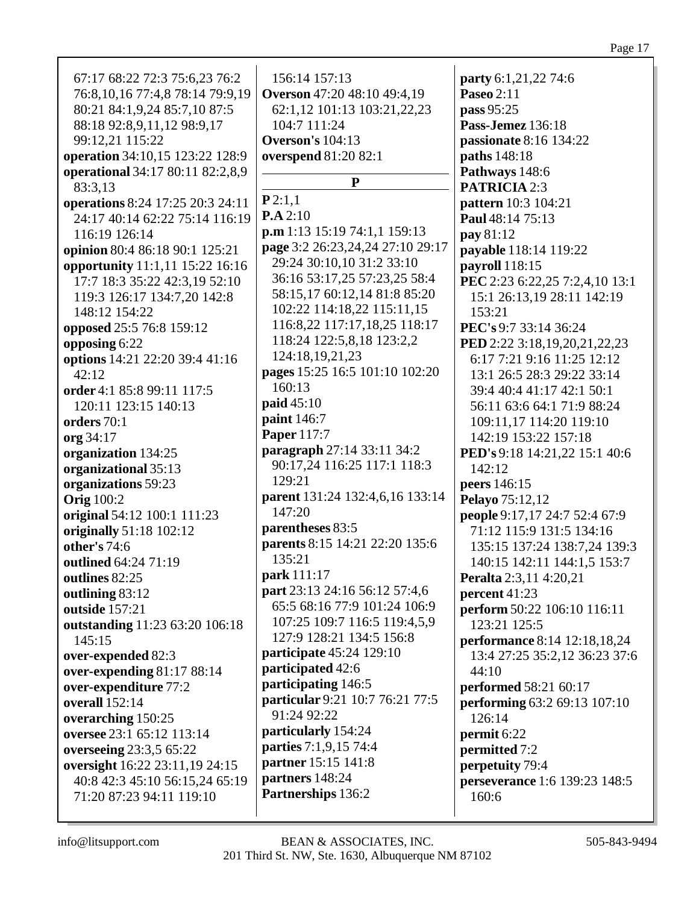| 67:17 68:22 72:3 75:6,23 76:2       | 156:14 157:13                      | party 6:1,21,22 74:6           |
|-------------------------------------|------------------------------------|--------------------------------|
| 76:8, 10, 16 77:4, 8 78:14 79:9, 19 | <b>Overson</b> 47:20 48:10 49:4,19 | Paseo 2:11                     |
| 80:21 84:1,9,24 85:7,10 87:5        | 62:1,12 101:13 103:21,22,23        | pass 95:25                     |
| 88:18 92:8,9,11,12 98:9,17          | 104:7 111:24                       | Pass-Jemez 136:18              |
| 99:12,21 115:22                     | <b>Overson's 104:13</b>            | passionate 8:16 134:22         |
| operation 34:10,15 123:22 128:9     | overspend 81:20 82:1               | paths 148:18                   |
| operational 34:17 80:11 82:2,8,9    |                                    | Pathways 148:6                 |
| 83:3,13                             | ${\bf P}$                          | <b>PATRICIA 2:3</b>            |
| operations 8:24 17:25 20:3 24:11    | P2:1,1                             | pattern 10:3 104:21            |
| 24:17 40:14 62:22 75:14 116:19      | P.A 2:10                           | Paul 48:14 75:13               |
| 116:19 126:14                       | p.m 1:13 15:19 74:1,1 159:13       | <b>pay</b> 81:12               |
| opinion 80:4 86:18 90:1 125:21      | page 3:2 26:23,24,24 27:10 29:17   | payable 118:14 119:22          |
| opportunity 11:1,11 15:22 16:16     | 29:24 30:10,10 31:2 33:10          | payroll 118:15                 |
| 17:7 18:3 35:22 42:3,19 52:10       | 36:16 53:17,25 57:23,25 58:4       | PEC 2:23 6:22,25 7:2,4,10 13:1 |
| 119:3 126:17 134:7,20 142:8         | 58:15,17 60:12,14 81:8 85:20       | 15:1 26:13,19 28:11 142:19     |
| 148:12 154:22                       | 102:22 114:18,22 115:11,15         | 153:21                         |
| opposed 25:5 76:8 159:12            | 116:8,22 117:17,18,25 118:17       | PEC's 9:7 33:14 36:24          |
| opposing 6:22                       | 118:24 122:5,8,18 123:2,2          | PED 2:22 3:18,19,20,21,22,23   |
| options 14:21 22:20 39:4 41:16      | 124:18,19,21,23                    | 6:17 7:21 9:16 11:25 12:12     |
| 42:12                               | pages 15:25 16:5 101:10 102:20     | 13:1 26:5 28:3 29:22 33:14     |
| order 4:1 85:8 99:11 117:5          | 160:13                             | 39:4 40:4 41:17 42:1 50:1      |
| 120:11 123:15 140:13                | paid 45:10                         | 56:11 63:6 64:1 71:9 88:24     |
| orders 70:1                         | paint 146:7                        | 109:11,17 114:20 119:10        |
| org 34:17                           | Paper 117:7                        | 142:19 153:22 157:18           |
| organization 134:25                 | paragraph 27:14 33:11 34:2         | PED's 9:18 14:21,22 15:1 40:6  |
| organizational 35:13                | 90:17,24 116:25 117:1 118:3        | 142:12                         |
| organizations 59:23                 | 129:21                             | peers 146:15                   |
| <b>Orig</b> 100:2                   | parent 131:24 132:4,6,16 133:14    | Pelayo 75:12,12                |
| original 54:12 100:1 111:23         | 147:20                             | people 9:17,17 24:7 52:4 67:9  |
| originally 51:18 102:12             | parentheses 83:5                   | 71:12 115:9 131:5 134:16       |
| other's 74:6                        | parents 8:15 14:21 22:20 135:6     | 135:15 137:24 138:7,24 139:3   |
| outlined 64:24 71:19                | 135:21                             | 140:15 142:11 144:1,5 153:7    |
| outlines 82:25                      | park 111:17                        | Peralta 2:3,11 4:20,21         |
| outlining 83:12                     | part 23:13 24:16 56:12 57:4,6      | percent 41:23                  |
| outside 157:21                      | 65:5 68:16 77:9 101:24 106:9       | perform 50:22 106:10 116:11    |
| outstanding 11:23 63:20 106:18      | 107:25 109:7 116:5 119:4,5,9       | 123:21 125:5                   |
| 145:15                              | 127:9 128:21 134:5 156:8           | performance 8:14 12:18,18,24   |
| over-expended 82:3                  | <b>participate</b> 45:24 129:10    | 13:4 27:25 35:2,12 36:23 37:6  |
| over-expending 81:17 88:14          | participated 42:6                  | 44:10                          |
| over-expenditure 77:2               | participating 146:5                | performed 58:21 60:17          |
| <b>overall</b> 152:14               | particular 9:21 10:7 76:21 77:5    | performing 63:2 69:13 107:10   |
| overarching 150:25                  | 91:24 92:22                        | 126:14                         |
| oversee 23:1 65:12 113:14           | particularly 154:24                | permit 6:22                    |
| overseeing 23:3,5 65:22             | <b>parties</b> 7:1,9,15 74:4       | permitted 7:2                  |
| oversight 16:22 23:11,19 24:15      | partner 15:15 141:8                | perpetuity 79:4                |
| 40:8 42:3 45:10 56:15,24 65:19      | partners 148:24                    | perseverance 1:6 139:23 148:5  |
| 71:20 87:23 94:11 119:10            | Partnerships 136:2                 | 160:6                          |
|                                     |                                    |                                |
|                                     |                                    |                                |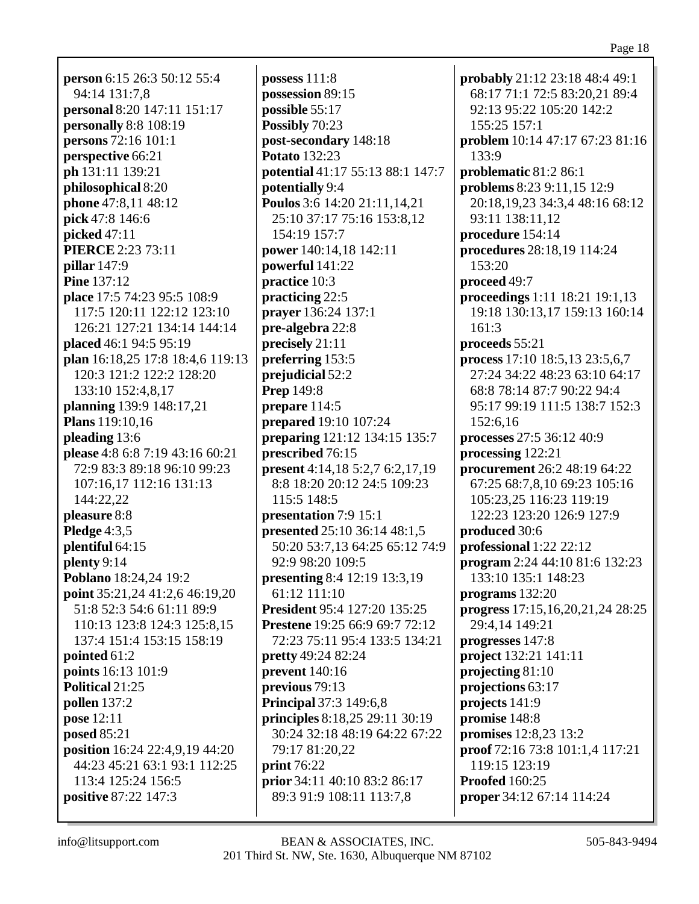**person** 6:15 26:3 50:12 55:4 94:14 131:7,8 **personal** 8:20 147:11 151:17 **personally** 8:8 108:19 **persons** 72:16 101:1 **perspective** 66:21 **ph** 131:11 139:21 **philosophical** 8:20 **phone** 47:8,11 48:12 **pick** 47:8 146:6 **picked** 47:11 **PIERCE** 2:23 73:11 **pillar** 147:9 **Pine** 137:12 **place** 17:5 74:23 95:5 108:9 117:5 120:11 122:12 123:10 126:21 127:21 134:14 144:14 **placed** 46:1 94:5 95:19 **plan** 16:18,25 17:8 18:4,6 119:13 120:3 121:2 122:2 128:20 133:10 152:4,8,17 **planning** 139:9 148:17,21 **Plans** 119:10,16 **pleading** 13:6 **please** 4:8 6:8 7:19 43:16 60:21 72:9 83:3 89:18 96:10 99:23 107:16,17 112:16 131:13 144:22,22 **pleasure** 8:8 **Pledge** 4:3,5 **plentiful** 64:15 **plenty** 9:14 **Poblano** 18:24,24 19:2 **point** 35:21,24 41:2,6 46:19,20 51:8 52:3 54:6 61:11 89:9 110:13 123:8 124:3 125:8,15 137:4 151:4 153:15 158:19 **pointed** 61:2 **points** 16:13 101:9 **Political** 21:25 **pollen** 137:2 **pose** 12:11 **posed** 85:21 **position** 16:24 22:4,9,19 44:20 44:23 45:21 63:1 93:1 112:25 113:4 125:24 156:5 **positive** 87:22 147:3

**possess** 111:8 **possession** 89:15 **possible** 55:17 **Possibly** 70:23 **post-secondary** 148:18 **Potato** 132:23 **potential** 41:17 55:13 88:1 147:7 **potentially** 9:4 **Poulos** 3:6 14:20 21:11,14,21 25:10 37:17 75:16 153:8,12 154:19 157:7 **power** 140:14,18 142:11 **powerful** 141:22 **practice** 10:3 **practicing** 22:5 **prayer** 136:24 137:1 **pre-algebra** 22:8 **precisely** 21:11 **preferring** 153:5 **prejudicial** 52:2 **Prep** 149:8 **prepare** 114:5 **prepared** 19:10 107:24 **preparing** 121:12 134:15 135:7 **prescribed** 76:15 **present** 4:14,18 5:2,7 6:2,17,19 8:8 18:20 20:12 24:5 109:23 115:5 148:5 **presentation** 7:9 15:1 **presented** 25:10 36:14 48:1,5 50:20 53:7,13 64:25 65:12 74:9 92:9 98:20 109:5 **presenting** 8:4 12:19 13:3,19 61:12 111:10 **President** 95:4 127:20 135:25 **Prestene** 19:25 66:9 69:7 72:12 72:23 75:11 95:4 133:5 134:21 **pretty** 49:24 82:24 **prevent** 140:16 **previous** 79:13 **Principal** 37:3 149:6,8 **principles** 8:18,25 29:11 30:19 30:24 32:18 48:19 64:22 67:22 79:17 81:20,22 **print** 76:22 **prior** 34:11 40:10 83:2 86:17 89:3 91:9 108:11 113:7,8

**probably** 21:12 23:18 48:4 49:1 68:17 71:1 72:5 83:20,21 89:4 92:13 95:22 105:20 142:2 155:25 157:1 **problem** 10:14 47:17 67:23 81:16 133:9 **problematic** 81:2 86:1 **problems** 8:23 9:11,15 12:9 20:18,19,23 34:3,4 48:16 68:12 93:11 138:11,12 **procedure** 154:14 **procedures** 28:18,19 114:24 153:20 **proceed** 49:7 **proceedings** 1:11 18:21 19:1,13 19:18 130:13,17 159:13 160:14 161:3 **proceeds** 55:21 **process** 17:10 18:5,13 23:5,6,7 27:24 34:22 48:23 63:10 64:17 68:8 78:14 87:7 90:22 94:4 95:17 99:19 111:5 138:7 152:3 152:6,16 **processes** 27:5 36:12 40:9 **processing** 122:21 **procurement** 26:2 48:19 64:22 67:25 68:7,8,10 69:23 105:16 105:23,25 116:23 119:19 122:23 123:20 126:9 127:9 **produced** 30:6 **professional** 1:22 22:12 **program** 2:24 44:10 81:6 132:23 133:10 135:1 148:23 **programs** 132:20 **progress** 17:15,16,20,21,24 28:25 29:4,14 149:21 **progresses** 147:8 **project** 132:21 141:11 **projecting** 81:10 **projections** 63:17 **projects** 141:9 **promise** 148:8 **promises** 12:8,23 13:2 **proof** 72:16 73:8 101:1,4 117:21 119:15 123:19 **Proofed** 160:25 **proper** 34:12 67:14 114:24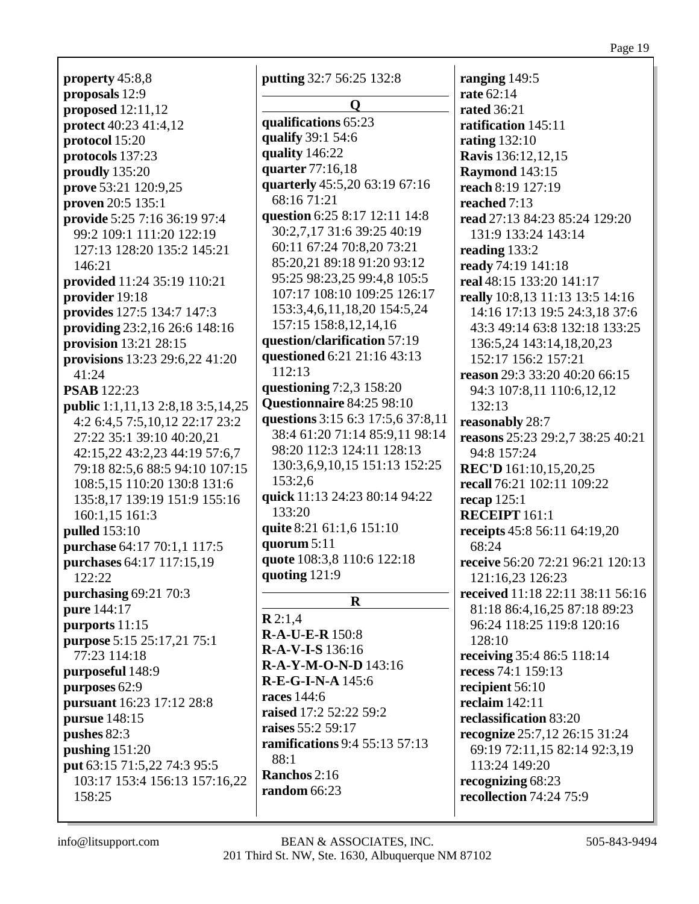Page 19

**property** 45:8,8 **proposals** 12:9 **proposed** 12:11,12 **protect** 40:23 41:4,12 **protocol** 15:20 **protocols** 137:23 **proudly** 135:20 **prove** 53:21 120:9,25 **proven** 20:5 135:1 **provide** 5:25 7:16 36:19 97:4 99:2 109:1 111:20 122:19 127:13 128:20 135:2 145:21 146:21 **provided** 11:24 35:19 110:21 **provider** 19:18 **provides** 127:5 134:7 147:3 **providing** 23:2,16 26:6 148:16 **provision** 13:21 28:15 **provisions** 13:23 29:6,22 41:20 41:24 **PSAB** 122:23 **public** 1:1,11,13 2:8,18 3:5,14,25 4:2 6:4,5 7:5,10,12 22:17 23:2 27:22 35:1 39:10 40:20,21 42:15,22 43:2,23 44:19 57:6,7 79:18 82:5,6 88:5 94:10 107:15 108:5,15 110:20 130:8 131:6 135:8,17 139:19 151:9 155:16 160:1,15 161:3 **pulled** 153:10 **purchase** 64:17 70:1,1 117:5 **purchases** 64:17 117:15,19 122:22 **purchasing** 69:21 70:3 **pure** 144:17 **purports** 11:15 **purpose** 5:15 25:17,21 75:1 77:23 114:18 **purposeful** 148:9 **purposes** 62:9 **pursuant** 16:23 17:12 28:8 **pursue** 148:15 **pushes** 82:3 **pushing** 151:20 **put** 63:15 71:5,22 74:3 95:5 103:17 153:4 156:13 157:16,22 158:25

**putting** 32:7 56:25 132:8 **Q qualifications** 65:23 **qualify** 39:1 54:6 **quality** 146:22 **quarter** 77:16,18 **quarterly** 45:5,20 63:19 67:16 68:16 71:21 **question** 6:25 8:17 12:11 14:8 30:2,7,17 31:6 39:25 40:19 60:11 67:24 70:8,20 73:21 85:20,21 89:18 91:20 93:12 95:25 98:23,25 99:4,8 105:5 107:17 108:10 109:25 126:17 153:3,4,6,11,18,20 154:5,24 157:15 158:8,12,14,16 **question/clarification** 57:19 **questioned** 6:21 21:16 43:13 112:13 **questioning** 7:2,3 158:20 **Questionnaire** 84:25 98:10 **questions** 3:15 6:3 17:5,6 37:8,11 38:4 61:20 71:14 85:9,11 98:14 98:20 112:3 124:11 128:13 130:3,6,9,10,15 151:13 152:25 153:2,6 **quick** 11:13 24:23 80:14 94:22 133:20 **quite** 8:21 61:1,6 151:10 **quorum** 5:11 **quote** 108:3,8 110:6 122:18 **quoting** 121:9 **R R** 2:1,4 **R-A-U-E-R** 150:8 **R-A-V-I-S** 136:16 **R-A-Y-M-O-N-D** 143:16 **R-E-G-I-N-A** 145:6 **races** 144:6 **raised** 17:2 52:22 59:2 **raises** 55:2 59:17 **ramifications** 9:4 55:13 57:13 88:1

**Ranchos** 2:16 **random** 66:23 **ranging** 149:5 **rate** 62:14 **rated** 36:21 **ratification** 145:11 **rating** 132:10 **Ravis** 136:12,12,15 **Raymond** 143:15 **reach** 8:19 127:19 **reached** 7:13 **read** 27:13 84:23 85:24 129:20 131:9 133:24 143:14 **reading** 133:2 **ready** 74:19 141:18 **real** 48:15 133:20 141:17 **really** 10:8,13 11:13 13:5 14:16 14:16 17:13 19:5 24:3,18 37:6 43:3 49:14 63:8 132:18 133:25 136:5,24 143:14,18,20,23 152:17 156:2 157:21 **reason** 29:3 33:20 40:20 66:15 94:3 107:8,11 110:6,12,12 132:13 **reasonably** 28:7 **reasons** 25:23 29:2,7 38:25 40:21 94:8 157:24 **REC'D** 161:10,15,20,25 **recall** 76:21 102:11 109:22 **recap** 125:1 **RECEIPT** 161:1 **receipts** 45:8 56:11 64:19,20 68:24 **receive** 56:20 72:21 96:21 120:13 121:16,23 126:23 **received** 11:18 22:11 38:11 56:16 81:18 86:4,16,25 87:18 89:23 96:24 118:25 119:8 120:16 128:10 **receiving** 35:4 86:5 118:14 **recess** 74:1 159:13 **recipient** 56:10 **reclaim** 142:11 **reclassification** 83:20 **recognize** 25:7,12 26:15 31:24 69:19 72:11,15 82:14 92:3,19 113:24 149:20 **recognizing** 68:23 **recollection** 74:24 75:9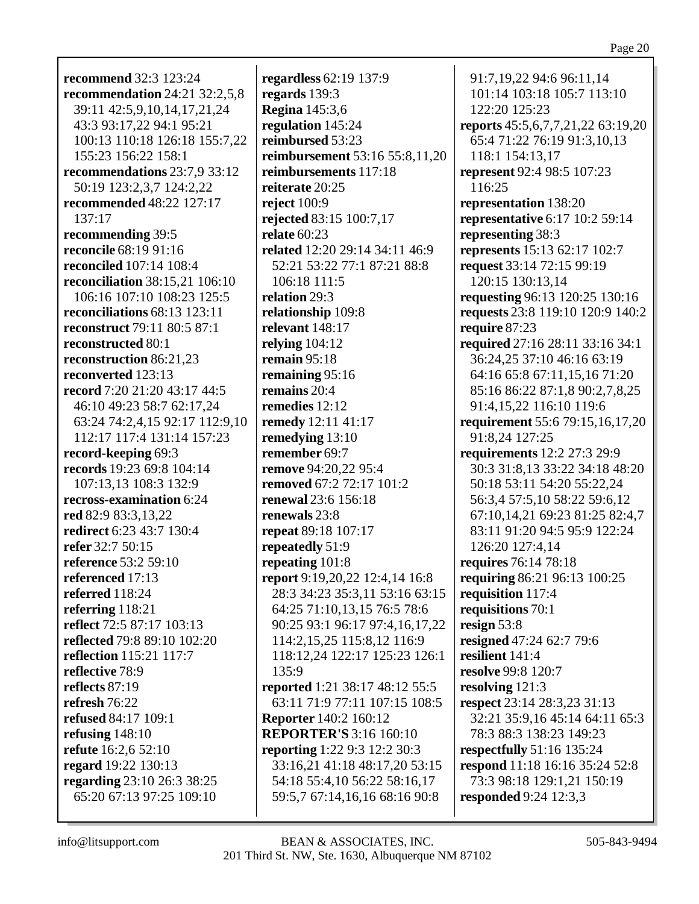**recommend** 32:3 123:24 **recommendation** 24:21 32:2,5,8 39:11 42:5,9,10,14,17,21,24 43:3 93:17,22 94:1 95:21 100:13 110:18 126:18 155:7,22 155:23 156:22 158:1 **recommendations** 23:7,9 33:12 50:19 123:2,3,7 124:2,22 **recommended** 48:22 127:17 137:17 **recommending** 39:5 **reconcile** 68:19 91:16 **reconciled** 107:14 108:4 **reconciliation** 38:15,21 106:10 106:16 107:10 108:23 125:5 **reconciliations** 68:13 123:11 **reconstruct** 79:11 80:5 87:1 **reconstructed** 80:1 **reconstruction** 86:21,23 **reconverted** 123:13 **record** 7:20 21:20 43:17 44:5 46:10 49:23 58:7 62:17,24 63:24 74:2,4,15 92:17 112:9,10 112:17 117:4 131:14 157:23 **record-keeping** 69:3 **records** 19:23 69:8 104:14 107:13,13 108:3 132:9 **recross-examination** 6:24 **red** 82:9 83:3,13,22 **redirect** 6:23 43:7 130:4 **refer** 32:7 50:15 **reference** 53:2 59:10 **referenced** 17:13 **referred** 118:24 **referring** 118:21 **reflect** 72:5 87:17 103:13 **reflected** 79:8 89:10 102:20 **reflection** 115:21 117:7 **reflective** 78:9 **reflects** 87:19 **refresh** 76:22 **refused** 84:17 109:1 **refusing** 148:10 **refute** 16:2,6 52:10 **regard** 19:22 130:13 **regarding** 23:10 26:3 38:25 65:20 67:13 97:25 109:10

**regardless** 62:19 137:9 **regards** 139:3 **Regina** 145:3,6 **regulation** 145:24 **reimbursed** 53:23 **reimbursement** 53:16 55:8,11,20 **reimbursements** 117:18 **reiterate** 20:25 **reject** 100:9 **rejected** 83:15 100:7,17 **relate** 60:23 **related** 12:20 29:14 34:11 46:9 52:21 53:22 77:1 87:21 88:8 106:18 111:5 **relation** 29:3 **relationship** 109:8 **relevant** 148:17 **relying** 104:12 **remain** 95:18 **remaining** 95:16 **remains** 20:4 **remedies** 12:12 **remedy** 12:11 41:17 **remedying** 13:10 **remember** 69:7 **remove** 94:20,22 95:4 **removed** 67:2 72:17 101:2 **renewal** 23:6 156:18 **renewals** 23:8 **repeat** 89:18 107:17 **repeatedly** 51:9 **repeating** 101:8 **report** 9:19,20,22 12:4,14 16:8 28:3 34:23 35:3,11 53:16 63:15 64:25 71:10,13,15 76:5 78:6 90:25 93:1 96:17 97:4,16,17,22 114:2,15,25 115:8,12 116:9 118:12,24 122:17 125:23 126:1 135:9 **reported** 1:21 38:17 48:12 55:5 63:11 71:9 77:11 107:15 108:5 **Reporter** 140:2 160:12 **REPORTER'S** 3:16 160:10 **reporting** 1:22 9:3 12:2 30:3 33:16,21 41:18 48:17,20 53:15 54:18 55:4,10 56:22 58:16,17 59:5,7 67:14,16,16 68:16 90:8

91:7,19,22 94:6 96:11,14 101:14 103:18 105:7 113:10 122:20 125:23 **reports** 45:5,6,7,7,21,22 63:19,20 65:4 71:22 76:19 91:3,10,13 118:1 154:13,17 **represent** 92:4 98:5 107:23 116:25 **representation** 138:20 **representative** 6:17 10:2 59:14 **representing** 38:3 **represents** 15:13 62:17 102:7 **request** 33:14 72:15 99:19 120:15 130:13,14 **requesting** 96:13 120:25 130:16 **requests** 23:8 119:10 120:9 140:2 **require** 87:23 **required** 27:16 28:11 33:16 34:1 36:24,25 37:10 46:16 63:19 64:16 65:8 67:11,15,16 71:20 85:16 86:22 87:1,8 90:2,7,8,25 91:4,15,22 116:10 119:6 **requirement** 55:6 79:15,16,17,20 91:8,24 127:25 **requirements** 12:2 27:3 29:9 30:3 31:8,13 33:22 34:18 48:20 50:18 53:11 54:20 55:22,24 56:3,4 57:5,10 58:22 59:6,12 67:10,14,21 69:23 81:25 82:4,7 83:11 91:20 94:5 95:9 122:24 126:20 127:4,14 **requires** 76:14 78:18 **requiring** 86:21 96:13 100:25 **requisition** 117:4 **requisitions** 70:1 **resign** 53:8 **resigned** 47:24 62:7 79:6 **resilient** 141:4 **resolve** 99:8 120:7 **resolving** 121:3 **respect** 23:14 28:3,23 31:13 32:21 35:9,16 45:14 64:11 65:3 78:3 88:3 138:23 149:23 **respectfully** 51:16 135:24 **respond** 11:18 16:16 35:24 52:8 73:3 98:18 129:1,21 150:19 **responded** 9:24 12:3,3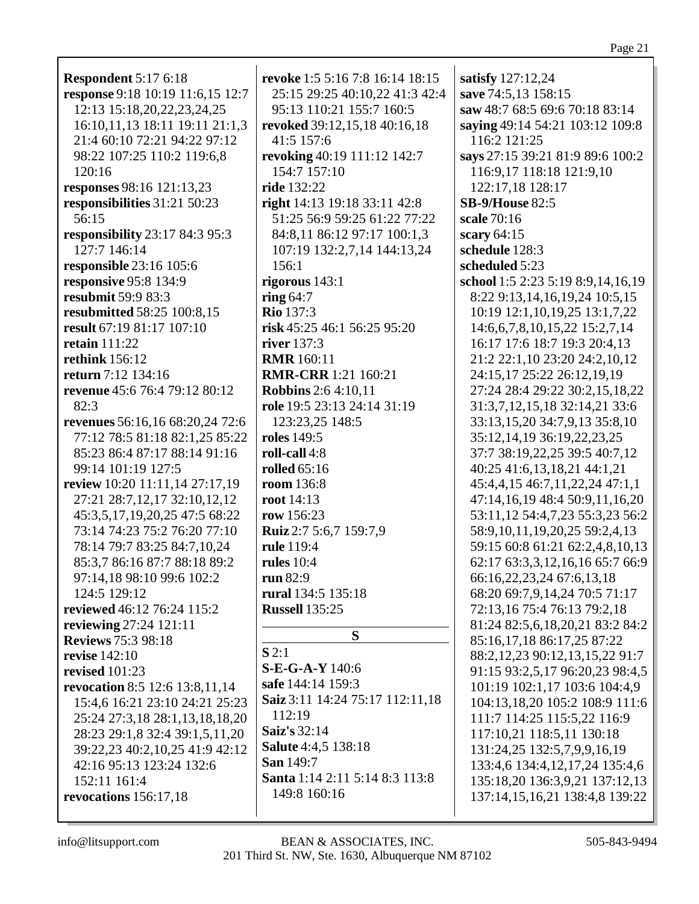| <b>Respondent 5:17 6:18</b>      | revoke 1:5 5:16 7:8 16:14 18:15 | satisfy 127:12,24                      |
|----------------------------------|---------------------------------|----------------------------------------|
| response 9:18 10:19 11:6,15 12:7 | 25:15 29:25 40:10,22 41:3 42:4  | save 74:5,13 158:15                    |
| 12:13 15:18,20,22,23,24,25       | 95:13 110:21 155:7 160:5        | saw 48:7 68:5 69:6 70:18 83:14         |
| 16:10,11,13 18:11 19:11 21:1,3   | revoked 39:12,15,18 40:16,18    | saying 49:14 54:21 103:12 109:8        |
| 21:4 60:10 72:21 94:22 97:12     | 41:5 157:6                      | 116:2 121:25                           |
| 98:22 107:25 110:2 119:6,8       | revoking 40:19 111:12 142:7     | says 27:15 39:21 81:9 89:6 100:2       |
| 120:16                           | 154:7 157:10                    | 116:9,17 118:18 121:9,10               |
| responses 98:16 121:13,23        | ride 132:22                     | 122:17,18 128:17                       |
| responsibilities 31:21 50:23     | right 14:13 19:18 33:11 42:8    | <b>SB-9/House 82:5</b>                 |
| 56:15                            | 51:25 56:9 59:25 61:22 77:22    | scale 70:16                            |
| responsibility 23:17 84:3 95:3   | 84:8,11 86:12 97:17 100:1,3     | scary 64:15                            |
| 127:7 146:14                     | 107:19 132:2,7,14 144:13,24     | schedule 128:3                         |
| responsible 23:16 105:6          | 156:1                           | scheduled 5:23                         |
| responsive 95:8 134:9            | rigorous $143:1$                | school 1:5 2:23 5:19 8:9,14,16,19      |
| resubmit 59:9 83:3               | ring $64:7$                     | 8:22 9:13,14,16,19,24 10:5,15          |
| resubmitted 58:25 100:8,15       | <b>Rio 137:3</b>                | 10:19 12:1,10,19,25 13:1,7,22          |
| result 67:19 81:17 107:10        | risk 45:25 46:1 56:25 95:20     | 14:6, 6, 7, 8, 10, 15, 22 15: 2, 7, 14 |
| <b>retain</b> 111:22             | river 137:3                     |                                        |
|                                  |                                 | 16:17 17:6 18:7 19:3 20:4,13           |
| <b>rethink</b> 156:12            | <b>RMR</b> 160:11               | 21:2 22:1,10 23:20 24:2,10,12          |
| return 7:12 134:16               | <b>RMR-CRR</b> 1:21 160:21      | 24:15,17 25:22 26:12,19,19             |
| revenue 45:6 76:4 79:12 80:12    | <b>Robbins</b> 2:6 4:10,11      | 27:24 28:4 29:22 30:2,15,18,22         |
| 82:3                             | role 19:5 23:13 24:14 31:19     | 31:3,7,12,15,18 32:14,21 33:6          |
| revenues 56:16,16 68:20,24 72:6  | 123:23,25 148:5                 | 33:13,15,20 34:7,9,13 35:8,10          |
| 77:12 78:5 81:18 82:1,25 85:22   | roles 149:5                     | 35:12,14,19 36:19,22,23,25             |
| 85:23 86:4 87:17 88:14 91:16     | roll-call 4:8                   | 37:7 38:19,22,25 39:5 40:7,12          |
| 99:14 101:19 127:5               | rolled $65:16$                  | 40:25 41:6,13,18,21 44:1,21            |
| review 10:20 11:11,14 27:17,19   | room 136:8                      | 45:4,4,15 46:7,11,22,24 47:1,1         |
| 27:21 28:7,12,17 32:10,12,12     | <b>root</b> 14:13               | 47:14,16,19 48:4 50:9,11,16,20         |
| 45:3,5,17,19,20,25 47:5 68:22    | row 156:23                      | 53:11,12 54:4,7,23 55:3,23 56:2        |
| 73:14 74:23 75:2 76:20 77:10     | Ruiz 2:7 5:6,7 159:7,9          | 58:9, 10, 11, 19, 20, 25 59:2, 4, 13   |
| 78:14 79:7 83:25 84:7,10,24      | rule 119:4                      | 59:15 60:8 61:21 62:2,4,8,10,13        |
| 85:3,7 86:16 87:7 88:18 89:2     | rules $10:4$                    | 62:17 63:3,3,12,16,16 65:7 66:9        |
| 97:14,18 98:10 99:6 102:2        | run 82:9                        | 66:16,22,23,24 67:6,13,18              |
| 124:5 129:12                     | rural 134:5 135:18              | 68:20 69:7,9,14,24 70:5 71:17          |
| reviewed 46:12 76:24 115:2       | <b>Russell</b> 135:25           | 72:13,16 75:4 76:13 79:2,18            |
| reviewing 27:24 121:11           |                                 | 81:24 82:5,6,18,20,21 83:2 84:2        |
| <b>Reviews 75:3 98:18</b>        | S                               | 85:16,17,18 86:17,25 87:22             |
| revise $142:10$                  | S2:1                            | 88:2, 12, 23 90:12, 13, 15, 22 91:7    |
| revised $101:23$                 | $S-E-G-A-Y 140:6$               | 91:15 93:2,5,17 96:20,23 98:4,5        |
| revocation 8:5 12:6 13:8,11,14   | safe 144:14 159:3               | 101:19 102:1,17 103:6 104:4,9          |
| 15:4,6 16:21 23:10 24:21 25:23   | Saiz 3:11 14:24 75:17 112:11,18 | 104:13,18,20 105:2 108:9 111:6         |
| 25:24 27:3,18 28:1,13,18,18,20   | 112:19                          | 111:7 114:25 115:5,22 116:9            |
| 28:23 29:1,8 32:4 39:1,5,11,20   | Saiz's 32:14                    | 117:10,21 118:5,11 130:18              |
| 39:22,23 40:2,10,25 41:9 42:12   | <b>Salute</b> 4:4,5 138:18      | 131:24,25 132:5,7,9,9,16,19            |
| 42:16 95:13 123:24 132:6         | <b>San</b> 149:7                | 133:4,6 134:4,12,17,24 135:4,6         |
| 152:11 161:4                     | Santa 1:14 2:11 5:14 8:3 113:8  | 135:18,20 136:3,9,21 137:12,13         |
| revocations 156:17,18            | 149:8 160:16                    | 137:14,15,16,21 138:4,8 139:22         |
|                                  |                                 |                                        |
|                                  |                                 |                                        |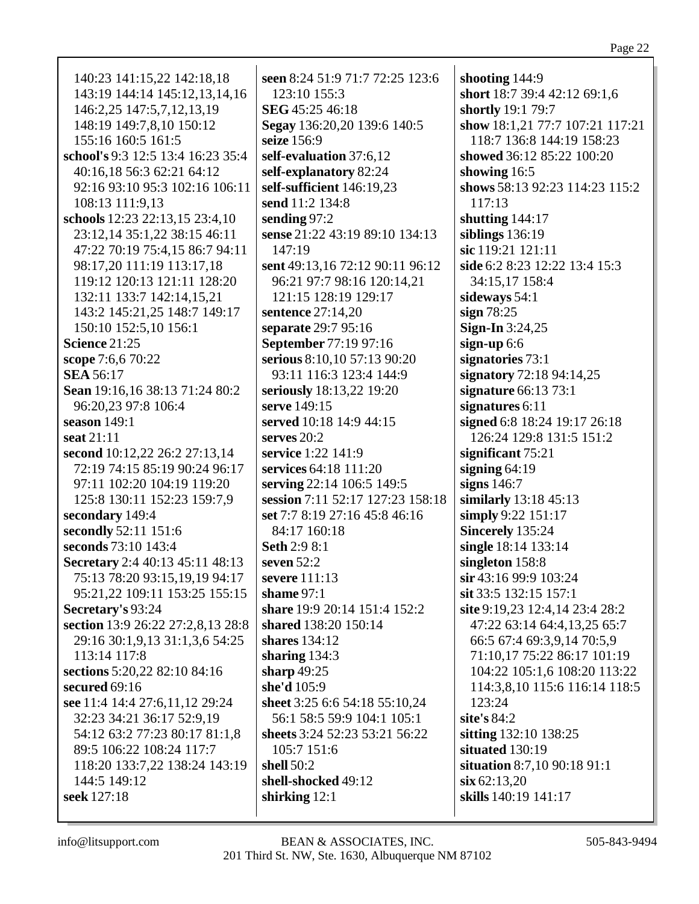| 140:23 141:15,22 142:18,18          | Ń  |
|-------------------------------------|----|
| 143:19 144:14 145:12,13,14,16       |    |
| 146:2,25 147:5,7,12,13,19           | í  |
| 148:19 149:7,8,10 150:12            |    |
| 155:16 160:5 161:5                  | Í  |
| school's 9:3 12:5 13:4 16:23 35:4   | í  |
| 40:16,18 56:3 62:21 64:12           | í  |
| 92:16 93:10 95:3 102:16 106:11      | í  |
| 108:13 111:9,13                     | Í  |
| schools 12:23 22:13,15 23:4,10      | Í  |
| 23:12,14 35:1,22 38:15 46:11        | Ś  |
| 47:22 70:19 75:4,15 86:7 94:11      |    |
| 98:17,20 111:19 113:17,18           | Í  |
| 119:12 120:13 121:11 128:20         |    |
| 132:11 133:7 142:14,15,21           |    |
| 143:2 145:21,25 148:7 149:17        | ř  |
| 150:10 152:5,10 156:1               | ŗ  |
| <b>Science 21:25</b>                |    |
| scope 7:6,6 70:22                   | í  |
| <b>SEA 56:17</b>                    |    |
| Sean 19:16,16 38:13 71:24 80:2      | Í  |
| 96:20,23 97:8 106:4                 | ŗ  |
| season 149:1                        | í  |
| seat 21:11                          | Í  |
| second 10:12,22 26:2 27:13,14       | í  |
| 72:19 74:15 85:19 90:24 96:17       | Į  |
| 97:11 102:20 104:19 119:20          | Í  |
| 125:8 130:11 152:23 159:7,9         | Í  |
| secondary 149:4                     | Î, |
| secondly 52:11 151:6                |    |
| seconds 73:10 143:4                 | í  |
| Secretary 2:4 40:13 45:11 48:13     | Í  |
| 75:13 78:20 93:15,19,19 94:17       |    |
| 95:21,22 109:11 153:25 155:15       | í  |
| Secretary's 93:24                   | í  |
| section 13:9 26:22 27:2,8,13 28:8   | í  |
| 29:16 30:1, 9, 13 31:1, 3, 6 54: 25 |    |
| 113:14 117:8                        | í  |
| sections 5:20,22 82:10 84:16        | í  |
| secured 69:16                       | Į  |
| see 11:4 14:4 27:6,11,12 29:24      |    |
| 32:23 34:21 36:17 52:9,19           |    |
| 54:12 63:2 77:23 80:17 81:1,8       | í  |
| 89:5 106:22 108:24 117:7            |    |
| 118:20 133:7,22 138:24 143:19       | í  |
| 144:5 149:12                        |    |
| seek 127:18                         |    |
|                                     |    |
|                                     |    |

**seen** 8:24 51:9 71:7 72:25 123:6 123:10 155:3 **SEG** 45:25 46:18 **Segay** 136:20,20 139:6 140:5 **seize** 156:9 **self-evaluation** 37:6,12 **self-explanatory** 82:24 **self-sufficient** 146:19,23 **send** 11:2 134:8 **sending** 97:2 **sense** 21:22 43:19 89:10 134:13  $147:19$ **sent** 49:13,16 72:12 90:11 96:12 96:21 97:7 98:16 120:14,21 121:15 128:19 129:17 **sentence** 27:14,20 **separate** 29:7 95:16 **September** 77:19 97:16 **serious** 8:10,10 57:13 90:20 93:11 116:3 123:4 144:9 **seriously** 18:13,22 19:20 **serve** 149:15 **served** 10:18 14:9 44:15 **serves** 20:2 **service** 1:22 141:9 **services** 64:18 111:20 **serving** 22:14 106:5 149:5 **session** 7:11 52:17 127:23 158:18 **set** 7:7 8:19 27:16 45:8 46:16 84:17 160:18 **Seth** 2:9 8:1 **seven** 52:2 **severe** 111:13 **shame** 97:1 **share** 19:9 20:14 151:4 152:2 **shared** 138:20 150:14 **shares** 134:12 **sharing** 134:3 **sharp** 49:25 **she'd** 105:9 **sheet** 3:25 6:6 54:18 55:10,24 56:1 58:5 59:9 104:1 105:1 **sheets** 3:24 52:23 53:21 56:22 105:7 151:6 **shell** 50:2 **shell-shocked** 49:12 **shirking** 12:1

**shooting** 144:9 **short** 18:7 39:4 42:12 69:1,6 **shortly** 19:1 79:7 **show** 18:1,21 77:7 107:21 117:21 118:7 136:8 144:19 158:23 **showed** 36:12 85:22 100:20 **showing** 16:5 **shows** 58:13 92:23 114:23 115:2 117:13 **shutting** 144:17 **siblings** 136:19 **sic** 119:21 121:11 **side** 6:2 8:23 12:22 13:4 15:3 34:15,17 158:4 **sideways** 54:1 **sign** 78:25 **Sign-In** 3:24,25 **sign-up** 6:6 **signatories** 73:1 **signatory** 72:18 94:14,25 **signature** 66:13 73:1 **signatures** 6:11 **signed** 6:8 18:24 19:17 26:18 126:24 129:8 131:5 151:2 **significant** 75:21 **signing** 64:19 **signs** 146:7 **similarly** 13:18 45:13 **simply** 9:22 151:17 **Sincerely** 135:24 **single** 18:14 133:14 **singleton** 158:8 **sir** 43:16 99:9 103:24 **sit** 33:5 132:15 157:1 **site** 9:19,23 12:4,14 23:4 28:2 47:22 63:14 64:4,13,25 65:7 66:5 67:4 69:3,9,14 70:5,9 71:10,17 75:22 86:17 101:19 104:22 105:1,6 108:20 113:22 114:3,8,10 115:6 116:14 118:5 123:24 **site's** 84:2 **sitting** 132:10 138:25 **situated** 130:19 **situation** 8:7,10 90:18 91:1 **six** 62:13,20 **skills** 140:19 141:17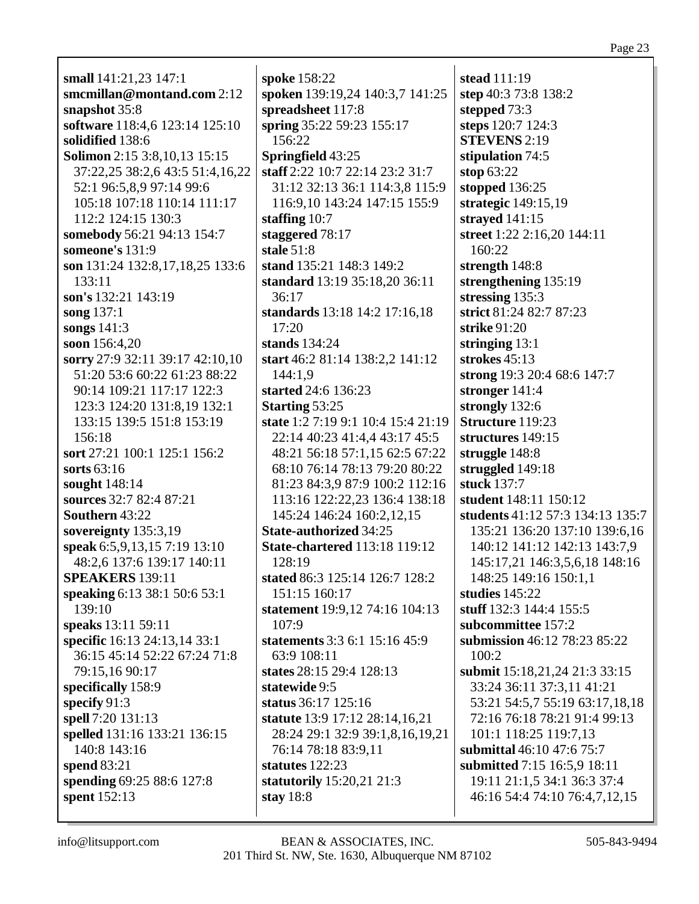| small 141:21,23 147:1                 | spoke 158:22                         | stead 111:19                     |
|---------------------------------------|--------------------------------------|----------------------------------|
| smcmillan@montand.com 2:12            | spoken 139:19,24 140:3,7 141:25      | step 40:3 73:8 138:2             |
| snapshot 35:8                         | spreadsheet 117:8                    | stepped 73:3                     |
| software 118:4,6 123:14 125:10        | spring 35:22 59:23 155:17            | steps 120:7 124:3                |
| solidified 138:6                      | 156:22                               | <b>STEVENS 2:19</b>              |
| <b>Solimon</b> 2:15 3:8, 10, 13 15:15 | Springfield 43:25                    | stipulation 74:5                 |
| 37:22,25 38:2,6 43:5 51:4,16,22       | staff 2:22 10:7 22:14 23:2 31:7      | stop $63:22$                     |
| 52:1 96:5,8,9 97:14 99:6              | 31:12 32:13 36:1 114:3,8 115:9       | stopped 136:25                   |
| 105:18 107:18 110:14 111:17           | 116:9,10 143:24 147:15 155:9         | strategic 149:15,19              |
| 112:2 124:15 130:3                    | staffing $10:7$                      | strayed 141:15                   |
| somebody 56:21 94:13 154:7            | staggered 78:17                      | street 1:22 2:16,20 144:11       |
| someone's 131:9                       | stale $51:8$                         | 160:22                           |
| son 131:24 132:8,17,18,25 133:6       | stand 135:21 148:3 149:2             | strength 148:8                   |
| 133:11                                | standard 13:19 35:18,20 36:11        | strengthening 135:19             |
| son's 132:21 143:19                   | 36:17                                | stressing 135:3                  |
| song 137:1                            | standards 13:18 14:2 17:16,18        | strict 81:24 82:7 87:23          |
| songs 141:3                           | 17:20                                | strike 91:20                     |
| soon 156:4,20                         | stands 134:24                        | stringing $13:1$                 |
| sorry 27:9 32:11 39:17 42:10,10       | start 46:2 81:14 138:2,2 141:12      | strokes $45:13$                  |
| 51:20 53:6 60:22 61:23 88:22          | 144:1,9                              | strong 19:3 20:4 68:6 147:7      |
| 90:14 109:21 117:17 122:3             | started 24:6 136:23                  | stronger 141:4                   |
| 123:3 124:20 131:8,19 132:1           | <b>Starting 53:25</b>                | strongly 132:6                   |
| 133:15 139:5 151:8 153:19             | state 1:2 7:19 9:1 10:4 15:4 21:19   | Structure 119:23                 |
| 156:18                                | 22:14 40:23 41:4,4 43:17 45:5        | structures 149:15                |
| sort 27:21 100:1 125:1 156:2          | 48:21 56:18 57:1,15 62:5 67:22       | struggle 148:8                   |
| sorts $63:16$                         | 68:10 76:14 78:13 79:20 80:22        | struggled 149:18                 |
| sought 148:14                         | 81:23 84:3,9 87:9 100:2 112:16       | stuck 137:7                      |
| sources 32:7 82:4 87:21               | 113:16 122:22,23 136:4 138:18        | student 148:11 150:12            |
| Southern 43:22                        | 145:24 146:24 160:2,12,15            | students 41:12 57:3 134:13 135:7 |
| sovereignty 135:3,19                  | <b>State-authorized 34:25</b>        | 135:21 136:20 137:10 139:6,16    |
| speak 6:5,9,13,15 7:19 13:10          | <b>State-chartered</b> 113:18 119:12 | 140:12 141:12 142:13 143:7,9     |
| 48:2,6 137:6 139:17 140:11            | 128:19                               | 145:17,21 146:3,5,6,18 148:16    |
| <b>SPEAKERS</b> 139:11                | stated 86:3 125:14 126:7 128:2       | 148:25 149:16 150:1,1            |
| speaking 6:13 38:1 50:6 53:1          | 151:15 160:17                        | studies $145:22$                 |
| 139:10                                | statement 19:9,12 74:16 104:13       | stuff 132:3 144:4 155:5          |
| speaks 13:11 59:11                    | 107:9                                | subcommittee 157:2               |
| specific 16:13 24:13,14 33:1          | statements 3:3 6:1 15:16 45:9        | submission 46:12 78:23 85:22     |
| 36:15 45:14 52:22 67:24 71:8          | 63:9 108:11                          | 100:2                            |
| 79:15,16 90:17                        | states 28:15 29:4 128:13             | submit 15:18,21,24 21:3 33:15    |
| specifically 158:9                    | statewide 9:5                        | 33:24 36:11 37:3,11 41:21        |
| specify $91:3$                        | status 36:17 125:16                  | 53:21 54:5,7 55:19 63:17,18,18   |
| spell 7:20 131:13                     | statute 13:9 17:12 28:14,16,21       | 72:16 76:18 78:21 91:4 99:13     |
| spelled 131:16 133:21 136:15          | 28:24 29:1 32:9 39:1,8,16,19,21      | 101:1 118:25 119:7,13            |
| 140:8 143:16                          | 76:14 78:18 83:9,11                  | submittal 46:10 47:6 75:7        |
| spend $83:21$                         | statutes $122:23$                    | submitted 7:15 16:5,9 18:11      |
| spending 69:25 88:6 127:8             | statutorily 15:20,21 21:3            | 19:11 21:1,5 34:1 36:3 37:4      |
| spent 152:13                          | stay $18:8$                          | 46:16 54:4 74:10 76:4,7,12,15    |
|                                       |                                      |                                  |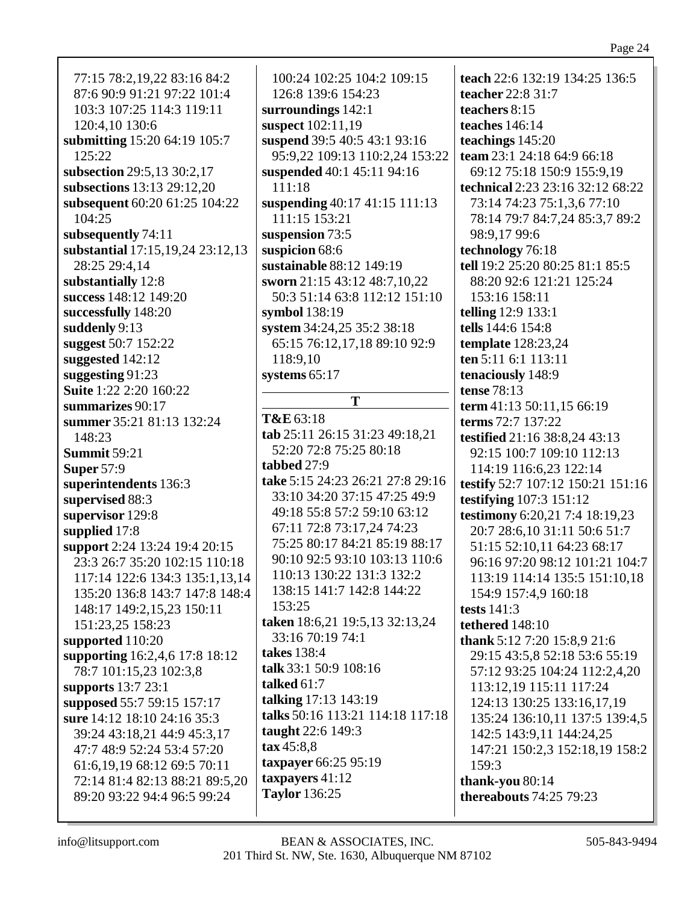77:15 78:2,19,22 83:16 84:2 87:6 90:9 91:21 97:22 101:4 103:3 107:25 114:3 119:11 120:4,10 130:6 **submitting** 15:20 64:19 105:7 125:22 **subsection** 29:5,13 30:2,17 **subsections** 13:13 29:12,20 **subsequent** 60:20 61:25 104:22 104:25 **subsequently** 74:11 **substantial** 17:15,19,24 23:12,13 28:25 29:4,14 **substantially** 12:8 **success** 148:12 149:20 **successfully** 148:20 **suddenly** 9:13 **suggest** 50:7 152:22 **suggested** 142:12 **suggesting** 91:23 **Suite** 1:22 2:20 160:22 **summarizes** 90:17 **summer** 35:21 81:13 132:24 148:23 **Summit** 59:21 **Super** 57:9 **superintendents** 136:3 **supervised** 88:3 **supervisor** 129:8 **supplied** 17:8 **support** 2:24 13:24 19:4 20:15 23:3 26:7 35:20 102:15 110:18 117:14 122:6 134:3 135:1,13,14 135:20 136:8 143:7 147:8 148:4 148:17 149:2,15,23 150:11 151:23,25 158:23 **supported** 110:20 **supporting** 16:2,4,6 17:8 18:12 78:7 101:15,23 102:3,8 **supports** 13:7 23:1 **supposed** 55:7 59:15 157:17 **sure** 14:12 18:10 24:16 35:3 39:24 43:18,21 44:9 45:3,17 47:7 48:9 52:24 53:4 57:20 61:6,19,19 68:12 69:5 70:11 72:14 81:4 82:13 88:21 89:5,20 89:20 93:22 94:4 96:5 99:24

100:24 102:25 104:2 109:15 126:8 139:6 154:23 **surroundings** 142:1 **suspect** 102:11,19 **suspend** 39:5 40:5 43:1 93:16 95:9,22 109:13 110:2,24 153:22 **suspended** 40:1 45:11 94:16 111:18 **suspending** 40:17 41:15 111:13 111:15 153:21 **suspension** 73:5 **suspicion** 68:6 **sustainable** 88:12 149:19 **sworn** 21:15 43:12 48:7,10,22 50:3 51:14 63:8 112:12 151:10 **symbol** 138:19 **system** 34:24,25 35:2 38:18 65:15 76:12,17,18 89:10 92:9 118:9,10 **systems** 65:17 **T T&E** 63:18 **tab** 25:11 26:15 31:23 49:18,21 52:20 72:8 75:25 80:18 **tabbed** 27:9 **take** 5:15 24:23 26:21 27:8 29:16 33:10 34:20 37:15 47:25 49:9 49:18 55:8 57:2 59:10 63:12

67:11 72:8 73:17,24 74:23 75:25 80:17 84:21 85:19 88:17 90:10 92:5 93:10 103:13 110:6 110:13 130:22 131:3 132:2 138:15 141:7 142:8 144:22  $153:25$ **taken** 18:6,21 19:5,13 32:13,24 33:16 70:19 74:1 **takes** 138:4 **talk** 33:1 50:9 108:16 **talked** 61:7 **talking** 17:13 143:19 **talks** 50:16 113:21 114:18 117:18 **taught** 22:6 149:3 **tax** 45:8,8 **taxpayer** 66:25 95:19 **taxpayers** 41:12 **Taylor** 136:25

**teach** 22:6 132:19 134:25 136:5 **teacher** 22:8 31:7 **teachers** 8:15 **teaches** 146:14 **teachings** 145:20 **team** 23:1 24:18 64:9 66:18 69:12 75:18 150:9 155:9,19 **technical** 2:23 23:16 32:12 68:22 73:14 74:23 75:1,3,6 77:10 78:14 79:7 84:7,24 85:3,7 89:2 98:9,17 99:6 **technology** 76:18 **tell** 19:2 25:20 80:25 81:1 85:5 88:20 92:6 121:21 125:24 153:16 158:11 **telling** 12:9 133:1 **tells** 144:6 154:8 **template** 128:23,24 **ten** 5:11 6:1 113:11 **tenaciously** 148:9 **tense** 78:13 **term** 41:13 50:11,15 66:19 **terms** 72:7 137:22 **testified** 21:16 38:8,24 43:13 92:15 100:7 109:10 112:13 114:19 116:6,23 122:14 **testify** 52:7 107:12 150:21 151:16 **testifying** 107:3 151:12 **testimony** 6:20,21 7:4 18:19,23 20:7 28:6,10 31:11 50:6 51:7 51:15 52:10,11 64:23 68:17 96:16 97:20 98:12 101:21 104:7 113:19 114:14 135:5 151:10,18 154:9 157:4,9 160:18 **tests** 141:3 **tethered** 148:10 **thank** 5:12 7:20 15:8,9 21:6 29:15 43:5,8 52:18 53:6 55:19 57:12 93:25 104:24 112:2,4,20 113:12,19 115:11 117:24 124:13 130:25 133:16,17,19 135:24 136:10,11 137:5 139:4,5 142:5 143:9,11 144:24,25 147:21 150:2,3 152:18,19 158:2 159:3 **thank-you** 80:14 **thereabouts** 74:25 79:23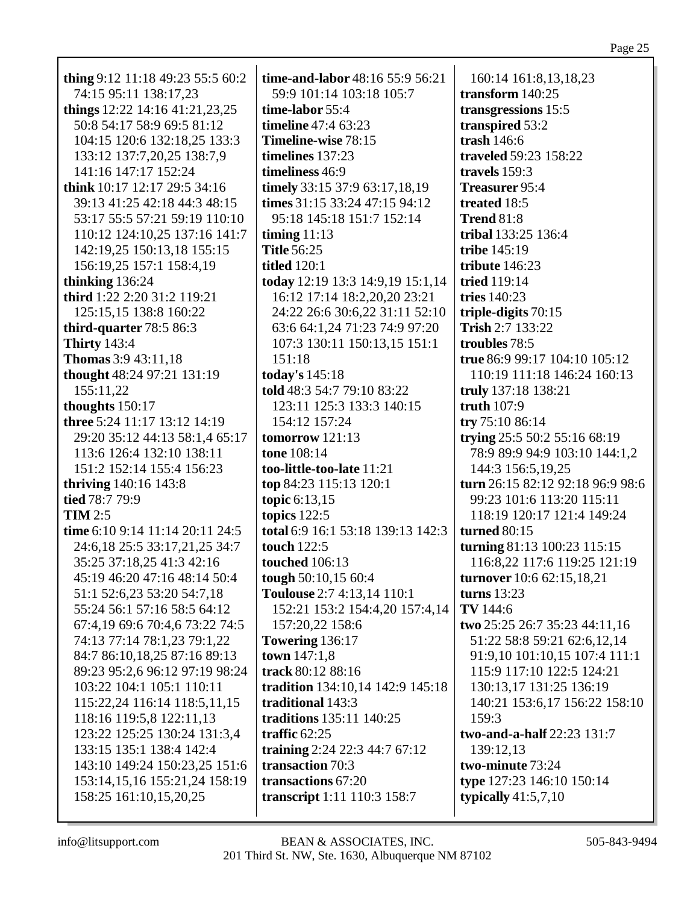| thing 9:12 11:18 49:23 55:5 60:2 | time-and-labor 48:16 55:9 56:21   | 160:14 161:8,13,18,23            |
|----------------------------------|-----------------------------------|----------------------------------|
| 74:15 95:11 138:17,23            | 59:9 101:14 103:18 105:7          | transform 140:25                 |
| things $12:22$ 14:16 41:21,23,25 | time-labor 55:4                   | transgressions 15:5              |
| 50:8 54:17 58:9 69:5 81:12       | <b>timeline</b> 47:4 63:23        | transpired 53:2                  |
| 104:15 120:6 132:18,25 133:3     | Timeline-wise 78:15               | trash $146:6$                    |
| 133:12 137:7,20,25 138:7,9       | timelines 137:23                  | traveled 59:23 158:22            |
| 141:16 147:17 152:24             | timeliness 46:9                   | travels 159:3                    |
| think 10:17 12:17 29:5 34:16     | timely 33:15 37:9 63:17,18,19     | Treasurer 95:4                   |
| 39:13 41:25 42:18 44:3 48:15     | times 31:15 33:24 47:15 94:12     | treated 18:5                     |
| 53:17 55:5 57:21 59:19 110:10    | 95:18 145:18 151:7 152:14         | <b>Trend 81:8</b>                |
| 110:12 124:10,25 137:16 141:7    | timing $11:13$                    | tribal 133:25 136:4              |
| 142:19,25 150:13,18 155:15       | <b>Title 56:25</b>                | tribe 145:19                     |
| 156:19,25 157:1 158:4,19         | <b>titled</b> 120:1               | tribute $146:23$                 |
| thinking 136:24                  | today 12:19 13:3 14:9,19 15:1,14  | <b>tried</b> 119:14              |
| third 1:22 2:20 31:2 119:21      | 16:12 17:14 18:2,20,20 23:21      | tries $140:23$                   |
| 125:15,15 138:8 160:22           | 24:22 26:6 30:6,22 31:11 52:10    | triple-digits $70:15$            |
| third-quarter 78:5 86:3          | 63:6 64:1,24 71:23 74:9 97:20     | Trish 2:7 133:22                 |
| <b>Thirty</b> 143:4              | 107:3 130:11 150:13,15 151:1      | troubles 78:5                    |
| <b>Thomas</b> 3:9 43:11,18       | 151:18                            | true 86:9 99:17 104:10 105:12    |
| thought 48:24 97:21 131:19       | today's 145:18                    | 110:19 111:18 146:24 160:13      |
| 155:11,22                        | told 48:3 54:7 79:10 83:22        | truly 137:18 138:21              |
| thoughts 150:17                  | 123:11 125:3 133:3 140:15         | truth $107:9$                    |
| three 5:24 11:17 13:12 14:19     | 154:12 157:24                     | try 75:10 86:14                  |
| 29:20 35:12 44:13 58:1,4 65:17   | tomorrow $121:13$                 | trying 25:5 50:2 55:16 68:19     |
| 113:6 126:4 132:10 138:11        | tone 108:14                       | 78:9 89:9 94:9 103:10 144:1,2    |
| 151:2 152:14 155:4 156:23        | too-little-too-late 11:21         | 144:3 156:5,19,25                |
| <b>thriving</b> 140:16 143:8     | top 84:23 115:13 120:1            | turn 26:15 82:12 92:18 96:9 98:6 |
| tied 78:7 79:9                   | topic 6:13,15                     | 99:23 101:6 113:20 115:11        |
| $TIM 2:5$                        | topics $122:5$                    | 118:19 120:17 121:4 149:24       |
| time 6:10 9:14 11:14 20:11 24:5  | total 6:9 16:1 53:18 139:13 142:3 | <b>turned 80:15</b>              |
| 24:6,18 25:5 33:17,21,25 34:7    | touch 122:5                       | turning 81:13 100:23 115:15      |
| 35:25 37:18,25 41:3 42:16        | <b>touched</b> 106:13             | 116:8,22 117:6 119:25 121:19     |
| 45:19 46:20 47:16 48:14 50:4     | tough 50:10,15 60:4               | turnover 10:6 62:15,18,21        |
| 51:1 52:6,23 53:20 54:7,18       | Toulouse 2:7 4:13,14 110:1        | turns $13:23$                    |
| 55:24 56:1 57:16 58:5 64:12      | 152:21 153:2 154:4,20 157:4,14    | TV 144:6                         |
| 67:4,19 69:6 70:4,6 73:22 74:5   | 157:20,22 158:6                   | two 25:25 26:7 35:23 44:11,16    |
| 74:13 77:14 78:1,23 79:1,22      | <b>Towering 136:17</b>            | 51:22 58:8 59:21 62:6,12,14      |
| 84:7 86:10,18,25 87:16 89:13     | town $147:1,8$                    | 91:9,10 101:10,15 107:4 111:1    |
| 89:23 95:2,6 96:12 97:19 98:24   | track 80:12 88:16                 | 115:9 117:10 122:5 124:21        |
| 103:22 104:1 105:1 110:11        | tradition 134:10,14 142:9 145:18  | 130:13,17 131:25 136:19          |
| 115:22,24 116:14 118:5,11,15     | traditional 143:3                 | 140:21 153:6,17 156:22 158:10    |
| 118:16 119:5,8 122:11,13         | traditions 135:11 140:25          | 159:3                            |
| 123:22 125:25 130:24 131:3,4     | traffic $62:25$                   | two-and-a-half 22:23 131:7       |
| 133:15 135:1 138:4 142:4         | training 2:24 22:3 44:7 67:12     | 139:12,13                        |
| 143:10 149:24 150:23,25 151:6    | transaction 70:3                  | two-minute 73:24                 |
| 153:14,15,16 155:21,24 158:19    | transactions 67:20                | type 127:23 146:10 150:14        |
| 158:25 161:10,15,20,25           | transcript 1:11 110:3 158:7       | typically $41:5,7,10$            |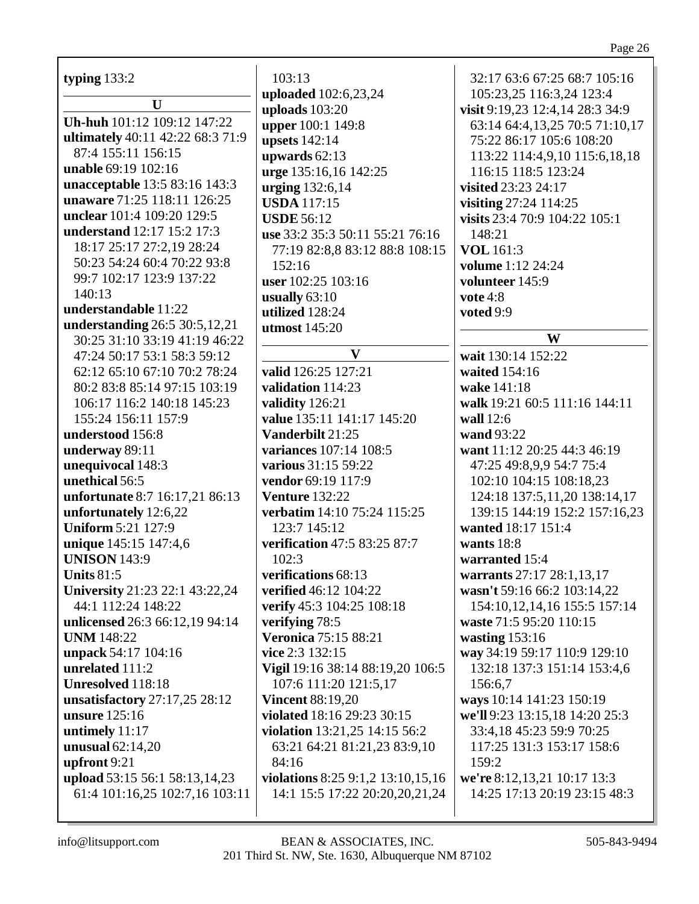| typing $133:2$                         | 103:13                            | 32:17 63:6 67:25 68:7 105:16                                |
|----------------------------------------|-----------------------------------|-------------------------------------------------------------|
| U                                      | uploaded 102:6,23,24              | 105:23,25 116:3,24 123:4                                    |
|                                        | uploads 103:20                    | visit 9:19,23 12:4,14 28:3 34:9                             |
| Uh-huh 101:12 109:12 147:22            | upper 100:1 149:8                 | 63:14 64:4,13,25 70:5 71:10,17                              |
| ultimately 40:11 42:22 68:3 71:9       | <b>upsets</b> 142:14              | 75:22 86:17 105:6 108:20                                    |
| 87:4 155:11 156:15                     | upwards $62:13$                   | 113:22 114:4,9,10 115:6,18,18                               |
| unable 69:19 102:16                    | urge 135:16,16 142:25             | 116:15 118:5 123:24                                         |
| unacceptable 13:5 83:16 143:3          | urging 132:6,14                   | visited 23:23 24:17                                         |
| unaware 71:25 118:11 126:25            | <b>USDA</b> 117:15                | visiting 27:24 114:25                                       |
| unclear 101:4 109:20 129:5             | <b>USDE 56:12</b>                 | visits 23:4 70:9 104:22 105:1                               |
| understand 12:17 15:2 17:3             | use 33:2 35:3 50:11 55:21 76:16   | 148:21                                                      |
| 18:17 25:17 27:2,19 28:24              | 77:19 82:8,8 83:12 88:8 108:15    | <b>VOL</b> 161:3                                            |
| 50:23 54:24 60:4 70:22 93:8            | 152:16                            | volume 1:12 24:24                                           |
| 99:7 102:17 123:9 137:22               | user 102:25 103:16                | volunteer 145:9                                             |
| 140:13                                 | usually $63:10$                   | vote $4:8$                                                  |
| understandable 11:22                   | utilized 128:24                   | voted 9:9                                                   |
| understanding 26:5 30:5,12,21          | <b>utmost</b> 145:20              |                                                             |
| 30:25 31:10 33:19 41:19 46:22          |                                   | W                                                           |
| 47:24 50:17 53:1 58:3 59:12            | V                                 | wait 130:14 152:22                                          |
| 62:12 65:10 67:10 70:2 78:24           | valid 126:25 127:21               | waited 154:16                                               |
| 80:2 83:8 85:14 97:15 103:19           | validation 114:23                 | wake 141:18                                                 |
| 106:17 116:2 140:18 145:23             | validity 126:21                   | walk 19:21 60:5 111:16 144:11                               |
| 155:24 156:11 157:9                    | value 135:11 141:17 145:20        | wall 12:6                                                   |
| understood 156:8                       | Vanderbilt 21:25                  | wand 93:22                                                  |
| underway 89:11                         | variances 107:14 108:5            | want 11:12 20:25 44:3 46:19                                 |
| unequivocal 148:3                      | various 31:15 59:22               | 47:25 49:8,9,9 54:7 75:4                                    |
| unethical 56:5                         | vendor 69:19 117:9                | 102:10 104:15 108:18,23                                     |
| unfortunate 8:7 16:17,21 86:13         | <b>Venture 132:22</b>             | 124:18 137:5, 11, 20 138:14, 17                             |
| unfortunately 12:6,22                  | verbatim 14:10 75:24 115:25       | 139:15 144:19 152:2 157:16,23                               |
| <b>Uniform 5:21 127:9</b>              | 123:7 145:12                      | wanted 18:17 151:4                                          |
| unique 145:15 147:4,6                  | verification 47:5 83:25 87:7      | wants $18:8$                                                |
| <b>UNISON 143:9</b>                    | 102:3                             | warranted 15:4                                              |
| <b>Units 81:5</b>                      | verifications 68:13               | warrants 27:17 28:1,13,17                                   |
| <b>University</b> 21:23 22:1 43:22,24  | verified 46:12 104:22             | wasn't 59:16 66:2 103:14,22                                 |
| 44:1 112:24 148:22                     | verify 45:3 104:25 108:18         | 154:10,12,14,16 155:5 157:14                                |
| unlicensed 26:3 66:12,19 94:14         | verifying 78:5                    | waste 71:5 95:20 110:15                                     |
| <b>UNM</b> 148:22                      | <b>Veronica 75:15 88:21</b>       | wasting $153:16$                                            |
|                                        | vice 2:3 132:15                   |                                                             |
| unpack 54:17 104:16<br>unrelated 111:2 | Vigil 19:16 38:14 88:19,20 106:5  | way 34:19 59:17 110:9 129:10<br>132:18 137:3 151:14 153:4,6 |
|                                        |                                   |                                                             |
| Unresolved 118:18                      | 107:6 111:20 121:5,17             | 156:6,7                                                     |
| unsatisfactory $27:17,25$ 28:12        | <b>Vincent 88:19,20</b>           | ways 10:14 141:23 150:19                                    |
| <b>unsure</b> 125:16                   | violated 18:16 29:23 30:15        | we'll 9:23 13:15,18 14:20 25:3                              |
| untimely 11:17                         | violation 13:21,25 14:15 56:2     | 33:4,18 45:23 59:9 70:25                                    |
| unusual $62:14,20$                     | 63:21 64:21 81:21,23 83:9,10      | 117:25 131:3 153:17 158:6                                   |
| upfront 9:21                           | 84:16                             | 159:2                                                       |
| upload 53:15 56:1 58:13,14,23          | violations 8:25 9:1,2 13:10,15,16 | we're 8:12,13,21 10:17 13:3                                 |
| 61:4 101:16,25 102:7,16 103:11         | 14:1 15:5 17:22 20:20,20,21,24    | 14:25 17:13 20:19 23:15 48:3                                |
|                                        |                                   |                                                             |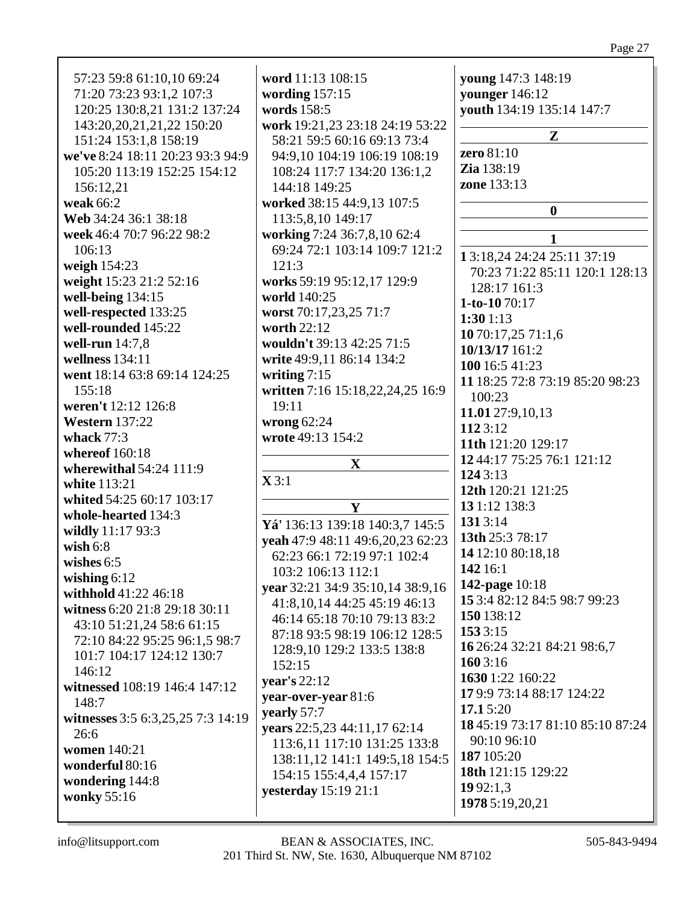| 57:23 59:8 61:10,10 69:24         | word 11:13 108:15                                              | young 147:3 148:19               |
|-----------------------------------|----------------------------------------------------------------|----------------------------------|
| 71:20 73:23 93:1,2 107:3          | wording $157:15$                                               | younger 146:12                   |
| 120:25 130:8,21 131:2 137:24      | words 158:5                                                    | youth 134:19 135:14 147:7        |
|                                   |                                                                |                                  |
| 143:20,20,21,21,22 150:20         | work 19:21,23 23:18 24:19 53:22<br>58:21 59:5 60:16 69:13 73:4 | $\mathbf{Z}$                     |
| 151:24 153:1,8 158:19             |                                                                | zero 81:10                       |
| we've 8:24 18:11 20:23 93:3 94:9  | 94:9,10 104:19 106:19 108:19                                   | Zia 138:19                       |
| 105:20 113:19 152:25 154:12       | 108:24 117:7 134:20 136:1,2                                    |                                  |
| 156:12,21                         | 144:18 149:25                                                  | zone 133:13                      |
| weak 66:2                         | worked 38:15 44:9,13 107:5                                     | $\bf{0}$                         |
| Web 34:24 36:1 38:18              | 113:5,8,10 149:17                                              |                                  |
| week 46:4 70:7 96:22 98:2         | working 7:24 36:7,8,10 62:4                                    | 1                                |
| 106:13                            | 69:24 72:1 103:14 109:7 121:2                                  |                                  |
| weigh $154:23$                    | 121:3                                                          | 13:18,24 24:24 25:11 37:19       |
| weight 15:23 21:2 52:16           | works 59:19 95:12,17 129:9                                     | 70:23 71:22 85:11 120:1 128:13   |
| well-being 134:15                 | world 140:25                                                   | 128:17 161:3                     |
| well-respected 133:25             | worst 70:17,23,25 71:7                                         | 1-to-1070:17                     |
| well-rounded 145:22               | worth 22:12                                                    | 1:301:13                         |
|                                   | wouldn't 39:13 42:25 71:5                                      | 10 70:17,25 71:1,6               |
| well-run 14:7,8                   |                                                                | 10/13/17 161:2                   |
| wellness $134:11$                 | write 49:9,11 86:14 134:2                                      | 100 16:5 41:23                   |
| went 18:14 63:8 69:14 124:25      | writing $7:15$                                                 | 11 18:25 72:8 73:19 85:20 98:23  |
| 155:18                            | written 7:16 15:18,22,24,25 16:9                               | 100:23                           |
| weren't 12:12 126:8               | 19:11                                                          | 11.01 27:9,10,13                 |
| <b>Western</b> 137:22             | wrong $62:24$                                                  | 1123:12                          |
| whack $77:3$                      | wrote 49:13 154:2                                              | 11th 121:20 129:17               |
| whereof 160:18                    |                                                                | 12 44:17 75:25 76:1 121:12       |
| wherewithal 54:24 111:9           | $\mathbf X$                                                    |                                  |
| white 113:21                      | $\mathbf{X} 3:1$                                               | 124 3:13                         |
| whited 54:25 60:17 103:17         |                                                                | 12th 120:21 121:25               |
| whole-hearted 134:3               | Y                                                              | 13 1:12 138:3                    |
| wildly 11:17 93:3                 | Yá' 136:13 139:18 140:3,7 145:5                                | 1313:14                          |
| wish $6:8$                        | yeah 47:9 48:11 49:6,20,23 62:23                               | 13th 25:3 78:17                  |
| wishes $6:5$                      | 62:23 66:1 72:19 97:1 102:4                                    | 14 12:10 80:18,18                |
|                                   | 103:2 106:13 112:1                                             | 142 16:1                         |
| wishing $6:12$                    | year 32:21 34:9 35:10,14 38:9,16                               | <b>142-page</b> 10:18            |
| withhold 41:22 46:18              | 41:8, 10, 14 44: 25 45: 19 46: 13                              | 15 3:4 82:12 84:5 98:7 99:23     |
| witness 6:20 21:8 29:18 30:11     | 46:14 65:18 70:10 79:13 83:2                                   | 150 138:12                       |
| 43:10 51:21,24 58:6 61:15         | 87:18 93:5 98:19 106:12 128:5                                  | 153 3:15                         |
| 72:10 84:22 95:25 96:1,5 98:7     | 128:9,10 129:2 133:5 138:8                                     | 16 26:24 32:21 84:21 98:6,7      |
| 101:7 104:17 124:12 130:7         | 152:15                                                         | 160 3:16                         |
| 146:12                            |                                                                | 1630 1:22 160:22                 |
| witnessed 108:19 146:4 147:12     | year's $22:12$                                                 | 179:9 73:14 88:17 124:22         |
| 148:7                             | year-over-year 81:6                                            |                                  |
| witnesses 3:5 6:3,25,25 7:3 14:19 | yearly 57:7                                                    | 17.15:20                         |
| 26:6                              | years 22:5,23 44:11,17 62:14                                   | 18 45:19 73:17 81:10 85:10 87:24 |
| women 140:21                      | 113:6, 11 117:10 131:25 133:8                                  | 90:10 96:10                      |
| wonderful 80:16                   | 138:11,12 141:1 149:5,18 154:5                                 | 187 105:20                       |
| wondering 144:8                   | 154:15 155:4,4,4 157:17                                        | 18th 121:15 129:22               |
| wonky 55:16                       | <b>yesterday</b> 15:19 21:1                                    | 1992:1,3                         |
|                                   |                                                                | 1978 5:19,20,21                  |
|                                   |                                                                |                                  |